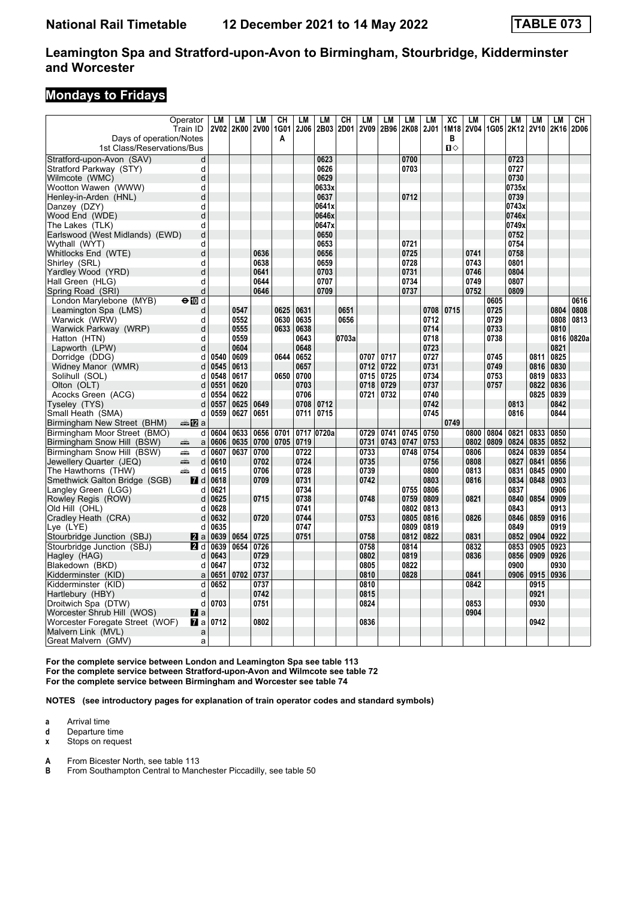#### **Mondays to Fridays**

|                                 | Operator     | LM   | LM        | LM          | CН          | LM   | LM         | CН    | LM          | LM   | LM          | <b>LM</b> | XC   | LM          | CH   | LM    | LM             | LM   | CН    |
|---------------------------------|--------------|------|-----------|-------------|-------------|------|------------|-------|-------------|------|-------------|-----------|------|-------------|------|-------|----------------|------|-------|
|                                 | Train ID     |      | 2V02 2K00 | <b>2V00</b> | 1G01        | 2J06 | 2B03       | 2D01  | <b>2V09</b> | 2B96 | 2K08        | 2J01      | 1M18 | <b>2V04</b> | 1G05 |       | 2K12 2V10 2K16 |      | 2D06  |
| Days of operation/Notes         |              |      |           |             | Α           |      |            |       |             |      |             |           | в    |             |      |       |                |      |       |
| 1st Class/Reservations/Bus      |              |      |           |             |             |      |            |       |             |      |             |           | Ⅱ♦   |             |      |       |                |      |       |
| Stratford-upon-Avon (SAV)       | d            |      |           |             |             |      | 0623       |       |             |      | 0700        |           |      |             |      | 0723  |                |      |       |
| Stratford Parkway (STY)         | d            |      |           |             |             |      | 0626       |       |             |      | 0703        |           |      |             |      | 0727  |                |      |       |
| Wilmcote (WMC)                  | d            |      |           |             |             |      | 0629       |       |             |      |             |           |      |             |      | 0730  |                |      |       |
| Wootton Wawen (WWW)             | d            |      |           |             |             |      | 0633x      |       |             |      |             |           |      |             |      | 0735x |                |      |       |
| Henley-in-Arden (HNL)           | d            |      |           |             |             |      | 0637       |       |             |      | 0712        |           |      |             |      | 0739  |                |      |       |
| Danzey (DZY)                    | d            |      |           |             |             |      | 0641x      |       |             |      |             |           |      |             |      | 0743x |                |      |       |
| Wood End (WDE)                  | d            |      |           |             |             |      | 0646x      |       |             |      |             |           |      |             |      | 0746x |                |      |       |
| The Lakes (TLK)                 | d            |      |           |             |             |      | 0647x      |       |             |      |             |           |      |             |      | 0749x |                |      |       |
| Earlswood (West Midlands) (EWD) | d            |      |           |             |             |      | 0650       |       |             |      |             |           |      |             |      | 0752  |                |      |       |
| Wythall (WYT)                   | d            |      |           |             |             |      | 0653       |       |             |      | 0721        |           |      |             |      | 0754  |                |      |       |
| Whitlocks End (WTE)             | d            |      |           | 0636        |             |      | 0656       |       |             |      | 0725        |           |      | 0741        |      | 0758  |                |      |       |
| Shirley (SRL)                   | d            |      |           | 0638        |             |      | 0659       |       |             |      | 0728        |           |      | 0743        |      | 0801  |                |      |       |
| Yardley Wood (YRD)              | d            |      |           | 0641        |             |      | 0703       |       |             |      | 0731        |           |      | 0746        |      | 0804  |                |      |       |
| Hall Green (HLG)                | d            |      |           | 0644        |             |      | 0707       |       |             |      | 0734        |           |      | 0749        |      | 0807  |                |      |       |
| Spring Road (SRI)               | d            |      |           | 0646        |             |      | 0709       |       |             |      | 0737        |           |      | 0752        |      | 0809  |                |      |       |
| London Marylebone (MYB)         | $\Theta$ M d |      |           |             |             |      |            |       |             |      |             |           |      |             | 0605 |       |                |      | 0616  |
| Leamington Spa (LMS)            | d            |      | 0547      |             | 0625        | 0631 |            | 0651  |             |      |             | 0708      | 0715 |             | 0725 |       |                | 0804 | 0808  |
| Warwick (WRW)                   | d            |      | 0552      |             | 0630        | 0635 |            | 0656  |             |      |             | 0712      |      |             | 0729 |       |                | 0808 | 0813  |
| Warwick Parkway (WRP)           | d            |      | 0555      |             | 0633        | 0638 |            |       |             |      |             | 0714      |      |             | 0733 |       |                | 0810 |       |
| Hatton (HTN)                    | d            |      | 0559      |             |             | 0643 |            | 0703a |             |      |             | 0718      |      |             | 0738 |       |                | 0816 | 0820a |
| Lapworth (LPW)                  | d            |      | 0604      |             |             | 0648 |            |       |             |      |             | 0723      |      |             |      |       |                | 0821 |       |
| Dorridge (DDG)                  | d            | 0540 | 0609      |             | 0644        | 0652 |            |       | 0707        | 0717 |             | 0727      |      |             | 0745 |       | 0811           | 0825 |       |
| Widney Manor (WMR)              | d            | 0545 | 0613      |             |             | 0657 |            |       | 0712        | 0722 |             | 0731      |      |             | 0749 |       | 0816           | 0830 |       |
| Solihull (SOL)                  | d            | 0548 | 0617      |             | 0650        | 0700 |            |       | 0715        | 0725 |             | 0734      |      |             | 0753 |       | 0819           | 0833 |       |
| Olton (OLT)                     | d            | 0551 | 0620      |             |             | 0703 |            |       | 0718        | 0729 |             | 0737      |      |             | 0757 |       | 0822           | 0836 |       |
| Acocks Green (ACG)              | d            | 0554 | 0622      |             |             | 0706 |            |       | 0721        | 0732 |             | 0740      |      |             |      |       | 0825           | 0839 |       |
| Tyseley (TYS)                   | d            | 0557 | 0625      | 0649        |             | 0708 | 0712       |       |             |      |             | 0742      |      |             |      | 0813  |                | 0842 |       |
| Small Heath (SMA)               | d            | 0559 | 0627      | 0651        |             | 0711 | 0715       |       |             |      |             | 0745      |      |             |      | 0816  |                | 0844 |       |
| Birmingham New Street (BHM)     | <b>▲12</b> a |      |           |             |             |      |            |       |             |      |             |           | 0749 |             |      |       |                |      |       |
| Birmingham Moor Street (BMO)    | d            | 0604 | 0633      | 0656        | 0701        |      | 0717 0720a |       | 0729        | 0741 | 0745        | 0750      |      | 0800        | 0804 | 0821  | 0833           | 0850 |       |
| Birmingham Snow Hill (BSW)      | æ<br>a       | 0606 | 0635      | 0700        | 0705   0719 |      |            |       | 0731        |      | 0743   0747 | 0753      |      | 0802        | 0809 | 0824  | 0835           | 0852 |       |
| Birmingham Snow Hill (BSW)      | d<br>پیش     | 0607 | 0637      | 0700        |             | 0722 |            |       | 0733        |      | 0748        | 0754      |      | 0806        |      | 0824  | 0839           | 0854 |       |
| Jewellery Quarter (JEQ)         | پېښ<br>d     | 0610 |           | 0702        |             | 0724 |            |       | 0735        |      |             | 0756      |      | 0808        |      | 0827  | 0841           | 0856 |       |
| The Hawthorns (THW)             | پیشته<br>d   | 0615 |           | 0706        |             | 0728 |            |       | 0739        |      |             | 0800      |      | 0813        |      | 0831  | 0845           | 0900 |       |
| Smethwick Galton Bridge (SGB)   | <b>7</b> d   | 0618 |           | 0709        |             | 0731 |            |       | 0742        |      |             | 0803      |      | 0816        |      | 0834  | 0848           | 0903 |       |
| Langley Green (LGG)             | d            | 0621 |           |             |             | 0734 |            |       |             |      | 0755        | 0806      |      |             |      | 0837  |                | 0906 |       |
| Rowley Regis (ROW)              | d            | 0625 |           | 0715        |             | 0738 |            |       | 0748        |      | 0759        | 0809      |      | 0821        |      | 0840  | 0854           | 0909 |       |
| Old Hill (OHL)                  | d            | 0628 |           |             |             | 0741 |            |       |             |      | 0802        | 0813      |      |             |      | 0843  |                | 0913 |       |
| Cradley Heath (CRA)             | d            | 0632 |           | 0720        |             | 0744 |            |       | 0753        |      | 0805        | 0816      |      | 0826        |      | 0846  | 0859           | 0916 |       |
| Lye (LYE)                       | d            | 0635 |           |             |             | 0747 |            |       |             |      | 0809        | 0819      |      |             |      | 0849  |                | 0919 |       |
| Stourbridge Junction (SBJ)      | <b>Z</b> a   | 0639 | 0654      | 0725        |             | 0751 |            |       | 0758        |      | 0812        | 0822      |      | 0831        |      | 0852  | 0904           | 0922 |       |
| Stourbridge Junction (SBJ)      | 2 d          | 0639 | 0654      | 0726        |             |      |            |       | 0758        |      | 0814        |           |      | 0832        |      | 0853  | 0905           | 0923 |       |
| Hagley (HAG)                    | d            | 0643 |           | 0729        |             |      |            |       | 0802        |      | 0819        |           |      | 0836        |      | 0856  | 0909           | 0926 |       |
| Blakedown (BKD)                 | d            | 0647 |           | 0732        |             |      |            |       | 0805        |      | 0822        |           |      |             |      | 0900  |                | 0930 |       |
| Kidderminster (KID)             | a            | 0651 | 0702      | 0737        |             |      |            |       | 0810        |      | 0828        |           |      | 0841        |      | 0906  | 0915           | 0936 |       |
| Kidderminster (KID)             | d            | 0652 |           | 0737        |             |      |            |       | 0810        |      |             |           |      | 0842        |      |       | 0915           |      |       |
| Hartlebury (HBY)                | d            |      |           | 0742        |             |      |            |       | 0815        |      |             |           |      |             |      |       | 0921           |      |       |
| Droitwich Spa (DTW)             | d            | 0703 |           | 0751        |             |      |            |       | 0824        |      |             |           |      | 0853        |      |       | 0930           |      |       |
| Worcester Shrub Hill (WOS)      | <b>7</b> a   |      |           |             |             |      |            |       |             |      |             |           |      | 0904        |      |       |                |      |       |
| Worcester Foregate Street (WOF) | <b>7</b> a   | 0712 |           | 0802        |             |      |            |       | 0836        |      |             |           |      |             |      |       | 0942           |      |       |
| Malvern Link (MVL)              | a            |      |           |             |             |      |            |       |             |      |             |           |      |             |      |       |                |      |       |
| Great Malvern (GMV)             | a            |      |           |             |             |      |            |       |             |      |             |           |      |             |      |       |                |      |       |

**For the complete service between London and Leamington Spa see table 11** For the complete service between Stratford-upon-Avon and Wilmcote see table 72 For the complete service between Birmingham and Worcester see table 74

**NOTES (see introductory pages for explanation of train operator codes and standard symbols)**

**a** Arrival time

**d** Departure time<br>**x** Stops on reque

**Stops on request** 

**A** From Bicester North, see table 113

**B** From Southampton Central to Manchester Piccadilly, see table 50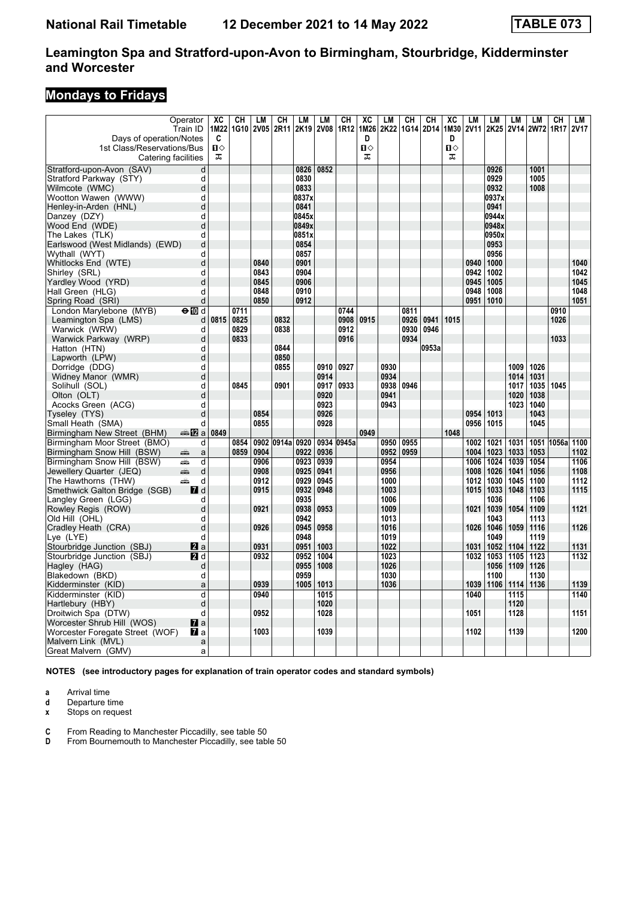# **Mondays to Fridays**

| Days of operation/Notes<br>1st Class/Reservations/Bus<br>Catering facilities | Operator<br>Train ID   | XC<br>1M22<br>C<br>Ⅱ◇<br>ᠼ | CН<br>1G10 | LМ<br><b>2V05</b> | CН<br>2R11 | LM<br>2K19 | LМ<br><b>2V08</b> | CН<br>1R12 | XC<br>1M26<br>D<br>п⇔<br>ᠼ | LM<br>2K22 | CН<br>1G14 2D14 | CН    | XC<br>1M30<br>D<br>Ω⇔<br>ᠼ | LM<br><b>2V11</b> | LM<br>2K25 | LM<br><b>2V14</b> | LM<br><b>2W72</b> | CН<br>1R17 | LM<br><b>2V17</b> |
|------------------------------------------------------------------------------|------------------------|----------------------------|------------|-------------------|------------|------------|-------------------|------------|----------------------------|------------|-----------------|-------|----------------------------|-------------------|------------|-------------------|-------------------|------------|-------------------|
|                                                                              | d                      |                            |            |                   |            | 0826       | 0852              |            |                            |            |                 |       |                            |                   | 0926       |                   | 1001              |            |                   |
| Stratford-upon-Avon (SAV)                                                    |                        |                            |            |                   |            |            |                   |            |                            |            |                 |       |                            |                   | 0929       |                   | 1005              |            |                   |
| Stratford Parkway (STY)                                                      | d                      |                            |            |                   |            | 0830       |                   |            |                            |            |                 |       |                            |                   |            |                   |                   |            |                   |
| Wilmcote (WMC)                                                               | d                      |                            |            |                   |            | 0833       |                   |            |                            |            |                 |       |                            |                   | 0932       |                   | 1008              |            |                   |
| Wootton Wawen (WWW)                                                          | d                      |                            |            |                   |            | 0837x      |                   |            |                            |            |                 |       |                            |                   | 0937x      |                   |                   |            |                   |
| Henley-in-Arden (HNL)                                                        | d                      |                            |            |                   |            | 0841       |                   |            |                            |            |                 |       |                            |                   | 0941       |                   |                   |            |                   |
| Danzey (DZY)                                                                 | d                      |                            |            |                   |            | 0845x      |                   |            |                            |            |                 |       |                            |                   | 0944x      |                   |                   |            |                   |
| Wood End (WDE)                                                               | d                      |                            |            |                   |            | 0849x      |                   |            |                            |            |                 |       |                            |                   | 0948x      |                   |                   |            |                   |
| The Lakes (TLK)                                                              | d                      |                            |            |                   |            | 0851x      |                   |            |                            |            |                 |       |                            |                   | 0950x      |                   |                   |            |                   |
| Earlswood (West Midlands) (EWD)                                              | d                      |                            |            |                   |            | 0854       |                   |            |                            |            |                 |       |                            |                   | 0953       |                   |                   |            |                   |
| Wythall (WYT)                                                                | d                      |                            |            |                   |            | 0857       |                   |            |                            |            |                 |       |                            |                   | 0956       |                   |                   |            |                   |
| Whitlocks End (WTE)                                                          | d                      |                            |            | 0840              |            | 0901       |                   |            |                            |            |                 |       |                            | 0940              | 1000       |                   |                   |            | 1040              |
| Shirley (SRL)                                                                | d                      |                            |            | 0843              |            | 0904       |                   |            |                            |            |                 |       |                            | 0942              | 1002       |                   |                   |            | 1042              |
| Yardley Wood (YRD)                                                           | d                      |                            |            | 0845              |            | 0906       |                   |            |                            |            |                 |       |                            | 0945              | 1005       |                   |                   |            | 1045              |
| Hall Green (HLG)                                                             | d                      |                            |            | 0848              |            | 0910       |                   |            |                            |            |                 |       |                            | 0948              | 1008       |                   |                   |            | 1048              |
| Spring Road (SRI)                                                            | d                      |                            |            | 0850              |            | 0912       |                   |            |                            |            |                 |       |                            | 0951              | 1010       |                   |                   |            | 1051              |
| London Marylebone (MYB)                                                      | $\Theta$ M d           |                            | 0711       |                   |            |            |                   | 0744       |                            |            | 0811            |       |                            |                   |            |                   |                   | 0910       |                   |
| Leamington Spa (LMS)                                                         | d                      | 0815                       | 0825       |                   | 0832       |            |                   | 0908       | 0915                       |            | 0926            | 0941  | 1015                       |                   |            |                   |                   | 1026       |                   |
| Warwick (WRW)                                                                | d                      |                            | 0829       |                   | 0838       |            |                   | 0912       |                            |            | 0930            | 0946  |                            |                   |            |                   |                   |            |                   |
| Warwick Parkway (WRP)                                                        | d                      |                            | 0833       |                   |            |            |                   | 0916       |                            |            | 0934            |       |                            |                   |            |                   |                   | 1033       |                   |
| Hatton (HTN)                                                                 | d                      |                            |            |                   | 0844       |            |                   |            |                            |            |                 | 0953a |                            |                   |            |                   |                   |            |                   |
| Lapworth (LPW)                                                               | d                      |                            |            |                   | 0850       |            |                   |            |                            |            |                 |       |                            |                   |            |                   |                   |            |                   |
| Dorridge (DDG)                                                               | d                      |                            |            |                   | 0855       |            | 0910              | 0927       |                            | 0930       |                 |       |                            |                   |            | 1009              | 1026              |            |                   |
| Widney Manor (WMR)                                                           | d                      |                            |            |                   |            |            | 0914              |            |                            | 0934       |                 |       |                            |                   |            | 1014              | 1031              |            |                   |
| Solihull (SOL)                                                               | d                      |                            | 0845       |                   | 0901       |            | 0917              | 0933       |                            | 0938       | 0946            |       |                            |                   |            | 1017              | 1035              | 1045       |                   |
| Olton (OLT)                                                                  | d                      |                            |            |                   |            |            | 0920              |            |                            | 0941       |                 |       |                            |                   |            | 1020              | 1038              |            |                   |
| Acocks Green (ACG)                                                           | d                      |                            |            |                   |            |            | 0923              |            |                            | 0943       |                 |       |                            |                   |            | 1023              | 1040              |            |                   |
| Tyseley (TYS)                                                                | d                      |                            |            | 0854              |            |            | 0926              |            |                            |            |                 |       |                            | 0954              | 1013       |                   | 1043              |            |                   |
| Small Heath (SMA)                                                            | d                      |                            |            | 0855              |            |            | 0928              |            |                            |            |                 |       |                            | 0956              | 1015       |                   | 1045              |            |                   |
| Birmingham New Street (BHM)                                                  | dan <mark>ma</mark> Ωa | 0849                       |            |                   |            |            |                   |            | 0949                       |            |                 |       | 1048                       |                   |            |                   |                   |            |                   |
| Birmingham Moor Street (BMO)                                                 | d                      |                            | 0854       | 0902              | 0914a      | 0920       |                   | 0934 0945a |                            | 0950       | 0955            |       |                            | 1002              | 1021       | 1031              | 1051              | 1056a      | 1100              |
| Birmingham Snow Hill (BSW)                                                   | æ<br>a                 |                            | 0859       | 0904              |            | 0922       | 0936              |            |                            | 0952       | 0959            |       |                            | 1004              | 1023       | 1033              | 1053              |            | 1102              |
| Birmingham Snow Hill (BSW)                                                   | dia.<br>d              |                            |            | 0906              |            | 0923       | 0939              |            |                            | 0954       |                 |       |                            | 1006              | 1024       | 1039              | 1054              |            | 1106              |
| Jewellery Quarter (JEQ)                                                      | پیش<br>d               |                            |            | 0908              |            | 0925       | 0941              |            |                            | 0956       |                 |       |                            | 1008              | 1026       | 1041              | 1056              |            | 1108              |
| The Hawthorns (THW)                                                          | æ<br>d                 |                            |            | 0912              |            | 0929       | 0945              |            |                            | 1000       |                 |       |                            | 1012              | 1030       | 1045              | 1100              |            | 1112              |
| Smethwick Galton Bridge (SGB)                                                | <b>7</b> d             |                            |            | 0915              |            | 0932       | 0948              |            |                            | 1003       |                 |       |                            | 1015              | 1033       | 1048              | 1103              |            | 1115              |
| Langley Green (LGG)                                                          | d                      |                            |            |                   |            | 0935       |                   |            |                            | 1006       |                 |       |                            |                   | 1036       |                   | 1106              |            |                   |
| Rowley Regis (ROW)                                                           | d                      |                            |            | 0921              |            | 0938       | 0953              |            |                            | 1009       |                 |       |                            | 1021              | 1039       | 1054              | 1109              |            | 1121              |
| Old Hill (OHL)                                                               | d                      |                            |            |                   |            | 0942       |                   |            |                            | 1013       |                 |       |                            |                   | 1043       |                   | 1113              |            |                   |
| Cradley Heath (CRA)                                                          | d                      |                            |            | 0926              |            | 0945       | 0958              |            |                            | 1016       |                 |       |                            | 1026              | 1046       | 1059              | 1116              |            | 1126              |
| Lye (LYE)                                                                    | d                      |                            |            |                   |            | 0948       |                   |            |                            | 1019       |                 |       |                            |                   | 1049       |                   | 1119              |            |                   |
|                                                                              |                        |                            |            | 0931              |            | 0951       | 1003              |            |                            | 1022       |                 |       |                            | 1031              | 1052       | 1104              | 1122              |            | 1131              |
| Stourbridge Junction (SBJ)                                                   | <b>Z</b> a             |                            |            |                   |            |            |                   |            |                            | 1023       |                 |       |                            |                   |            |                   |                   |            |                   |
| Stourbridge Junction (SBJ)                                                   | 21 d                   |                            |            | 0932              |            | 0952       | 1004              |            |                            |            |                 |       |                            | 1032              | 1053       | 1105              | 1123              |            | 1132              |
| Hagley (HAG)                                                                 | d                      |                            |            |                   |            | 0955       | 1008              |            |                            | 1026       |                 |       |                            |                   | 1056       | 1109              | 1126              |            |                   |
| Blakedown (BKD)                                                              | d                      |                            |            |                   |            | 0959       |                   |            |                            | 1030       |                 |       |                            |                   | 1100       |                   | 1130              |            |                   |
| Kidderminster (KID)                                                          | a                      |                            |            | 0939              |            | 1005       | 1013              |            |                            | 1036       |                 |       |                            | 1039              | 1106       | 1114              | 1136              |            | 1139              |
| Kidderminster (KID)                                                          | d                      |                            |            | 0940              |            |            | 1015              |            |                            |            |                 |       |                            | 1040              |            | 1115              |                   |            | 1140              |
| Hartlebury (HBY)                                                             | d                      |                            |            |                   |            |            | 1020              |            |                            |            |                 |       |                            |                   |            | 1120              |                   |            |                   |
| Droitwich Spa (DTW)                                                          | d                      |                            |            | 0952              |            |            | 1028              |            |                            |            |                 |       |                            | 1051              |            | 1128              |                   |            | 1151              |
| Worcester Shrub Hill (WOS)                                                   | $\mathbf{z}$ a         |                            |            |                   |            |            |                   |            |                            |            |                 |       |                            |                   |            |                   |                   |            |                   |
| Worcester Foregate Street (WOF)                                              | $\mathbf{z}$ a         |                            |            | 1003              |            |            | 1039              |            |                            |            |                 |       |                            | 1102              |            | 1139              |                   |            | 1200              |
| Malvern Link (MVL)                                                           | a                      |                            |            |                   |            |            |                   |            |                            |            |                 |       |                            |                   |            |                   |                   |            |                   |
| Great Malvern (GMV)                                                          | a                      |                            |            |                   |            |            |                   |            |                            |            |                 |       |                            |                   |            |                   |                   |            |                   |

**NOTES (see introductory pages for explanation of train operator codes and standard symbols)**

**a** Arrival time

**d** Departure time<br>**x** Stops on reque

**Stops on request** 

**C** From Reading to Manchester Piccadilly, see table 50

**D** From Bournemouth to Manchester Piccadilly, see table 50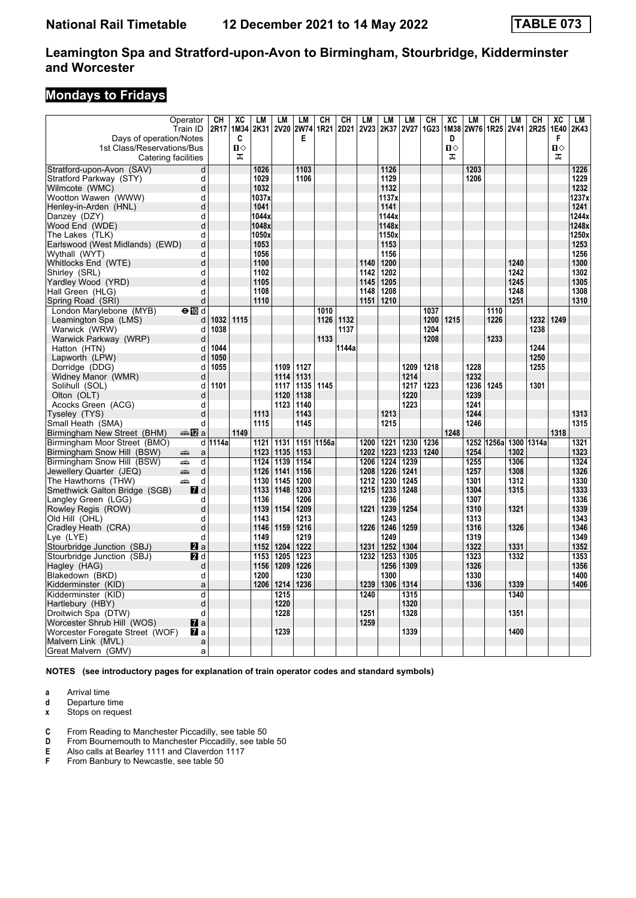# **Mondays to Fridays**

|                                                       | Operator<br>Train ID | СH<br>2R17 | XC<br>1M34 | LM<br>2K31   | <b>LM</b><br><b>2V20</b> | LM           | CH<br>2W74 1R21 | CН<br>2D21 | LM<br><b>2V23</b> | LM<br>2K37   | LM<br><b>2V27</b> | <b>CH</b><br>1G23 | $\overline{AC}$<br>1M38 | LM<br>2W76   | CН<br>1R25 | LM<br>2V41 | CН<br>2R25 | XC<br>1E40 | LM<br>2K43   |
|-------------------------------------------------------|----------------------|------------|------------|--------------|--------------------------|--------------|-----------------|------------|-------------------|--------------|-------------------|-------------------|-------------------------|--------------|------------|------------|------------|------------|--------------|
| Days of operation/Notes<br>1st Class/Reservations/Bus |                      |            | C<br>Ⅱ◇    |              |                          | Е            |                 |            |                   |              |                   |                   | D<br>п⇔                 |              |            |            |            | F<br>п⇔    |              |
|                                                       | Catering facilities  |            | ᠼ          |              |                          |              |                 |            |                   |              |                   |                   | ᠼ                       |              |            |            |            | ᠼ          |              |
| Stratford-upon-Avon (SAV)                             | d                    |            |            | 1026         |                          | 1103         |                 |            |                   | 1126<br>1129 |                   |                   |                         | 1203         |            |            |            |            | 1226         |
| Stratford Parkway (STY)<br>Wilmcote (WMC)             | d<br>$\mathbf d$     |            |            | 1029<br>1032 |                          | 1106         |                 |            |                   | 1132         |                   |                   |                         | 1206         |            |            |            |            | 1229<br>1232 |
| Wootton Wawen (WWW)                                   | d                    |            |            | 1037x        |                          |              |                 |            |                   | 1137x        |                   |                   |                         |              |            |            |            |            | 1237x        |
| Henley-in-Arden (HNL)                                 | $\mathbf d$          |            |            | 1041         |                          |              |                 |            |                   | 1141         |                   |                   |                         |              |            |            |            |            | 1241         |
| Danzey (DZY)                                          | d                    |            |            | 1044x        |                          |              |                 |            |                   | 1144x        |                   |                   |                         |              |            |            |            |            | 1244x        |
| Wood End (WDE)                                        | d                    |            |            | 1048x        |                          |              |                 |            |                   | 1148x        |                   |                   |                         |              |            |            |            |            | 1248x        |
| The Lakes (TLK)                                       | d                    |            |            | 1050x        |                          |              |                 |            |                   | 1150x        |                   |                   |                         |              |            |            |            |            | 1250x        |
| Earlswood (West Midlands) (EWD)                       | d                    |            |            | 1053         |                          |              |                 |            |                   | 1153         |                   |                   |                         |              |            |            |            |            | 1253         |
| Wythall (WYT)                                         | d                    |            |            | 1056         |                          |              |                 |            |                   | 1156         |                   |                   |                         |              |            |            |            |            | 1256         |
| Whitlocks End (WTE)                                   | d                    |            |            | 1100         |                          |              |                 |            | 1140              | 1200         |                   |                   |                         |              |            | 1240       |            |            | 1300         |
| Shirley (SRL)                                         | d                    |            |            | 1102         |                          |              |                 |            | 1142              | 1202         |                   |                   |                         |              |            | 1242       |            |            | 1302         |
| Yardley Wood (YRD)                                    | d                    |            |            | 1105         |                          |              |                 |            | 1145              | 1205         |                   |                   |                         |              |            | 1245       |            |            | 1305         |
| Hall Green (HLG)                                      | d                    |            |            | 1108         |                          |              |                 |            | 1148              | 1208         |                   |                   |                         |              |            | 1248       |            |            | 1308         |
| Spring Road (SRI)                                     | d                    |            |            | 1110         |                          |              |                 |            | 1151              | 1210         |                   |                   |                         |              |            | 1251       |            |            | 1310         |
| London Marylebone (MYB)                               | $\Theta$ 10 d        |            |            |              |                          |              | 1010            |            |                   |              |                   | 1037              |                         |              | 1110       |            |            |            |              |
| Leamington Spa (LMS)                                  | d                    | 1032       | 1115       |              |                          |              | 1126            | 1132       |                   |              |                   | 1200              | 1215                    |              | 1226       |            | 1232       | 1249       |              |
| Warwick (WRW)                                         | d                    | 1038       |            |              |                          |              |                 | 1137       |                   |              |                   | 1204              |                         |              |            |            | 1238       |            |              |
| Warwick Parkway (WRP)                                 | d                    |            |            |              |                          |              | 1133            |            |                   |              |                   | 1208              |                         |              | 1233       |            |            |            |              |
| Hatton (HTN)                                          | d                    | 1044       |            |              |                          |              |                 | 1144a      |                   |              |                   |                   |                         |              |            |            | 1244       |            |              |
| Lapworth (LPW)                                        | d                    | 1050       |            |              |                          |              |                 |            |                   |              |                   |                   |                         |              |            |            | 1250       |            |              |
| Dorridge (DDG)                                        | d                    | 1055       |            |              | 1109                     | 1127         |                 |            |                   |              | 1209              | 1218              |                         | 1228         |            |            | 1255       |            |              |
| Widney Manor (WMR)                                    | d                    |            |            |              | 1114                     | 1131         |                 |            |                   |              | 1214              |                   |                         | 1232         |            |            |            |            |              |
| Solihull (SOL)                                        | d                    | 1101       |            |              | 1117                     | 1135         | 1145            |            |                   |              | 1217              | 1223              |                         | 1236         | 1245       |            | 1301       |            |              |
| Olton (OLT)                                           | d                    |            |            |              | 1120                     | 1138         |                 |            |                   |              | 1220              |                   |                         | 1239         |            |            |            |            |              |
| Acocks Green (ACG)                                    | d                    |            |            |              | 1123                     | 1140         |                 |            |                   |              | 1223              |                   |                         | 1241         |            |            |            |            |              |
| Tyseley (TYS)                                         | d                    |            |            | 1113         |                          | 1143         |                 |            |                   | 1213         |                   |                   |                         | 1244         |            |            |            |            | 1313         |
| Small Heath (SMA)                                     | d                    |            |            | 1115         |                          | 1145         |                 |            |                   | 1215         |                   |                   |                         | 1246         |            |            |            |            | 1315         |
| Birmingham New Street (BHM)                           | a‱ ¶Zia              |            | 1149       |              |                          |              |                 |            |                   |              |                   |                   | 1248                    |              |            |            |            | 1318       |              |
| Birmingham Moor Street (BMO)                          |                      | d 1114a    |            | 1121         | 1131                     |              | 1151 1156a      |            | 1200              | 1221         | 1230              | 1236              |                         | 1252         | 1256a      |            | 1300 1314a |            | 1321         |
| Birmingham Snow Hill (BSW)                            | æ<br>a               |            |            | 1123         | 1135                     | 1153         |                 |            | 1202              | 1223         | 1233              | 1240              |                         | 1254         |            | 1302       |            |            | 1323         |
| Birmingham Snow Hill (BSW)                            | aîn<br>d             |            |            | 1124         | 1139                     | 1154         |                 |            | 1206              | 1224         | 1239              |                   |                         | 1255         |            | 1306       |            |            | 1324         |
| Jewellery Quarter (JEQ)                               | پیش<br>d             |            |            | 1126         | 1141                     | 1156         |                 |            | 1208              | 1226         | 1241              |                   |                         | 1257         |            | 1308       |            |            | 1326         |
| The Hawthorns (THW)                                   | æ<br>d               |            |            | 1130         | 1145                     | 1200         |                 |            | 1212              | 1230         | 1245              |                   |                         | 1301         |            | 1312       |            |            | 1330         |
| Smethwick Galton Bridge (SGB)                         | <b>7</b> d           |            |            | 1133         | 1148                     | 1203         |                 |            | 1215              | 1233         | 1248              |                   |                         | 1304         |            | 1315       |            |            | 1333         |
| Langley Green (LGG)                                   | d                    |            |            | 1136         |                          | 1206         |                 |            |                   | 1236         |                   |                   |                         | 1307         |            |            |            |            | 1336         |
| Rowley Regis (ROW)                                    | d                    |            |            | 1139         | 1154                     | 1209         |                 |            | 1221              | 1239         | 1254              |                   |                         | 1310         |            | 1321       |            |            | 1339         |
| Old Hill (OHL)                                        | d                    |            |            | 1143         |                          | 1213         |                 |            |                   | 1243         |                   |                   |                         | 1313         |            |            |            |            | 1343         |
| Cradley Heath (CRA)                                   | d                    |            |            | 1146         | 1159                     | 1216         |                 |            | 1226              | 1246         | 1259              |                   |                         | 1316         |            | 1326       |            |            | 1346         |
| Lye (LYE)                                             | d                    |            |            | 1149         |                          | 1219         |                 |            |                   | 1249         |                   |                   |                         | 1319         |            |            |            |            | 1349         |
| Stourbridge Junction (SBJ)                            | <b>Z</b> a           |            |            | 1152         | 1204                     | 1222         |                 |            | 1231              | 1252         | 1304              |                   |                         | 1322         |            | 1331       |            |            | 1352         |
| Stourbridge Junction (SBJ)                            | <b>2</b> d           |            |            | 1153<br>1156 | 1205                     | 1223<br>1226 |                 |            | 1232              | 1253         | 1305              |                   |                         | 1323<br>1326 |            | 1332       |            |            | 1353         |
| Hagley (HAG)<br>Blakedown (BKD)                       | d<br>d               |            |            | 1200         | 1209                     | 1230         |                 |            |                   | 1256<br>1300 | 1309              |                   |                         | 1330         |            |            |            |            | 1356<br>1400 |
|                                                       | a                    |            |            | 1206         | 1214                     | 1236         |                 |            | 1239              | 1306         | 1314              |                   |                         | 1336         |            | 1339       |            |            | 1406         |
| Kidderminster (KID)                                   | d                    |            |            |              |                          |              |                 |            |                   |              |                   |                   |                         |              |            |            |            |            |              |
| Kidderminster (KID)                                   | d                    |            |            |              | 1215<br>1220             |              |                 |            | 1240              |              | 1315<br>1320      |                   |                         |              |            | 1340       |            |            |              |
| Hartlebury (HBY)<br>Droitwich Spa (DTW)               | d                    |            |            |              | 1228                     |              |                 |            | 1251              |              | 1328              |                   |                         |              |            | 1351       |            |            |              |
| Worcester Shrub Hill (WOS)                            | $\mathbf{z}$ a       |            |            |              |                          |              |                 |            | 1259              |              |                   |                   |                         |              |            |            |            |            |              |
| Worcester Foregate Street (WOF)                       | <b>77</b> а          |            |            |              | 1239                     |              |                 |            |                   |              | 1339              |                   |                         |              |            | 1400       |            |            |              |
| Malvern Link (MVL)                                    | a                    |            |            |              |                          |              |                 |            |                   |              |                   |                   |                         |              |            |            |            |            |              |
| Great Malvern (GMV)                                   | a                    |            |            |              |                          |              |                 |            |                   |              |                   |                   |                         |              |            |            |            |            |              |
|                                                       |                      |            |            |              |                          |              |                 |            |                   |              |                   |                   |                         |              |            |            |            |            |              |

**NOTES (see introductory pages for explanation of train operator codes and standard symbols)**

**a** Arrival time

**d** Departure time<br>**x** Stops on reque

**Stops on request** 

**C** From Reading to Manchester Piccadilly, see table 50<br>**D** From Bournemouth to Manchester Piccadilly, see table

**D** From Bournemouth to Manchester Piccadilly, see table 50<br>**E** Also calls at Bearley 1111 and Claverdon 1117

**E** Also calls at Bearley 1111 and Claverdon 1117<br>**F** From Banbury to Newcastle, see table 50

**F** From Banbury to Newcastle, see table 50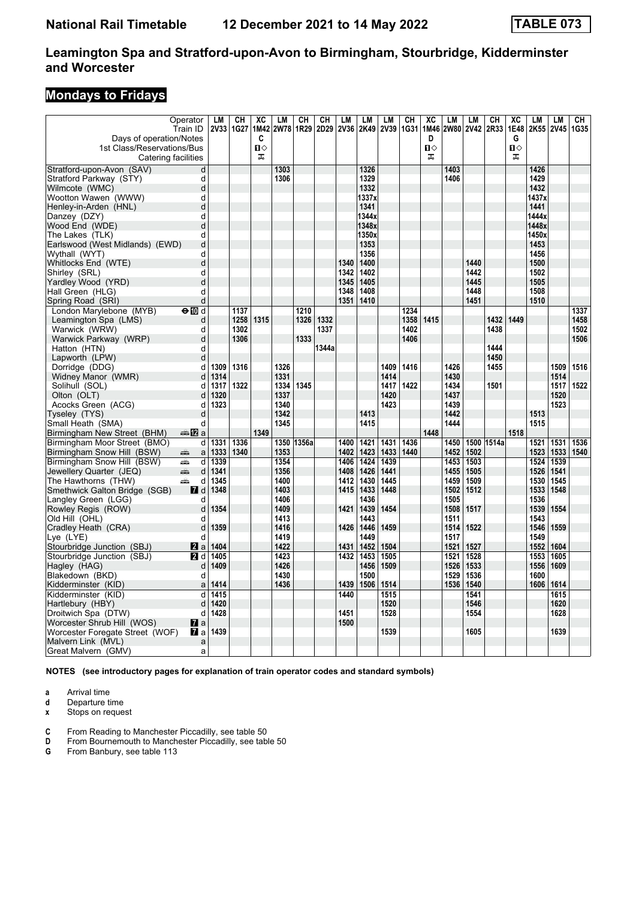# **Mondays to Fridays**

| Days of operation/Notes              | Operator<br>Train ID   | <b>LM</b><br><b>2V33</b> | CH<br>1G27 | XC<br>1M42<br>C | <b>LM</b><br>2W78 1R29 | CH         | CН<br>2D29 | LM<br><b>2V36</b> | LM<br>2K49   | LM<br>2V39 | CH<br>1G31 | XC<br>1M46<br>D | LM<br>2W80   | LM<br><b>2V42</b> | CН<br>2R33 | XC<br>1E48<br>G | LM<br>2K55   | <b>LM</b><br><b>2V45</b> | CН<br>1G35 |
|--------------------------------------|------------------------|--------------------------|------------|-----------------|------------------------|------------|------------|-------------------|--------------|------------|------------|-----------------|--------------|-------------------|------------|-----------------|--------------|--------------------------|------------|
| 1st Class/Reservations/Bus           | Catering facilities    |                          |            | Ⅱ♦<br>ᠼ         |                        |            |            |                   |              |            |            | 0<br>盂          |              |                   |            | П⇔<br>ᠼ         |              |                          |            |
| Stratford-upon-Avon (SAV)            | d                      |                          |            |                 | 1303                   |            |            |                   | 1326         |            |            |                 | 1403         |                   |            |                 | 1426         |                          |            |
| Stratford Parkway (STY)              | d                      |                          |            |                 | 1306                   |            |            |                   | 1329         |            |            |                 | 1406         |                   |            |                 | 1429         |                          |            |
| Wilmcote (WMC)                       | d                      |                          |            |                 |                        |            |            |                   | 1332         |            |            |                 |              |                   |            |                 | 1432         |                          |            |
| Wootton Wawen (WWW)                  | d                      |                          |            |                 |                        |            |            |                   | 1337x        |            |            |                 |              |                   |            |                 | 1437x        |                          |            |
| Henley-in-Arden (HNL)                | d                      |                          |            |                 |                        |            |            |                   | 1341         |            |            |                 |              |                   |            |                 | 1441         |                          |            |
| Danzey (DZY)                         | d                      |                          |            |                 |                        |            |            |                   | 1344x        |            |            |                 |              |                   |            |                 | 1444x        |                          |            |
| Wood End (WDE)                       | d                      |                          |            |                 |                        |            |            |                   | 1348x        |            |            |                 |              |                   |            |                 | 1448x        |                          |            |
| The Lakes (TLK)                      | d                      |                          |            |                 |                        |            |            |                   | 1350x        |            |            |                 |              |                   |            |                 | 1450x        |                          |            |
| Earlswood (West Midlands) (EWD)      | d                      |                          |            |                 |                        |            |            |                   | 1353<br>1356 |            |            |                 |              |                   |            |                 | 1453<br>1456 |                          |            |
| Wythall (WYT)                        | d<br>d                 |                          |            |                 |                        |            |            | 1340              | 1400         |            |            |                 |              | 1440              |            |                 | 1500         |                          |            |
| Whitlocks End (WTE)<br>Shirley (SRL) | d                      |                          |            |                 |                        |            |            | 1342              | 1402         |            |            |                 |              | 1442              |            |                 | 1502         |                          |            |
| Yardley Wood (YRD)                   | d                      |                          |            |                 |                        |            |            | 1345              | 1405         |            |            |                 |              | 1445              |            |                 | 1505         |                          |            |
| Hall Green (HLG)                     | d                      |                          |            |                 |                        |            |            | 1348              | 1408         |            |            |                 |              | 1448              |            |                 | 1508         |                          |            |
| Spring Road (SRI)                    | d                      |                          |            |                 |                        |            |            | 1351              | 1410         |            |            |                 |              | 1451              |            |                 | 1510         |                          |            |
| London Marylebone (MYB)              | $\Theta$ M d           |                          | 1137       |                 |                        | 1210       |            |                   |              |            | 1234       |                 |              |                   |            |                 |              |                          | 1337       |
| Leamington Spa (LMS)                 | d                      |                          | 1258       | 1315            |                        | 1326       | 1332       |                   |              |            | 1358       | 1415            |              |                   | 1432       | 1449            |              |                          | 1458       |
| Warwick (WRW)                        | d                      |                          | 1302       |                 |                        |            | 1337       |                   |              |            | 1402       |                 |              |                   | 1438       |                 |              |                          | 1502       |
| Warwick Parkway (WRP)                | d                      |                          | 1306       |                 |                        | 1333       |            |                   |              |            | 1406       |                 |              |                   |            |                 |              |                          | 1506       |
| Hatton (HTN)                         | d                      |                          |            |                 |                        |            | 1344a      |                   |              |            |            |                 |              |                   | 1444       |                 |              |                          |            |
| Lapworth (LPW)                       | d                      |                          |            |                 |                        |            |            |                   |              |            |            |                 |              |                   | 1450       |                 |              |                          |            |
| Dorridge (DDG)                       | d                      | 1309                     | 1316       |                 | 1326                   |            |            |                   |              | 1409       | 1416       |                 | 1426         |                   | 1455       |                 |              | 1509                     | 1516       |
| Widney Manor (WMR)                   | d                      | 1314                     |            |                 | 1331                   |            |            |                   |              | 1414       |            |                 | 1430         |                   |            |                 |              | 1514                     |            |
| Solihull (SOL)                       | d                      | 1317                     | 1322       |                 | 1334                   | 1345       |            |                   |              | 1417       | 1422       |                 | 1434         |                   | 1501       |                 |              | 1517                     | 1522       |
| Olton (OLT)                          | d                      | 1320                     |            |                 | 1337                   |            |            |                   |              | 1420       |            |                 | 1437         |                   |            |                 |              | 1520                     |            |
| Acocks Green (ACG)                   | d                      | 1323                     |            |                 | 1340                   |            |            |                   |              | 1423       |            |                 | 1439         |                   |            |                 |              | 1523                     |            |
| Tyseley (TYS)                        | d                      |                          |            |                 | 1342                   |            |            |                   | 1413         |            |            |                 | 1442         |                   |            |                 | 1513         |                          |            |
| Small Heath (SMA)                    | d                      |                          |            |                 | 1345                   |            |            |                   | 1415         |            |            |                 | 1444         |                   |            |                 | 1515         |                          |            |
| Birmingham New Street (BHM)          | den <mark>n</mark> 2 a |                          |            | 1349            |                        |            |            |                   |              |            |            | 1448            |              |                   |            | 1518            |              |                          |            |
| Birmingham Moor Street (BMO)         | d l                    | 1331                     | 1336       |                 |                        | 1350 1356a |            | 1400              | 1421         | 1431       | 1436       |                 | 1450         | 1500              | 1514a      |                 | 1521         | 1531                     | 1536       |
| Birmingham Snow Hill (BSW)           | ∰<br>a                 | 1333                     | 1340       |                 | 1353                   |            |            | 1402              | 1423         | 1433       | 1440       |                 | 1452         | 1502              |            |                 | 1523         | 1533                     | 1540       |
| Birmingham Snow Hill (BSW)           | پیش<br>d               | 1339                     |            |                 | 1354                   |            |            | 1406              | 1424         | 1439       |            |                 | 1453         | 1503              |            |                 | 1524         | 1539                     |            |
| Jewellery Quarter (JEQ)              | æ<br>d                 | 1341                     |            |                 | 1356                   |            |            | 1408              | 1426         | 1441       |            |                 | 1455         | 1505              |            |                 | 1526         | 1541                     |            |
| The Hawthorns (THW)                  | æ<br>d                 | 1345                     |            |                 | 1400                   |            |            | 1412              | 1430         | 1445       |            |                 | 1459         | 1509              |            |                 | 1530         | 1545                     |            |
| Smethwick Galton Bridge (SGB)        | <b>7</b> d             | 1348                     |            |                 | 1403                   |            |            | 1415              | 1433         | 1448       |            |                 | 1502         | 1512              |            |                 | 1533         | 1548                     |            |
| Langley Green (LGG)                  | d                      |                          |            |                 | 1406                   |            |            |                   | 1436         |            |            |                 | 1505         |                   |            |                 | 1536         |                          |            |
| Rowley Regis (ROW)<br>Old Hill (OHL) | d<br>d                 | 1354                     |            |                 | 1409<br>1413           |            |            | 1421              | 1439<br>1443 | 1454       |            |                 | 1508<br>1511 | 1517              |            |                 | 1539<br>1543 | 1554                     |            |
| Cradley Heath (CRA)                  | d                      | 1359                     |            |                 | 1416                   |            |            | 1426              | 1446         | 1459       |            |                 | 1514         | 1522              |            |                 | 1546         | 1559                     |            |
| Lye (LYE)                            | d                      |                          |            |                 | 1419                   |            |            |                   | 1449         |            |            |                 | 1517         |                   |            |                 | 1549         |                          |            |
| Stourbridge Junction (SBJ)           | <b>Z</b> a             | 1404                     |            |                 | 1422                   |            |            | 1431              | 1452         | 1504       |            |                 | 1521         | 1527              |            |                 | 1552         | 1604                     |            |
| Stourbridge Junction (SBJ)           | 21 d                   | 1405                     |            |                 | 1423                   |            |            |                   | 1432 1453    | 1505       |            |                 | 1521         | 1528              |            |                 | 1553         | 1605                     |            |
| Hagley (HAG)                         | d                      | 1409                     |            |                 | 1426                   |            |            |                   | 1456         | 1509       |            |                 | 1526         | 1533              |            |                 | 1556         | 1609                     |            |
| Blakedown (BKD)                      | d                      |                          |            |                 | 1430                   |            |            |                   | 1500         |            |            |                 | 1529         | 1536              |            |                 | 1600         |                          |            |
| Kidderminster (KID)                  | a                      | 1414                     |            |                 | 1436                   |            |            | 1439              | 1506         | 1514       |            |                 | 1536         | 1540              |            |                 | 1606         | 1614                     |            |
| Kidderminster (KID)                  | d                      | 1415                     |            |                 |                        |            |            | 1440              |              | 1515       |            |                 |              | 1541              |            |                 |              | 1615                     |            |
| Hartlebury (HBY)                     | d                      | 1420                     |            |                 |                        |            |            |                   |              | 1520       |            |                 |              | 1546              |            |                 |              | 1620                     |            |
| Droitwich Spa (DTW)                  | d                      | 1428                     |            |                 |                        |            |            | 1451              |              | 1528       |            |                 |              | 1554              |            |                 |              | 1628                     |            |
| Worcester Shrub Hill (WOS)           | $\mathbf{z}$ a         |                          |            |                 |                        |            |            | 1500              |              |            |            |                 |              |                   |            |                 |              |                          |            |
| Worcester Foregate Street (WOF)      | 77 a                   | 1439                     |            |                 |                        |            |            |                   |              | 1539       |            |                 |              | 1605              |            |                 |              | 1639                     |            |
| Malvern Link (MVL)                   | a                      |                          |            |                 |                        |            |            |                   |              |            |            |                 |              |                   |            |                 |              |                          |            |
| Great Malvern (GMV)                  | a                      |                          |            |                 |                        |            |            |                   |              |            |            |                 |              |                   |            |                 |              |                          |            |

**NOTES (see introductory pages for explanation of train operator codes and standard symbols)**

**a** Arrival time

**d** Departure time<br>**x** Stops on reque

**Stops on request** 

**C** From Reading to Manchester Piccadilly, see table 50<br>**D** From Bournemouth to Manchester Piccadilly, see table

**D** From Bournemouth to Manchester Piccadilly, see table 50<br>**G** From Banbury, see table 113

From Banbury, see table 113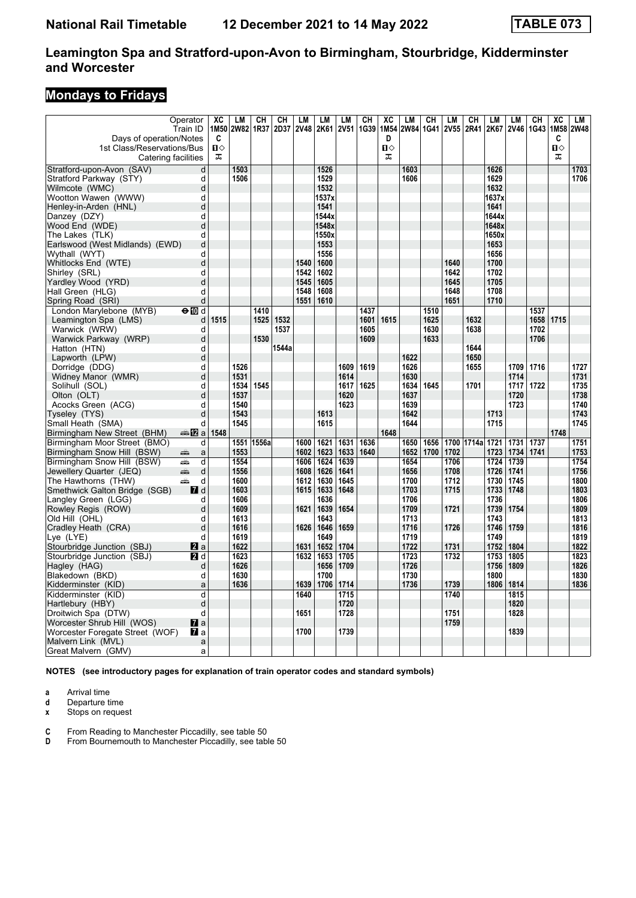# **Mondays to Fridays**

| Days of operation/Notes<br>1st Class/Reservations/Bus<br>Catering facilities | Operator<br>Train ID    | XC<br>1M50<br>C<br>$\mathbf{u}$<br>ᠼ | <b>LM</b><br><b>2W82</b> | CН<br>1R37 | CН<br>2D37 | LM<br><b>2V48</b> | LM<br>2K61 2V51 | <b>LM</b>   | CН<br>1G39 | XC<br>1M54<br>D<br>$\mathbf{u}$<br>盂 | LM<br>2W84 1G41 2V55 | CН   | LM   | CН<br>2R41 | LM<br>2K67 | <b>LM</b><br>2V46 | CН<br>1G43 | XC<br>1M58<br>C<br>$\mathbf{u}$<br>ᠼ | LM<br><b>2W48</b> |
|------------------------------------------------------------------------------|-------------------------|--------------------------------------|--------------------------|------------|------------|-------------------|-----------------|-------------|------------|--------------------------------------|----------------------|------|------|------------|------------|-------------------|------------|--------------------------------------|-------------------|
| Stratford-upon-Avon (SAV)                                                    | d                       |                                      | 1503                     |            |            |                   | 1526            |             |            |                                      | 1603                 |      |      |            | 1626       |                   |            |                                      | 1703              |
| Stratford Parkway (STY)                                                      | d                       |                                      | 1506                     |            |            |                   | 1529            |             |            |                                      | 1606                 |      |      |            | 1629       |                   |            |                                      | 1706              |
| Wilmcote (WMC)                                                               | d                       |                                      |                          |            |            |                   | 1532            |             |            |                                      |                      |      |      |            | 1632       |                   |            |                                      |                   |
| Wootton Wawen (WWW)                                                          | d                       |                                      |                          |            |            |                   | 1537x           |             |            |                                      |                      |      |      |            | 1637x      |                   |            |                                      |                   |
| Henley-in-Arden (HNL)                                                        | d                       |                                      |                          |            |            |                   | 1541            |             |            |                                      |                      |      |      |            | 1641       |                   |            |                                      |                   |
| Danzey (DZY)                                                                 | d                       |                                      |                          |            |            |                   | 1544x           |             |            |                                      |                      |      |      |            | 1644x      |                   |            |                                      |                   |
| Wood End (WDE)                                                               | d                       |                                      |                          |            |            |                   | 1548x           |             |            |                                      |                      |      |      |            | 1648x      |                   |            |                                      |                   |
| The Lakes (TLK)                                                              | d                       |                                      |                          |            |            |                   | 1550x           |             |            |                                      |                      |      |      |            | 1650x      |                   |            |                                      |                   |
| Earlswood (West Midlands) (EWD)                                              | d                       |                                      |                          |            |            |                   | 1553            |             |            |                                      |                      |      |      |            | 1653       |                   |            |                                      |                   |
| Wythall (WYT)                                                                | d                       |                                      |                          |            |            |                   | 1556            |             |            |                                      |                      |      |      |            | 1656       |                   |            |                                      |                   |
| Whitlocks End (WTE)                                                          | d                       |                                      |                          |            |            | 1540              | 1600            |             |            |                                      |                      |      | 1640 |            | 1700       |                   |            |                                      |                   |
| Shirley (SRL)                                                                | d                       |                                      |                          |            |            | 1542              | 1602            |             |            |                                      |                      |      | 1642 |            | 1702       |                   |            |                                      |                   |
| Yardley Wood (YRD)                                                           | d                       |                                      |                          |            |            | 1545              | 1605            |             |            |                                      |                      |      | 1645 |            | 1705       |                   |            |                                      |                   |
| Hall Green (HLG)                                                             | d                       |                                      |                          |            |            | 1548              | 1608            |             |            |                                      |                      |      | 1648 |            | 1708       |                   |            |                                      |                   |
| Spring Road (SRI)                                                            | d                       |                                      |                          |            |            | 1551              | 1610            |             |            |                                      |                      |      | 1651 |            | 1710       |                   |            |                                      |                   |
| London Marylebone (MYB)                                                      | $\Theta$ M d            |                                      |                          | 1410       |            |                   |                 |             | 1437       |                                      |                      | 1510 |      |            |            |                   | 1537       |                                      |                   |
| Leamington Spa (LMS)                                                         | d                       | 1515                                 |                          | 1525       | 1532       |                   |                 |             | 1601       | 1615                                 |                      | 1625 |      | 1632       |            |                   | 1658       | 1715                                 |                   |
| Warwick (WRW)                                                                | d                       |                                      |                          |            | 1537       |                   |                 |             | 1605       |                                      |                      | 1630 |      | 1638       |            |                   | 1702       |                                      |                   |
| Warwick Parkway (WRP)                                                        | d                       |                                      |                          | 1530       |            |                   |                 |             | 1609       |                                      |                      | 1633 |      |            |            |                   | 1706       |                                      |                   |
| Hatton (HTN)                                                                 | d                       |                                      |                          |            | 1544a      |                   |                 |             |            |                                      |                      |      |      | 1644       |            |                   |            |                                      |                   |
| Lapworth (LPW)                                                               | d                       |                                      |                          |            |            |                   |                 |             |            |                                      | 1622                 |      |      | 1650       |            |                   |            |                                      |                   |
| Dorridge (DDG)                                                               | d                       |                                      | 1526                     |            |            |                   |                 | 1609        | 1619       |                                      | 1626                 |      |      | 1655       |            | 1709              | 1716       |                                      | 1727              |
| Widney Manor (WMR)                                                           | d                       |                                      | 1531                     |            |            |                   |                 | 1614        |            |                                      | 1630                 |      |      |            |            | 1714              |            |                                      | 1731              |
| Solihull (SOL)                                                               | d                       |                                      | 1534                     | 1545       |            |                   |                 | 1617        | 1625       |                                      | 1634                 | 1645 |      | 1701       |            | 1717              | 1722       |                                      | 1735              |
| Olton (OLT)                                                                  | d                       |                                      | 1537                     |            |            |                   |                 | 1620        |            |                                      | 1637                 |      |      |            |            | 1720              |            |                                      | 1738              |
| Acocks Green (ACG)                                                           | d                       |                                      | 1540                     |            |            |                   |                 | 1623        |            |                                      | 1639                 |      |      |            |            | 1723              |            |                                      | 1740              |
| Tyseley (TYS)                                                                | d                       |                                      | 1543                     |            |            |                   | 1613            |             |            |                                      | 1642                 |      |      |            | 1713       |                   |            |                                      | 1743              |
| Small Heath (SMA)                                                            | d                       |                                      | 1545                     |            |            |                   | 1615            |             |            |                                      | 1644                 |      |      |            | 1715       |                   |            |                                      | 1745              |
| Birmingham New Street (BHM)                                                  | dan <mark>n</mark> 2 al | 1548                                 |                          |            |            |                   |                 |             |            | 1648                                 |                      |      |      |            |            |                   |            | 1748                                 |                   |
| Birmingham Moor Street (BMO)                                                 | d                       |                                      | 1551                     | 1556a      |            | 1600              | 1621            | 1631        | 1636       |                                      | 1650                 | 1656 |      | 1700 1714a | 1721       | 1731              | 1737       |                                      | 1751              |
| Birmingham Snow Hill (BSW)                                                   | پېښ<br>a                |                                      | 1553                     |            |            | 1602              | 1623            | 1633        | 1640       |                                      | 1652                 | 1700 | 1702 |            | 1723       | 1734              | 1741       |                                      | 1753              |
| Birmingham Snow Hill (BSW)                                                   | æ<br>d                  |                                      | 1554                     |            |            | 1606              | 1624            | 1639        |            |                                      | 1654                 |      | 1706 |            | 1724       | 1739              |            |                                      | 1754              |
| Jewellery Quarter (JEQ)                                                      | d<br>پیش                |                                      | 1556                     |            |            | 1608              | 1626            | 1641        |            |                                      | 1656                 |      | 1708 |            | 1726       | 1741              |            |                                      | 1756              |
| The Hawthorns (THW)                                                          | پیشته<br>d              |                                      | 1600                     |            |            | 1612              | 1630            | 1645        |            |                                      | 1700                 |      | 1712 |            | 1730       | 1745              |            |                                      | 1800              |
| Smethwick Galton Bridge (SGB)                                                | <b>7</b> d              |                                      | 1603                     |            |            | 1615              | 1633            | 1648        |            |                                      | 1703                 |      | 1715 |            | 1733       | 1748              |            |                                      | 1803              |
| Langley Green (LGG)                                                          | d                       |                                      | 1606                     |            |            |                   | 1636            |             |            |                                      | 1706                 |      |      |            | 1736       |                   |            |                                      | 1806              |
| Rowley Regis (ROW)                                                           | d                       |                                      | 1609                     |            |            | 1621              | 1639            | 1654        |            |                                      | 1709                 |      | 1721 |            | 1739       | 1754              |            |                                      | 1809              |
| Old Hill (OHL)                                                               | d                       |                                      | 1613                     |            |            |                   | 1643            |             |            |                                      | 1713                 |      |      |            | 1743       |                   |            |                                      | 1813              |
| Cradley Heath (CRA)                                                          | d                       |                                      | 1616                     |            |            | 1626              | 1646            | 1659        |            |                                      | 1716                 |      | 1726 |            | 1746       | 1759              |            |                                      | 1816              |
| Lye (LYE)                                                                    | d                       |                                      | 1619                     |            |            |                   | 1649            |             |            |                                      | 1719                 |      |      |            | 1749       |                   |            |                                      | 1819              |
| Stourbridge Junction (SBJ)                                                   | 2a                      |                                      | 1622                     |            |            | 1631              | 1652            | 1704        |            |                                      | 1722                 |      | 1731 |            | 1752       | 1804              |            |                                      | 1822              |
| Stourbridge Junction (SBJ)                                                   | <b>2</b> d              |                                      | 1623                     |            |            | 1632              | 1653            | 1705        |            |                                      | 1723                 |      | 1732 |            | 1753       | 1805              |            |                                      | 1823              |
| Hagley (HAG)                                                                 | d                       |                                      | 1626                     |            |            |                   |                 | 1656   1709 |            |                                      | 1726                 |      |      |            | 1756       | 1809              |            |                                      | 1826              |
| Blakedown (BKD)                                                              | d                       |                                      | 1630                     |            |            |                   | 1700            |             |            |                                      | 1730                 |      |      |            | 1800       |                   |            |                                      | 1830              |
| Kidderminster (KID)                                                          | a                       |                                      | 1636                     |            |            | 1639              | 1706            | 1714        |            |                                      | 1736                 |      | 1739 |            | 1806       | 1814              |            |                                      | 1836              |
| Kidderminster (KID)                                                          | d                       |                                      |                          |            |            | 1640              |                 | 1715        |            |                                      |                      |      | 1740 |            |            | 1815              |            |                                      |                   |
| Hartlebury (HBY)                                                             | d                       |                                      |                          |            |            |                   |                 | 1720        |            |                                      |                      |      |      |            |            | 1820              |            |                                      |                   |
| Droitwich Spa (DTW)                                                          | d                       |                                      |                          |            |            | 1651              |                 | 1728        |            |                                      |                      |      | 1751 |            |            | 1828              |            |                                      |                   |
| Worcester Shrub Hill (WOS)                                                   | $\mathbf{z}$ a          |                                      |                          |            |            |                   |                 | 1739        |            |                                      |                      |      | 1759 |            |            |                   |            |                                      |                   |
| Worcester Foregate Street (WOF)                                              | $\mathbf{z}$ a          |                                      |                          |            |            | 1700              |                 |             |            |                                      |                      |      |      |            |            | 1839              |            |                                      |                   |
| Malvern Link (MVL)<br>Great Malvern (GMV)                                    | a                       |                                      |                          |            |            |                   |                 |             |            |                                      |                      |      |      |            |            |                   |            |                                      |                   |
|                                                                              | a                       |                                      |                          |            |            |                   |                 |             |            |                                      |                      |      |      |            |            |                   |            |                                      |                   |

**NOTES (see introductory pages for explanation of train operator codes and standard symbols)**

**a** Arrival time

**d** Departure time<br>**x** Stops on reque

**Stops on request** 

**C** From Reading to Manchester Piccadilly, see table 50

**D** From Bournemouth to Manchester Piccadilly, see table 50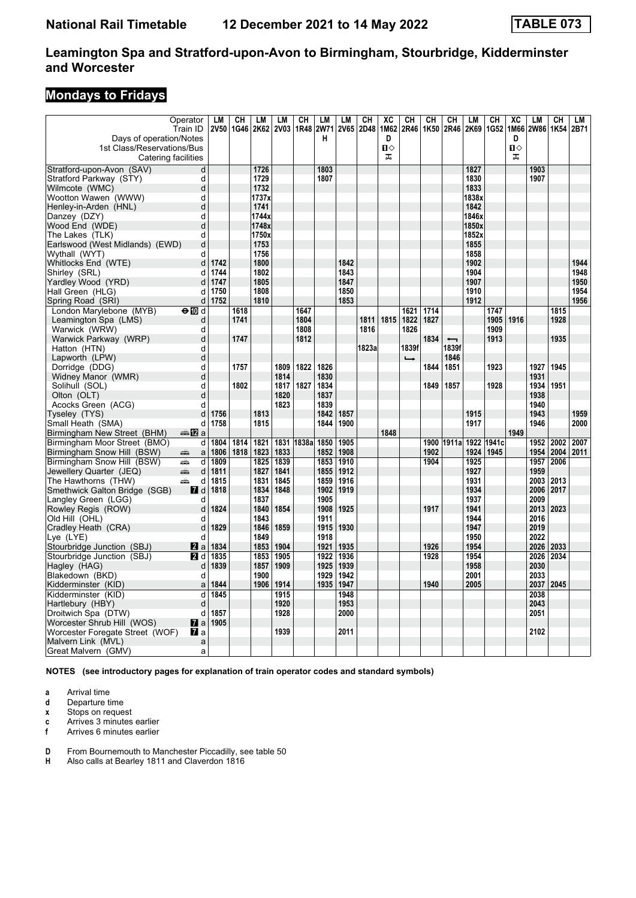# **Mondays to Fridays**

|                                                    | Operator<br>Train ID | LM<br><b>2V50</b> | CН<br>1G46 | LM<br>2K62 2V03 | LM           | CH<br>1R48      | <b>LM</b><br><b>2W71</b> | LM<br><b>2V65</b> | CН<br>2D48 | XC<br>1M62 | CН<br>2R46    | CH<br>1K50 | CН<br>2R46               | LM<br>2K69    | CH<br>1G52 | XC             | LM<br>1M66 2W86 | CН<br>1K54   | LM<br>2B71 |
|----------------------------------------------------|----------------------|-------------------|------------|-----------------|--------------|-----------------|--------------------------|-------------------|------------|------------|---------------|------------|--------------------------|---------------|------------|----------------|-----------------|--------------|------------|
| Days of operation/Notes                            |                      |                   |            |                 |              |                 | н                        |                   |            | D          |               |            |                          |               |            | D              |                 |              |            |
| 1st Class/Reservations/Bus                         |                      |                   |            |                 |              |                 |                          |                   |            | п⇔         |               |            |                          |               |            | $\blacksquare$ |                 |              |            |
|                                                    | Catering facilities  |                   |            |                 |              |                 |                          |                   |            | ᠼ          |               |            |                          |               |            | ᠼ              |                 |              |            |
| Stratford-upon-Avon (SAV)                          | d                    |                   |            | 1726            |              |                 | 1803                     |                   |            |            |               |            |                          | 1827          |            |                | 1903            |              |            |
| Stratford Parkway (STY)                            | d                    |                   |            | 1729            |              |                 | 1807                     |                   |            |            |               |            |                          | 1830          |            |                | 1907            |              |            |
| Wilmcote (WMC)                                     | d                    |                   |            | 1732            |              |                 |                          |                   |            |            |               |            |                          | 1833          |            |                |                 |              |            |
| Wootton Wawen (WWW)                                | d                    |                   |            | 1737x           |              |                 |                          |                   |            |            |               |            |                          | 1838x         |            |                |                 |              |            |
| Henley-in-Arden (HNL)                              | d                    |                   |            | 1741            |              |                 |                          |                   |            |            |               |            |                          | 1842          |            |                |                 |              |            |
| Danzey (DZY)                                       | d                    |                   |            | 1744x           |              |                 |                          |                   |            |            |               |            |                          | 1846x         |            |                |                 |              |            |
| Wood End (WDE)                                     | d                    |                   |            | 1748x<br>1750x  |              |                 |                          |                   |            |            |               |            |                          | 1850x         |            |                |                 |              |            |
| The Lakes (TLK)<br>Earlswood (West Midlands) (EWD) | d<br>d               |                   |            | 1753            |              |                 |                          |                   |            |            |               |            |                          | 1852x<br>1855 |            |                |                 |              |            |
| Wythall (WYT)                                      | d                    |                   |            | 1756            |              |                 |                          |                   |            |            |               |            |                          | 1858          |            |                |                 |              |            |
| Whitlocks End (WTE)                                | d                    | 1742              |            | 1800            |              |                 |                          | 1842              |            |            |               |            |                          | 1902          |            |                |                 |              | 1944       |
| Shirley (SRL)                                      | d                    | 1744              |            | 1802            |              |                 |                          | 1843              |            |            |               |            |                          | 1904          |            |                |                 |              | 1948       |
| Yardley Wood (YRD)                                 | d                    | 1747              |            | 1805            |              |                 |                          | 1847              |            |            |               |            |                          | 1907          |            |                |                 |              | 1950       |
| Hall Green (HLG)                                   | d                    | 1750              |            | 1808            |              |                 |                          | 1850              |            |            |               |            |                          | 1910          |            |                |                 |              | 1954       |
| Spring Road (SRI)                                  | d                    | 1752              |            | 1810            |              |                 |                          | 1853              |            |            |               |            |                          | 1912          |            |                |                 |              | 1956       |
| London Marylebone (MYB)                            | $\Theta$ M d         |                   | 1618       |                 |              | 1647            |                          |                   |            |            | 1621          | 1714       |                          |               | 1747       |                |                 | 1815         |            |
| Leamington Spa (LMS)                               | d                    |                   | 1741       |                 |              | 1804            |                          |                   | 1811       | 1815       | 1822          | 1827       |                          |               | 1905       | 1916           |                 | 1928         |            |
| Warwick (WRW)                                      | d                    |                   |            |                 |              | 1808            |                          |                   | 1816       |            | 1826          |            |                          |               | 1909       |                |                 |              |            |
| Warwick Parkway (WRP)                              | d                    |                   | 1747       |                 |              | 1812            |                          |                   |            |            |               | 1834       | $\overline{\phantom{0}}$ |               | 1913       |                |                 | 1935         |            |
| Hatton (HTN)                                       | d                    |                   |            |                 |              |                 |                          |                   | 1823a      |            | 1839f         |            | 1839f                    |               |            |                |                 |              |            |
| Lapworth (LPW)                                     | d                    |                   |            |                 |              |                 |                          |                   |            |            | $\rightarrow$ |            | 1846                     |               |            |                |                 |              |            |
| Dorridge (DDG)                                     | d                    |                   | 1757       |                 | 1809         | 1822            | 1826                     |                   |            |            |               | 1844       | 1851                     |               | 1923       |                | 1927            | 1945         |            |
| Widney Manor (WMR)                                 | d                    |                   |            |                 | 1814         |                 | 1830                     |                   |            |            |               |            |                          |               |            |                | 1931            |              |            |
| Solihull (SOL)                                     | d                    |                   | 1802       |                 | 1817         | 1827            | 1834                     |                   |            |            |               | 1849       | 1857                     |               | 1928       |                | 1934            | 1951         |            |
| Olton (OLT)                                        | d                    |                   |            |                 | 1820         |                 | 1837                     |                   |            |            |               |            |                          |               |            |                | 1938            |              |            |
| Acocks Green (ACG)                                 | d                    |                   |            |                 | 1823         |                 | 1839                     |                   |            |            |               |            |                          |               |            |                | 1940            |              |            |
| Tyseley (TYS)                                      | d                    | 1756              |            | 1813            |              |                 | 1842                     | 1857              |            |            |               |            |                          | 1915          |            |                | 1943            |              | 1959       |
| Small Heath (SMA)                                  | d                    | 1758              |            | 1815            |              |                 | 1844                     | 1900              |            |            |               |            |                          | 1917          |            |                | 1946            |              | 2000       |
| Birmingham New Street (BHM)                        | anna nDian           |                   |            |                 |              |                 |                          |                   |            | 1848       |               |            |                          |               |            | 1949           |                 |              |            |
| Birmingham Moor Street (BMO)                       |                      | $d$ 1804          | 1814       | 1821            |              | 1831 1838a 1850 |                          | 1905              |            |            |               | 1900       | 1911a                    | 1922          | 1941c      |                | 1952            | 2002         | 2007       |
| Birmingham Snow Hill (BSW)                         | پېښ<br>$\mathsf{a}$  | 1806              | 1818       | 1823<br>1825    | 1833         |                 | 1852                     | 1908<br>1910      |            |            |               | 1902       |                          | 1924          | 1945       |                | 1954            | 2004<br>2006 | 2011       |
| Birmingham Snow Hill (BSW)                         | پیشته<br>d<br>پیش    | 1809<br>1811      |            | 1827            | 1839<br>1841 |                 | 1853<br>1855             | 1912              |            |            |               | 1904       |                          | 1925<br>1927  |            |                | 1957<br>1959    |              |            |
| Jewellery Quarter (JEQ)<br>The Hawthorns (THW)     | d<br>پیشته<br>d      | 1815              |            | 1831            | 1845         |                 | 1859                     | 1916              |            |            |               |            |                          | 1931          |            |                | 2003            | 2013         |            |
| Smethwick Galton Bridge (SGB)                      | <b>7</b> d           | 1818              |            | 1834            | 1848         |                 | 1902                     | 1919              |            |            |               |            |                          | 1934          |            |                | 2006            | 2017         |            |
| Langley Green (LGG)                                | d                    |                   |            | 1837            |              |                 | 1905                     |                   |            |            |               |            |                          | 1937          |            |                | 2009            |              |            |
| Rowley Regis (ROW)                                 | d                    | 1824              |            | 1840            | 1854         |                 | 1908                     | 1925              |            |            |               | 1917       |                          | 1941          |            |                | 2013            | 2023         |            |
| Old Hill (OHL)                                     | d                    |                   |            | 1843            |              |                 | 1911                     |                   |            |            |               |            |                          | 1944          |            |                | 2016            |              |            |
| Cradley Heath (CRA)                                | d                    | 1829              |            | 1846            | 1859         |                 | 1915                     | 1930              |            |            |               |            |                          | 1947          |            |                | 2019            |              |            |
| Lye (LYE)                                          | d                    |                   |            | 1849            |              |                 | 1918                     |                   |            |            |               |            |                          | 1950          |            |                | 2022            |              |            |
| Stourbridge Junction (SBJ)                         | <b>Z</b> a           | 1834              |            | 1853            | 1904         |                 | 1921                     | 1935              |            |            |               | 1926       |                          | 1954          |            |                | 2026            | 2033         |            |
| Stourbridge Junction (SBJ)                         | 21 d                 | 1835              |            | 1853            | 1905         |                 | 1922                     | 1936              |            |            |               | 1928       |                          | 1954          |            |                | 2026            | 2034         |            |
| Hagley (HAG)                                       | d                    | 1839              |            | 1857            | 1909         |                 | 1925                     | 1939              |            |            |               |            |                          | 1958          |            |                | 2030            |              |            |
| Blakedown (BKD)                                    | d                    |                   |            | 1900            |              |                 | 1929                     | 1942              |            |            |               |            |                          | 2001          |            |                | 2033            |              |            |
| Kidderminster (KID)                                | a                    | 1844              |            | 1906            | 1914         |                 | 1935                     | 1947              |            |            |               | 1940       |                          | 2005          |            |                | 2037            | 2045         |            |
| Kidderminster (KID)                                | d                    | 1845              |            |                 | 1915         |                 |                          | 1948              |            |            |               |            |                          |               |            |                | 2038            |              |            |
| Hartlebury (HBY)                                   | d                    |                   |            |                 | 1920         |                 |                          | 1953              |            |            |               |            |                          |               |            |                | 2043            |              |            |
| Droitwich Spa (DTW)                                | d                    | 1857              |            |                 | 1928         |                 |                          | 2000              |            |            |               |            |                          |               |            |                | 2051            |              |            |
| Worcester Shrub Hill (WOS)                         | $\mathbf{z}$ a       | 1905              |            |                 |              |                 |                          |                   |            |            |               |            |                          |               |            |                |                 |              |            |
| Worcester Foregate Street (WOF)                    | <b>7</b> a           |                   |            |                 | 1939         |                 |                          | 2011              |            |            |               |            |                          |               |            |                | 2102            |              |            |
| Malvern Link (MVL)                                 | a                    |                   |            |                 |              |                 |                          |                   |            |            |               |            |                          |               |            |                |                 |              |            |
| Great Malvern (GMV)                                | a                    |                   |            |                 |              |                 |                          |                   |            |            |               |            |                          |               |            |                |                 |              |            |

**NOTES (see introductory pages for explanation of train operator codes and standard symbols)**

- **a** Arrival time
- **d** Departure time<br>**x** Stops on reque
- **Stops on request**
- **c** Arrives 3 minutes earlier<br>**f** Arrives 6 minutes earlier
- **f** Arrives 6 minutes earlier
- **D** From Bournemouth to Manchester Piccadilly, see table 50 **H** Also calls at Bearley 1811 and Claverdon 1816
- **H** Also calls at Bearley 1811 and Claverdon 1816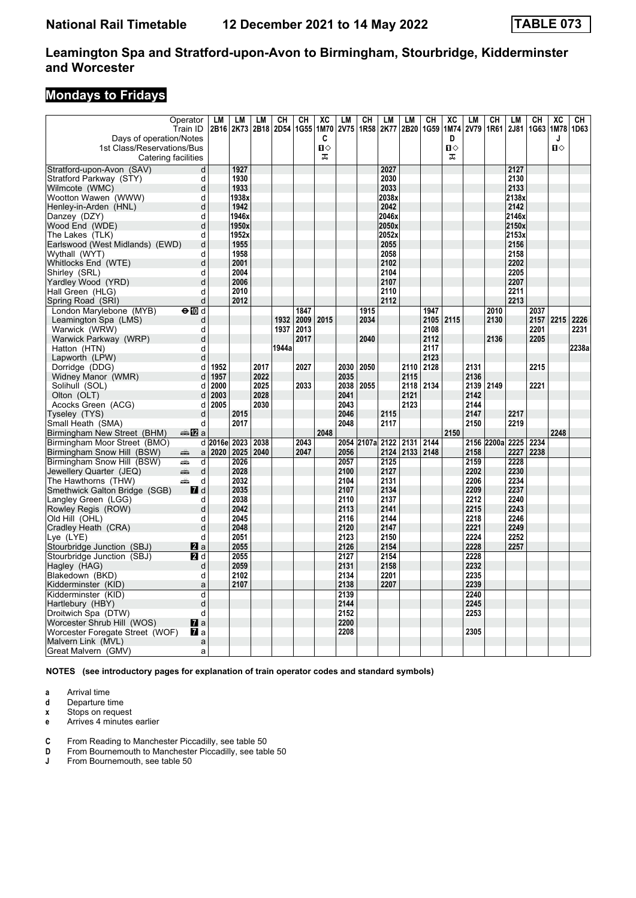# **Mondays to Fridays**

| Days of operation/Notes<br>1st Class/Reservations/Bus | Operator<br>Train ID             | LM       | LM<br>2B16 2K73 | LM   | CН<br>2B18 2D54 1G55 | CН   | XC<br>1M70<br>C<br>Ω<br>ᠼ | LM<br><b>2V75</b> | CН              | LM<br>1R58 2K77 | LM<br>2B20 | CН<br>1G59 | XC<br>1M74<br>D<br>п⇔<br>ᠼ | LM<br>2V79   | CН<br>1R61 | LM<br>2J81    | CН<br>1G63 | $\overline{AC}$<br>1M78<br>J<br>п⇔ | CН<br>1D63 |
|-------------------------------------------------------|----------------------------------|----------|-----------------|------|----------------------|------|---------------------------|-------------------|-----------------|-----------------|------------|------------|----------------------------|--------------|------------|---------------|------------|------------------------------------|------------|
|                                                       | Catering facilities              |          |                 |      |                      |      |                           |                   |                 |                 |            |            |                            |              |            |               |            |                                    |            |
| Stratford-upon-Avon (SAV)                             | d                                |          | 1927            |      |                      |      |                           |                   |                 | 2027            |            |            |                            |              |            | 2127          |            |                                    |            |
| Stratford Parkway (STY)                               | d                                |          | 1930            |      |                      |      |                           |                   |                 | 2030            |            |            |                            |              |            | 2130          |            |                                    |            |
| Wilmcote (WMC)                                        | d                                |          | 1933            |      |                      |      |                           |                   |                 | 2033            |            |            |                            |              |            | 2133          |            |                                    |            |
| Wootton Wawen (WWW)                                   | d<br>$\mathbf d$                 |          | 1938x           |      |                      |      |                           |                   |                 | 2038x<br>2042   |            |            |                            |              |            | 2138x         |            |                                    |            |
| Henley-in-Arden (HNL)                                 | d                                |          | 1942<br>1946x   |      |                      |      |                           |                   |                 | 2046x           |            |            |                            |              |            | 2142<br>2146x |            |                                    |            |
| Danzey (DZY)                                          | d                                |          | 1950x           |      |                      |      |                           |                   |                 | 2050x           |            |            |                            |              |            | 2150x         |            |                                    |            |
| Wood End (WDE)<br>The Lakes (TLK)                     | d                                |          | 1952x           |      |                      |      |                           |                   |                 | 2052x           |            |            |                            |              |            | 2153x         |            |                                    |            |
| Earlswood (West Midlands) (EWD)                       | d                                |          | 1955            |      |                      |      |                           |                   |                 | 2055            |            |            |                            |              |            | 2156          |            |                                    |            |
| Wythall (WYT)                                         | d                                |          | 1958            |      |                      |      |                           |                   |                 | 2058            |            |            |                            |              |            | 2158          |            |                                    |            |
| Whitlocks End (WTE)                                   | d                                |          | 2001            |      |                      |      |                           |                   |                 | 2102            |            |            |                            |              |            | 2202          |            |                                    |            |
| Shirley (SRL)                                         | d                                |          | 2004            |      |                      |      |                           |                   |                 | 2104            |            |            |                            |              |            | 2205          |            |                                    |            |
| Yardley Wood (YRD)                                    | d                                |          | 2006            |      |                      |      |                           |                   |                 | 2107            |            |            |                            |              |            | 2207          |            |                                    |            |
| Hall Green (HLG)                                      | d                                |          | 2010            |      |                      |      |                           |                   |                 | 2110            |            |            |                            |              |            | 2211          |            |                                    |            |
| Spring Road (SRI)                                     | d                                |          | 2012            |      |                      |      |                           |                   |                 | 2112            |            |            |                            |              |            | 2213          |            |                                    |            |
| London Marylebone (MYB)                               | $\Theta$ M d                     |          |                 |      |                      | 1847 |                           |                   | 1915            |                 |            | 1947       |                            |              | 2010       |               | 2037       |                                    |            |
| Leamington Spa (LMS)                                  | d                                |          |                 |      | 1932                 | 2009 | 2015                      |                   | 2034            |                 |            | 2105       | 2115                       |              | 2130       |               | 2157       | 2215                               | 2226       |
| Warwick (WRW)                                         | d                                |          |                 |      | 1937                 | 2013 |                           |                   |                 |                 |            | 2108       |                            |              |            |               | 2201       |                                    | 2231       |
| Warwick Parkway (WRP)                                 | d                                |          |                 |      |                      | 2017 |                           |                   | 2040            |                 |            | 2112       |                            |              | 2136       |               | 2205       |                                    |            |
| Hatton (HTN)                                          | d                                |          |                 |      | 1944a                |      |                           |                   |                 |                 |            | 2117       |                            |              |            |               |            |                                    | 2238a      |
| Lapworth (LPW)                                        | d                                |          |                 |      |                      |      |                           |                   |                 |                 |            | 2123       |                            |              |            |               |            |                                    |            |
| Dorridge (DDG)                                        | d                                | 1952     |                 | 2017 |                      | 2027 |                           | 2030              | 2050            |                 | 2110       | 2128       |                            | 2131         |            |               | 2215       |                                    |            |
| Widney Manor (WMR)                                    | d                                | 1957     |                 | 2022 |                      |      |                           | 2035              |                 |                 | 2115       |            |                            | 2136         |            |               |            |                                    |            |
| Solihull (SOL)                                        | d                                | 2000     |                 | 2025 |                      | 2033 |                           |                   | 2038 2055       |                 | 2118       | 2134       |                            | 2139         | 2149       |               | 2221       |                                    |            |
| Olton (OLT)                                           | d                                | 2003     |                 | 2028 |                      |      |                           | 2041              |                 |                 | 2121       |            |                            | 2142         |            |               |            |                                    |            |
| Acocks Green (ACG)                                    | d                                | 2005     |                 | 2030 |                      |      |                           | 2043              |                 |                 | 2123       |            |                            | 2144         |            |               |            |                                    |            |
| Tyseley (TYS)                                         | d                                |          | 2015            |      |                      |      |                           | 2046              |                 | 2115            |            |            |                            | 2147         |            | 2217          |            |                                    |            |
| Small Heath (SMA)                                     | d                                |          | 2017            |      |                      |      |                           | 2048              |                 | 2117            |            |            |                            | 2150         |            | 2219          |            |                                    |            |
| Birmingham New Street (BHM)                           | anna nDian                       |          |                 |      |                      |      | 2048                      |                   |                 |                 |            |            | 2150                       |              |            |               |            | 2248                               |            |
| Birmingham Moor Street (BMO)                          |                                  | d 2016el | 2023            | 2038 |                      | 2043 |                           |                   | 2054 2107a 2122 |                 | 2131       | 2144       |                            |              | 2156 2200a | 2225          | 2234       |                                    |            |
| Birmingham Snow Hill (BSW)                            | پېښ<br>a                         | 2020     | 2025            | 2040 |                      | 2047 |                           | 2056              |                 | 2124            | 2133 2148  |            |                            | 2158         |            | 2227          | 2238       |                                    |            |
| Birmingham Snow Hill (BSW)                            | پیشته<br>d                       |          | 2026            |      |                      |      |                           | 2057              |                 | 2125            |            |            |                            | 2159         |            | 2228          |            |                                    |            |
| Jewellery Quarter (JEQ)                               | d<br>پیش                         |          | 2028            |      |                      |      |                           | 2100              |                 | 2127            |            |            |                            | 2202         |            | 2230          |            |                                    |            |
| The Hawthorns (THW)                                   | پیشته<br>d                       |          | 2032            |      |                      |      |                           | 2104              |                 | 2131            |            |            |                            | 2206         |            | 2234          |            |                                    |            |
| Smethwick Galton Bridge (SGB)                         | <b>7</b> d                       |          | 2035            |      |                      |      |                           | 2107              |                 | 2134            |            |            |                            | 2209         |            | 2237          |            |                                    |            |
| Langley Green (LGG)                                   | d                                |          | 2038            |      |                      |      |                           | 2110              |                 | 2137            |            |            |                            | 2212         |            | 2240          |            |                                    |            |
| Rowley Regis (ROW)                                    | d                                |          | 2042            |      |                      |      |                           | 2113              |                 | 2141            |            |            |                            | 2215         |            | 2243          |            |                                    |            |
| Old Hill (OHL)                                        | d                                |          | 2045            |      |                      |      |                           | 2116              |                 | 2144            |            |            |                            | 2218         |            | 2246          |            |                                    |            |
| Cradley Heath (CRA)                                   | d                                |          | 2048            |      |                      |      |                           | 2120              |                 | 2147            |            |            |                            | 2221         |            | 2249          |            |                                    |            |
| Lye (LYE)                                             | d                                |          | 2051            |      |                      |      |                           | 2123              |                 | 2150            |            |            |                            | 2224         |            | 2252          |            |                                    |            |
| Stourbridge Junction (SBJ)                            | <b>Z</b> a                       |          | 2055            |      |                      |      |                           | 2126              |                 | 2154            |            |            |                            | 2228         |            | 2257          |            |                                    |            |
| Stourbridge Junction (SBJ)                            | <b>2</b> d                       |          | 2055            |      |                      |      |                           | 2127              |                 | 2154            |            |            |                            | 2228         |            |               |            |                                    |            |
| Hagley (HAG)                                          | d                                |          | 2059            |      |                      |      |                           | 2131              |                 | 2158            |            |            |                            | 2232         |            |               |            |                                    |            |
| Blakedown (BKD)                                       | d                                |          | 2102            |      |                      |      |                           | 2134<br>2138      |                 | 2201<br>2207    |            |            |                            | 2235         |            |               |            |                                    |            |
| Kidderminster (KID)                                   | a                                |          | 2107            |      |                      |      |                           |                   |                 |                 |            |            |                            | 2239         |            |               |            |                                    |            |
| Kidderminster (KID)                                   | d                                |          |                 |      |                      |      |                           | 2139<br>2144      |                 |                 |            |            |                            | 2240<br>2245 |            |               |            |                                    |            |
| Hartlebury (HBY)                                      | d                                |          |                 |      |                      |      |                           |                   |                 |                 |            |            |                            |              |            |               |            |                                    |            |
| Droitwich Spa (DTW)                                   | d                                |          |                 |      |                      |      |                           | 2152              |                 |                 |            |            |                            | 2253         |            |               |            |                                    |            |
| Worcester Shrub Hill (WOS)                            | $\mathbf{z}$ a<br>$\mathbf{z}$ a |          |                 |      |                      |      |                           | 2200<br>2208      |                 |                 |            |            |                            | 2305         |            |               |            |                                    |            |
| Worcester Foregate Street (WOF)<br>Malvern Link (MVL) |                                  |          |                 |      |                      |      |                           |                   |                 |                 |            |            |                            |              |            |               |            |                                    |            |
|                                                       | a                                |          |                 |      |                      |      |                           |                   |                 |                 |            |            |                            |              |            |               |            |                                    |            |
| Great Malvern (GMV)                                   | a                                |          |                 |      |                      |      |                           |                   |                 |                 |            |            |                            |              |            |               |            |                                    |            |

**NOTES (see introductory pages for explanation of train operator codes and standard symbols)**

**a** Arrival time

**d** Departure time<br>**x** Stops on reque

**Stops on request** 

**e** Arrives 4 minutes earlier

**C** From Reading to Manchester Piccadilly, see table 50<br>**D** From Bournemouth to Manchester Piccadilly, see table

**D** From Bournemouth to Manchester Piccadilly, see table 50<br>**J** From Bournemouth, see table 50

**J** From Bournemouth, see table 50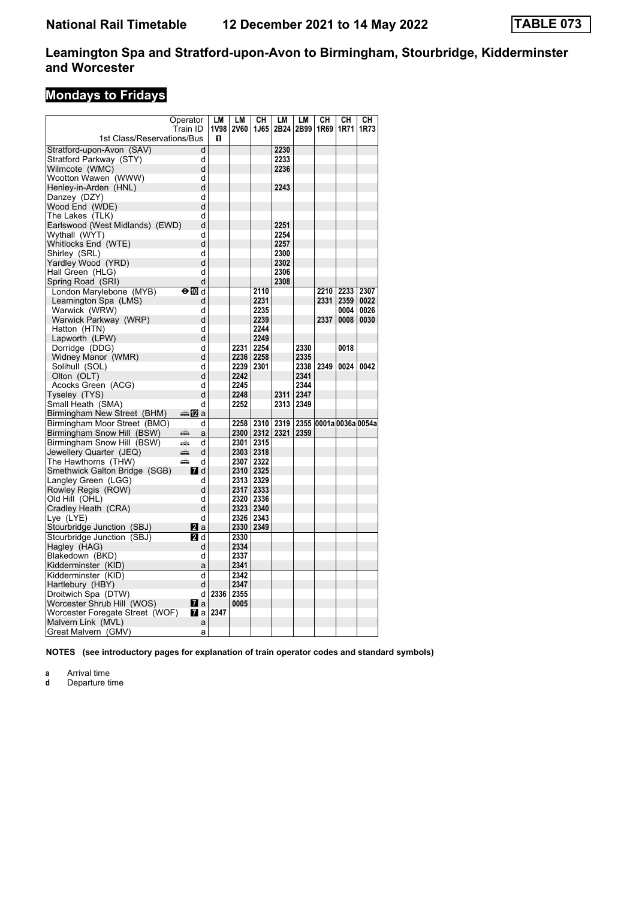# **Mondays to Fridays**

| Operator                             |                         | LM        | LM        | CН          | LM          | LM   | CН   | CН                     | CН   |
|--------------------------------------|-------------------------|-----------|-----------|-------------|-------------|------|------|------------------------|------|
| Train ID                             |                         | 1V98 2V60 |           | 1J65        | 2B24 2B99   |      | 1R69 | 1R71                   | 1R73 |
| 1st Class/Reservations/Bus           |                         | п         |           |             |             |      |      |                        |      |
| Stratford-upon-Avon (SAV)            | d                       |           |           |             | 2230        |      |      |                        |      |
| Stratford Parkway (STY)              | d                       |           |           |             | 2233        |      |      |                        |      |
| Wilmcote (WMC)                       | d                       |           |           |             | 2236        |      |      |                        |      |
| Wootton Wawen (WWW)                  | d                       |           |           |             |             |      |      |                        |      |
| Henley-in-Arden (HNL)                | d                       |           |           |             | 2243        |      |      |                        |      |
| Danzey (DZY)                         | d                       |           |           |             |             |      |      |                        |      |
| Wood End (WDE)                       | d                       |           |           |             |             |      |      |                        |      |
| The Lakes  (TLK)                     | d                       |           |           |             |             |      |      |                        |      |
| Earlswood (West Midlands) (EWD)      | d                       |           |           |             | 2251        |      |      |                        |      |
| Wythall (WYT)                        | d                       |           |           |             | 2254        |      |      |                        |      |
| Whitlocks End (WTE)                  | d                       |           |           |             | 2257        |      |      |                        |      |
| Shirley (SRL)                        | d                       |           |           |             | 2300        |      |      |                        |      |
| Yardley Wood (YRD)                   | d                       |           |           |             | 2302        |      |      |                        |      |
| Hall Green (HLG)                     | d                       |           |           |             | 2306        |      |      |                        |      |
| Spring Road  (SRI)                   | d                       |           |           |             | 2308        |      |      |                        |      |
| London Marylebone (MYB)              | ⊖n d                    |           |           | 2110        |             |      | 2210 | 2233                   | 2307 |
| Leamington Spa (LMS)                 | d                       |           |           | 2231        |             |      | 2331 | 2359                   | 0022 |
| Warwick (WRW)                        | d                       |           |           | 2235        |             |      |      | 0004                   | 0026 |
| Warwick Parkway (WRP)                | d                       |           |           | 2239        |             |      | 2337 | 0008                   | 0030 |
| Hatton (HTN)                         | d                       |           |           | 2244        |             |      |      |                        |      |
| Lapworth (LPW)                       | d                       |           |           | 2249        |             |      |      |                        |      |
| Dorridge (DDG)                       | d                       |           | 2231      | 2254        |             | 2330 |      | 0018                   |      |
| Widney Manor (WMR)                   | d                       |           | 2236 2258 |             |             | 2335 |      |                        |      |
| Solihull (SOL)                       | d                       |           | 2239      | 2301        |             | 2338 | 2349 | 0024                   | 0042 |
| Olton (OLT)                          | d                       |           | 2242      |             |             | 2341 |      |                        |      |
| Acocks Green (ACG)                   | d                       |           | 2245      |             |             | 2344 |      |                        |      |
| Tyseley (TYS)                        | d                       |           | 2248      |             | 2311        | 2347 |      |                        |      |
| Small Heath  (SMA)                   | d                       |           | 2252      |             | 2313        | 2349 |      |                        |      |
| Birmingham New Street (BHM)          | dan <mark>ma</mark> n⊡a |           |           |             |             |      |      |                        |      |
| Birmingham Moor Street (BMO)         | d                       |           | 2258      |             | 2310   2319 |      |      | 2355 0001a 0036a 0054a |      |
| Birmingham Snow Hill (BSW)<br>منتقبه | a                       |           |           | 2300   2312 | 2321        | 2359 |      |                        |      |
| Birmingham Snow Hill (BSW)<br>پیش    | d                       |           | 2301      | 2315        |             |      |      |                        |      |
| Jewellery Quarter (JEQ)<br>پېښې      | d                       |           |           | 2303 2318   |             |      |      |                        |      |
| The Hawthorns (THW)<br>پیش           | d                       |           | 2307      | 2322        |             |      |      |                        |      |
| Smethwick Galton Bridge (SGB)        | <b>7</b> d              |           | 2310 2325 |             |             |      |      |                        |      |
| Langley Green (LGG)                  | d                       |           | 2313      | 2329        |             |      |      |                        |      |
| Rowley Regis (ROW)                   | d                       |           | 2317      | 2333        |             |      |      |                        |      |
| Old Hill (OHL)                       | d                       |           | 2320      | 2336        |             |      |      |                        |      |
| Cradley Heath (CRA)                  | d                       |           | 2323 2340 |             |             |      |      |                        |      |
| Lye (LYE)                            | d                       |           | 2326      | 2343        |             |      |      |                        |      |
| Stourbridge Junction (SBJ)           | <b>Z</b> a              |           | 2330      | 2349        |             |      |      |                        |      |
| Stourbridge Junction (SBJ)           | <b>2</b> d              |           | 2330      |             |             |      |      |                        |      |
| Haglev (HAG)                         | d                       |           | 2334      |             |             |      |      |                        |      |
| Blakedown (BKD)                      | d                       |           | 2337      |             |             |      |      |                        |      |
| Kidderminster (KID)                  | a                       |           | 2341      |             |             |      |      |                        |      |
| Kidderminster (KID)                  | d                       |           | 2342      |             |             |      |      |                        |      |
| Hartlebury (HBY)                     | d                       |           | 2347      |             |             |      |      |                        |      |
| Droitwich Spa (DTW)                  | d                       | 2336      | 2355      |             |             |      |      |                        |      |
| Worcester Shrub Hill (WOS)           | Ma                      |           | 0005      |             |             |      |      |                        |      |
| Worcester Foregate Street (WOF)      | Ma                      | 2347      |           |             |             |      |      |                        |      |
| Malvern Link (MVL)                   | a                       |           |           |             |             |      |      |                        |      |
| Great Malvern (GMV)                  | a                       |           |           |             |             |      |      |                        |      |

**NOTES (see introductory pages for explanation of train operator codes and standard symbols)**

**a** Arrival time<br>**d** Departure t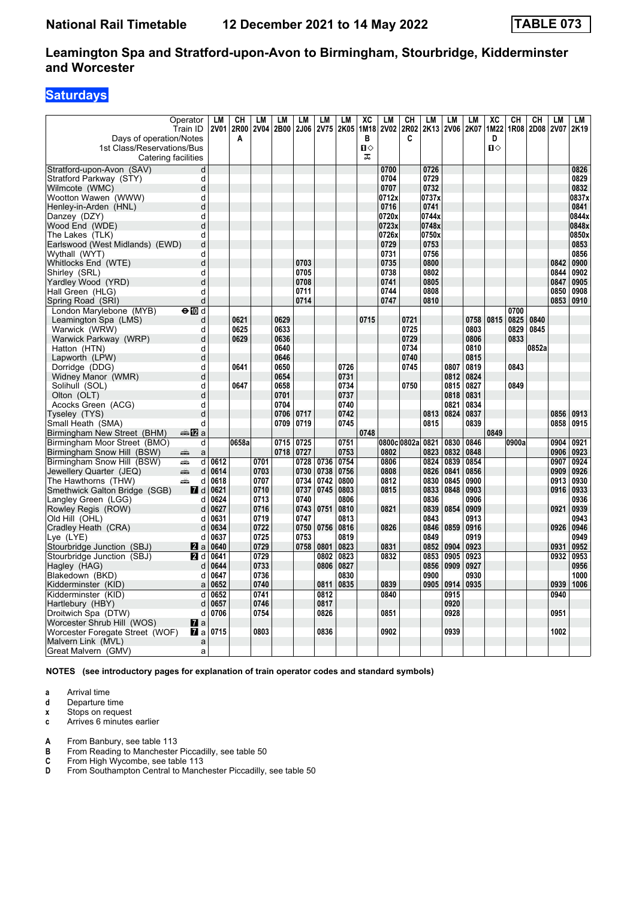# **Saturdays**

| Days of operation/Notes                | Operator<br>Train ID | <b>LM</b><br><b>2V01</b> | CH<br>2R00<br>A | LМ<br>2V04 | LM<br>2B00 | <b>LM</b><br><b>2J06</b> | LM<br><b>2V75</b> | <b>LM</b><br>2K05 | XC<br>1M18<br>в   | LM<br><b>2V02</b> | <b>CH</b><br>2R02<br>C | LM<br>2K13   | <b>LM</b><br><b>2V06</b> | LM<br>2K07 | $\overline{\text{XC}}$<br>1M22<br>D | CH<br>1R08 | <b>CH</b><br>2D08 | <b>LM</b><br><b>2V07</b> | LM<br>2K19   |
|----------------------------------------|----------------------|--------------------------|-----------------|------------|------------|--------------------------|-------------------|-------------------|-------------------|-------------------|------------------------|--------------|--------------------------|------------|-------------------------------------|------------|-------------------|--------------------------|--------------|
| 1st Class/Reservations/Bus             | Catering facilities  |                          |                 |            |            |                          |                   |                   | $\mathbf{u}$<br>ᠼ |                   |                        |              |                          |            | $\mathbf{u}$                        |            |                   |                          |              |
| Stratford-upon-Avon (SAV)              | d                    |                          |                 |            |            |                          |                   |                   |                   | 0700              |                        | 0726         |                          |            |                                     |            |                   |                          | 0826         |
| Stratford Parkway (STY)                | d                    |                          |                 |            |            |                          |                   |                   |                   | 0704              |                        | 0729         |                          |            |                                     |            |                   |                          | 0829         |
| Wilmcote (WMC)                         | d                    |                          |                 |            |            |                          |                   |                   |                   | 0707              |                        | 0732         |                          |            |                                     |            |                   |                          | 0832         |
| Wootton Wawen (WWW)                    | d                    |                          |                 |            |            |                          |                   |                   |                   | 0712x             |                        | 0737x        |                          |            |                                     |            |                   |                          | 0837x        |
| Henley-in-Arden (HNL)                  | d                    |                          |                 |            |            |                          |                   |                   |                   | 0716              |                        | 0741         |                          |            |                                     |            |                   |                          | 0841         |
| Danzey (DZY)                           | d                    |                          |                 |            |            |                          |                   |                   |                   | 0720x             |                        | 0744x        |                          |            |                                     |            |                   |                          | 0844x        |
| Wood End (WDE)                         | d                    |                          |                 |            |            |                          |                   |                   |                   | 0723x             |                        | 0748x        |                          |            |                                     |            |                   |                          | 0848x        |
| The Lakes (TLK)                        | d                    |                          |                 |            |            |                          |                   |                   |                   | 0726x             |                        | 0750x        |                          |            |                                     |            |                   |                          | 0850x        |
| Earlswood (West Midlands) (EWD)        | d                    |                          |                 |            |            |                          |                   |                   |                   | 0729              |                        | 0753         |                          |            |                                     |            |                   |                          | 0853         |
| Wythall (WYT)                          | d                    |                          |                 |            |            |                          |                   |                   |                   | 0731              |                        | 0756         |                          |            |                                     |            |                   |                          | 0856         |
| Whitlocks End (WTE)                    | d                    |                          |                 |            |            | 0703                     |                   |                   |                   | 0735              |                        | 0800         |                          |            |                                     |            |                   | 0842                     | 0900         |
| Shirley (SRL)                          | d                    |                          |                 |            |            | 0705                     |                   |                   |                   | 0738              |                        | 0802         |                          |            |                                     |            |                   | 0844                     | 0902         |
| Yardley Wood (YRD)<br>Hall Green (HLG) | d<br>d               |                          |                 |            |            | 0708<br>0711             |                   |                   |                   | 0741<br>0744      |                        | 0805<br>0808 |                          |            |                                     |            |                   | 0847<br>0850             | 0905<br>0908 |
|                                        | d                    |                          |                 |            |            | 0714                     |                   |                   |                   | 0747              |                        | 0810         |                          |            |                                     |            |                   | 0853                     | 0910         |
| Spring Road (SRI)                      |                      |                          |                 |            |            |                          |                   |                   |                   |                   |                        |              |                          |            |                                     | 0700       |                   |                          |              |
| London Marylebone (MYB)                | $\Theta$ M d         |                          | 0621            |            | 0629       |                          |                   |                   | 0715              |                   | 0721                   |              |                          | 0758       | 0815                                | 0825       | 0840              |                          |              |
| Leamington Spa (LMS)<br>Warwick (WRW)  | d<br>d               |                          | 0625            |            | 0633       |                          |                   |                   |                   |                   | 0725                   |              |                          | 0803       |                                     | 0829       | 0845              |                          |              |
| Warwick Parkway (WRP)                  | d                    |                          | 0629            |            | 0636       |                          |                   |                   |                   |                   | 0729                   |              |                          | 0806       |                                     | 0833       |                   |                          |              |
| Hatton (HTN)                           | d                    |                          |                 |            | 0640       |                          |                   |                   |                   |                   | 0734                   |              |                          | 0810       |                                     |            | 0852a             |                          |              |
| Lapworth (LPW)                         | d                    |                          |                 |            | 0646       |                          |                   |                   |                   |                   | 0740                   |              |                          | 0815       |                                     |            |                   |                          |              |
| Dorridge (DDG)                         | d                    |                          | 0641            |            | 0650       |                          |                   | 0726              |                   |                   | 0745                   |              | 0807                     | 0819       |                                     | 0843       |                   |                          |              |
| Widney Manor (WMR)                     | d                    |                          |                 |            | 0654       |                          |                   | 0731              |                   |                   |                        |              | 0812                     | 0824       |                                     |            |                   |                          |              |
| Solihull (SOL)                         | d                    |                          | 0647            |            | 0658       |                          |                   | 0734              |                   |                   | 0750                   |              | 0815                     | 0827       |                                     | 0849       |                   |                          |              |
| Olton (OLT)                            | d                    |                          |                 |            | 0701       |                          |                   | 0737              |                   |                   |                        |              | 0818                     | 0831       |                                     |            |                   |                          |              |
| Acocks Green (ACG)                     | d                    |                          |                 |            | 0704       |                          |                   | 0740              |                   |                   |                        |              | 0821                     | 0834       |                                     |            |                   |                          |              |
| Tyseley (TYS)                          | d                    |                          |                 |            | 0706       | 0717                     |                   | 0742              |                   |                   |                        | 0813         | 0824                     | 0837       |                                     |            |                   | 0856                     | 0913         |
| Small Heath (SMA)                      | d                    |                          |                 |            | 0709       | 0719                     |                   | 0745              |                   |                   |                        | 0815         |                          | 0839       |                                     |            |                   | 0858                     | 0915         |
| Birmingham New Street (BHM)            | <b>▲12</b> a         |                          |                 |            |            |                          |                   |                   | 0748              |                   |                        |              |                          |            | 0849                                |            |                   |                          |              |
| Birmingham Moor Street (BMO)           | d                    |                          | 0658a           |            | 0715       | 0725                     |                   | 0751              |                   |                   | 0800c 0802a 0821       |              | 0830                     | 0846       |                                     | 0900a      |                   | 0904                     | 0921         |
| Birmingham Snow Hill (BSW)             | $\mathsf{a}$<br>پیش  |                          |                 |            | 0718       | 0727                     |                   | 0753              |                   | 0802              |                        | 0823         | 0832                     | 0848       |                                     |            |                   | 0906                     | 0923         |
| Birmingham Snow Hill (BSW)             | dia.<br>d            | 0612                     |                 | 0701       |            | 0728                     | 0736              | 0754              |                   | 0806              |                        | 0824         | 0839                     | 0854       |                                     |            |                   | 0907                     | 0924         |
| Jewellery Quarter (JEQ)                | ain<br>d             | 0614                     |                 | 0703       |            | 0730                     | 0738              | 0756              |                   | 0808              |                        | 0826         | 0841                     | 0856       |                                     |            |                   | 0909                     | 0926         |
| The Hawthorns (THW)                    | پیشته<br>d           | 0618                     |                 | 0707       |            | 0734                     | 0742              | 0800              |                   | 0812              |                        | 0830         | 0845                     | 0900       |                                     |            |                   | 0913                     | 0930         |
| Smethwick Galton Bridge (SGB)          | <b>7</b> d           | 0621                     |                 | 0710       |            | 0737                     | 0745              | 0803              |                   | 0815              |                        | 0833         | 0848                     | 0903       |                                     |            |                   | 0916                     | 0933         |
| Langley Green (LGG)                    | d                    | 0624                     |                 | 0713       |            | 0740                     |                   | 0806              |                   |                   |                        | 0836         |                          | 0906       |                                     |            |                   |                          | 0936         |
| Rowley Regis (ROW)                     | d                    | 0627                     |                 | 0716       |            | 0743                     | 0751              | 0810              |                   | 0821              |                        | 0839         | 0854                     | 0909       |                                     |            |                   | 0921                     | 0939         |
| Old Hill (OHL)                         | d                    | 0631                     |                 | 0719       |            | 0747                     |                   | 0813              |                   |                   |                        | 0843         |                          | 0913       |                                     |            |                   |                          | 0943         |
| Cradley Heath (CRA)                    | d                    | 0634                     |                 | 0722       |            | 0750                     | 0756              | 0816              |                   | 0826              |                        | 0846         | 0859                     | 0916       |                                     |            |                   | 0926                     | 0946         |
| Lye (LYE)                              | d                    | 0637                     |                 | 0725       |            | 0753                     |                   | 0819              |                   |                   |                        | 0849         |                          | 0919       |                                     |            |                   |                          | 0949         |
| Stourbridge Junction (SBJ)             | 2a                   | 0640                     |                 | 0729       |            | 0758                     | 0801              | 0823              |                   | 0831              |                        | 0852         | 0904                     | 0923       |                                     |            |                   | 0931                     | 0952         |
| Stourbridge Junction (SBJ)             | 21 d                 | 0641                     |                 | 0729       |            |                          | 0802              | 0823              |                   | 0832              |                        | 0853         | 0905                     | 0923       |                                     |            |                   | 0932                     | 0953         |
| Hagley (HAG)                           | d                    | 0644                     |                 | 0733       |            |                          | 0806              | 0827              |                   |                   |                        | 0856         | 0909                     | 0927       |                                     |            |                   |                          | 0956         |
| Blakedown (BKD)                        | d                    | 0647                     |                 | 0736       |            |                          |                   | 0830              |                   |                   |                        | 0900         |                          | 0930       |                                     |            |                   |                          | 1000         |
| Kidderminster (KID)                    | a                    | 0652                     |                 | 0740       |            |                          | 0811              | 0835              |                   | 0839              |                        | 0905         | 0914                     | 0935       |                                     |            |                   | 0939                     | 1006         |
| Kidderminster (KID)                    | d                    | 0652                     |                 | 0741       |            |                          | 0812              |                   |                   | 0840              |                        |              | 0915                     |            |                                     |            |                   | 0940                     |              |
| Hartlebury (HBY)                       | d                    | 0657                     |                 | 0746       |            |                          | 0817              |                   |                   |                   |                        |              | 0920                     |            |                                     |            |                   |                          |              |
| Droitwich Spa (DTW)                    | d                    | 0706                     |                 | 0754       |            |                          | 0826              |                   |                   | 0851              |                        |              | 0928                     |            |                                     |            |                   | 0951                     |              |
| Worcester Shrub Hill (WOS)             | <b>7</b> a           |                          |                 |            |            |                          |                   |                   |                   |                   |                        |              |                          |            |                                     |            |                   |                          |              |
| Worcester Foregate Street (WOF)        | 7 a                  | 0715                     |                 | 0803       |            |                          | 0836              |                   |                   | 0902              |                        |              | 0939                     |            |                                     |            |                   | 1002                     |              |
| Malvern Link (MVL)                     | a                    |                          |                 |            |            |                          |                   |                   |                   |                   |                        |              |                          |            |                                     |            |                   |                          |              |
| Great Malvern (GMV)                    | a                    |                          |                 |            |            |                          |                   |                   |                   |                   |                        |              |                          |            |                                     |            |                   |                          |              |

**NOTES (see introductory pages for explanation of train operator codes and standard symbols)**

- **a** Arrival time
- **d** Departure time<br>**x** Stops on reque
- **Stops on request**
- **c** Arrives 6 minutes earlier
- **A** From Banbury, see table 113<br>**B** From Reading to Manchester
- **B** From Reading to Manchester Piccadilly, see table 50<br> **C** From High Wycombe, see table 113<br> **D** From Southampton Central to Manchester Piccadilly,
- **C** From High Wycombe, see table 113
- From Southampton Central to Manchester Piccadilly, see table 50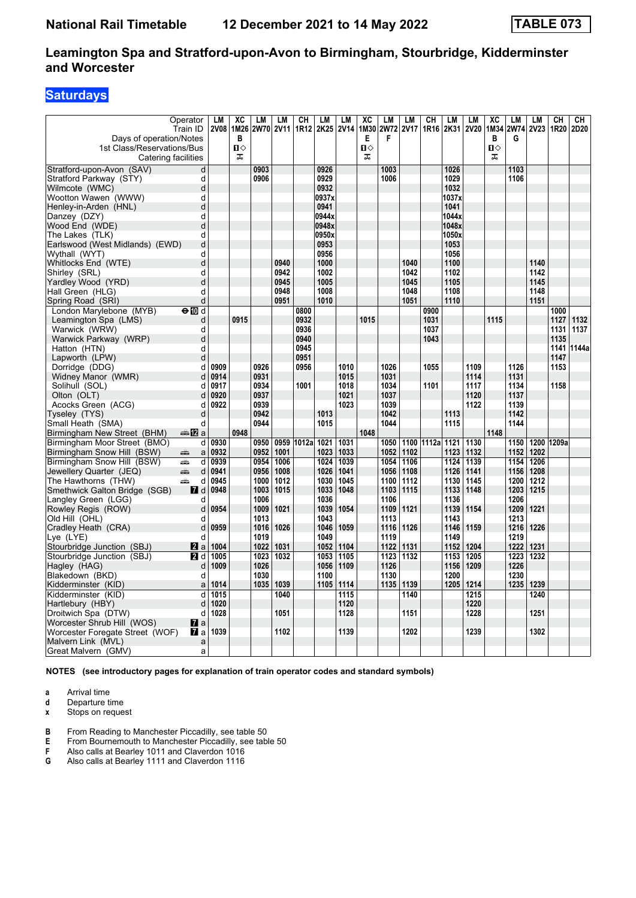# **Saturdays**

| Days of operation/Notes         | Operator<br>Train ID   | LM<br><b>2V08</b> | XC<br>1M26<br>B | LМ<br><b>2W70</b> | LM<br>2V11 | CH              | <b>LM</b><br>1R12 2K25 2V14 | LM          | XC<br>1M30<br>Е | LM<br><b>2W72</b><br>F | LM<br><b>2V17</b> | CН<br>1R16 | LM<br>2K31 | LM<br><b>2V20</b> | XC<br>1M34<br>в | LM<br>2W74<br>G | <b>LM</b><br><b>2V23</b> | CН<br>1R20 | CН<br>2D20 |
|---------------------------------|------------------------|-------------------|-----------------|-------------------|------------|-----------------|-----------------------------|-------------|-----------------|------------------------|-------------------|------------|------------|-------------------|-----------------|-----------------|--------------------------|------------|------------|
| 1st Class/Reservations/Bus      | Catering facilities    |                   | п⇔<br>ᠼ         |                   |            |                 |                             |             | Ⅱ♦<br>ᠼ         |                        |                   |            |            |                   | Ω⇔<br>ᠼ         |                 |                          |            |            |
| Stratford-upon-Avon (SAV)       | d                      |                   |                 | 0903              |            |                 | 0926                        |             |                 | 1003                   |                   |            | 1026       |                   |                 | 1103            |                          |            |            |
| Stratford Parkway (STY)         | d                      |                   |                 | 0906              |            |                 | 0929                        |             |                 | 1006                   |                   |            | 1029       |                   |                 | 1106            |                          |            |            |
| Wilmcote (WMC)                  | d                      |                   |                 |                   |            |                 | 0932                        |             |                 |                        |                   |            | 1032       |                   |                 |                 |                          |            |            |
| Wootton Wawen (WWW)             | d                      |                   |                 |                   |            |                 | 0937x                       |             |                 |                        |                   |            | 1037x      |                   |                 |                 |                          |            |            |
| Henley-in-Arden (HNL)           | d                      |                   |                 |                   |            |                 | 0941                        |             |                 |                        |                   |            | 1041       |                   |                 |                 |                          |            |            |
| Danzey (DZY)                    | d                      |                   |                 |                   |            |                 | 0944x                       |             |                 |                        |                   |            | 1044x      |                   |                 |                 |                          |            |            |
| Wood End (WDE)                  | d                      |                   |                 |                   |            |                 | 0948x                       |             |                 |                        |                   |            | 1048x      |                   |                 |                 |                          |            |            |
| The Lakes (TLK)                 | d                      |                   |                 |                   |            |                 | 0950x                       |             |                 |                        |                   |            | 1050x      |                   |                 |                 |                          |            |            |
| Earlswood (West Midlands) (EWD) | d                      |                   |                 |                   |            |                 | 0953                        |             |                 |                        |                   |            | 1053       |                   |                 |                 |                          |            |            |
| Wythall (WYT)                   | d                      |                   |                 |                   |            |                 | 0956                        |             |                 |                        |                   |            | 1056       |                   |                 |                 |                          |            |            |
| Whitlocks End (WTE)             | d                      |                   |                 |                   | 0940       |                 | 1000                        |             |                 |                        | 1040              |            | 1100       |                   |                 |                 | 1140                     |            |            |
| Shirley (SRL)                   | d                      |                   |                 |                   | 0942       |                 | 1002                        |             |                 |                        | 1042              |            | 1102       |                   |                 |                 | 1142                     |            |            |
| Yardley Wood (YRD)              | d                      |                   |                 |                   | 0945       |                 | 1005                        |             |                 |                        | 1045              |            | 1105       |                   |                 |                 | 1145                     |            |            |
| Hall Green (HLG)                | d                      |                   |                 |                   | 0948       |                 | 1008                        |             |                 |                        | 1048              |            | 1108       |                   |                 |                 | 1148                     |            |            |
| Spring Road (SRI)               | d                      |                   |                 |                   | 0951       |                 | 1010                        |             |                 |                        | 1051              |            | 1110       |                   |                 |                 | 1151                     |            |            |
| London Marylebone (MYB)         | ⊖n∏d                   |                   |                 |                   |            | 0800            |                             |             |                 |                        |                   | 0900       |            |                   |                 |                 |                          | 1000       |            |
| Leamington Spa (LMS)            | d                      |                   | 0915            |                   |            | 0932            |                             |             | 1015            |                        |                   | 1031       |            |                   | 1115            |                 |                          | 1127       | 1132       |
| Warwick (WRW)                   | d                      |                   |                 |                   |            | 0936            |                             |             |                 |                        |                   | 1037       |            |                   |                 |                 |                          | 1131       | 1137       |
| Warwick Parkway (WRP)           | d                      |                   |                 |                   |            | 0940            |                             |             |                 |                        |                   | 1043       |            |                   |                 |                 |                          | 1135       |            |
| Hatton (HTN)                    | d                      |                   |                 |                   |            | 0945            |                             |             |                 |                        |                   |            |            |                   |                 |                 |                          | 1141       | 1144a      |
| Lapworth (LPW)                  | d                      |                   |                 |                   |            | 0951            |                             |             |                 |                        |                   |            |            |                   |                 |                 |                          | 1147       |            |
| Dorridge (DDG)                  | d                      | 0909              |                 | 0926              |            | 0956            |                             | 1010        |                 | 1026                   |                   | 1055       |            | 1109              |                 | 1126            |                          | 1153       |            |
| Widney Manor (WMR)              | d                      | 0914              |                 | 0931              |            |                 |                             | 1015        |                 | 1031                   |                   |            |            | 1114              |                 | 1131            |                          |            |            |
| Solihull (SOL)                  | d                      | 0917              |                 | 0934              |            | 1001            |                             | 1018        |                 | 1034                   |                   | 1101       |            | 1117              |                 | 1134            |                          | 1158       |            |
| Olton (OLT)                     | d                      | 0920              |                 | 0937              |            |                 |                             | 1021        |                 | 1037                   |                   |            |            | 1120              |                 | 1137            |                          |            |            |
| Acocks Green (ACG)              | d                      | 0922              |                 | 0939              |            |                 |                             | 1023        |                 | 1039                   |                   |            |            | 1122              |                 | 1139            |                          |            |            |
| Tyseley (TYS)                   | d                      |                   |                 | 0942              |            |                 | 1013                        |             |                 | 1042                   |                   |            | 1113       |                   |                 | 1142            |                          |            |            |
| Small Heath  (SMA)              | d                      |                   |                 | 0944              |            |                 | 1015                        |             |                 | 1044                   |                   |            | 1115       |                   |                 | 1144            |                          |            |            |
| Birmingham New Street (BHM)     | ana <mark>na</mark> na |                   | 0948            |                   |            |                 |                             |             | 1048            |                        |                   |            |            |                   | 1148            |                 |                          |            |            |
| Birmingham Moor Street (BMO)    | d                      | 0930              |                 | 0950              |            | 0959 1012a 1021 |                             | 1031        |                 | 1050                   |                   | 1100 1112a | 1121       | 1130              |                 |                 | 1150 1200 1209a          |            |            |
| Birmingham Snow Hill (BSW)      | æ<br>a                 | 0932              |                 | 0952              | 1001       |                 | 1023                        | 1033        |                 | 1052                   | 1102              |            | 1123       | 1132              |                 | 1152            | 1202                     |            |            |
| Birmingham Snow Hill (BSW)      | d<br>æ                 | 0939              |                 | 0954              | 1006       |                 | 1024                        | 1039        |                 | 1054                   | 1106              |            | 1124       | 1139              |                 | 1154            | 1206                     |            |            |
| Jewellery Quarter (JEQ)         | پېښته<br>d             | 0941              |                 | 0956              | 1008       |                 | 1026                        | 1041        |                 | 1056                   | 1108              |            | 1126       | 1141              |                 | 1156            | 1208                     |            |            |
| The Hawthorns (THW)             | æ<br>d                 | 0945              |                 | 1000              | 1012       |                 | 1030                        | 1045        |                 | 1100                   | 1112              |            | 1130       | 1145              |                 | 1200            | 1212                     |            |            |
| Smethwick Galton Bridge (SGB)   | <b>7</b> d             | 0948              |                 | 1003              | 1015       |                 | 1033                        | 1048        |                 | 1103                   | 1115              |            | 1133       | 1148              |                 | 1203 1215       |                          |            |            |
| Langley Green (LGG)             | d                      |                   |                 | 1006              |            |                 | 1036                        |             |                 | 1106                   |                   |            | 1136       |                   |                 | 1206            |                          |            |            |
| Rowley Regis (ROW)              | d                      | 0954              |                 | 1009              | 1021       |                 | 1039                        | 1054        |                 | 1109                   | 1121              |            | 1139       | 1154              |                 | 1209            | 1221                     |            |            |
| Old Hill (OHL)                  | d                      |                   |                 | 1013              |            |                 | 1043                        |             |                 | 1113                   |                   |            | 1143       |                   |                 | 1213            |                          |            |            |
| Cradley Heath (CRA)             | d                      | 0959              |                 | 1016              | 1026       |                 |                             | 1046   1059 |                 | 1116                   | 1126              |            | 1146       | 1159              |                 | 1216            | 1226                     |            |            |
| Lye (LYE)                       | d                      |                   |                 | 1019              |            |                 | 1049                        |             |                 | 1119                   |                   |            | 1149       |                   |                 | 1219            |                          |            |            |
| Stourbridge Junction (SBJ)      | <b>Z</b> a             | 1004              |                 | 1022              | 1031       |                 | 1052                        | 1104        |                 | 1122                   | 1131              |            | 1152       | 1204              |                 | 1222            | 1231                     |            |            |
| Stourbridge Junction (SBJ)      | <b>2</b> d             | 1005              |                 | 1023              | 1032       |                 | 1053                        | 1105        |                 | 1123                   | 1132              |            | 1153       | 1205              |                 | 1223            | 1232                     |            |            |
| Hagley (HAG)                    | d                      | 1009              |                 | 1026              |            |                 |                             | 1056   1109 |                 | 1126                   |                   |            | 1156       | 1209              |                 | 1226            |                          |            |            |
| Blakedown (BKD)                 | d                      |                   |                 | 1030              |            |                 | 1100                        |             |                 | 1130                   |                   |            | 1200       |                   |                 | 1230            |                          |            |            |
| Kidderminster (KID)             | a                      | 1014              |                 | 1035              | 1039       |                 |                             | 1105 1114   |                 | 1135                   | 1139              |            | 1205       | 1214              |                 | 1235            | 1239                     |            |            |
| Kidderminster (KID)             | d                      | 1015              |                 |                   | 1040       |                 |                             | 1115        |                 |                        | 1140              |            |            | 1215              |                 |                 | 1240                     |            |            |
| Hartlebury (HBY)                | d                      | 1020              |                 |                   |            |                 |                             | 1120        |                 |                        |                   |            |            | 1220              |                 |                 |                          |            |            |
| Droitwich Spa (DTW)             | d                      | 1028              |                 |                   | 1051       |                 |                             | 1128        |                 |                        | 1151              |            |            | 1228              |                 |                 | 1251                     |            |            |
| Worcester Shrub Hill (WOS)      | $\mathbf{z}$ a         |                   |                 |                   |            |                 |                             |             |                 |                        |                   |            |            |                   |                 |                 |                          |            |            |
| Worcester Foregate Street (WOF) | 77 a                   | 1039              |                 |                   | 1102       |                 |                             | 1139        |                 |                        | 1202              |            |            | 1239              |                 |                 | 1302                     |            |            |
| Malvern Link (MVL)              | a                      |                   |                 |                   |            |                 |                             |             |                 |                        |                   |            |            |                   |                 |                 |                          |            |            |
| Great Malvern (GMV)             | a                      |                   |                 |                   |            |                 |                             |             |                 |                        |                   |            |            |                   |                 |                 |                          |            |            |

**NOTES (see introductory pages for explanation of train operator codes and standard symbols)**

**a** Arrival time

**d** Departure time<br>**x** Stops on reque

**Stops on request** 

**B** From Reading to Manchester Piccadilly, see table 50 **E** From Bournemouth to Manchester Piccadilly, see table

- **E** From Bournemouth to Manchester Piccadilly, see table 50
- **F** Also calls at Bearley 1011 and Claverdon 1016<br>**G** Also calls at Bearley 1111 and Claverdon 1116
- **G** Also calls at Bearley 1111 and Claverdon 1116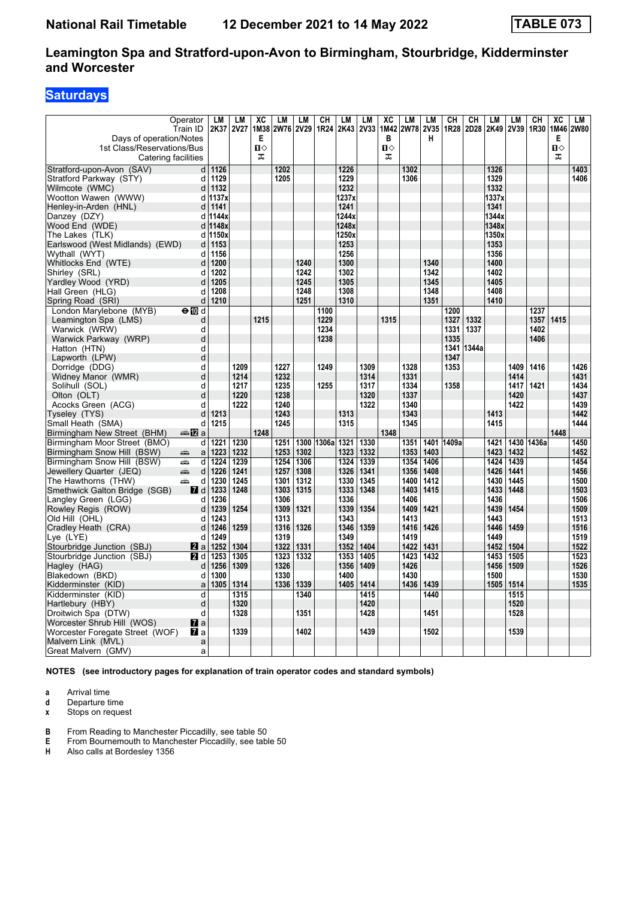# **Saturdays**

|                                      | Operator            | LM           | <b>LM</b>   | XC<br>1M38   | LM        | LM   | CН              | <b>LM</b>    | LM          | XC           | LM          | LM        | CH    | CН    | LM           | LM   | <b>CH</b>  | $\overline{\text{xc}}$ | LM<br>2W80 |
|--------------------------------------|---------------------|--------------|-------------|--------------|-----------|------|-----------------|--------------|-------------|--------------|-------------|-----------|-------|-------|--------------|------|------------|------------------------|------------|
| Days of operation/Notes              | Train ID            | 2K37         | <b>2V27</b> | Е            | 2W76 2V29 |      | 1R24            | 2K43         | <b>2V33</b> | 1M42<br>в    | <b>2W78</b> | 2V35<br>н | 1R28  | 2D28  | 2K49         | 2V39 | 1R30       | 1M46<br>Е              |            |
| 1st Class/Reservations/Bus           |                     |              |             | $\mathbf{u}$ |           |      |                 |              |             | $\mathbf{u}$ |             |           |       |       |              |      |            | п⇔                     |            |
|                                      | Catering facilities |              |             | ᠼ            |           |      |                 |              |             | ᠼ            |             |           |       |       |              |      |            | ᠼ                      |            |
| Stratford-upon-Avon (SAV)            | d                   | 1126         |             |              | 1202      |      |                 | 1226         |             |              | 1302        |           |       |       | 1326         |      |            |                        | 1403       |
| Stratford Parkway (STY)              | d                   | 1129         |             |              | 1205      |      |                 | 1229         |             |              | 1306        |           |       |       | 1329         |      |            |                        | 1406       |
| Wilmcote (WMC)                       | d                   | 1132         |             |              |           |      |                 | 1232         |             |              |             |           |       |       | 1332         |      |            |                        |            |
| Wootton Wawen (WWW)                  | d                   | 1137x        |             |              |           |      |                 | 1237x        |             |              |             |           |       |       | 1337x        |      |            |                        |            |
| Henley-in-Arden (HNL)                | d                   | 1141         |             |              |           |      |                 | 1241         |             |              |             |           |       |       | 1341         |      |            |                        |            |
| Danzey (DZY)                         |                     | d 1144x      |             |              |           |      |                 | 1244x        |             |              |             |           |       |       | 1344x        |      |            |                        |            |
| Wood End (WDE)                       | d                   | 1148x        |             |              |           |      |                 | 1248x        |             |              |             |           |       |       | 1348x        |      |            |                        |            |
| The Lakes (TLK)                      | d                   | 1150x        |             |              |           |      |                 | 1250x        |             |              |             |           |       |       | 1350x        |      |            |                        |            |
| Earlswood (West Midlands) (EWD)      | $\mathsf{d}$        | 1153         |             |              |           |      |                 | 1253         |             |              |             |           |       |       | 1353         |      |            |                        |            |
| Wythall (WYT)                        | d<br>d              | 1156<br>1200 |             |              |           | 1240 |                 | 1256<br>1300 |             |              |             | 1340      |       |       | 1356<br>1400 |      |            |                        |            |
| Whitlocks End (WTE)<br>Shirley (SRL) | d                   | 1202         |             |              |           | 1242 |                 | 1302         |             |              |             | 1342      |       |       | 1402         |      |            |                        |            |
| Yardley Wood (YRD)                   | d                   | 1205         |             |              |           | 1245 |                 | 1305         |             |              |             | 1345      |       |       | 1405         |      |            |                        |            |
| Hall Green (HLG)                     | d                   | 1208         |             |              |           | 1248 |                 | 1308         |             |              |             | 1348      |       |       | 1408         |      |            |                        |            |
| Spring Road (SRI)                    | d                   | 1210         |             |              |           | 1251 |                 | 1310         |             |              |             | 1351      |       |       | 1410         |      |            |                        |            |
| London Marylebone (MYB)              | $\Theta$ M d        |              |             |              |           |      | 1100            |              |             |              |             |           | 1200  |       |              |      | 1237       |                        |            |
| Leamington Spa (LMS)                 | d                   |              |             | 1215         |           |      | 1229            |              |             | 1315         |             |           | 1327  | 1332  |              |      | 1357       | 1415                   |            |
| Warwick (WRW)                        | d                   |              |             |              |           |      | 1234            |              |             |              |             |           | 1331  | 1337  |              |      | 1402       |                        |            |
| Warwick Parkway (WRP)                | d                   |              |             |              |           |      | 1238            |              |             |              |             |           | 1335  |       |              |      | 1406       |                        |            |
| Hatton (HTN)                         | d                   |              |             |              |           |      |                 |              |             |              |             |           | 1341  | 1344a |              |      |            |                        |            |
| Lapworth (LPW)                       | d                   |              |             |              |           |      |                 |              |             |              |             |           | 1347  |       |              |      |            |                        |            |
| Dorridge (DDG)                       | d                   |              | 1209        |              | 1227      |      | 1249            |              | 1309        |              | 1328        |           | 1353  |       |              | 1409 | 1416       |                        | 1426       |
| Widney Manor (WMR)                   | d                   |              | 1214        |              | 1232      |      |                 |              | 1314        |              | 1331        |           |       |       |              | 1414 |            |                        | 1431       |
| Solihull (SOL)                       | d                   |              | 1217        |              | 1235      |      | 1255            |              | 1317        |              | 1334        |           | 1358  |       |              | 1417 | 1421       |                        | 1434       |
| Olton (OLT)                          | d                   |              | 1220        |              | 1238      |      |                 |              | 1320        |              | 1337        |           |       |       |              | 1420 |            |                        | 1437       |
| Acocks Green (ACG)                   | d                   |              | 1222        |              | 1240      |      |                 |              | 1322        |              | 1340        |           |       |       |              | 1422 |            |                        | 1439       |
| Tyseley (TYS)                        | d                   | 1213         |             |              | 1243      |      |                 | 1313         |             |              | 1343        |           |       |       | 1413         |      |            |                        | 1442       |
| Small Heath (SMA)                    | d                   | 1215         |             |              | 1245      |      |                 | 1315         |             |              | 1345        |           |       |       | 1415         |      |            |                        | 1444       |
| Birmingham New Street (BHM)          | <b>▲12</b> a        |              |             | 1248         |           |      |                 |              |             | 1348         |             |           |       |       |              |      |            | 1448                   |            |
| Birmingham Moor Street (BMO)         | d                   | 1221         | 1230        |              | 1251      |      | 1300 1306a 1321 |              | 1330        |              | 1351        | 1401      | 1409a |       | 1421         |      | 1430 1436a |                        | 1450       |
| Birmingham Snow Hill (BSW)           | $\mathsf{a}$<br>پیش | 1223         | 1232        |              | 1253      | 1302 |                 | 1323         | 1332        |              | 1353        | 1403      |       |       | 1423         | 1432 |            |                        | 1452       |
| Birmingham Snow Hill (BSW)           | d<br>پیش            | 1224         | 1239        |              | 1254      | 1306 |                 | 1324         | 1339        |              | 1354        | 1406      |       |       | 1424         | 1439 |            |                        | 1454       |
| Jewellery Quarter (JEQ)              | ain<br>d            | 1226         | 1241        |              | 1257      | 1308 |                 | 1326         | 1341        |              | 1356        | 1408      |       |       | 1426         | 1441 |            |                        | 1456       |
| The Hawthorns (THW)                  | پیش<br>d            | 1230         | 1245        |              | 1301      | 1312 |                 | 1330         | 1345        |              | 1400        | 1412      |       |       | 1430         | 1445 |            |                        | 1500       |
| Smethwick Galton Bridge (SGB)        | 7d                  | 1233         | 1248        |              | 1303      | 1315 |                 | 1333         | 1348        |              | 1403        | 1415      |       |       | 1433         | 1448 |            |                        | 1503       |
| Langley Green (LGG)                  | d                   | 1236         |             |              | 1306      |      |                 | 1336         |             |              | 1406        |           |       |       | 1436         |      |            |                        | 1506       |
| Rowley Regis (ROW)                   | d                   | 1239         | 1254        |              | 1309      | 1321 |                 | 1339         | 1354        |              | 1409        | 1421      |       |       | 1439         | 1454 |            |                        | 1509       |
| Old Hill (OHL)                       | d                   | 1243         |             |              | 1313      |      |                 | 1343         |             |              | 1413        |           |       |       | 1443         |      |            |                        | 1513       |
| Cradley Heath (CRA)                  | d                   | 1246         | 1259        |              | 1316      | 1326 |                 | 1346         | 1359        |              | 1416        | 1426      |       |       | 1446         | 1459 |            |                        | 1516       |
| Lye (LYE)                            | d                   | 1249         |             |              | 1319      |      |                 | 1349         |             |              | 1419        |           |       |       | 1449         |      |            |                        | 1519       |
| Stourbridge Junction (SBJ)           | 2a                  | 1252         | 1304        |              | 1322      | 1331 |                 | 1352         | 1404        |              | 1422        | 1431      |       |       | 1452         | 1504 |            |                        | 1522       |
| Stourbridge Junction (SBJ)           | 2 d                 | 1253         | 1305        |              | 1323      | 1332 |                 | 1353         | 1405        |              | 1423        | 1432      |       |       | 1453         | 1505 |            |                        | 1523       |
| Hagley (HAG)                         | d                   | 1256         | 1309        |              | 1326      |      |                 | 1356         | 1409        |              | 1426        |           |       |       | 1456         | 1509 |            |                        | 1526       |
| Blakedown (BKD)                      | d                   | 1300         |             |              | 1330      |      |                 | 1400         |             |              | 1430        |           |       |       | 1500         |      |            |                        | 1530       |
| Kidderminster (KID)                  | $\mathsf{a}$        | 1305         | 1314        |              | 1336      | 1339 |                 | 1405         | 1414        |              | 1436        | 1439      |       |       | 1505         | 1514 |            |                        | 1535       |
| Kidderminster (KID)                  | d                   |              | 1315        |              |           | 1340 |                 |              | 1415        |              |             | 1440      |       |       |              | 1515 |            |                        |            |
| Hartlebury (HBY)                     | d                   |              | 1320        |              |           |      |                 |              | 1420        |              |             |           |       |       |              | 1520 |            |                        |            |
| Droitwich Spa (DTW)                  | d                   |              | 1328        |              |           | 1351 |                 |              | 1428        |              |             | 1451      |       |       |              | 1528 |            |                        |            |
| Worcester Shrub Hill (WOS)           | $\mathbf{z}$ a      |              |             |              |           |      |                 |              |             |              |             |           |       |       |              |      |            |                        |            |
| Worcester Foregate Street (WOF)      | <b>7</b> a          |              | 1339        |              |           | 1402 |                 |              | 1439        |              |             | 1502      |       |       |              | 1539 |            |                        |            |
| Malvern Link (MVL)                   | a                   |              |             |              |           |      |                 |              |             |              |             |           |       |       |              |      |            |                        |            |
| Great Malvern (GMV)                  | a                   |              |             |              |           |      |                 |              |             |              |             |           |       |       |              |      |            |                        |            |

**NOTES (see introductory pages for explanation of train operator codes and standard symbols)**

**a** Arrival time

**d** Departure time<br>**x** Stops on reque

**Stops on request** 

**B** From Reading to Manchester Piccadilly, see table 50 **E** From Bournemouth to Manchester Piccadilly, see table

**E** From Bournemouth to Manchester Piccadilly, see table 50

**H** Also calls at Bordesley 1356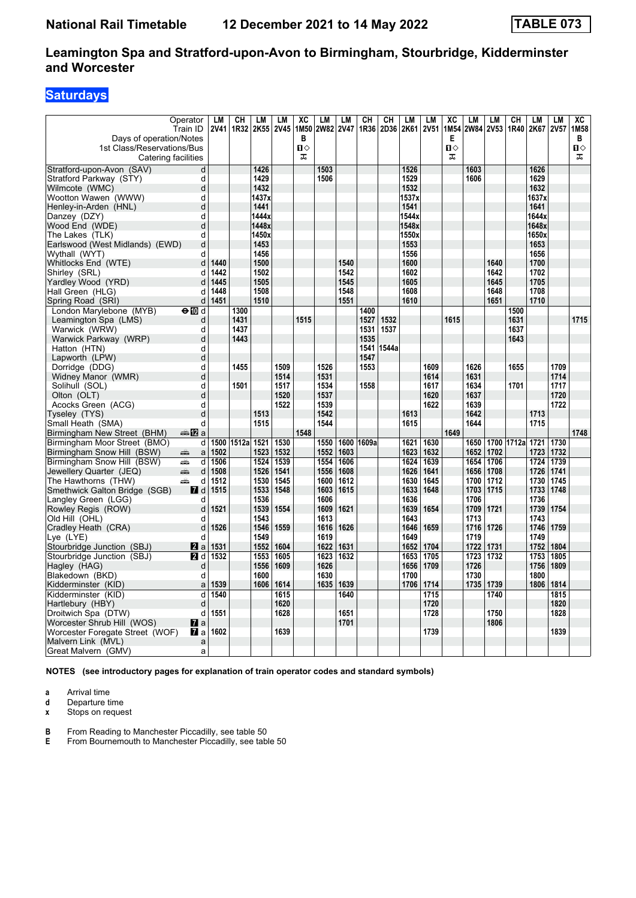# **Saturdays**

|                                           | Operator            | LM   | СH         | LМ           | LM   | XC           | LM             | <b>LM</b> | CН         | <b>CH</b>      | LM            | <b>LM</b> | XC   | LM   | LM        | CH              | <b>LM</b>     | <b>LM</b>   | XC               |
|-------------------------------------------|---------------------|------|------------|--------------|------|--------------|----------------|-----------|------------|----------------|---------------|-----------|------|------|-----------|-----------------|---------------|-------------|------------------|
|                                           | Train ID            |      | 2V41 1R32  | 2K55 2V45    |      |              | 1M50 2W82 2V47 |           | 1R36       | 2D36 2K61 2V51 |               |           | 1M54 |      | 2W84 2V53 | 1R40            | 2K67          | <b>2V57</b> | 1M <sub>58</sub> |
| Days of operation/Notes                   |                     |      |            |              |      | в            |                |           |            |                |               |           | Е    |      |           |                 |               |             | В                |
| 1st Class/Reservations/Bus                |                     |      |            |              |      | $\mathbf{u}$ |                |           |            |                |               |           | п⇔   |      |           |                 |               |             | $\mathbf{u}$     |
|                                           | Catering facilities |      |            |              |      | ᠼ            |                |           |            |                |               |           | ᠼ    |      |           |                 |               |             | ᠼ                |
| Stratford-upon-Avon (SAV)                 | d                   |      |            | 1426         |      |              | 1503           |           |            |                | 1526          |           |      | 1603 |           |                 | 1626          |             |                  |
| Stratford Parkway (STY)                   | d                   |      |            | 1429         |      |              | 1506           |           |            |                | 1529          |           |      | 1606 |           |                 | 1629          |             |                  |
| Wilmcote (WMC)                            | d                   |      |            | 1432         |      |              |                |           |            |                | 1532          |           |      |      |           |                 | 1632          |             |                  |
| Wootton Wawen (WWW)                       | d                   |      |            | 1437x        |      |              |                |           |            |                | 1537x         |           |      |      |           |                 | 1637x         |             |                  |
| Henley-in-Arden (HNL)                     | d                   |      |            | 1441         |      |              |                |           |            |                | 1541          |           |      |      |           |                 | 1641          |             |                  |
| Danzey (DZY)                              | d                   |      |            | 1444x        |      |              |                |           |            |                | 1544x         |           |      |      |           |                 | 1644x         |             |                  |
| Wood End (WDE)                            | d                   |      |            | 1448x        |      |              |                |           |            |                | 1548x         |           |      |      |           |                 | 1648x         |             |                  |
| The Lakes (TLK)                           | d                   |      |            | 1450x        |      |              |                |           |            |                | 1550x<br>1553 |           |      |      |           |                 | 1650x<br>1653 |             |                  |
| Earlswood (West Midlands) (EWD)           | d                   |      |            | 1453<br>1456 |      |              |                |           |            |                | 1556          |           |      |      |           |                 | 1656          |             |                  |
| Wythall (WYT)                             | d<br>d              | 1440 |            | 1500         |      |              |                | 1540      |            |                | 1600          |           |      |      | 1640      |                 | 1700          |             |                  |
| Whitlocks End (WTE)                       | d                   | 1442 |            | 1502         |      |              |                | 1542      |            |                | 1602          |           |      |      | 1642      |                 | 1702          |             |                  |
| Shirley (SRL)<br>Yardley Wood (YRD)       | d                   | 1445 |            | 1505         |      |              |                | 1545      |            |                | 1605          |           |      |      | 1645      |                 | 1705          |             |                  |
| Hall Green (HLG)                          | d                   | 1448 |            | 1508         |      |              |                | 1548      |            |                | 1608          |           |      |      | 1648      |                 | 1708          |             |                  |
| Spring Road (SRI)                         | d                   | 1451 |            | 1510         |      |              |                | 1551      |            |                | 1610          |           |      |      | 1651      |                 | 1710          |             |                  |
| London Marylebone (MYB)                   | ⊖n∏d                |      | 1300       |              |      |              |                |           | 1400       |                |               |           |      |      |           | 1500            |               |             |                  |
| Leamington Spa (LMS)                      | d                   |      | 1431       |              |      | 1515         |                |           | 1527       | 1532           |               |           | 1615 |      |           | 1631            |               |             | 1715             |
| Warwick (WRW)                             | d                   |      | 1437       |              |      |              |                |           | 1531       | 1537           |               |           |      |      |           | 1637            |               |             |                  |
| Warwick Parkway (WRP)                     | d                   |      | 1443       |              |      |              |                |           | 1535       |                |               |           |      |      |           | 1643            |               |             |                  |
| Hatton (HTN)                              | d                   |      |            |              |      |              |                |           | 1541       | 1544a          |               |           |      |      |           |                 |               |             |                  |
| Lapworth (LPW)                            | d                   |      |            |              |      |              |                |           | 1547       |                |               |           |      |      |           |                 |               |             |                  |
| Dorridge (DDG)                            | d                   |      | 1455       |              | 1509 |              | 1526           |           | 1553       |                |               | 1609      |      | 1626 |           | 1655            |               | 1709        |                  |
| Widney Manor (WMR)                        | d                   |      |            |              | 1514 |              | 1531           |           |            |                |               | 1614      |      | 1631 |           |                 |               | 1714        |                  |
| Solihull (SOL)                            | d                   |      | 1501       |              | 1517 |              | 1534           |           | 1558       |                |               | 1617      |      | 1634 |           | 1701            |               | 1717        |                  |
| Olton (OLT)                               | d                   |      |            |              | 1520 |              | 1537           |           |            |                |               | 1620      |      | 1637 |           |                 |               | 1720        |                  |
| Acocks Green (ACG)                        | d                   |      |            |              | 1522 |              | 1539           |           |            |                |               | 1622      |      | 1639 |           |                 |               | 1722        |                  |
| Tyseley (TYS)                             | d                   |      |            | 1513         |      |              | 1542           |           |            |                | 1613          |           |      | 1642 |           |                 | 1713          |             |                  |
| Small Heath (SMA)                         | d                   |      |            | 1515         |      |              | 1544           |           |            |                | 1615          |           |      | 1644 |           |                 | 1715          |             |                  |
| Birmingham New Street (BHM)               | ⊯a MZ a             |      |            |              |      | 1548         |                |           |            |                |               |           | 1649 |      |           |                 |               |             | 1748             |
| Birmingham Moor Street (BMO)              | d                   |      | 1500 1512a | 1521         | 1530 |              | 1550           |           | 1600 1609a |                | 1621          | 1630      |      | 1650 |           | 1700 1712a 1721 |               | 1730        |                  |
| Birmingham Snow Hill (BSW)                | پیش<br>a            | 1502 |            | 1523         | 1532 |              | 1552           | 1603      |            |                | 1623          | 1632      |      | 1652 | 1702      |                 | 1723          | 1732        |                  |
| Birmingham Snow Hill (BSW)                | aîn.<br>d           | 1506 |            | 1524         | 1539 |              | 1554           | 1606      |            |                | 1624          | 1639      |      | 1654 | 1706      |                 | 1724          | 1739        |                  |
| Jewellery Quarter (JEQ)                   | aîn<br>d            | 1508 |            | 1526         | 1541 |              | 1556           | 1608      |            |                | 1626          | 1641      |      | 1656 | 1708      |                 | 1726          | 1741        |                  |
| The Hawthorns (THW)                       | æ<br>d              | 1512 |            | 1530         | 1545 |              | 1600           | 1612      |            |                | 1630          | 1645      |      | 1700 | 1712      |                 | 1730          | 1745        |                  |
| Smethwick Galton Bridge (SGB)             | <b>7</b> d          | 1515 |            | 1533         | 1548 |              | 1603           | 1615      |            |                | 1633          | 1648      |      | 1703 | 1715      |                 | 1733          | 1748        |                  |
| Langley Green (LGG)                       | d                   |      |            | 1536         |      |              | 1606           |           |            |                | 1636          |           |      | 1706 |           |                 | 1736          |             |                  |
| Rowley Regis (ROW)                        | d                   | 1521 |            | 1539         | 1554 |              | 1609           | 1621      |            |                | 1639          | 1654      |      | 1709 | 1721      |                 | 1739          | 1754        |                  |
| Old Hill (OHL)                            | d                   |      |            | 1543         |      |              | 1613           |           |            |                | 1643          |           |      | 1713 |           |                 | 1743          |             |                  |
| Cradley Heath (CRA)                       | d                   | 1526 |            | 1546         | 1559 |              | 1616           | 1626      |            |                | 1646          | 1659      |      | 1716 | 1726      |                 | 1746          | 1759        |                  |
| Lye (LYE)                                 | d                   |      |            | 1549         |      |              | 1619           |           |            |                | 1649          |           |      | 1719 |           |                 | 1749          |             |                  |
| Stourbridge Junction (SBJ)                | <b>Z</b> a          | 1531 |            | 1552         | 1604 |              | 1622           | 1631      |            |                | 1652          | 1704      |      | 1722 | 1731      |                 | 1752          | 1804        |                  |
| Stourbridge Junction (SBJ)                | <b>2</b> d          | 1532 |            | 1553         | 1605 |              | 1623           | 1632      |            |                | 1653          | 1705      |      | 1723 | 1732      |                 | 1753          | 1805        |                  |
| Hagley (HAG)                              | d                   |      |            | 1556         | 1609 |              | 1626           |           |            |                | 1656          | 1709      |      | 1726 |           |                 | 1756          | 1809        |                  |
| Blakedown (BKD)                           | d                   |      |            | 1600         |      |              | 1630           |           |            |                | 1700          |           |      | 1730 |           |                 | 1800          |             |                  |
| Kidderminster (KID)                       | a                   | 1539 |            | 1606         | 1614 |              | 1635           | 1639      |            |                | 1706          | 1714      |      | 1735 | 1739      |                 | 1806          | 1814        |                  |
| Kidderminster (KID)                       | d                   | 1540 |            |              | 1615 |              |                | 1640      |            |                |               | 1715      |      |      | 1740      |                 |               | 1815        |                  |
| Hartlebury (HBY)                          | d                   |      |            |              | 1620 |              |                |           |            |                |               | 1720      |      |      |           |                 |               | 1820        |                  |
| Droitwich Spa (DTW)                       | d                   | 1551 |            |              | 1628 |              |                | 1651      |            |                |               | 1728      |      |      | 1750      |                 |               | 1828        |                  |
| Worcester Shrub Hill (WOS)                | <b>7</b> a          |      |            |              |      |              |                | 1701      |            |                |               |           |      |      | 1806      |                 |               |             |                  |
| Worcester Foregate Street (WOF)           | <b>7</b> ⊿a         | 1602 |            |              | 1639 |              |                |           |            |                |               | 1739      |      |      |           |                 |               | 1839        |                  |
| Malvern Link (MVL)<br>Great Malvern (GMV) | a                   |      |            |              |      |              |                |           |            |                |               |           |      |      |           |                 |               |             |                  |
|                                           | a                   |      |            |              |      |              |                |           |            |                |               |           |      |      |           |                 |               |             |                  |

**NOTES (see introductory pages for explanation of train operator codes and standard symbols)**

**a** Arrival time

**d** Departure time<br>**x** Stops on reque

**Stops on request** 

**B** From Reading to Manchester Piccadilly, see table 50

**E** From Bournemouth to Manchester Piccadilly, see table 50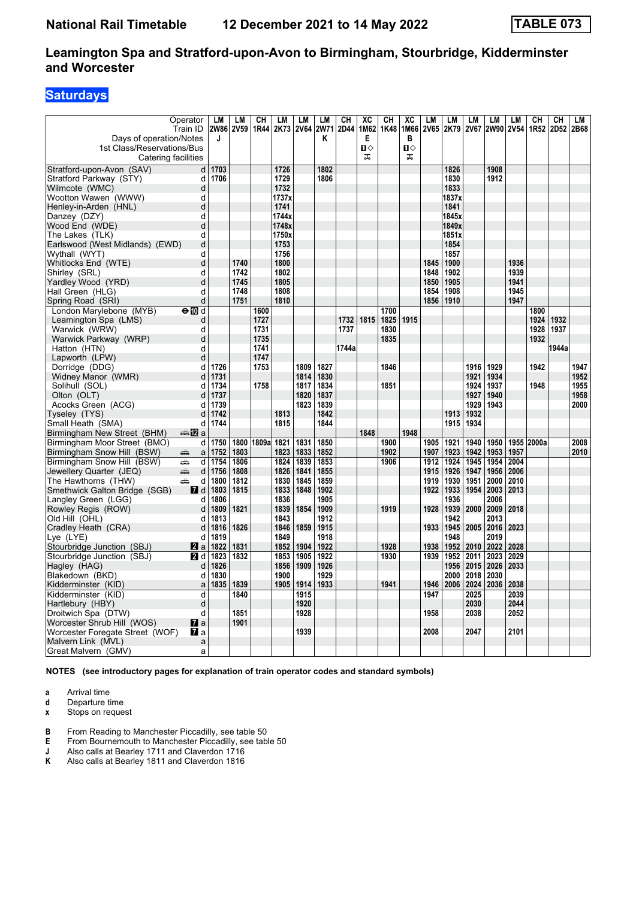# **Saturdays**

|                                                       | Operator            | LM       | <b>LM</b> | CН         | LM           | LM   | <b>LM</b>   | <b>CH</b> | XC           | CН   | XC           | LM   | <b>LM</b>    | LM   | LM        | LM          | CН         | CH    | LM   |
|-------------------------------------------------------|---------------------|----------|-----------|------------|--------------|------|-------------|-----------|--------------|------|--------------|------|--------------|------|-----------|-------------|------------|-------|------|
|                                                       | Train ID            |          | 2W86 2V59 | 1R44       | 2K73         |      | 2V64 2W71   | 2D44      | 1M62         | 1K48 | 1M66         | 2V65 | 2K79         |      | 2V67 2W90 | <b>2V54</b> | 1R52       | 2D52  | 2B68 |
| Days of operation/Notes                               |                     | J        |           |            |              |      | Κ           |           | Е            |      | в            |      |              |      |           |             |            |       |      |
| 1st Class/Reservations/Bus                            |                     |          |           |            |              |      |             |           | $\mathbf{u}$ |      | $\mathbf{u}$ |      |              |      |           |             |            |       |      |
|                                                       | Catering facilities |          |           |            |              |      |             |           | ᅚ            |      | ᠼ            |      |              |      |           |             |            |       |      |
| Stratford-upon-Avon (SAV)                             | d                   | 1703     |           |            | 1726         |      | 1802        |           |              |      |              |      | 1826         |      | 1908      |             |            |       |      |
| Stratford Parkway (STY)                               | d                   | 1706     |           |            | 1729         |      | 1806        |           |              |      |              |      | 1830         |      | 1912      |             |            |       |      |
| Wilmcote (WMC)                                        | d                   |          |           |            | 1732         |      |             |           |              |      |              |      | 1833         |      |           |             |            |       |      |
| Wootton Wawen (WWW)                                   | d                   |          |           |            | 1737x        |      |             |           |              |      |              |      | 1837x        |      |           |             |            |       |      |
| Henley-in-Arden (HNL)                                 | $\mathbf d$         |          |           |            | 1741         |      |             |           |              |      |              |      | 1841         |      |           |             |            |       |      |
| Danzey (DZY)                                          | d                   |          |           |            | 1744x        |      |             |           |              |      |              |      | 1845x        |      |           |             |            |       |      |
| Wood End (WDE)                                        | d                   |          |           |            | 1748x        |      |             |           |              |      |              |      | 1849x        |      |           |             |            |       |      |
| The Lakes (TLK)                                       | d                   |          |           |            | 1750x        |      |             |           |              |      |              |      | 1851x        |      |           |             |            |       |      |
| Earlswood (West Midlands) (EWD)                       | d                   |          |           |            | 1753         |      |             |           |              |      |              |      | 1854<br>1857 |      |           |             |            |       |      |
| Wythall (WYT)                                         | d<br>d              |          | 1740      |            | 1756<br>1800 |      |             |           |              |      |              | 1845 | 1900         |      |           | 1936        |            |       |      |
| Whitlocks End (WTE)<br>Shirley (SRL)                  | d                   |          | 1742      |            | 1802         |      |             |           |              |      |              | 1848 | 1902         |      |           | 1939        |            |       |      |
| Yardley Wood (YRD)                                    | d                   |          | 1745      |            | 1805         |      |             |           |              |      |              | 1850 | 1905         |      |           | 1941        |            |       |      |
| Hall Green (HLG)                                      | d                   |          | 1748      |            | 1808         |      |             |           |              |      |              | 1854 | 1908         |      |           | 1945        |            |       |      |
| Spring Road (SRI)                                     | d                   |          | 1751      |            | 1810         |      |             |           |              |      |              | 1856 | 1910         |      |           | 1947        |            |       |      |
| London Marylebone (MYB)                               | $\Theta$ M d        |          |           | 1600       |              |      |             |           |              | 1700 |              |      |              |      |           |             | 1800       |       |      |
| Leamington Spa (LMS)                                  | d                   |          |           | 1727       |              |      |             | 1732      | 1815         | 1825 | 1915         |      |              |      |           |             | 1924       | 1932  |      |
| Warwick (WRW)                                         | d                   |          |           | 1731       |              |      |             | 1737      |              | 1830 |              |      |              |      |           |             | 1928       | 1937  |      |
| Warwick Parkway (WRP)                                 | d                   |          |           | 1735       |              |      |             |           |              | 1835 |              |      |              |      |           |             | 1932       |       |      |
| Hatton (HTN)                                          | d                   |          |           | 1741       |              |      |             | 1744a     |              |      |              |      |              |      |           |             |            | 1944a |      |
| Lapworth (LPW)                                        | d                   |          |           | 1747       |              |      |             |           |              |      |              |      |              |      |           |             |            |       |      |
| Dorridge (DDG)                                        | d                   | 1726     |           | 1753       |              | 1809 | 1827        |           |              | 1846 |              |      |              | 1916 | 1929      |             | 1942       |       | 1947 |
| Widney Manor (WMR)                                    | d                   | 1731     |           |            |              | 1814 | 1830        |           |              |      |              |      |              | 1921 | 1934      |             |            |       | 1952 |
| Solihull (SOL)                                        | d                   | 1734     |           | 1758       |              | 1817 | 1834        |           |              | 1851 |              |      |              | 1924 | 1937      |             | 1948       |       | 1955 |
| Olton (OLT)                                           | d                   | 1737     |           |            |              |      | 1820   1837 |           |              |      |              |      |              | 1927 | 1940      |             |            |       | 1958 |
| Acocks Green (ACG)                                    | d                   | 1739     |           |            |              | 1823 | 1839        |           |              |      |              |      |              | 1929 | 1943      |             |            |       | 2000 |
| Tyseley (TYS)                                         | d                   | 1742     |           |            | 1813         |      | 1842        |           |              |      |              |      | 1913         | 1932 |           |             |            |       |      |
| Small Heath (SMA)                                     | d                   | 1744     |           |            | 1815         |      | 1844        |           |              |      |              |      | 1915         | 1934 |           |             |            |       |      |
| Birmingham New Street (BHM)                           | <b>▲12</b> a        |          |           |            |              |      |             |           | 1848         |      | 1948         |      |              |      |           |             |            |       |      |
| Birmingham Moor Street (BMO)                          |                     | d   1750 |           | 1800 1809a | 1821         | 1831 | 1850        |           |              | 1900 |              | 1905 | 1921         | 1940 | 1950      |             | 1955 2000a |       | 2008 |
| Birmingham Snow Hill (BSW)                            | $\mathsf{a}$<br>پیش | 1752     | 1803      |            | 1823         | 1833 | 1852        |           |              | 1902 |              | 1907 | 1923         | 1942 | 1953      | 1957        |            |       | 2010 |
| Birmingham Snow Hill (BSW)                            | پیشته<br>d          | 1754     | 1806      |            | 1824         | 1839 | 1853        |           |              | 1906 |              | 1912 | 1924         | 1945 | 1954      | 2004        |            |       |      |
| Jewellery Quarter (JEQ)                               | ain<br>d            | 1756     | 1808      |            | 1826         | 1841 | 1855        |           |              |      |              | 1915 | 1926         | 1947 | 1956      | 2006        |            |       |      |
| The Hawthorns (THW)                                   | پیش<br>d            | 1800     | 1812      |            | 1830         | 1845 | 1859        |           |              |      |              | 1919 | 1930         | 1951 | 2000      | 2010        |            |       |      |
| Smethwick Galton Bridge (SGB)                         | <b>7</b> d          | 1803     | 1815      |            | 1833         | 1848 | 1902        |           |              |      |              | 1922 | 1933         | 1954 | 2003      | 2013        |            |       |      |
| Langley Green (LGG)                                   | d                   | 1806     |           |            | 1836         |      | 1905        |           |              |      |              |      | 1936         |      | 2006      |             |            |       |      |
| Rowley Regis (ROW)                                    | d                   | 1809     | 1821      |            | 1839         | 1854 | 1909        |           |              | 1919 |              | 1928 | 1939         | 2000 | 2009      | 2018        |            |       |      |
| Old Hill (OHL)                                        | d                   | 1813     |           |            | 1843         |      | 1912        |           |              |      |              |      | 1942         |      | 2013      |             |            |       |      |
| Cradley Heath (CRA)                                   | d                   | 1816     | 1826      |            | 1846         | 1859 | 1915        |           |              |      |              | 1933 | 1945         | 2005 | 2016      | 2023        |            |       |      |
| Lye (LYE)                                             | d                   | 1819     |           |            | 1849         |      | 1918        |           |              |      |              |      | 1948         |      | 2019      |             |            |       |      |
| Stourbridge Junction (SBJ)                            | 2a                  | 1822     | 1831      |            | 1852         | 1904 | 1922        |           |              | 1928 |              | 1938 | 1952         | 2010 | 2022      | 2028        |            |       |      |
| Stourbridge Junction (SBJ)                            | 2 d                 | 1823     | 1832      |            | 1853         | 1905 | 1922        |           |              | 1930 |              | 1939 | 1952         | 2011 | 2023      | 2029        |            |       |      |
| Hagley (HAG)                                          | d                   | 1826     |           |            | 1856         | 1909 | 1926        |           |              |      |              |      | 1956         | 2015 | 2026      | 2033        |            |       |      |
| Blakedown (BKD)                                       | d                   | 1830     |           |            | 1900         |      | 1929        |           |              |      |              |      | 2000         | 2018 | 2030      |             |            |       |      |
| Kidderminster (KID)                                   | $\mathsf{a}$        | 1835     | 1839      |            | 1905         | 1914 | 1933        |           |              | 1941 |              | 1946 | 2006         | 2024 | 2036      | 2038        |            |       |      |
| Kidderminster (KID)                                   | d                   |          | 1840      |            |              | 1915 |             |           |              |      |              | 1947 |              | 2025 |           | 2039        |            |       |      |
| Hartlebury (HBY)                                      | d                   |          |           |            |              | 1920 |             |           |              |      |              |      |              | 2030 |           | 2044        |            |       |      |
| Droitwich Spa (DTW)                                   | d                   |          | 1851      |            |              | 1928 |             |           |              |      |              | 1958 |              | 2038 |           | 2052        |            |       |      |
| Worcester Shrub Hill (WOS)                            | $\mathbf{z}$ a      |          | 1901      |            |              |      |             |           |              |      |              |      |              |      |           |             |            |       |      |
| Worcester Foregate Street (WOF)<br>Malvern Link (MVL) | <b>7</b> a          |          |           |            |              | 1939 |             |           |              |      |              | 2008 |              | 2047 |           | 2101        |            |       |      |
| Great Malvern (GMV)                                   | a<br>a              |          |           |            |              |      |             |           |              |      |              |      |              |      |           |             |            |       |      |
|                                                       |                     |          |           |            |              |      |             |           |              |      |              |      |              |      |           |             |            |       |      |

**NOTES (see introductory pages for explanation of train operator codes and standard symbols)**

**a** Arrival time

**d** Departure time<br>**x** Stops on reque **Stops on request** 

**B** From Reading to Manchester Piccadilly, see table 50 **E** From Bournemouth to Manchester Piccadilly, see table

- **E** From Bournemouth to Manchester Piccadilly, see table 50<br>**J** Also calls at Bearley 1711 and Claverdon 1716
- **J** Also calls at Bearley 1711 and Claverdon 1716<br>**K** Also calls at Bearley 1811 and Claverdon 1816
- **.** Also calls at Bearley 1811 and Claverdon 1816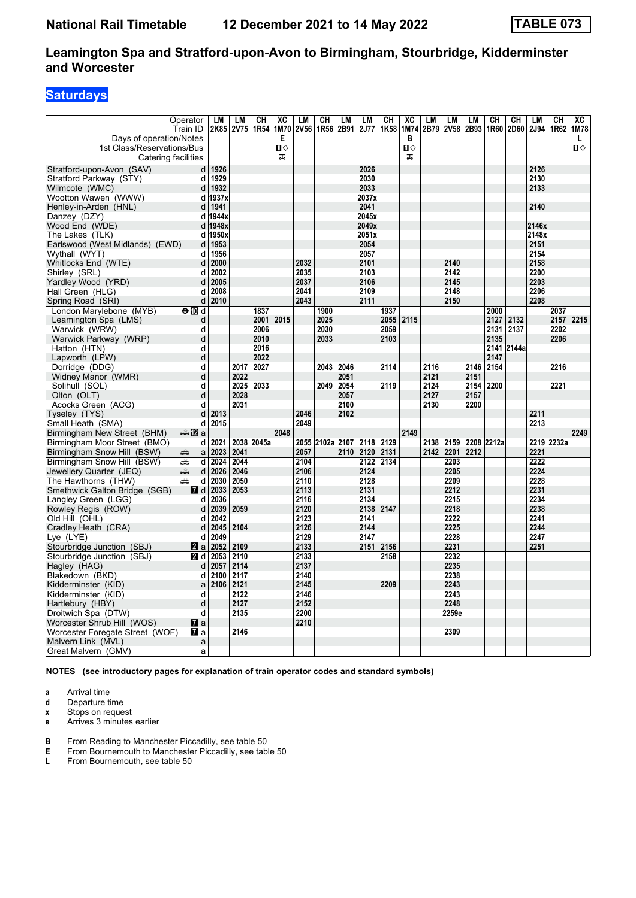# **Saturdays**

|                                                       | Operator<br>Train ID | LM<br>2K85              | <b>LM</b><br><b>2V75</b> | CН<br>1R54 | XC<br>1M70               | LM<br><b>2V56</b> | <b>CH</b><br>1R56 | LM<br>2B91   | LM<br><b>2J77</b> | CН<br>1K <sub>58</sub> | XC<br>1M74               | LM<br>2B79 | <b>LM</b><br>2V58 | LM<br>2B93   | CH<br>1R60 | CН<br>2D60 | LM<br>2J94 | CH<br>1R62 | XC<br>1M78        |
|-------------------------------------------------------|----------------------|-------------------------|--------------------------|------------|--------------------------|-------------------|-------------------|--------------|-------------------|------------------------|--------------------------|------------|-------------------|--------------|------------|------------|------------|------------|-------------------|
| Days of operation/Notes<br>1st Class/Reservations/Bus | Catering facilities  |                         |                          |            | Е<br>$\blacksquare$<br>ᠼ |                   |                   |              |                   |                        | в<br>$\blacksquare$<br>ᠼ |            |                   |              |            |            |            |            | L<br>$\mathbf{u}$ |
| Stratford-upon-Avon (SAV)                             | d                    | 1926                    |                          |            |                          |                   |                   |              | 2026              |                        |                          |            |                   |              |            |            | 2126       |            |                   |
| Stratford Parkway (STY)                               | d                    | 1929                    |                          |            |                          |                   |                   |              | 2030              |                        |                          |            |                   |              |            |            | 2130       |            |                   |
| Wilmcote (WMC)                                        | d                    | 1932                    |                          |            |                          |                   |                   |              | 2033              |                        |                          |            |                   |              |            |            | 2133       |            |                   |
| Wootton Wawen (WWW)                                   | d                    | 1937x                   |                          |            |                          |                   |                   |              | 2037x             |                        |                          |            |                   |              |            |            |            |            |                   |
| Henley-in-Arden (HNL)                                 | d                    | 1941                    |                          |            |                          |                   |                   |              | 2041              |                        |                          |            |                   |              |            |            | 2140       |            |                   |
| Danzey (DZY)                                          | d                    | 1944x                   |                          |            |                          |                   |                   |              | 2045x             |                        |                          |            |                   |              |            |            |            |            |                   |
| Wood End (WDE)                                        | d                    | 1948x                   |                          |            |                          |                   |                   |              | 2049x             |                        |                          |            |                   |              |            |            | 2146x      |            |                   |
| The Lakes (TLK)                                       | d                    | 1950x                   |                          |            |                          |                   |                   |              | 2051x             |                        |                          |            |                   |              |            |            | 2148x      |            |                   |
| Earlswood (West Midlands) (EWD)                       | d                    | 1953                    |                          |            |                          |                   |                   |              | 2054              |                        |                          |            |                   |              |            |            | 2151       |            |                   |
| Wythall (WYT)                                         | d                    | 1956                    |                          |            |                          |                   |                   |              | 2057              |                        |                          |            |                   |              |            |            | 2154       |            |                   |
| Whitlocks End (WTE)                                   | d                    | 2000                    |                          |            |                          | 2032              |                   |              | 2101              |                        |                          |            | 2140              |              |            |            | 2158       |            |                   |
| Shirley (SRL)                                         | d                    | 2002                    |                          |            |                          | 2035              |                   |              | 2103              |                        |                          |            | 2142              |              |            |            | 2200       |            |                   |
| Yardley Wood (YRD)                                    | d                    | 2005                    |                          |            |                          | 2037              |                   |              | 2106              |                        |                          |            | 2145              |              |            |            | 2203       |            |                   |
| Hall Green (HLG)                                      | d                    | 2008                    |                          |            |                          | 2041              |                   |              | 2109              |                        |                          |            | 2148              |              |            |            | 2206       |            |                   |
| Spring Road (SRI)                                     | d                    | 2010                    |                          |            |                          | 2043              |                   |              | 2111              |                        |                          |            | 2150              |              |            |            | 2208       |            |                   |
| London Marylebone (MYB)                               | $\Theta$ M d         |                         |                          | 1837       |                          |                   | 1900              |              |                   | 1937                   |                          |            |                   |              | 2000       |            |            | 2037       |                   |
| Leamington Spa (LMS)                                  | d                    |                         |                          | 2001       | 2015                     |                   | 2025              |              |                   | 2055                   | 2115                     |            |                   |              | 2127       | 2132       |            | 2157       | 2215              |
| Warwick (WRW)                                         | d                    |                         |                          | 2006       |                          |                   | 2030              |              |                   | 2059                   |                          |            |                   |              | 2131       | 2137       |            | 2202       |                   |
| Warwick Parkway (WRP)                                 | d                    |                         |                          | 2010       |                          |                   | 2033              |              |                   | 2103                   |                          |            |                   |              | 2135       |            |            | 2206       |                   |
| Hatton (HTN)                                          | d                    |                         |                          | 2016       |                          |                   |                   |              |                   |                        |                          |            |                   |              |            | 2141 2144a |            |            |                   |
| Lapworth (LPW)                                        | d                    |                         | 2017                     | 2022       |                          |                   |                   |              |                   |                        |                          | 2116       |                   |              | 2147       |            |            |            |                   |
| Dorridge (DDG)                                        | d<br>d               |                         | 2022                     | 2027       |                          |                   | 2043              | 2046<br>2051 |                   | 2114                   |                          | 2121       |                   | 2146<br>2151 | 2154       |            |            | 2216       |                   |
| Widney Manor (WMR)<br>Solihull (SOL)                  | d                    |                         | 2025                     | 2033       |                          |                   | 2049              | 2054         |                   | 2119                   |                          | 2124       |                   | 2154         | 2200       |            |            | 2221       |                   |
| Olton (OLT)                                           | d                    |                         | 2028                     |            |                          |                   |                   | 2057         |                   |                        |                          | 2127       |                   | 2157         |            |            |            |            |                   |
| Acocks Green (ACG)                                    | d                    |                         | 2031                     |            |                          |                   |                   | 2100         |                   |                        |                          | 2130       |                   | 2200         |            |            |            |            |                   |
| Tyseley (TYS)                                         | d                    | 2013                    |                          |            |                          | 2046              |                   | 2102         |                   |                        |                          |            |                   |              |            |            | 2211       |            |                   |
| Small Heath (SMA)                                     | d                    | 2015                    |                          |            |                          | 2049              |                   |              |                   |                        |                          |            |                   |              |            |            | 2213       |            |                   |
| Birmingham New Street (BHM)                           | <b>▲12</b> a         |                         |                          |            | 2048                     |                   |                   |              |                   |                        | 2149                     |            |                   |              |            |            |            |            | 2249              |
| Birmingham Moor Street (BMO)                          | d                    | 2021                    | 2038                     | 2045a      |                          |                   | 2055 2102a 2107   |              | 2118              | 2129                   |                          | 2138       | 2159              |              | 2208 2212a |            |            | 2219 2232a |                   |
| Birmingham Snow Hill (BSW)                            | $\mathsf{a}$<br>æ    | 2023                    | 2041                     |            |                          | 2057              |                   | 2110         | 2120              | 2131                   |                          | 2142       | 2201              | 2212         |            |            | 2221       |            |                   |
| Birmingham Snow Hill (BSW)                            | aîn.<br>d            | 2024                    | 2044                     |            |                          | 2104              |                   |              | 2122              | 2134                   |                          |            | 2203              |              |            |            | 2222       |            |                   |
| Jewellery Quarter (JEQ)                               | ain<br>d             | 2026                    | 2046                     |            |                          | 2106              |                   |              | 2124              |                        |                          |            | 2205              |              |            |            | 2224       |            |                   |
| The Hawthorns (THW)                                   | پیش<br>d             | 2030                    | 2050                     |            |                          | 2110              |                   |              | 2128              |                        |                          |            | 2209              |              |            |            | 2228       |            |                   |
| Smethwick Galton Bridge (SGB)                         |                      | $\blacksquare$ d   2033 | 2053                     |            |                          | 2113              |                   |              | 2131              |                        |                          |            | 2212              |              |            |            | 2231       |            |                   |
| Langley Green (LGG)                                   | d                    | 2036                    |                          |            |                          | 2116              |                   |              | 2134              |                        |                          |            | 2215              |              |            |            | 2234       |            |                   |
| Rowley Regis (ROW)                                    | d                    | 2039                    | 2059                     |            |                          | 2120              |                   |              | 2138              | 2147                   |                          |            | 2218              |              |            |            | 2238       |            |                   |
| Old Hill (OHL)                                        | d                    | 2042                    |                          |            |                          | 2123              |                   |              | 2141              |                        |                          |            | 2222              |              |            |            | 2241       |            |                   |
| Cradley Heath (CRA)                                   | d                    | 2045                    | 2104                     |            |                          | 2126              |                   |              | 2144              |                        |                          |            | 2225              |              |            |            | 2244       |            |                   |
| $Lve$ (LYE)                                           | d                    | 2049                    |                          |            |                          | 2129              |                   |              | 2147              |                        |                          |            | 2228              |              |            |            | 2247       |            |                   |
| Stourbridge Junction (SBJ)                            | <b>Z</b> a           | 2052                    | 2109                     |            |                          | 2133              |                   |              | 2151              | 2156                   |                          |            | 2231              |              |            |            | 2251       |            |                   |
| Stourbridge Junction (SBJ)                            | 21 d                 | 2053                    | 2110                     |            |                          | 2133              |                   |              |                   | 2158                   |                          |            | 2232              |              |            |            |            |            |                   |
| Hagley (HAG)                                          | d                    | 2057                    | 2114                     |            |                          | 2137              |                   |              |                   |                        |                          |            | 2235              |              |            |            |            |            |                   |
| Blakedown (BKD)                                       | d                    | 2100                    | 2117                     |            |                          | 2140              |                   |              |                   |                        |                          |            | 2238              |              |            |            |            |            |                   |
| Kidderminster (KID)                                   |                      | $a$ 2106                | 2121                     |            |                          | 2145              |                   |              |                   | 2209                   |                          |            | 2243              |              |            |            |            |            |                   |
| Kidderminster (KID)                                   | d                    |                         | 2122                     |            |                          | 2146              |                   |              |                   |                        |                          |            | 2243              |              |            |            |            |            |                   |
| Hartlebury (HBY)                                      | d                    |                         | 2127                     |            |                          | 2152              |                   |              |                   |                        |                          |            | 2248              |              |            |            |            |            |                   |
| Droitwich Spa (DTW)                                   | d                    |                         | 2135                     |            |                          | 2200              |                   |              |                   |                        |                          |            | 2259e             |              |            |            |            |            |                   |
| Worcester Shrub Hill (WOS)                            | $\mathbf{z}$ a       |                         |                          |            |                          | 2210              |                   |              |                   |                        |                          |            |                   |              |            |            |            |            |                   |
| Worcester Foregate Street (WOF)                       | $\mathbf{z}$ a       |                         | 2146                     |            |                          |                   |                   |              |                   |                        |                          |            | 2309              |              |            |            |            |            |                   |
| Malvern Link (MVL)                                    | a                    |                         |                          |            |                          |                   |                   |              |                   |                        |                          |            |                   |              |            |            |            |            |                   |
| Great Malvern (GMV)                                   | a                    |                         |                          |            |                          |                   |                   |              |                   |                        |                          |            |                   |              |            |            |            |            |                   |

**NOTES (see introductory pages for explanation of train operator codes and standard symbols)**

- **a** Arrival time
- **d** Departure time<br>**x** Stops on reque
- **Stops on request**
- **e** Arrives 3 minutes earlier
- **B** From Reading to Manchester Piccadilly, see table 50 **E** From Bournemouth to Manchester Piccadilly, see table
- **E** From Bournemouth to Manchester Piccadilly, see table 50
- **/** From Bournemouth, see table 50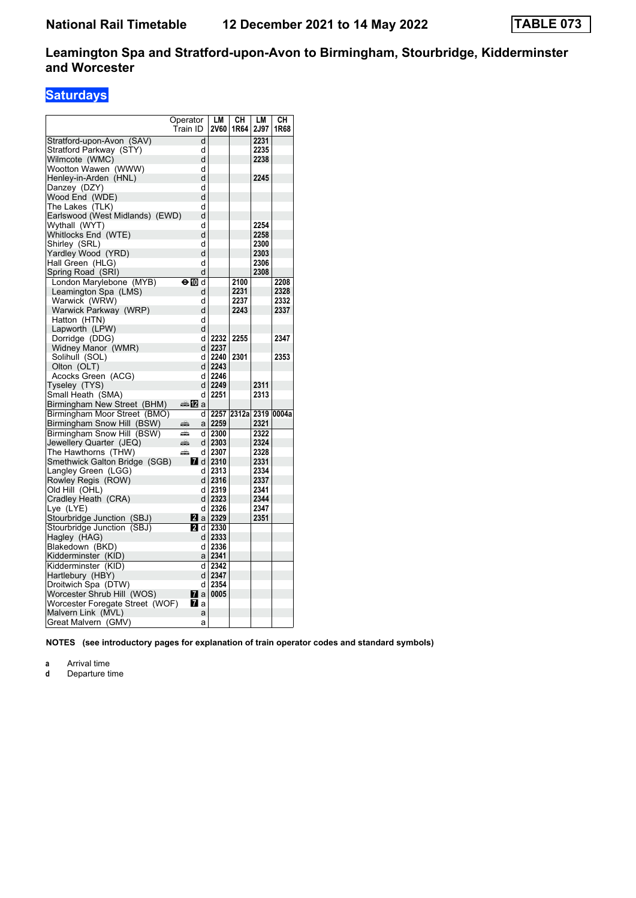# **Saturdays**

|                                 | Operator                | LM              | CН                     | LМ   | CН   |
|---------------------------------|-------------------------|-----------------|------------------------|------|------|
|                                 | Train ID                | <b>2V60</b>     | 1R64                   | 2J97 | 1R68 |
| Stratford-upon-Avon (SAV)       | d                       |                 |                        | 2231 |      |
| Stratford Parkway (STY)         | d                       |                 |                        | 2235 |      |
| Wilmcote (WMC)                  | d                       |                 |                        | 2238 |      |
| Wootton Wawen (WWW)             | d                       |                 |                        |      |      |
| Henley-in-Arden (HNL)           | d                       |                 |                        | 2245 |      |
| Danzey (DZY)                    | d                       |                 |                        |      |      |
| Wood End (WDE)                  | d                       |                 |                        |      |      |
| The Lakes (TLK)                 | d                       |                 |                        |      |      |
| Earlswood (West Midlands) (EWD) | d                       |                 |                        |      |      |
| Wythall (WYT)                   | d                       |                 |                        | 2254 |      |
| Whitlocks End (WTE)             | d                       |                 |                        | 2258 |      |
| Shirley (SRL)                   | d                       |                 |                        | 2300 |      |
| Yardley Wood (YRD)              | d                       |                 |                        | 2303 |      |
| Hall Green (HLG)                | d                       |                 |                        | 2306 |      |
| Spring Road (SRI)               | d                       |                 |                        | 2308 |      |
| London Marylebone (MYB)         | ⊖MDd                    |                 | 2100                   |      | 2208 |
| Leamington Spa (LMS)            | d                       |                 | 2231                   |      | 2328 |
| Warwick (WRW)                   | d                       |                 | 2237                   |      | 2332 |
| Warwick Parkway (WRP)           | d                       |                 | 2243                   |      | 2337 |
| Hatton (HTN)                    | d                       |                 |                        |      |      |
| Lapworth (LPW)                  | d                       |                 |                        |      |      |
| Dorridge (DDG)                  | d                       | 2232            | 2255                   |      | 2347 |
| Widney Manor (WMR)              | dl                      | 2237            |                        |      |      |
| Solihull (SOL)                  | d                       | 2240            | 2301                   |      | 2353 |
| Olton (OLT)                     | dl                      | 2243            |                        |      |      |
| Acocks Green (ACG)              | d                       | 2246            |                        |      |      |
| Tyseley (TYS)                   |                         | d 2249          |                        | 2311 |      |
| Small Heath (SMA)               | d                       | 2251            |                        | 2313 |      |
| Birmingham New Street (BHM)     | ana. <mark>n</mark> 2 a |                 |                        |      |      |
| Birmingham Moor Street (BMO)    | d١                      |                 | 2257 2312al 2319 0004a |      |      |
| Birmingham Snow Hill (BSW)      | æ                       | a   2259        |                        | 2321 |      |
| Birmingham Snow Hill (BSW)      | æ<br>d١                 | 2300            |                        | 2322 |      |
| Jewellery Quarter (JEQ)         | dl<br>پېښ               | 2303            |                        | 2324 |      |
| The Hawthorns (THW)             | æ<br>d                  | 2307            |                        | 2328 |      |
| Smethwick Galton Bridge (SGB)   | 7d                      | 2310            |                        | 2331 |      |
| Langley Green (LGG)             | d                       | 2313            |                        | 2334 |      |
| Rowley Regis (ROW)              | dl                      | 2316            |                        | 2337 |      |
| Old Hill (OHL)                  | d                       | 2319            |                        | 2341 |      |
| Cradley Heath (CRA)             |                         | d   2323        |                        | 2344 |      |
| Lye (LYE)                       | d                       | 2326            |                        | 2347 |      |
| Stourbridge Junction (SBJ)      |                         | <b>2</b> a 2329 |                        | 2351 |      |
| Stourbridge Junction (SBJ)      | 21 d                    | 2330            |                        |      |      |
| Hagley (HAG)                    | d l                     | 2333            |                        |      |      |
| Blakedown (BKD)                 | d                       | 2336            |                        |      |      |
| Kidderminster (KID)             | a∣                      | 2341            |                        |      |      |
| Kidderminster (KID)             | d                       | 2342            |                        |      |      |
| Hartlebury (HBY)                |                         | d 2347          |                        |      |      |
| Droitwich Spa (DTW)             | d                       | 2354            |                        |      |      |
| Worcester Shrub Hill (WOS)      | 7 a                     | 0005            |                        |      |      |
| Worcester Foregate Street (WOF) | l7l a                   |                 |                        |      |      |
| Malvern Link (MVL)              | a                       |                 |                        |      |      |
| Great Malvern (GMV)             | a                       |                 |                        |      |      |

**NOTES (see introductory pages for explanation of train operator codes and standard symbols)**

**a** Arrival time<br>**d** Departure ti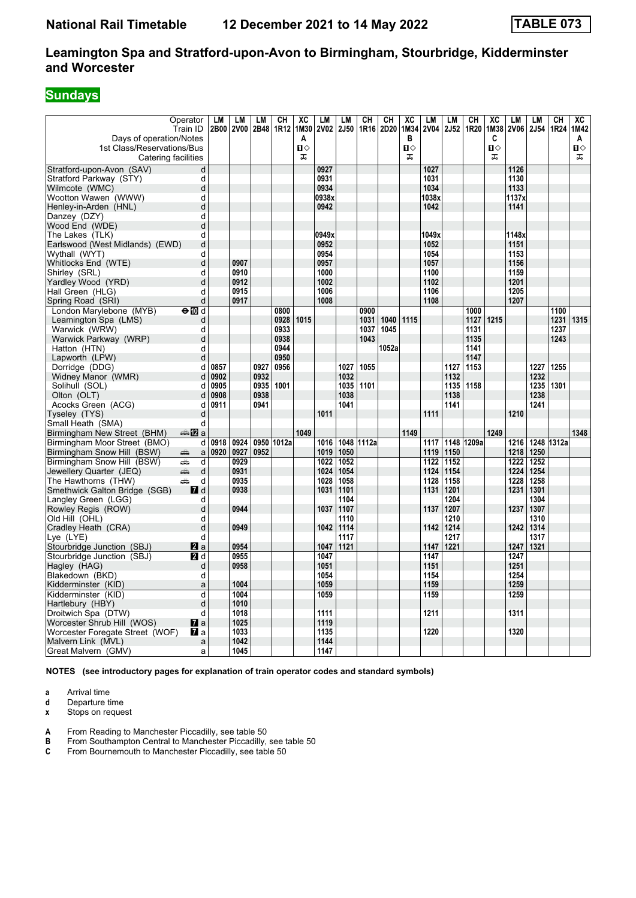# **Sundays**

|                                                   | Operator<br>Train ID             | LM<br>2B00 | <b>LM</b><br><b>2V00</b> | LМ<br>2B48 | <b>CH</b><br>1R12 | XC<br>1M30 | <b>LM</b><br><b>2V02</b> | <b>LM</b><br><b>2J50</b> | CН         | CH<br>1R16 2D20 | XC<br>1M34     | LM<br><b>2V04</b> | LM<br>2J52 | CH<br>1R20 | $\overline{\text{XC}}$<br>1M38 | <b>LM</b><br>2V06 | LM<br>2J54 | CH<br>1R24 | $\overline{AC}$<br>1M42 |
|---------------------------------------------------|----------------------------------|------------|--------------------------|------------|-------------------|------------|--------------------------|--------------------------|------------|-----------------|----------------|-------------------|------------|------------|--------------------------------|-------------------|------------|------------|-------------------------|
| Days of operation/Notes                           |                                  |            |                          |            |                   | Α          |                          |                          |            |                 | в              |                   |            |            | C                              |                   |            |            | A                       |
| 1st Class/Reservations/Bus                        |                                  |            |                          |            |                   | п⇔         |                          |                          |            |                 | $\blacksquare$ |                   |            |            | $\blacksquare$                 |                   |            |            | П⇔                      |
|                                                   | Catering facilities              |            |                          |            |                   | ᠼ          |                          |                          |            |                 | ᠼ              |                   |            |            | ᠼ                              |                   |            |            | ᠼ                       |
| Stratford-upon-Avon (SAV)                         | d                                |            |                          |            |                   |            | 0927                     |                          |            |                 |                | 1027              |            |            |                                | 1126              |            |            |                         |
| Stratford Parkway (STY)                           | d                                |            |                          |            |                   |            | 0931                     |                          |            |                 |                | 1031              |            |            |                                | 1130              |            |            |                         |
| Wilmcote (WMC)                                    | d                                |            |                          |            |                   |            | 0934                     |                          |            |                 |                | 1034              |            |            |                                | 1133              |            |            |                         |
| Wootton Wawen (WWW)                               | d                                |            |                          |            |                   |            | 0938x                    |                          |            |                 |                | 1038x             |            |            |                                | 1137x             |            |            |                         |
| Henley-in-Arden (HNL)                             | d                                |            |                          |            |                   |            | 0942                     |                          |            |                 |                | 1042              |            |            |                                | 1141              |            |            |                         |
| Danzey (DZY)                                      | d                                |            |                          |            |                   |            |                          |                          |            |                 |                |                   |            |            |                                |                   |            |            |                         |
| Wood End (WDE)                                    | d                                |            |                          |            |                   |            |                          |                          |            |                 |                |                   |            |            |                                |                   |            |            |                         |
| The Lakes (TLK)                                   | d                                |            |                          |            |                   |            | 0949x                    |                          |            |                 |                | 1049x             |            |            |                                | 1148x             |            |            |                         |
| Earlswood (West Midlands) (EWD)                   | d                                |            |                          |            |                   |            | 0952                     |                          |            |                 |                | 1052              |            |            |                                | 1151              |            |            |                         |
| Wythall (WYT)                                     | d<br>d                           |            | 0907                     |            |                   |            | 0954<br>0957             |                          |            |                 |                | 1054              |            |            |                                | 1153<br>1156      |            |            |                         |
| Whitlocks End (WTE)                               | d                                |            | 0910                     |            |                   |            | 1000                     |                          |            |                 |                | 1057<br>1100      |            |            |                                | 1159              |            |            |                         |
| Shirley (SRL)<br>Yardley Wood (YRD)               | d                                |            | 0912                     |            |                   |            | 1002                     |                          |            |                 |                | 1102              |            |            |                                | 1201              |            |            |                         |
| Hall Green (HLG)                                  | d                                |            | 0915                     |            |                   |            | 1006                     |                          |            |                 |                | 1106              |            |            |                                | 1205              |            |            |                         |
| Spring Road (SRI)                                 | d                                |            | 0917                     |            |                   |            | 1008                     |                          |            |                 |                | 1108              |            |            |                                | 1207              |            |            |                         |
| London Marylebone (MYB)                           | $\Theta$ M d                     |            |                          |            | 0800              |            |                          |                          | 0900       |                 |                |                   |            | 1000       |                                |                   |            | 1100       |                         |
| Leamington Spa (LMS)                              | d                                |            |                          |            | 0928              | 1015       |                          |                          | 1031       | 1040            | 1115           |                   |            | 1127       | 1215                           |                   |            | 1231       | 1315                    |
| Warwick (WRW)                                     | d                                |            |                          |            | 0933              |            |                          |                          | 1037       | 1045            |                |                   |            | 1131       |                                |                   |            | 1237       |                         |
| Warwick Parkway (WRP)                             | d                                |            |                          |            | 0938              |            |                          |                          | 1043       |                 |                |                   |            | 1135       |                                |                   |            | 1243       |                         |
| Hatton (HTN)                                      | d                                |            |                          |            | 0944              |            |                          |                          |            | 1052a           |                |                   |            | 1141       |                                |                   |            |            |                         |
| Lapworth (LPW)                                    | d                                |            |                          |            | 0950              |            |                          |                          |            |                 |                |                   |            | 1147       |                                |                   |            |            |                         |
| Dorridge (DDG)                                    | d                                | 0857       |                          | 0927       | 0956              |            |                          | 1027                     | 1055       |                 |                |                   | 1127       | 1153       |                                |                   | 1227       | 1255       |                         |
| Widney Manor (WMR)                                | d                                | 0902       |                          | 0932       |                   |            |                          | 1032                     |            |                 |                |                   | 1132       |            |                                |                   | 1232       |            |                         |
| Solihull (SOL)                                    | d                                | 0905       |                          | 0935       | 1001              |            |                          | 1035                     | 1101       |                 |                |                   | 1135       | 1158       |                                |                   | 1235       | 1301       |                         |
| Olton (OLT)                                       | d                                | 0908       |                          | 0938       |                   |            |                          | 1038                     |            |                 |                |                   | 1138       |            |                                |                   | 1238       |            |                         |
| Acocks Green (ACG)                                | d                                | 0911       |                          | 0941       |                   |            |                          | 1041                     |            |                 |                |                   | 1141       |            |                                |                   | 1241       |            |                         |
| Tyseley (TYS)                                     | d                                |            |                          |            |                   |            | 1011                     |                          |            |                 |                | 1111              |            |            |                                | 1210              |            |            |                         |
| Small Heath (SMA)                                 | d                                |            |                          |            |                   |            |                          |                          |            |                 |                |                   |            |            |                                |                   |            |            |                         |
| Birmingham New Street (BHM)                       | ana nZia                         |            |                          |            |                   | 1049       |                          |                          |            |                 | 1149           |                   |            |            | 1249                           |                   |            |            | 1348                    |
| Birmingham Moor Street (BMO)                      | d l                              | 0918       | 0924                     |            | 0950 1012a        |            | 1016                     |                          | 1048 1112a |                 |                | 1117              | 1148       | 1209a      |                                | 1216              |            | 1248 1312a |                         |
| Birmingham Snow Hill (BSW)                        | æ<br>$\mathsf{a}$                | 0920       | 0927                     | 0952       |                   |            | 1019                     | 1050                     |            |                 |                | 1119              | 1150       |            |                                | 1218              | 1250       |            |                         |
| Birmingham Snow Hill (BSW)                        | ain<br>d                         |            | 0929                     |            |                   |            | 1022                     | 1052                     |            |                 |                | 1122              | 1152       |            |                                | 1222              | 1252       |            |                         |
| Jewellery Quarter (JEQ)                           | ain<br>d                         |            | 0931                     |            |                   |            | 1024                     | 1054                     |            |                 |                | 1124              | 1154       |            |                                | 1224              | 1254       |            |                         |
| The Hawthorns (THW)                               | æ<br>d                           |            | 0935                     |            |                   |            | 1028                     | 1058                     |            |                 |                | 1128              | 1158       |            |                                | 1228              | 1258       |            |                         |
| Smethwick Galton Bridge (SGB)                     | <b>7</b> d                       |            | 0938                     |            |                   |            | 1031                     | 1101                     |            |                 |                | 1131              | 1201       |            |                                | 1231              | 1301       |            |                         |
| Langley Green (LGG)                               | d                                |            |                          |            |                   |            |                          | 1104                     |            |                 |                |                   | 1204       |            |                                |                   | 1304       |            |                         |
| Rowley Regis (ROW)                                | d                                |            | 0944                     |            |                   |            | 1037                     | 1107                     |            |                 |                | 1137              | 1207       |            |                                | 1237              | 1307       |            |                         |
| Old Hill (OHL)                                    | d                                |            |                          |            |                   |            |                          | 1110                     |            |                 |                |                   | 1210       |            |                                |                   | 1310       |            |                         |
| Cradley Heath (CRA)                               | d                                |            | 0949                     |            |                   |            | 1042                     | 1114                     |            |                 |                | 1142              | 1214       |            |                                | 1242              | 1314       |            |                         |
| $Lve$ (LYE)                                       | d                                |            |                          |            |                   |            |                          | 1117                     |            |                 |                |                   | 1217       |            |                                |                   | 1317       |            |                         |
| Stourbridge Junction (SBJ)                        | 2a                               |            | 0954                     |            |                   |            | 1047                     | 1121                     |            |                 |                | 1147              | 1221       |            |                                | 1247              | 1321       |            |                         |
| Stourbridge Junction (SBJ)                        | 21 d                             |            | 0955                     |            |                   |            | 1047                     |                          |            |                 |                | 1147              |            |            |                                | 1247              |            |            |                         |
| Hagley (HAG)                                      | d                                |            | 0958                     |            |                   |            | 1051                     |                          |            |                 |                | 1151              |            |            |                                | 1251              |            |            |                         |
| Blakedown (BKD)                                   | d                                |            |                          |            |                   |            | 1054                     |                          |            |                 |                | 1154              |            |            |                                | 1254              |            |            |                         |
| Kidderminster (KID)                               | $\mathsf{a}$                     |            | 1004                     |            |                   |            | 1059                     |                          |            |                 |                | 1159              |            |            |                                | 1259              |            |            |                         |
| Kidderminster (KID)                               | d                                |            | 1004                     |            |                   |            | 1059                     |                          |            |                 |                | 1159              |            |            |                                | 1259              |            |            |                         |
| Hartlebury (HBY)                                  | d                                |            | 1010                     |            |                   |            |                          |                          |            |                 |                |                   |            |            |                                |                   |            |            |                         |
| Droitwich Spa (DTW)<br>Worcester Shrub Hill (WOS) | d                                |            | 1018<br>1025             |            |                   |            | 1111<br>1119             |                          |            |                 |                | 1211              |            |            |                                | 1311              |            |            |                         |
| Worcester Foregate Street (WOF)                   | $\mathbf{z}$ a<br>$\mathbf{z}$ a |            | 1033                     |            |                   |            | 1135                     |                          |            |                 |                | 1220              |            |            |                                | 1320              |            |            |                         |
| Malvern Link (MVL)                                | a                                |            | 1042                     |            |                   |            | 1144                     |                          |            |                 |                |                   |            |            |                                |                   |            |            |                         |
| Great Malvern (GMV)                               | a                                |            | 1045                     |            |                   |            | 1147                     |                          |            |                 |                |                   |            |            |                                |                   |            |            |                         |
|                                                   |                                  |            |                          |            |                   |            |                          |                          |            |                 |                |                   |            |            |                                |                   |            |            |                         |

**NOTES (see introductory pages for explanation of train operator codes and standard symbols)**

**a** Arrival time

**d** Departure time<br>**x** Stops on reque

**Stops on request** 

**A** From Reading to Manchester Piccadilly, see table 50<br>**B** From Southampton Central to Manchester Piccadilly,

**B** From Southampton Central to Manchester Piccadilly, see table 50 C From Bournemouth to Manchester Piccadilly, see table 50

**C** From Bournemouth to Manchester Piccadilly, see table 50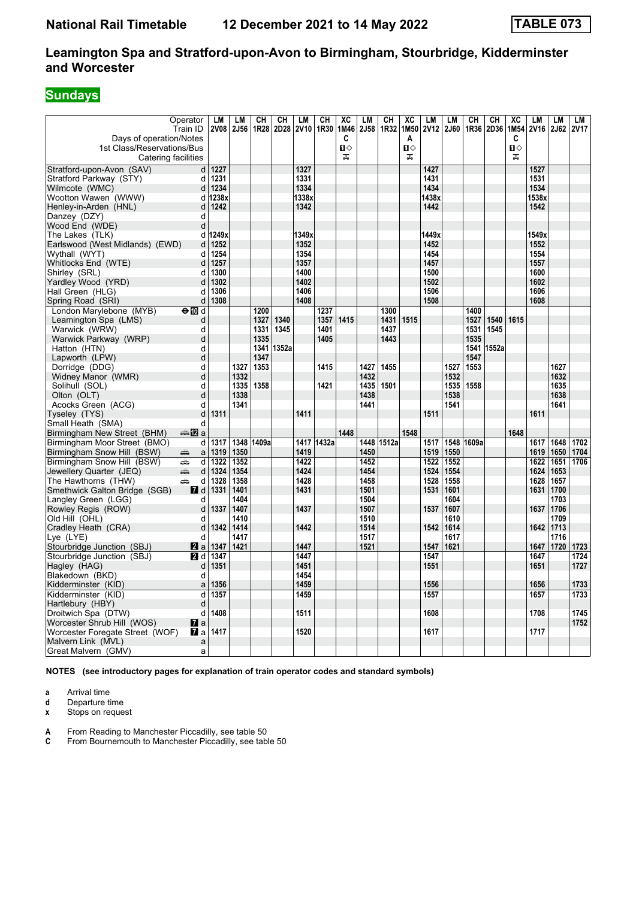# **Sundays**

| Days of operation/Notes<br>Ⅱ♦<br>Ⅱ♦<br>О<br>1st Class/Reservations/Bus<br>ᠼ<br>ᠼ<br>ᠼ<br>Catering facilities<br>Stratford-upon-Avon (SAV)<br>1227<br>1327<br>1427<br>1527<br>d<br>1231<br>Stratford Parkway (STY)<br>1331<br>1431<br>1531<br>d<br>1334<br>1534<br>Wilmcote (WMC)<br>1234<br>1434<br>d<br>1338x<br>1538x<br>Wootton Wawen (WWW)<br>1238x<br>1438x<br>d<br>1342<br>Henley-in-Arden (HNL)<br>1242<br>1442<br>1542<br>d<br>Danzey (DZY)<br>d<br>Wood End (WDE)<br>d<br>The Lakes (TLK)<br>1249x<br>1349x<br>1449x<br>1549x<br>d<br>Earlswood (West Midlands) (EWD)<br>1252<br>1352<br>1452<br>1552<br>d<br>1354<br>Wythall (WYT)<br>1254<br>1454<br>1554<br>d<br>Whitlocks End (WTE)<br>1357<br>1557<br>d<br>1257<br>1457<br>1300<br>1400<br>1600<br>Shirley (SRL)<br>d<br>1500<br>Yardley Wood (YRD)<br>1302<br>1402<br>1502<br>1602<br>d<br>1306<br>1406<br>1606<br>Hall Green (HLG)<br>d<br>1506<br>1308<br>1408<br>1508<br>1608<br>Spring Road (SRI)<br>d<br>London Marylebone (MYB)<br>$\Theta$ M d<br>1200<br>1237<br>1300<br>1400<br>1340<br>1415<br>1327<br>1357<br>1431<br>1515<br>1527<br>1540<br>1615<br>Leamington Spa (LMS)<br>d<br>1345<br>Warwick (WRW)<br>1331<br>1401<br>1437<br>1531<br>1545<br>d<br>Warwick Parkway (WRP)<br>d<br>1335<br>1405<br>1443<br>1535<br>Hatton (HTN)<br>d<br>1341<br>1352a<br>1541<br>1552a<br>Lapworth (LPW)<br>d<br>1347<br>1547<br>Dorridge (DDG)<br>1327<br>1353<br>1415<br>1455<br>1553<br>1627<br>d<br>1427<br>1527<br>Widney Manor (WMR)<br>d<br>1332<br>1432<br>1532<br>1632<br>1335<br>1358<br>1421<br>1435<br>1501<br>1535<br>1635<br>Solihull (SOL)<br>d<br>1558<br>1638<br>Olton (OLT)<br>d<br>1338<br>1438<br>1538<br>Acocks Green (ACG)<br>d<br>1341<br>1441<br>1541<br>1641<br>1311<br>1411<br>1511<br>d<br>1611<br>Tyseley (TYS)<br>d<br>Small Heath (SMA)<br>1548<br>1448<br>1648<br>Birmingham New Street (BHM)<br>dan Ma<br>1417 1432a<br>1702<br>Birmingham Moor Street (BMO)<br>1317<br>1348 1409a<br>1448 1512a<br>1517<br>1548<br>1609a<br>1617<br>1648<br>d<br>Birmingham Snow Hill (BSW)<br>1319<br>1350<br>1419<br>1450<br>1519<br>1550<br>1619<br>1650<br>1704<br>منتقبه<br>a<br>1422<br>Birmingham Snow Hill (BSW)<br>d<br>1322<br>1352<br>1452<br>1552<br>1622<br>1651<br>1706<br>پیش<br>1522<br>Jewellery Quarter (JEQ)<br>ain<br>d<br>1324<br>1354<br>1424<br>1454<br>1524<br>1554<br>1624<br>1653<br>1428<br>1558<br>1628<br>The Hawthorns (THW)<br>پیش<br>d<br>1328<br>1358<br>1458<br>1528<br>1657<br>Smethwick Galton Bridge (SGB)<br>1331<br>1401<br>1431<br>1501<br>1531<br>1601<br>1631<br>1700<br><b>7</b> d<br>1604<br>Langley Green (LGG)<br>1404<br>1504<br>1703<br>d<br>Rowley Regis (ROW)<br>1407<br>1437<br>1507<br>1607<br>1637<br>1706<br>1337<br>1537<br>d<br>1709<br>1410<br>1510<br>1610<br>Old Hill (OHL)<br>d<br>1414<br>1614<br>Cradlev Heath (CRA)<br>d<br>1342<br>1442<br>1514<br>1542<br>1642<br>1713<br>1417<br>1517<br>1617<br>1716<br>Lye (LYE)<br>d<br>Stourbridge Junction (SBJ)<br>2a<br>1347<br>1421<br>1447<br>1521<br>1547<br>1621<br>1647<br>1720<br>1723<br>1447<br>Stourbridge Junction (SBJ)<br>1347<br>1547<br>1647<br>1724<br>2 d<br>1351<br>1451<br>1651<br>1727<br>Hagley (HAG)<br>d<br>1551<br>1454<br>Blakedown (BKD)<br>d<br>1459<br>1556<br>1656<br>1733<br>Kidderminster (KID)<br>1356<br>a<br>1459<br>Kidderminster (KID)<br>d<br>1357<br>1557<br>1657<br>1733<br>Hartlebury (HBY)<br>d<br>1408<br>1745<br>1511<br>1708<br>Droitwich Spa (DTW)<br>d<br>1608<br>Worcester Shrub Hill (WOS)<br>$\mathbf{z}$<br>1752 |                                 | Operator<br>Train ID | LМ<br><b>2V08</b> | <b>LM</b><br>2J56 | CН<br>1R28 | CН<br>2D28 | LМ   | CН<br>2V10 1R30 | XC<br>1M46 | LМ<br><b>2J58</b> | CH<br>1R32 | XC<br>1M50 | LM<br><b>2V12</b> | LM<br>2J60 | CН<br>1R36 | CH<br>2D36 | XC<br>1M54 | <b>LM</b><br><b>2V16</b> | LM<br>2J62 | LM<br><b>2V17</b> |
|-----------------------------------------------------------------------------------------------------------------------------------------------------------------------------------------------------------------------------------------------------------------------------------------------------------------------------------------------------------------------------------------------------------------------------------------------------------------------------------------------------------------------------------------------------------------------------------------------------------------------------------------------------------------------------------------------------------------------------------------------------------------------------------------------------------------------------------------------------------------------------------------------------------------------------------------------------------------------------------------------------------------------------------------------------------------------------------------------------------------------------------------------------------------------------------------------------------------------------------------------------------------------------------------------------------------------------------------------------------------------------------------------------------------------------------------------------------------------------------------------------------------------------------------------------------------------------------------------------------------------------------------------------------------------------------------------------------------------------------------------------------------------------------------------------------------------------------------------------------------------------------------------------------------------------------------------------------------------------------------------------------------------------------------------------------------------------------------------------------------------------------------------------------------------------------------------------------------------------------------------------------------------------------------------------------------------------------------------------------------------------------------------------------------------------------------------------------------------------------------------------------------------------------------------------------------------------------------------------------------------------------------------------------------------------------------------------------------------------------------------------------------------------------------------------------------------------------------------------------------------------------------------------------------------------------------------------------------------------------------------------------------------------------------------------------------------------------------------------------------------------------------------------------------------------------------------------------------------------------------------------------------------------------------------------------------------------------------------------------------------------------------------------------------------------------------------------------------------------------------------------------------------------------------------------------|---------------------------------|----------------------|-------------------|-------------------|------------|------------|------|-----------------|------------|-------------------|------------|------------|-------------------|------------|------------|------------|------------|--------------------------|------------|-------------------|
|                                                                                                                                                                                                                                                                                                                                                                                                                                                                                                                                                                                                                                                                                                                                                                                                                                                                                                                                                                                                                                                                                                                                                                                                                                                                                                                                                                                                                                                                                                                                                                                                                                                                                                                                                                                                                                                                                                                                                                                                                                                                                                                                                                                                                                                                                                                                                                                                                                                                                                                                                                                                                                                                                                                                                                                                                                                                                                                                                                                                                                                                                                                                                                                                                                                                                                                                                                                                                                                                                                                                                           |                                 |                      |                   |                   |            |            |      |                 | C          |                   |            | A          |                   |            |            |            | C          |                          |            |                   |
|                                                                                                                                                                                                                                                                                                                                                                                                                                                                                                                                                                                                                                                                                                                                                                                                                                                                                                                                                                                                                                                                                                                                                                                                                                                                                                                                                                                                                                                                                                                                                                                                                                                                                                                                                                                                                                                                                                                                                                                                                                                                                                                                                                                                                                                                                                                                                                                                                                                                                                                                                                                                                                                                                                                                                                                                                                                                                                                                                                                                                                                                                                                                                                                                                                                                                                                                                                                                                                                                                                                                                           |                                 |                      |                   |                   |            |            |      |                 |            |                   |            |            |                   |            |            |            |            |                          |            |                   |
|                                                                                                                                                                                                                                                                                                                                                                                                                                                                                                                                                                                                                                                                                                                                                                                                                                                                                                                                                                                                                                                                                                                                                                                                                                                                                                                                                                                                                                                                                                                                                                                                                                                                                                                                                                                                                                                                                                                                                                                                                                                                                                                                                                                                                                                                                                                                                                                                                                                                                                                                                                                                                                                                                                                                                                                                                                                                                                                                                                                                                                                                                                                                                                                                                                                                                                                                                                                                                                                                                                                                                           |                                 |                      |                   |                   |            |            |      |                 |            |                   |            |            |                   |            |            |            |            |                          |            |                   |
|                                                                                                                                                                                                                                                                                                                                                                                                                                                                                                                                                                                                                                                                                                                                                                                                                                                                                                                                                                                                                                                                                                                                                                                                                                                                                                                                                                                                                                                                                                                                                                                                                                                                                                                                                                                                                                                                                                                                                                                                                                                                                                                                                                                                                                                                                                                                                                                                                                                                                                                                                                                                                                                                                                                                                                                                                                                                                                                                                                                                                                                                                                                                                                                                                                                                                                                                                                                                                                                                                                                                                           |                                 |                      |                   |                   |            |            |      |                 |            |                   |            |            |                   |            |            |            |            |                          |            |                   |
|                                                                                                                                                                                                                                                                                                                                                                                                                                                                                                                                                                                                                                                                                                                                                                                                                                                                                                                                                                                                                                                                                                                                                                                                                                                                                                                                                                                                                                                                                                                                                                                                                                                                                                                                                                                                                                                                                                                                                                                                                                                                                                                                                                                                                                                                                                                                                                                                                                                                                                                                                                                                                                                                                                                                                                                                                                                                                                                                                                                                                                                                                                                                                                                                                                                                                                                                                                                                                                                                                                                                                           |                                 |                      |                   |                   |            |            |      |                 |            |                   |            |            |                   |            |            |            |            |                          |            |                   |
|                                                                                                                                                                                                                                                                                                                                                                                                                                                                                                                                                                                                                                                                                                                                                                                                                                                                                                                                                                                                                                                                                                                                                                                                                                                                                                                                                                                                                                                                                                                                                                                                                                                                                                                                                                                                                                                                                                                                                                                                                                                                                                                                                                                                                                                                                                                                                                                                                                                                                                                                                                                                                                                                                                                                                                                                                                                                                                                                                                                                                                                                                                                                                                                                                                                                                                                                                                                                                                                                                                                                                           |                                 |                      |                   |                   |            |            |      |                 |            |                   |            |            |                   |            |            |            |            |                          |            |                   |
|                                                                                                                                                                                                                                                                                                                                                                                                                                                                                                                                                                                                                                                                                                                                                                                                                                                                                                                                                                                                                                                                                                                                                                                                                                                                                                                                                                                                                                                                                                                                                                                                                                                                                                                                                                                                                                                                                                                                                                                                                                                                                                                                                                                                                                                                                                                                                                                                                                                                                                                                                                                                                                                                                                                                                                                                                                                                                                                                                                                                                                                                                                                                                                                                                                                                                                                                                                                                                                                                                                                                                           |                                 |                      |                   |                   |            |            |      |                 |            |                   |            |            |                   |            |            |            |            |                          |            |                   |
|                                                                                                                                                                                                                                                                                                                                                                                                                                                                                                                                                                                                                                                                                                                                                                                                                                                                                                                                                                                                                                                                                                                                                                                                                                                                                                                                                                                                                                                                                                                                                                                                                                                                                                                                                                                                                                                                                                                                                                                                                                                                                                                                                                                                                                                                                                                                                                                                                                                                                                                                                                                                                                                                                                                                                                                                                                                                                                                                                                                                                                                                                                                                                                                                                                                                                                                                                                                                                                                                                                                                                           |                                 |                      |                   |                   |            |            |      |                 |            |                   |            |            |                   |            |            |            |            |                          |            |                   |
|                                                                                                                                                                                                                                                                                                                                                                                                                                                                                                                                                                                                                                                                                                                                                                                                                                                                                                                                                                                                                                                                                                                                                                                                                                                                                                                                                                                                                                                                                                                                                                                                                                                                                                                                                                                                                                                                                                                                                                                                                                                                                                                                                                                                                                                                                                                                                                                                                                                                                                                                                                                                                                                                                                                                                                                                                                                                                                                                                                                                                                                                                                                                                                                                                                                                                                                                                                                                                                                                                                                                                           |                                 |                      |                   |                   |            |            |      |                 |            |                   |            |            |                   |            |            |            |            |                          |            |                   |
|                                                                                                                                                                                                                                                                                                                                                                                                                                                                                                                                                                                                                                                                                                                                                                                                                                                                                                                                                                                                                                                                                                                                                                                                                                                                                                                                                                                                                                                                                                                                                                                                                                                                                                                                                                                                                                                                                                                                                                                                                                                                                                                                                                                                                                                                                                                                                                                                                                                                                                                                                                                                                                                                                                                                                                                                                                                                                                                                                                                                                                                                                                                                                                                                                                                                                                                                                                                                                                                                                                                                                           |                                 |                      |                   |                   |            |            |      |                 |            |                   |            |            |                   |            |            |            |            |                          |            |                   |
|                                                                                                                                                                                                                                                                                                                                                                                                                                                                                                                                                                                                                                                                                                                                                                                                                                                                                                                                                                                                                                                                                                                                                                                                                                                                                                                                                                                                                                                                                                                                                                                                                                                                                                                                                                                                                                                                                                                                                                                                                                                                                                                                                                                                                                                                                                                                                                                                                                                                                                                                                                                                                                                                                                                                                                                                                                                                                                                                                                                                                                                                                                                                                                                                                                                                                                                                                                                                                                                                                                                                                           |                                 |                      |                   |                   |            |            |      |                 |            |                   |            |            |                   |            |            |            |            |                          |            |                   |
|                                                                                                                                                                                                                                                                                                                                                                                                                                                                                                                                                                                                                                                                                                                                                                                                                                                                                                                                                                                                                                                                                                                                                                                                                                                                                                                                                                                                                                                                                                                                                                                                                                                                                                                                                                                                                                                                                                                                                                                                                                                                                                                                                                                                                                                                                                                                                                                                                                                                                                                                                                                                                                                                                                                                                                                                                                                                                                                                                                                                                                                                                                                                                                                                                                                                                                                                                                                                                                                                                                                                                           |                                 |                      |                   |                   |            |            |      |                 |            |                   |            |            |                   |            |            |            |            |                          |            |                   |
|                                                                                                                                                                                                                                                                                                                                                                                                                                                                                                                                                                                                                                                                                                                                                                                                                                                                                                                                                                                                                                                                                                                                                                                                                                                                                                                                                                                                                                                                                                                                                                                                                                                                                                                                                                                                                                                                                                                                                                                                                                                                                                                                                                                                                                                                                                                                                                                                                                                                                                                                                                                                                                                                                                                                                                                                                                                                                                                                                                                                                                                                                                                                                                                                                                                                                                                                                                                                                                                                                                                                                           |                                 |                      |                   |                   |            |            |      |                 |            |                   |            |            |                   |            |            |            |            |                          |            |                   |
|                                                                                                                                                                                                                                                                                                                                                                                                                                                                                                                                                                                                                                                                                                                                                                                                                                                                                                                                                                                                                                                                                                                                                                                                                                                                                                                                                                                                                                                                                                                                                                                                                                                                                                                                                                                                                                                                                                                                                                                                                                                                                                                                                                                                                                                                                                                                                                                                                                                                                                                                                                                                                                                                                                                                                                                                                                                                                                                                                                                                                                                                                                                                                                                                                                                                                                                                                                                                                                                                                                                                                           |                                 |                      |                   |                   |            |            |      |                 |            |                   |            |            |                   |            |            |            |            |                          |            |                   |
|                                                                                                                                                                                                                                                                                                                                                                                                                                                                                                                                                                                                                                                                                                                                                                                                                                                                                                                                                                                                                                                                                                                                                                                                                                                                                                                                                                                                                                                                                                                                                                                                                                                                                                                                                                                                                                                                                                                                                                                                                                                                                                                                                                                                                                                                                                                                                                                                                                                                                                                                                                                                                                                                                                                                                                                                                                                                                                                                                                                                                                                                                                                                                                                                                                                                                                                                                                                                                                                                                                                                                           |                                 |                      |                   |                   |            |            |      |                 |            |                   |            |            |                   |            |            |            |            |                          |            |                   |
|                                                                                                                                                                                                                                                                                                                                                                                                                                                                                                                                                                                                                                                                                                                                                                                                                                                                                                                                                                                                                                                                                                                                                                                                                                                                                                                                                                                                                                                                                                                                                                                                                                                                                                                                                                                                                                                                                                                                                                                                                                                                                                                                                                                                                                                                                                                                                                                                                                                                                                                                                                                                                                                                                                                                                                                                                                                                                                                                                                                                                                                                                                                                                                                                                                                                                                                                                                                                                                                                                                                                                           |                                 |                      |                   |                   |            |            |      |                 |            |                   |            |            |                   |            |            |            |            |                          |            |                   |
|                                                                                                                                                                                                                                                                                                                                                                                                                                                                                                                                                                                                                                                                                                                                                                                                                                                                                                                                                                                                                                                                                                                                                                                                                                                                                                                                                                                                                                                                                                                                                                                                                                                                                                                                                                                                                                                                                                                                                                                                                                                                                                                                                                                                                                                                                                                                                                                                                                                                                                                                                                                                                                                                                                                                                                                                                                                                                                                                                                                                                                                                                                                                                                                                                                                                                                                                                                                                                                                                                                                                                           |                                 |                      |                   |                   |            |            |      |                 |            |                   |            |            |                   |            |            |            |            |                          |            |                   |
|                                                                                                                                                                                                                                                                                                                                                                                                                                                                                                                                                                                                                                                                                                                                                                                                                                                                                                                                                                                                                                                                                                                                                                                                                                                                                                                                                                                                                                                                                                                                                                                                                                                                                                                                                                                                                                                                                                                                                                                                                                                                                                                                                                                                                                                                                                                                                                                                                                                                                                                                                                                                                                                                                                                                                                                                                                                                                                                                                                                                                                                                                                                                                                                                                                                                                                                                                                                                                                                                                                                                                           |                                 |                      |                   |                   |            |            |      |                 |            |                   |            |            |                   |            |            |            |            |                          |            |                   |
|                                                                                                                                                                                                                                                                                                                                                                                                                                                                                                                                                                                                                                                                                                                                                                                                                                                                                                                                                                                                                                                                                                                                                                                                                                                                                                                                                                                                                                                                                                                                                                                                                                                                                                                                                                                                                                                                                                                                                                                                                                                                                                                                                                                                                                                                                                                                                                                                                                                                                                                                                                                                                                                                                                                                                                                                                                                                                                                                                                                                                                                                                                                                                                                                                                                                                                                                                                                                                                                                                                                                                           |                                 |                      |                   |                   |            |            |      |                 |            |                   |            |            |                   |            |            |            |            |                          |            |                   |
|                                                                                                                                                                                                                                                                                                                                                                                                                                                                                                                                                                                                                                                                                                                                                                                                                                                                                                                                                                                                                                                                                                                                                                                                                                                                                                                                                                                                                                                                                                                                                                                                                                                                                                                                                                                                                                                                                                                                                                                                                                                                                                                                                                                                                                                                                                                                                                                                                                                                                                                                                                                                                                                                                                                                                                                                                                                                                                                                                                                                                                                                                                                                                                                                                                                                                                                                                                                                                                                                                                                                                           |                                 |                      |                   |                   |            |            |      |                 |            |                   |            |            |                   |            |            |            |            |                          |            |                   |
|                                                                                                                                                                                                                                                                                                                                                                                                                                                                                                                                                                                                                                                                                                                                                                                                                                                                                                                                                                                                                                                                                                                                                                                                                                                                                                                                                                                                                                                                                                                                                                                                                                                                                                                                                                                                                                                                                                                                                                                                                                                                                                                                                                                                                                                                                                                                                                                                                                                                                                                                                                                                                                                                                                                                                                                                                                                                                                                                                                                                                                                                                                                                                                                                                                                                                                                                                                                                                                                                                                                                                           |                                 |                      |                   |                   |            |            |      |                 |            |                   |            |            |                   |            |            |            |            |                          |            |                   |
|                                                                                                                                                                                                                                                                                                                                                                                                                                                                                                                                                                                                                                                                                                                                                                                                                                                                                                                                                                                                                                                                                                                                                                                                                                                                                                                                                                                                                                                                                                                                                                                                                                                                                                                                                                                                                                                                                                                                                                                                                                                                                                                                                                                                                                                                                                                                                                                                                                                                                                                                                                                                                                                                                                                                                                                                                                                                                                                                                                                                                                                                                                                                                                                                                                                                                                                                                                                                                                                                                                                                                           |                                 |                      |                   |                   |            |            |      |                 |            |                   |            |            |                   |            |            |            |            |                          |            |                   |
|                                                                                                                                                                                                                                                                                                                                                                                                                                                                                                                                                                                                                                                                                                                                                                                                                                                                                                                                                                                                                                                                                                                                                                                                                                                                                                                                                                                                                                                                                                                                                                                                                                                                                                                                                                                                                                                                                                                                                                                                                                                                                                                                                                                                                                                                                                                                                                                                                                                                                                                                                                                                                                                                                                                                                                                                                                                                                                                                                                                                                                                                                                                                                                                                                                                                                                                                                                                                                                                                                                                                                           |                                 |                      |                   |                   |            |            |      |                 |            |                   |            |            |                   |            |            |            |            |                          |            |                   |
|                                                                                                                                                                                                                                                                                                                                                                                                                                                                                                                                                                                                                                                                                                                                                                                                                                                                                                                                                                                                                                                                                                                                                                                                                                                                                                                                                                                                                                                                                                                                                                                                                                                                                                                                                                                                                                                                                                                                                                                                                                                                                                                                                                                                                                                                                                                                                                                                                                                                                                                                                                                                                                                                                                                                                                                                                                                                                                                                                                                                                                                                                                                                                                                                                                                                                                                                                                                                                                                                                                                                                           |                                 |                      |                   |                   |            |            |      |                 |            |                   |            |            |                   |            |            |            |            |                          |            |                   |
|                                                                                                                                                                                                                                                                                                                                                                                                                                                                                                                                                                                                                                                                                                                                                                                                                                                                                                                                                                                                                                                                                                                                                                                                                                                                                                                                                                                                                                                                                                                                                                                                                                                                                                                                                                                                                                                                                                                                                                                                                                                                                                                                                                                                                                                                                                                                                                                                                                                                                                                                                                                                                                                                                                                                                                                                                                                                                                                                                                                                                                                                                                                                                                                                                                                                                                                                                                                                                                                                                                                                                           |                                 |                      |                   |                   |            |            |      |                 |            |                   |            |            |                   |            |            |            |            |                          |            |                   |
|                                                                                                                                                                                                                                                                                                                                                                                                                                                                                                                                                                                                                                                                                                                                                                                                                                                                                                                                                                                                                                                                                                                                                                                                                                                                                                                                                                                                                                                                                                                                                                                                                                                                                                                                                                                                                                                                                                                                                                                                                                                                                                                                                                                                                                                                                                                                                                                                                                                                                                                                                                                                                                                                                                                                                                                                                                                                                                                                                                                                                                                                                                                                                                                                                                                                                                                                                                                                                                                                                                                                                           |                                 |                      |                   |                   |            |            |      |                 |            |                   |            |            |                   |            |            |            |            |                          |            |                   |
|                                                                                                                                                                                                                                                                                                                                                                                                                                                                                                                                                                                                                                                                                                                                                                                                                                                                                                                                                                                                                                                                                                                                                                                                                                                                                                                                                                                                                                                                                                                                                                                                                                                                                                                                                                                                                                                                                                                                                                                                                                                                                                                                                                                                                                                                                                                                                                                                                                                                                                                                                                                                                                                                                                                                                                                                                                                                                                                                                                                                                                                                                                                                                                                                                                                                                                                                                                                                                                                                                                                                                           |                                 |                      |                   |                   |            |            |      |                 |            |                   |            |            |                   |            |            |            |            |                          |            |                   |
|                                                                                                                                                                                                                                                                                                                                                                                                                                                                                                                                                                                                                                                                                                                                                                                                                                                                                                                                                                                                                                                                                                                                                                                                                                                                                                                                                                                                                                                                                                                                                                                                                                                                                                                                                                                                                                                                                                                                                                                                                                                                                                                                                                                                                                                                                                                                                                                                                                                                                                                                                                                                                                                                                                                                                                                                                                                                                                                                                                                                                                                                                                                                                                                                                                                                                                                                                                                                                                                                                                                                                           |                                 |                      |                   |                   |            |            |      |                 |            |                   |            |            |                   |            |            |            |            |                          |            |                   |
|                                                                                                                                                                                                                                                                                                                                                                                                                                                                                                                                                                                                                                                                                                                                                                                                                                                                                                                                                                                                                                                                                                                                                                                                                                                                                                                                                                                                                                                                                                                                                                                                                                                                                                                                                                                                                                                                                                                                                                                                                                                                                                                                                                                                                                                                                                                                                                                                                                                                                                                                                                                                                                                                                                                                                                                                                                                                                                                                                                                                                                                                                                                                                                                                                                                                                                                                                                                                                                                                                                                                                           |                                 |                      |                   |                   |            |            |      |                 |            |                   |            |            |                   |            |            |            |            |                          |            |                   |
|                                                                                                                                                                                                                                                                                                                                                                                                                                                                                                                                                                                                                                                                                                                                                                                                                                                                                                                                                                                                                                                                                                                                                                                                                                                                                                                                                                                                                                                                                                                                                                                                                                                                                                                                                                                                                                                                                                                                                                                                                                                                                                                                                                                                                                                                                                                                                                                                                                                                                                                                                                                                                                                                                                                                                                                                                                                                                                                                                                                                                                                                                                                                                                                                                                                                                                                                                                                                                                                                                                                                                           |                                 |                      |                   |                   |            |            |      |                 |            |                   |            |            |                   |            |            |            |            |                          |            |                   |
|                                                                                                                                                                                                                                                                                                                                                                                                                                                                                                                                                                                                                                                                                                                                                                                                                                                                                                                                                                                                                                                                                                                                                                                                                                                                                                                                                                                                                                                                                                                                                                                                                                                                                                                                                                                                                                                                                                                                                                                                                                                                                                                                                                                                                                                                                                                                                                                                                                                                                                                                                                                                                                                                                                                                                                                                                                                                                                                                                                                                                                                                                                                                                                                                                                                                                                                                                                                                                                                                                                                                                           |                                 |                      |                   |                   |            |            |      |                 |            |                   |            |            |                   |            |            |            |            |                          |            |                   |
|                                                                                                                                                                                                                                                                                                                                                                                                                                                                                                                                                                                                                                                                                                                                                                                                                                                                                                                                                                                                                                                                                                                                                                                                                                                                                                                                                                                                                                                                                                                                                                                                                                                                                                                                                                                                                                                                                                                                                                                                                                                                                                                                                                                                                                                                                                                                                                                                                                                                                                                                                                                                                                                                                                                                                                                                                                                                                                                                                                                                                                                                                                                                                                                                                                                                                                                                                                                                                                                                                                                                                           |                                 |                      |                   |                   |            |            |      |                 |            |                   |            |            |                   |            |            |            |            |                          |            |                   |
|                                                                                                                                                                                                                                                                                                                                                                                                                                                                                                                                                                                                                                                                                                                                                                                                                                                                                                                                                                                                                                                                                                                                                                                                                                                                                                                                                                                                                                                                                                                                                                                                                                                                                                                                                                                                                                                                                                                                                                                                                                                                                                                                                                                                                                                                                                                                                                                                                                                                                                                                                                                                                                                                                                                                                                                                                                                                                                                                                                                                                                                                                                                                                                                                                                                                                                                                                                                                                                                                                                                                                           |                                 |                      |                   |                   |            |            |      |                 |            |                   |            |            |                   |            |            |            |            |                          |            |                   |
|                                                                                                                                                                                                                                                                                                                                                                                                                                                                                                                                                                                                                                                                                                                                                                                                                                                                                                                                                                                                                                                                                                                                                                                                                                                                                                                                                                                                                                                                                                                                                                                                                                                                                                                                                                                                                                                                                                                                                                                                                                                                                                                                                                                                                                                                                                                                                                                                                                                                                                                                                                                                                                                                                                                                                                                                                                                                                                                                                                                                                                                                                                                                                                                                                                                                                                                                                                                                                                                                                                                                                           |                                 |                      |                   |                   |            |            |      |                 |            |                   |            |            |                   |            |            |            |            |                          |            |                   |
|                                                                                                                                                                                                                                                                                                                                                                                                                                                                                                                                                                                                                                                                                                                                                                                                                                                                                                                                                                                                                                                                                                                                                                                                                                                                                                                                                                                                                                                                                                                                                                                                                                                                                                                                                                                                                                                                                                                                                                                                                                                                                                                                                                                                                                                                                                                                                                                                                                                                                                                                                                                                                                                                                                                                                                                                                                                                                                                                                                                                                                                                                                                                                                                                                                                                                                                                                                                                                                                                                                                                                           |                                 |                      |                   |                   |            |            |      |                 |            |                   |            |            |                   |            |            |            |            |                          |            |                   |
|                                                                                                                                                                                                                                                                                                                                                                                                                                                                                                                                                                                                                                                                                                                                                                                                                                                                                                                                                                                                                                                                                                                                                                                                                                                                                                                                                                                                                                                                                                                                                                                                                                                                                                                                                                                                                                                                                                                                                                                                                                                                                                                                                                                                                                                                                                                                                                                                                                                                                                                                                                                                                                                                                                                                                                                                                                                                                                                                                                                                                                                                                                                                                                                                                                                                                                                                                                                                                                                                                                                                                           |                                 |                      |                   |                   |            |            |      |                 |            |                   |            |            |                   |            |            |            |            |                          |            |                   |
|                                                                                                                                                                                                                                                                                                                                                                                                                                                                                                                                                                                                                                                                                                                                                                                                                                                                                                                                                                                                                                                                                                                                                                                                                                                                                                                                                                                                                                                                                                                                                                                                                                                                                                                                                                                                                                                                                                                                                                                                                                                                                                                                                                                                                                                                                                                                                                                                                                                                                                                                                                                                                                                                                                                                                                                                                                                                                                                                                                                                                                                                                                                                                                                                                                                                                                                                                                                                                                                                                                                                                           |                                 |                      |                   |                   |            |            |      |                 |            |                   |            |            |                   |            |            |            |            |                          |            |                   |
|                                                                                                                                                                                                                                                                                                                                                                                                                                                                                                                                                                                                                                                                                                                                                                                                                                                                                                                                                                                                                                                                                                                                                                                                                                                                                                                                                                                                                                                                                                                                                                                                                                                                                                                                                                                                                                                                                                                                                                                                                                                                                                                                                                                                                                                                                                                                                                                                                                                                                                                                                                                                                                                                                                                                                                                                                                                                                                                                                                                                                                                                                                                                                                                                                                                                                                                                                                                                                                                                                                                                                           |                                 |                      |                   |                   |            |            |      |                 |            |                   |            |            |                   |            |            |            |            |                          |            |                   |
|                                                                                                                                                                                                                                                                                                                                                                                                                                                                                                                                                                                                                                                                                                                                                                                                                                                                                                                                                                                                                                                                                                                                                                                                                                                                                                                                                                                                                                                                                                                                                                                                                                                                                                                                                                                                                                                                                                                                                                                                                                                                                                                                                                                                                                                                                                                                                                                                                                                                                                                                                                                                                                                                                                                                                                                                                                                                                                                                                                                                                                                                                                                                                                                                                                                                                                                                                                                                                                                                                                                                                           |                                 |                      |                   |                   |            |            |      |                 |            |                   |            |            |                   |            |            |            |            |                          |            |                   |
|                                                                                                                                                                                                                                                                                                                                                                                                                                                                                                                                                                                                                                                                                                                                                                                                                                                                                                                                                                                                                                                                                                                                                                                                                                                                                                                                                                                                                                                                                                                                                                                                                                                                                                                                                                                                                                                                                                                                                                                                                                                                                                                                                                                                                                                                                                                                                                                                                                                                                                                                                                                                                                                                                                                                                                                                                                                                                                                                                                                                                                                                                                                                                                                                                                                                                                                                                                                                                                                                                                                                                           |                                 |                      |                   |                   |            |            |      |                 |            |                   |            |            |                   |            |            |            |            |                          |            |                   |
|                                                                                                                                                                                                                                                                                                                                                                                                                                                                                                                                                                                                                                                                                                                                                                                                                                                                                                                                                                                                                                                                                                                                                                                                                                                                                                                                                                                                                                                                                                                                                                                                                                                                                                                                                                                                                                                                                                                                                                                                                                                                                                                                                                                                                                                                                                                                                                                                                                                                                                                                                                                                                                                                                                                                                                                                                                                                                                                                                                                                                                                                                                                                                                                                                                                                                                                                                                                                                                                                                                                                                           |                                 |                      |                   |                   |            |            |      |                 |            |                   |            |            |                   |            |            |            |            |                          |            |                   |
|                                                                                                                                                                                                                                                                                                                                                                                                                                                                                                                                                                                                                                                                                                                                                                                                                                                                                                                                                                                                                                                                                                                                                                                                                                                                                                                                                                                                                                                                                                                                                                                                                                                                                                                                                                                                                                                                                                                                                                                                                                                                                                                                                                                                                                                                                                                                                                                                                                                                                                                                                                                                                                                                                                                                                                                                                                                                                                                                                                                                                                                                                                                                                                                                                                                                                                                                                                                                                                                                                                                                                           |                                 |                      |                   |                   |            |            |      |                 |            |                   |            |            |                   |            |            |            |            |                          |            |                   |
|                                                                                                                                                                                                                                                                                                                                                                                                                                                                                                                                                                                                                                                                                                                                                                                                                                                                                                                                                                                                                                                                                                                                                                                                                                                                                                                                                                                                                                                                                                                                                                                                                                                                                                                                                                                                                                                                                                                                                                                                                                                                                                                                                                                                                                                                                                                                                                                                                                                                                                                                                                                                                                                                                                                                                                                                                                                                                                                                                                                                                                                                                                                                                                                                                                                                                                                                                                                                                                                                                                                                                           |                                 |                      |                   |                   |            |            |      |                 |            |                   |            |            |                   |            |            |            |            |                          |            |                   |
|                                                                                                                                                                                                                                                                                                                                                                                                                                                                                                                                                                                                                                                                                                                                                                                                                                                                                                                                                                                                                                                                                                                                                                                                                                                                                                                                                                                                                                                                                                                                                                                                                                                                                                                                                                                                                                                                                                                                                                                                                                                                                                                                                                                                                                                                                                                                                                                                                                                                                                                                                                                                                                                                                                                                                                                                                                                                                                                                                                                                                                                                                                                                                                                                                                                                                                                                                                                                                                                                                                                                                           |                                 |                      |                   |                   |            |            |      |                 |            |                   |            |            |                   |            |            |            |            |                          |            |                   |
|                                                                                                                                                                                                                                                                                                                                                                                                                                                                                                                                                                                                                                                                                                                                                                                                                                                                                                                                                                                                                                                                                                                                                                                                                                                                                                                                                                                                                                                                                                                                                                                                                                                                                                                                                                                                                                                                                                                                                                                                                                                                                                                                                                                                                                                                                                                                                                                                                                                                                                                                                                                                                                                                                                                                                                                                                                                                                                                                                                                                                                                                                                                                                                                                                                                                                                                                                                                                                                                                                                                                                           |                                 |                      |                   |                   |            |            |      |                 |            |                   |            |            |                   |            |            |            |            |                          |            |                   |
|                                                                                                                                                                                                                                                                                                                                                                                                                                                                                                                                                                                                                                                                                                                                                                                                                                                                                                                                                                                                                                                                                                                                                                                                                                                                                                                                                                                                                                                                                                                                                                                                                                                                                                                                                                                                                                                                                                                                                                                                                                                                                                                                                                                                                                                                                                                                                                                                                                                                                                                                                                                                                                                                                                                                                                                                                                                                                                                                                                                                                                                                                                                                                                                                                                                                                                                                                                                                                                                                                                                                                           |                                 |                      |                   |                   |            |            |      |                 |            |                   |            |            |                   |            |            |            |            |                          |            |                   |
|                                                                                                                                                                                                                                                                                                                                                                                                                                                                                                                                                                                                                                                                                                                                                                                                                                                                                                                                                                                                                                                                                                                                                                                                                                                                                                                                                                                                                                                                                                                                                                                                                                                                                                                                                                                                                                                                                                                                                                                                                                                                                                                                                                                                                                                                                                                                                                                                                                                                                                                                                                                                                                                                                                                                                                                                                                                                                                                                                                                                                                                                                                                                                                                                                                                                                                                                                                                                                                                                                                                                                           |                                 |                      |                   |                   |            |            |      |                 |            |                   |            |            |                   |            |            |            |            |                          |            |                   |
|                                                                                                                                                                                                                                                                                                                                                                                                                                                                                                                                                                                                                                                                                                                                                                                                                                                                                                                                                                                                                                                                                                                                                                                                                                                                                                                                                                                                                                                                                                                                                                                                                                                                                                                                                                                                                                                                                                                                                                                                                                                                                                                                                                                                                                                                                                                                                                                                                                                                                                                                                                                                                                                                                                                                                                                                                                                                                                                                                                                                                                                                                                                                                                                                                                                                                                                                                                                                                                                                                                                                                           |                                 |                      |                   |                   |            |            |      |                 |            |                   |            |            |                   |            |            |            |            |                          |            |                   |
|                                                                                                                                                                                                                                                                                                                                                                                                                                                                                                                                                                                                                                                                                                                                                                                                                                                                                                                                                                                                                                                                                                                                                                                                                                                                                                                                                                                                                                                                                                                                                                                                                                                                                                                                                                                                                                                                                                                                                                                                                                                                                                                                                                                                                                                                                                                                                                                                                                                                                                                                                                                                                                                                                                                                                                                                                                                                                                                                                                                                                                                                                                                                                                                                                                                                                                                                                                                                                                                                                                                                                           |                                 |                      |                   |                   |            |            |      |                 |            |                   |            |            |                   |            |            |            |            |                          |            |                   |
|                                                                                                                                                                                                                                                                                                                                                                                                                                                                                                                                                                                                                                                                                                                                                                                                                                                                                                                                                                                                                                                                                                                                                                                                                                                                                                                                                                                                                                                                                                                                                                                                                                                                                                                                                                                                                                                                                                                                                                                                                                                                                                                                                                                                                                                                                                                                                                                                                                                                                                                                                                                                                                                                                                                                                                                                                                                                                                                                                                                                                                                                                                                                                                                                                                                                                                                                                                                                                                                                                                                                                           | Worcester Foregate Street (WOF) | <b>77</b> а          | 1417              |                   |            |            | 1520 |                 |            |                   |            |            | 1617              |            |            |            |            | 1717                     |            |                   |
| a                                                                                                                                                                                                                                                                                                                                                                                                                                                                                                                                                                                                                                                                                                                                                                                                                                                                                                                                                                                                                                                                                                                                                                                                                                                                                                                                                                                                                                                                                                                                                                                                                                                                                                                                                                                                                                                                                                                                                                                                                                                                                                                                                                                                                                                                                                                                                                                                                                                                                                                                                                                                                                                                                                                                                                                                                                                                                                                                                                                                                                                                                                                                                                                                                                                                                                                                                                                                                                                                                                                                                         | Malvern Link (MVL)              |                      |                   |                   |            |            |      |                 |            |                   |            |            |                   |            |            |            |            |                          |            |                   |
| a                                                                                                                                                                                                                                                                                                                                                                                                                                                                                                                                                                                                                                                                                                                                                                                                                                                                                                                                                                                                                                                                                                                                                                                                                                                                                                                                                                                                                                                                                                                                                                                                                                                                                                                                                                                                                                                                                                                                                                                                                                                                                                                                                                                                                                                                                                                                                                                                                                                                                                                                                                                                                                                                                                                                                                                                                                                                                                                                                                                                                                                                                                                                                                                                                                                                                                                                                                                                                                                                                                                                                         | Great Malvern (GMV)             |                      |                   |                   |            |            |      |                 |            |                   |            |            |                   |            |            |            |            |                          |            |                   |

**NOTES (see introductory pages for explanation of train operator codes and standard symbols)**

**a** Arrival time

**d** Departure time<br>**x** Stops on reque **Stops on request** 

**A** From Reading to Manchester Piccadilly, see table 50

**C** From Bournemouth to Manchester Piccadilly, see table 50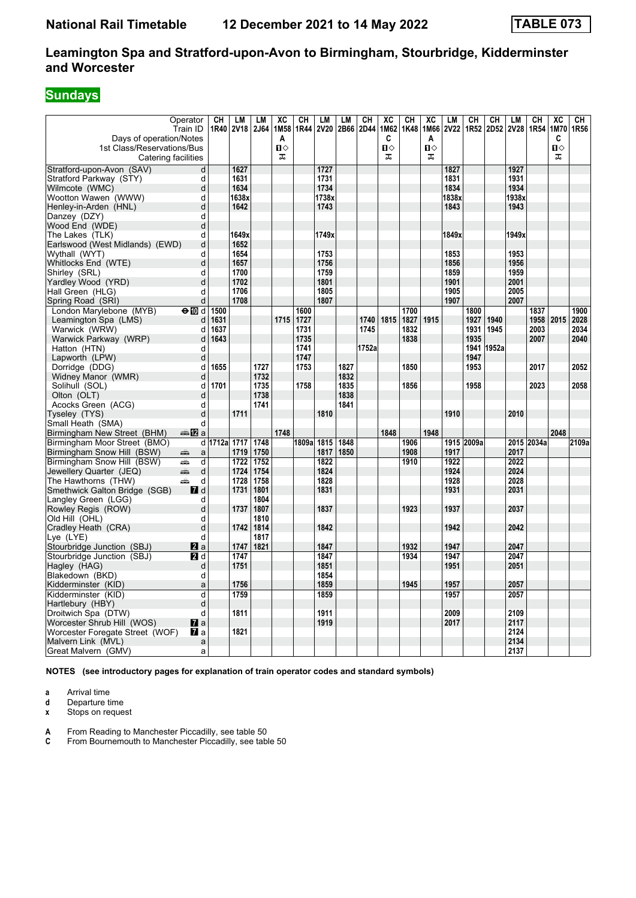# **Sundays**

| Days of operation/Notes<br>1st Class/Reservations/Bus | Operator<br>Train ID | CН<br>1R40 | <b>LM</b><br><b>2V18</b> | LM<br>2J64 | XC<br>1M58<br>A<br>$\mathbf{u}$ | CH<br>1R44 | <b>LM</b><br><b>2V20</b> | <b>LM</b><br>2B66 | CН<br>2D44 | XC<br>1M62<br>C<br>$\mathbf{u}$ | CН<br>1K48 | XC<br>1M66<br>A<br>$\mathbf{u}$ | <b>LM</b><br><b>2V22</b> | CН         | CH<br>1R52 2D52 | LM<br><b>2V28</b> | CН<br>1R54 | $\overline{AC}$<br>1M70<br>C<br>п⇔ | CН<br>1R56 |
|-------------------------------------------------------|----------------------|------------|--------------------------|------------|---------------------------------|------------|--------------------------|-------------------|------------|---------------------------------|------------|---------------------------------|--------------------------|------------|-----------------|-------------------|------------|------------------------------------|------------|
| Catering facilities                                   |                      |            |                          |            | 工                               |            |                          |                   |            | ᅚ                               |            | ᠼ                               |                          |            |                 |                   |            | ᅚ                                  |            |
| Stratford-upon-Avon (SAV)                             | d                    |            | 1627                     |            |                                 |            | 1727                     |                   |            |                                 |            |                                 | 1827                     |            |                 | 1927              |            |                                    |            |
| Stratford Parkway (STY)                               | d                    |            | 1631                     |            |                                 |            | 1731                     |                   |            |                                 |            |                                 | 1831                     |            |                 | 1931              |            |                                    |            |
| Wilmcote (WMC)                                        | d                    |            | 1634                     |            |                                 |            | 1734                     |                   |            |                                 |            |                                 | 1834                     |            |                 | 1934              |            |                                    |            |
| Wootton Wawen (WWW)                                   | d                    |            | 1638x                    |            |                                 |            | 1738x                    |                   |            |                                 |            |                                 | 1838x                    |            |                 | 1938x             |            |                                    |            |
| Henley-in-Arden (HNL)                                 | d                    |            | 1642                     |            |                                 |            | 1743                     |                   |            |                                 |            |                                 | 1843                     |            |                 | 1943              |            |                                    |            |
| Danzey (DZY)                                          | d                    |            |                          |            |                                 |            |                          |                   |            |                                 |            |                                 |                          |            |                 |                   |            |                                    |            |
| Wood End (WDE)                                        | d                    |            |                          |            |                                 |            |                          |                   |            |                                 |            |                                 |                          |            |                 |                   |            |                                    |            |
| The Lakes (TLK)                                       | d                    |            | 1649x                    |            |                                 |            | 1749x                    |                   |            |                                 |            |                                 | 1849x                    |            |                 | 1949x             |            |                                    |            |
| Earlswood (West Midlands) (EWD)                       | d                    |            | 1652                     |            |                                 |            |                          |                   |            |                                 |            |                                 |                          |            |                 |                   |            |                                    |            |
| Wythall (WYT)                                         | d                    |            | 1654                     |            |                                 |            | 1753                     |                   |            |                                 |            |                                 | 1853                     |            |                 | 1953              |            |                                    |            |
| Whitlocks End (WTE)                                   | d                    |            | 1657                     |            |                                 |            | 1756                     |                   |            |                                 |            |                                 | 1856                     |            |                 | 1956              |            |                                    |            |
| Shirley (SRL)                                         | d                    |            | 1700                     |            |                                 |            | 1759                     |                   |            |                                 |            |                                 | 1859                     |            |                 | 1959              |            |                                    |            |
| Yardley Wood (YRD)                                    | d                    |            | 1702                     |            |                                 |            | 1801                     |                   |            |                                 |            |                                 | 1901                     |            |                 | 2001              |            |                                    |            |
| Hall Green (HLG)                                      | d                    |            | 1706                     |            |                                 |            | 1805                     |                   |            |                                 |            |                                 | 1905                     |            |                 | 2005              |            |                                    |            |
| Spring Road (SRI)                                     | d                    |            | 1708                     |            |                                 |            | 1807                     |                   |            |                                 |            |                                 | 1907                     |            |                 | 2007              |            |                                    |            |
| London Marylebone (MYB)                               | $\Theta$ M d         | 1500       |                          |            |                                 | 1600       |                          |                   |            |                                 | 1700       |                                 |                          | 1800       |                 |                   | 1837       |                                    | 1900       |
| Leamington Spa (LMS)                                  | d                    | 1631       |                          |            | 1715                            | 1727       |                          |                   | 1740       | 1815                            | 1827       | 1915                            |                          | 1927       | 1940            |                   | 1958       | 2015                               | 2028       |
| Warwick (WRW)                                         | d                    | 1637       |                          |            |                                 | 1731       |                          |                   | 1745       |                                 | 1832       |                                 |                          | 1931       | 1945            |                   | 2003       |                                    | 2034       |
| Warwick Parkway (WRP)                                 | d                    | 1643       |                          |            |                                 | 1735       |                          |                   |            |                                 | 1838       |                                 |                          | 1935       |                 |                   | 2007       |                                    | 2040       |
| Hatton (HTN)                                          | d                    |            |                          |            |                                 | 1741       |                          |                   | 1752a      |                                 |            |                                 |                          |            | 1941 1952a      |                   |            |                                    |            |
| Lapworth (LPW)                                        | d                    |            |                          |            |                                 | 1747       |                          |                   |            |                                 |            |                                 |                          | 1947       |                 |                   |            |                                    |            |
| Dorridge (DDG)                                        | d                    | 1655       |                          | 1727       |                                 | 1753       |                          | 1827              |            |                                 | 1850       |                                 |                          | 1953       |                 |                   | 2017       |                                    | 2052       |
| Widney Manor (WMR)                                    | d                    |            |                          | 1732       |                                 |            |                          | 1832              |            |                                 |            |                                 |                          |            |                 |                   |            |                                    |            |
| Solihull (SOL)                                        | d                    | 1701       |                          | 1735       |                                 | 1758       |                          | 1835              |            |                                 | 1856       |                                 |                          | 1958       |                 |                   | 2023       |                                    | 2058       |
| Olton (OLT)                                           | d                    |            |                          | 1738       |                                 |            |                          | 1838              |            |                                 |            |                                 |                          |            |                 |                   |            |                                    |            |
| Acocks Green (ACG)                                    | d                    |            |                          | 1741       |                                 |            |                          | 1841              |            |                                 |            |                                 |                          |            |                 |                   |            |                                    |            |
| Tyseley (TYS)                                         | d                    |            | 1711                     |            |                                 |            | 1810                     |                   |            |                                 |            |                                 | 1910                     |            |                 | 2010              |            |                                    |            |
| Small Heath (SMA)                                     | d                    |            |                          |            |                                 |            |                          |                   |            |                                 |            |                                 |                          |            |                 |                   |            |                                    |            |
| Birmingham New Street (BHM)                           | a‱ 1721 a            |            |                          |            | 1748                            |            |                          |                   |            | 1848                            |            | 1948                            |                          |            |                 |                   |            | 2048                               |            |
| Birmingham Moor Street (BMO)                          | d                    | 1712a 1717 |                          | 1748       |                                 | 1809a 1815 |                          | 1848              |            |                                 | 1906       |                                 |                          | 1915 2009a |                 |                   | 2015 2034a |                                    | 2109a      |
| Birmingham Snow Hill (BSW)                            | æ<br>a               |            | 1719                     | 1750       |                                 |            | 1817                     | 1850              |            |                                 | 1908       |                                 | 1917                     |            |                 | 2017              |            |                                    |            |
| Birmingham Snow Hill (BSW)                            | æ<br>d               |            | 1722                     | 1752       |                                 |            | 1822                     |                   |            |                                 | 1910       |                                 | 1922                     |            |                 | 2022              |            |                                    |            |
| Jewellery Quarter (JEQ)                               | پېښ<br>d             |            | 1724                     | 1754       |                                 |            | 1824                     |                   |            |                                 |            |                                 | 1924                     |            |                 | 2024              |            |                                    |            |
| The Hawthorns (THW)                                   | aîn<br>d             |            | 1728                     | 1758       |                                 |            | 1828                     |                   |            |                                 |            |                                 | 1928                     |            |                 | 2028              |            |                                    |            |
| Smethwick Galton Bridge (SGB)                         | <b>7</b> d           |            | 1731                     | 1801       |                                 |            | 1831                     |                   |            |                                 |            |                                 | 1931                     |            |                 | 2031              |            |                                    |            |
| Langley Green (LGG)                                   | d                    |            |                          | 1804       |                                 |            |                          |                   |            |                                 |            |                                 |                          |            |                 |                   |            |                                    |            |
| Rowley Regis (ROW)                                    | d                    |            | 1737                     | 1807       |                                 |            | 1837                     |                   |            |                                 | 1923       |                                 | 1937                     |            |                 | 2037              |            |                                    |            |
| Old Hill (OHL)                                        | d                    |            |                          | 1810       |                                 |            |                          |                   |            |                                 |            |                                 |                          |            |                 |                   |            |                                    |            |
| Cradley Heath (CRA)                                   | d                    |            | 1742                     | 1814       |                                 |            | 1842                     |                   |            |                                 |            |                                 | 1942                     |            |                 | 2042              |            |                                    |            |
| Lye (LYE)                                             | d                    |            |                          | 1817       |                                 |            |                          |                   |            |                                 |            |                                 |                          |            |                 |                   |            |                                    |            |
| Stourbridge Junction (SBJ)                            | $\mathbf{z}$ a       |            | 1747                     | 1821       |                                 |            | 1847                     |                   |            |                                 | 1932       |                                 | 1947                     |            |                 | 2047              |            |                                    |            |
| Stourbridge Junction (SBJ)                            | 21 d                 |            | 1747                     |            |                                 |            | 1847                     |                   |            |                                 | 1934       |                                 | 1947                     |            |                 | 2047              |            |                                    |            |
| Hagley (HAG)                                          | d                    |            | 1751                     |            |                                 |            | 1851                     |                   |            |                                 |            |                                 | 1951                     |            |                 | 2051              |            |                                    |            |
| Blakedown (BKD)                                       | d                    |            |                          |            |                                 |            | 1854                     |                   |            |                                 |            |                                 |                          |            |                 |                   |            |                                    |            |
| Kidderminster (KID)                                   | a                    |            | 1756                     |            |                                 |            | 1859                     |                   |            |                                 | 1945       |                                 | 1957                     |            |                 | 2057              |            |                                    |            |
| Kidderminster (KID)                                   | d                    |            | 1759                     |            |                                 |            | 1859                     |                   |            |                                 |            |                                 | 1957                     |            |                 | 2057              |            |                                    |            |
| Hartlebury (HBY)                                      | d                    |            |                          |            |                                 |            |                          |                   |            |                                 |            |                                 |                          |            |                 |                   |            |                                    |            |
| Droitwich Spa (DTW)                                   | d                    |            | 1811                     |            |                                 |            | 1911                     |                   |            |                                 |            |                                 | 2009                     |            |                 | 2109              |            |                                    |            |
| Worcester Shrub Hill (WOS)                            | $\mathbf{z}$ a       |            |                          |            |                                 |            | 1919                     |                   |            |                                 |            |                                 | 2017                     |            |                 | 2117              |            |                                    |            |
| Worcester Foregate Street (WOF)                       | <b>7</b> a           |            | 1821                     |            |                                 |            |                          |                   |            |                                 |            |                                 |                          |            |                 | 2124              |            |                                    |            |
| Malvern Link (MVL)                                    | a                    |            |                          |            |                                 |            |                          |                   |            |                                 |            |                                 |                          |            |                 | 2134              |            |                                    |            |
| Great Malvern (GMV)                                   | a                    |            |                          |            |                                 |            |                          |                   |            |                                 |            |                                 |                          |            |                 | 2137              |            |                                    |            |

**NOTES (see introductory pages for explanation of train operator codes and standard symbols)**

**a** Arrival time

**d** Departure time<br>**x** Stops on reque **Stops on request** 

**A** From Reading to Manchester Piccadilly, see table 50

**C** From Bournemouth to Manchester Piccadilly, see table 50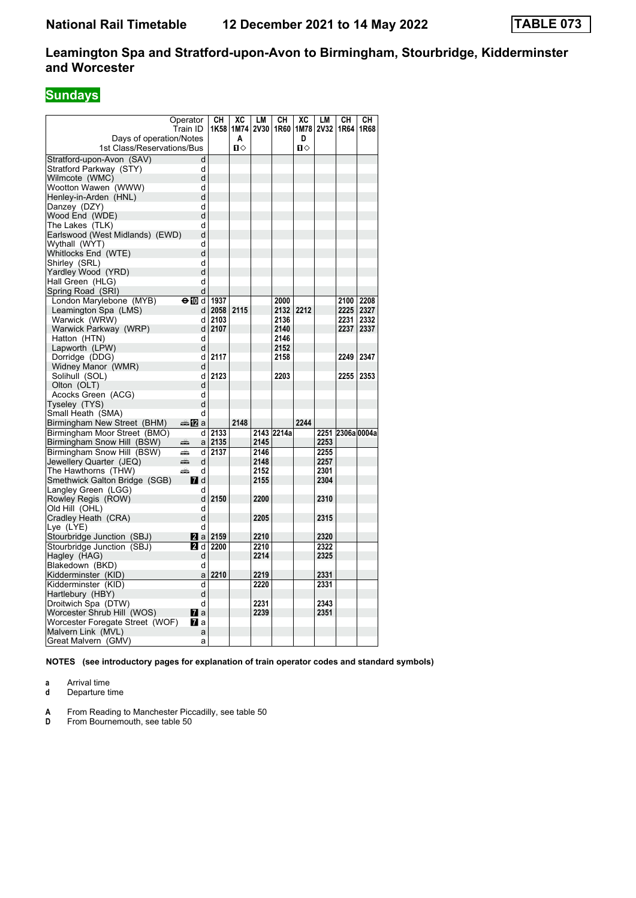# **Sundays**

|                                                       | Operator<br>Train ID      | CН<br>1K58      | XC        | LM<br>1M74 2V30 | CН<br>1R60 | XC                | LM   | CН<br>1M78 2V32 1R64 | CН<br>1R68 |
|-------------------------------------------------------|---------------------------|-----------------|-----------|-----------------|------------|-------------------|------|----------------------|------------|
| Days of operation/Notes<br>1st Class/Reservations/Bus |                           |                 | Α<br>п    |                 |            | D<br>$\mathbf{u}$ |      |                      |            |
| Stratford-upon-Avon (SAV)                             | d                         |                 |           |                 |            |                   |      |                      |            |
| Stratford Parkway (STY)                               | d                         |                 |           |                 |            |                   |      |                      |            |
| Wilmcote (WMC)                                        | d                         |                 |           |                 |            |                   |      |                      |            |
| Wootton Wawen (WWW)                                   | d                         |                 |           |                 |            |                   |      |                      |            |
| Henley-in-Arden (HNL)                                 | d                         |                 |           |                 |            |                   |      |                      |            |
| Danzey (DZY)                                          | d                         |                 |           |                 |            |                   |      |                      |            |
| Wood End (WDE)                                        | d                         |                 |           |                 |            |                   |      |                      |            |
| The Lakes  (TLK)                                      | d                         |                 |           |                 |            |                   |      |                      |            |
| Earlswood (West Midlands) (EWD)                       | d                         |                 |           |                 |            |                   |      |                      |            |
| Wythall (WYT)                                         | d                         |                 |           |                 |            |                   |      |                      |            |
| Whitlocks End (WTE)                                   | d                         |                 |           |                 |            |                   |      |                      |            |
| Shirley (SRL)                                         | d                         |                 |           |                 |            |                   |      |                      |            |
| Yardley Wood (YRD)                                    | d                         |                 |           |                 |            |                   |      |                      |            |
| Hall Green (HLG)                                      | d                         |                 |           |                 |            |                   |      |                      |            |
| Spring Road (SRI)                                     | d                         |                 |           |                 |            |                   |      |                      |            |
| London Marylebone (MYB)                               | $\Theta$ M d              | 1937            |           |                 | 2000       |                   |      | 2100   2208          |            |
| Leamington Spa (LMS)                                  | d                         |                 | 2058 2115 |                 | 2132       | 2212              |      | 2225 2327            |            |
| Warwick (WRW)                                         | d                         | 2103            |           |                 | 2136       |                   |      | 2231                 | 2332       |
| Warwick Parkway (WRP)                                 | d                         | 2107            |           |                 | 2140       |                   |      | 2237                 | 2337       |
| Hatton (HTN)                                          | d                         |                 |           |                 | 2146       |                   |      |                      |            |
| Lapworth (LPW)                                        | d                         |                 |           |                 | 2152       |                   |      |                      |            |
| Dorridge (DDG)                                        | d                         | 2117            |           |                 | 2158       |                   |      | 2249                 | 2347       |
| Widney Manor (WMR)                                    | d                         |                 |           |                 |            |                   |      |                      |            |
| Solihull (SOL)                                        | d                         | 2123            |           |                 | 2203       |                   |      | 2255                 | 2353       |
| Olton (OLT)                                           | d                         |                 |           |                 |            |                   |      |                      |            |
| Acocks Green (ACG)                                    | d                         |                 |           |                 |            |                   |      |                      |            |
| Tyseley (TYS)                                         | d                         |                 |           |                 |            |                   |      |                      |            |
| Small Heath (SMA)                                     | d                         |                 |           |                 |            |                   |      |                      |            |
| Birmingham New Street (BHM)                           | ana <mark>n</mark> 2ia    |                 | 2148      |                 |            | 2244              |      |                      |            |
| Birmingham Moor Street (BMO)                          | d١                        | 2133            |           |                 | 2143 2214a |                   |      | 2251 2306a 0004a     |            |
| Birmingham Snow Hill (BSW)                            | æÒ.<br>a                  | 2135            |           | 2145            |            |                   | 2253 |                      |            |
| Birmingham Snow Hill (BSW)                            | æbo.<br>d                 | 2137            |           | 2146            |            |                   | 2255 |                      |            |
|                                                       | đà<br>d                   |                 |           | 2148            |            |                   | 2257 |                      |            |
| Jewellery Quarter (JEQ)<br>The Hawthorns (THW)        | æbo.<br>d                 |                 |           | 2152            |            |                   | 2301 |                      |            |
| Smethwick Galton Bridge (SGB)                         |                           |                 |           | 2155            |            |                   | 2304 |                      |            |
|                                                       | $\blacksquare$ d<br>d     |                 |           |                 |            |                   |      |                      |            |
| Langley Green (LGG)<br>Rowley Regis (ROW)             | d                         | 2150            |           | 2200            |            |                   | 2310 |                      |            |
| Old Hill (OHL)                                        | d                         |                 |           |                 |            |                   |      |                      |            |
| Cradley Heath (CRA)                                   | d                         |                 |           | 2205            |            |                   | 2315 |                      |            |
| Lye (LYE)                                             | d                         |                 |           |                 |            |                   |      |                      |            |
| Stourbridge Junction (SBJ)                            |                           | <b>2</b> a 2159 |           | 2210            |            |                   | 2320 |                      |            |
| Stourbridge Junction (SBJ)                            | <b>2</b> d                | 2200            |           | 2210            |            |                   | 2322 |                      |            |
|                                                       |                           |                 |           | 2214            |            |                   | 2325 |                      |            |
| Hagley (HAG)<br>Blakedown (BKD)                       | d<br>d                    |                 |           |                 |            |                   |      |                      |            |
|                                                       | a                         | 2210            |           | 2219            |            |                   | 2331 |                      |            |
| Kidderminster (KID)                                   | d                         |                 |           | 2220            |            |                   | 2331 |                      |            |
| Kidderminster (KID)                                   | d                         |                 |           |                 |            |                   |      |                      |            |
| Hartlebury (HBY)                                      | d                         |                 |           | 2231            |            |                   | 2343 |                      |            |
| Droitwich Spa (DTW)<br>Worcester Shrub Hill (WOS)     |                           |                 |           | 2239            |            |                   | 2351 |                      |            |
|                                                       | <b>7</b> a<br><b>77</b> a |                 |           |                 |            |                   |      |                      |            |
| Worcester Foregate Street (WOF)                       |                           |                 |           |                 |            |                   |      |                      |            |
| Malvern Link (MVL)                                    | a                         |                 |           |                 |            |                   |      |                      |            |
| Great Malvern (GMV)                                   | а                         |                 |           |                 |            |                   |      |                      |            |

**NOTES (see introductory pages for explanation of train operator codes and standard symbols)**

**a** Arrival time

**d** Departure time

**A** From Reading to Manchester Piccadilly, see table 50

**From Bournemouth, see table 50**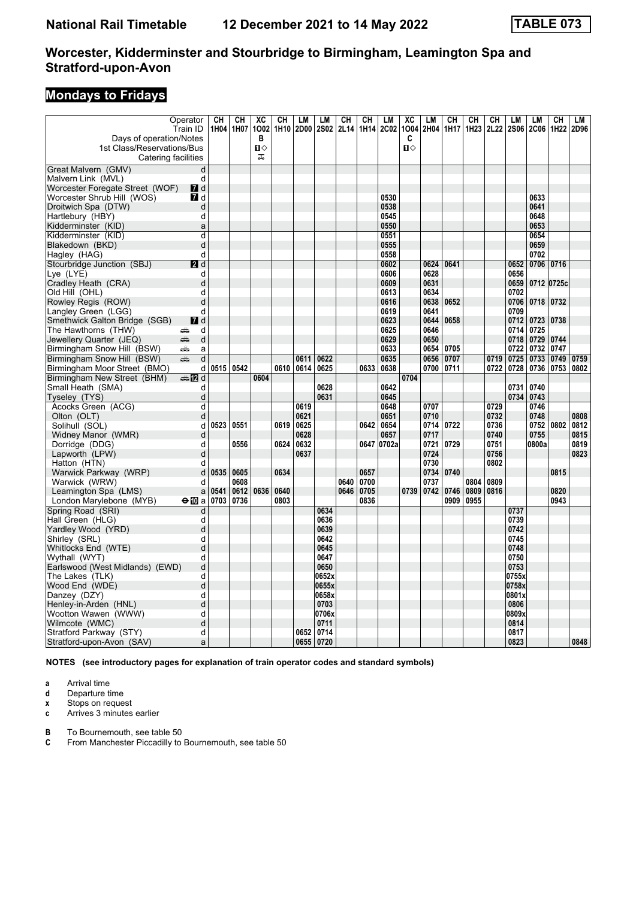# **Mondays to Fridays**

| Operator                                                           | CH        | CH          | $\overline{\text{xc}}$ | CH   | LM   | LM             | CH   | CН   | LM           | $\overline{X}C$   | LM           | $\overline{\text{CH}}$ | CH               | CH   | LM           | LM          | CH   | LM   |
|--------------------------------------------------------------------|-----------|-------------|------------------------|------|------|----------------|------|------|--------------|-------------------|--------------|------------------------|------------------|------|--------------|-------------|------|------|
| Train ID                                                           | 1H04      | 1H07        | 1002                   |      |      | 1H10 2D00 2S02 | 2L14 | 1H14 | <b>2C02</b>  |                   | 1004 2H04    | 1H17                   | 1H <sub>23</sub> | 2L22 | <b>2S06</b>  | <b>2C06</b> | 1H22 | 2D96 |
| Days of operation/Notes                                            |           |             | в                      |      |      |                |      |      |              | C<br>$\mathbf{u}$ |              |                        |                  |      |              |             |      |      |
| 1st Class/Reservations/Bus                                         |           |             | п<br>ᠼ                 |      |      |                |      |      |              |                   |              |                        |                  |      |              |             |      |      |
| Catering facilities                                                |           |             |                        |      |      |                |      |      |              |                   |              |                        |                  |      |              |             |      |      |
| Great Malvern (GMV)                                                | d         |             |                        |      |      |                |      |      |              |                   |              |                        |                  |      |              |             |      |      |
| Malvern Link (MVL)                                                 | d         |             |                        |      |      |                |      |      |              |                   |              |                        |                  |      |              |             |      |      |
| Worcester Foregate Street (WOF)<br><b>7</b> d                      |           |             |                        |      |      |                |      |      |              |                   |              |                        |                  |      |              |             |      |      |
| Worcester Shrub Hill (WOS)<br><b>7</b> d                           |           |             |                        |      |      |                |      |      | 0530         |                   |              |                        |                  |      |              | 0633        |      |      |
| Droitwich Spa (DTW)                                                | d         |             |                        |      |      |                |      |      | 0538         |                   |              |                        |                  |      |              | 0641        |      |      |
| Hartlebury (HBY)                                                   | d         |             |                        |      |      |                |      |      | 0545<br>0550 |                   |              |                        |                  |      |              | 0648        |      |      |
| Kidderminster (KID)                                                | a         |             |                        |      |      |                |      |      |              |                   |              |                        |                  |      |              | 0653        |      |      |
| Kidderminster (KID)                                                | d         |             |                        |      |      |                |      |      | 0551         |                   |              |                        |                  |      |              | 0654        |      |      |
| Blakedown (BKD)                                                    | d         |             |                        |      |      |                |      |      | 0555         |                   |              |                        |                  |      |              | 0659        |      |      |
| Hagley (HAG)                                                       | d         |             |                        |      |      |                |      |      | 0558         |                   |              |                        |                  |      |              | 0702        |      |      |
| Stourbridge Junction (SBJ)<br>2d                                   |           |             |                        |      |      |                |      |      | 0602         |                   | 0624         | 0641                   |                  |      | 0652         | 0706 0716   |      |      |
| Lye (LYE)                                                          | d         |             |                        |      |      |                |      |      | 0606<br>0609 |                   | 0628<br>0631 |                        |                  |      | 0656<br>0659 |             |      |      |
| Cradley Heath (CRA)                                                | d         |             |                        |      |      |                |      |      | 0613         |                   |              |                        |                  |      |              | 0712 0725c  |      |      |
| Old Hill (OHL)                                                     | d         |             |                        |      |      |                |      |      | 0616         |                   | 0634<br>0638 | 0652                   |                  |      | 0702<br>0706 | 0718 0732   |      |      |
| Rowley Regis (ROW)                                                 | d<br>d    |             |                        |      |      |                |      |      | 0619         |                   | 0641         |                        |                  |      | 0709         |             |      |      |
| Langley Green (LGG)<br>Smethwick Galton Bridge (SGB)<br><b>7</b> d |           |             |                        |      |      |                |      |      | 0623         |                   | 0644         | 0658                   |                  |      |              | 0712 0723   | 0738 |      |
| The Hawthorns (THW)<br>پېښ                                         | d         |             |                        |      |      |                |      |      | 0625         |                   | 0646         |                        |                  |      | 0714         | 0725        |      |      |
| æ                                                                  | d         |             |                        |      |      |                |      |      | 0629         |                   | 0650         |                        |                  |      | 0718         | 0729        | 0744 |      |
| Jewellery Quarter (JEQ)<br>Birmingham Snow Hill (BSW)<br>پېښ       | a         |             |                        |      |      |                |      |      | 0633         |                   | 0654         | 0705                   |                  |      | 0722         | 0732        | 0747 |      |
| Birmingham Snow Hill (BSW)<br>æ                                    | d         |             |                        |      | 0611 | 0622           |      |      | 0635         |                   | 0656         | 0707                   |                  | 0719 | 0725         | 0733        | 0749 | 0759 |
|                                                                    | d         | 0515   0542 |                        | 0610 | 0614 | 0625           |      | 0633 | 0638         |                   | 0700         | 0711                   |                  | 0722 | 0728         | 0736        | 0753 | 0802 |
| Birmingham Moor Street (BMO)<br>d <b>ta</b>                        |           |             | 0604                   |      |      |                |      |      |              | 0704              |              |                        |                  |      |              |             |      |      |
| Birmingham New Street (BHM)<br>Small Heath (SMA)                   |           |             |                        |      |      | 0628           |      |      | 0642         |                   |              |                        |                  |      | 0731         | 0740        |      |      |
|                                                                    | d<br>d    |             |                        |      |      | 0631           |      |      | 0645         |                   |              |                        |                  |      | 0734         | 0743        |      |      |
| Tyseley (TYS)<br>Acocks Green (ACG)                                | d         |             |                        |      | 0619 |                |      |      | 0648         |                   | 0707         |                        |                  | 0729 |              | 0746        |      |      |
| Olton (OLT)                                                        | d         |             |                        |      | 0621 |                |      |      | 0651         |                   | 0710         |                        |                  | 0732 |              | 0748        |      | 0808 |
| Solihull (SOL)                                                     | 0523<br>d | 0551        |                        | 0619 | 0625 |                |      | 0642 | 0654         |                   | 0714         | 0722                   |                  | 0736 |              | 0752        | 0802 | 0812 |
| Widney Manor (WMR)                                                 | d         |             |                        |      | 0628 |                |      |      | 0657         |                   | 0717         |                        |                  | 0740 |              | 0755        |      | 0815 |
| Dorridge (DDG)                                                     | d         | 0556        |                        | 0624 | 0632 |                |      |      | 0647 0702a   |                   | 0721         | 0729                   |                  | 0751 |              | 0800a       |      | 0819 |
| Lapworth (LPW)                                                     | d         |             |                        |      | 0637 |                |      |      |              |                   | 0724         |                        |                  | 0756 |              |             |      | 0823 |
| Hatton (HTN)                                                       | d         |             |                        |      |      |                |      |      |              |                   | 0730         |                        |                  | 0802 |              |             |      |      |
| Warwick Parkway (WRP)                                              | 0535<br>d | 0605        |                        | 0634 |      |                |      | 0657 |              |                   | 0734         | 0740                   |                  |      |              |             | 0815 |      |
| Warwick (WRW)                                                      | d         | 0608        |                        |      |      |                | 0640 | 0700 |              |                   | 0737         |                        | 0804             | 0809 |              |             |      |      |
| Leamington Spa (LMS)                                               | 0541<br>a | 0612        | 0636                   | 0640 |      |                | 0646 | 0705 |              | 0739              | 0742         | 0746                   | 0809             | 0816 |              |             | 0820 |      |
| $\bigoplus$ a<br>London Marylebone (MYB)                           | 0703      | 0736        |                        | 0803 |      |                |      | 0836 |              |                   |              | 0909                   | 0955             |      |              |             | 0943 |      |
| Spring Road (SRI)                                                  | d         |             |                        |      |      | 0634           |      |      |              |                   |              |                        |                  |      | 0737         |             |      |      |
| Hall Green (HLG)                                                   | d         |             |                        |      |      | 0636           |      |      |              |                   |              |                        |                  |      | 0739         |             |      |      |
| Yardley Wood (YRD)                                                 | d         |             |                        |      |      | 0639           |      |      |              |                   |              |                        |                  |      | 0742         |             |      |      |
| Shirley (SRL)                                                      | d         |             |                        |      |      | 0642           |      |      |              |                   |              |                        |                  |      | 0745         |             |      |      |
| Whitlocks End (WTE)                                                | d         |             |                        |      |      | 0645           |      |      |              |                   |              |                        |                  |      | 0748         |             |      |      |
| Wythall (WYT)                                                      | d         |             |                        |      |      | 0647           |      |      |              |                   |              |                        |                  |      | 0750         |             |      |      |
| Earlswood (West Midlands) (EWD)                                    | d         |             |                        |      |      | 0650           |      |      |              |                   |              |                        |                  |      | 0753         |             |      |      |
| The Lakes  (TLK)                                                   | d         |             |                        |      |      | 0652x          |      |      |              |                   |              |                        |                  |      | 0755x        |             |      |      |
| Wood End (WDE)                                                     | d         |             |                        |      |      | 0655x          |      |      |              |                   |              |                        |                  |      | 0758x        |             |      |      |
| Danzey (DZY)                                                       | d         |             |                        |      |      | 0658x          |      |      |              |                   |              |                        |                  |      | 0801x        |             |      |      |
| Henley-in-Arden (HNL)                                              | d         |             |                        |      |      | 0703           |      |      |              |                   |              |                        |                  |      | 0806         |             |      |      |
| Wootton Wawen (WWW)                                                | d         |             |                        |      |      | 0706x          |      |      |              |                   |              |                        |                  |      | 0809x        |             |      |      |
| Wilmcote (WMC)                                                     | d         |             |                        |      |      | 0711           |      |      |              |                   |              |                        |                  |      | 0814         |             |      |      |
| Stratford Parkway (STY)                                            | d         |             |                        |      | 0652 | 0714           |      |      |              |                   |              |                        |                  |      | 0817         |             |      |      |
| Stratford-upon-Avon (SAV)                                          | a         |             |                        |      |      | 0655 0720      |      |      |              |                   |              |                        |                  |      | 0823         |             |      | 0848 |

**NOTES (see introductory pages for explanation of train operator codes and standard symbols)**

**a** Arrival time<br>**d** Departure ti

**d** Departure time

**x** Stops on request<br>**c** Arrives 3 minutes

**c** Arrives 3 minutes earlier

**B** To Bournemouth, see table 50<br>**C** From Manchester Piccadilly to

**C** From Manchester Piccadilly to Bournemouth, see table 50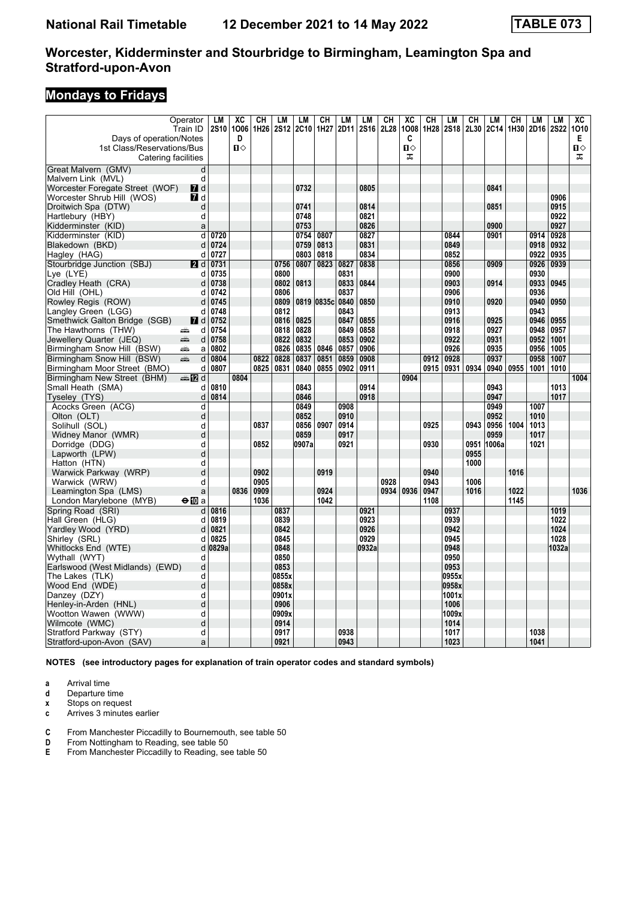# **Mondays to Fridays**

|                                                             | Operator<br>Train ID | LM<br><b>2S10</b> | $\overline{\text{xc}}$<br>1006 | СH<br>1H26 | LM<br><b>2S12</b> | LM<br><b>2C10</b> | СH<br>1H27   | LM<br>2D11   | LM<br>2S <sub>16</sub> | CH<br>2L28 | XC<br>1008 | CН<br>1H28 | LM<br><b>2S18</b> | CН<br>2L30 | LM<br>2C14   | CH   | LM<br>1H30 2D16 | LM<br><b>2S22</b> | XC<br>1010   |
|-------------------------------------------------------------|----------------------|-------------------|--------------------------------|------------|-------------------|-------------------|--------------|--------------|------------------------|------------|------------|------------|-------------------|------------|--------------|------|-----------------|-------------------|--------------|
| Days of operation/Notes                                     |                      |                   | D                              |            |                   |                   |              |              |                        |            | C          |            |                   |            |              |      |                 |                   | Е            |
| 1st Class/Reservations/Bus                                  |                      |                   | $\mathbf{u}$                   |            |                   |                   |              |              |                        |            | Ⅱ◇         |            |                   |            |              |      |                 |                   | $\mathbf{u}$ |
| Catering facilities                                         |                      |                   |                                |            |                   |                   |              |              |                        |            | ᠼ          |            |                   |            |              |      |                 |                   | ᠼ            |
| Great Malvern (GMV)                                         | d                    |                   |                                |            |                   |                   |              |              |                        |            |            |            |                   |            |              |      |                 |                   |              |
| Malvern Link (MVL)                                          | d                    |                   |                                |            |                   |                   |              |              |                        |            |            |            |                   |            |              |      |                 |                   |              |
| Worcester Foregate Street (WOF)                             | <b>7</b> d           |                   |                                |            |                   | 0732              |              |              | 0805                   |            |            |            |                   |            | 0841         |      |                 |                   |              |
| Worcester Shrub Hill (WOS)                                  | <b>7</b> d           |                   |                                |            |                   |                   |              |              |                        |            |            |            |                   |            |              |      |                 | 0906              |              |
| Droitwich Spa (DTW)                                         | d                    |                   |                                |            |                   | 0741              |              |              | 0814                   |            |            |            |                   |            | 0851         |      |                 | 0915              |              |
| Hartlebury (HBY)                                            | d                    |                   |                                |            |                   | 0748              |              |              | 0821                   |            |            |            |                   |            |              |      |                 | 0922              |              |
| Kidderminster (KID)                                         | a                    |                   |                                |            |                   | 0753              |              |              | 0826                   |            |            |            |                   |            | 0900         |      |                 | 0927              |              |
| Kidderminster (KID)                                         | d                    | 0720              |                                |            |                   | 0754              | 0807         |              | 0827                   |            |            |            | 0844              |            | 0901         |      | 0914            | 0928              |              |
| Blakedown (BKD)                                             | d                    | 0724              |                                |            |                   | 0759              | 0813         |              | 0831                   |            |            |            | 0849              |            |              |      | 0918            | 0932              |              |
| Hagley (HAG)                                                | d                    | 0727              |                                |            |                   | 0803              | 0818         |              | 0834                   |            |            |            | 0852              |            |              |      | 0922            | 0935              |              |
| Stourbridge Junction (SBJ)                                  | <b>2</b> d           | 0731              |                                |            | 0756              | 0807              | 0823         | 0827         | 0838                   |            |            |            | 0856              |            | 0909         |      | 0926            | 0939              |              |
| Lye (LYE)                                                   | d                    | 0735              |                                |            | 0800              |                   |              | 0831         |                        |            |            |            | 0900              |            |              |      | 0930            |                   |              |
| Cradley Heath (CRA)                                         | d                    | 0738              |                                |            | 0802              | 0813              |              | 0833         | 0844                   |            |            |            | 0903              |            | 0914         |      | 0933            | 0945              |              |
| Old Hill (OHL)                                              | d                    | 0742              |                                |            | 0806              |                   |              | 0837         |                        |            |            |            | 0906              |            |              |      | 0936            |                   |              |
| Rowley Regis (ROW)                                          | d                    | 0745              |                                |            | 0809              |                   | 0819 0835c   | 0840         | 0850                   |            |            |            | 0910              |            | 0920         |      | 0940            | 0950              |              |
| Langley Green (LGG)                                         | d                    | 0748              |                                |            | 0812              |                   |              | 0843         |                        |            |            |            | 0913              |            |              |      | 0943            |                   |              |
| Smethwick Galton Bridge (SGB)                               | <b>7</b> d           | 0752              |                                |            | 0816              | 0825              |              | 0847         | 0855                   |            |            |            | 0916              |            | 0925         |      | 0946            | 0955              |              |
| The Hawthorns (THW)                                         | d<br>پېښته           | 0754              |                                |            | 0818              | 0828              |              | 0849         | 0858                   |            |            |            | 0918              |            | 0927         |      | 0948            | 0957              |              |
| Jewellery Quarter (JEQ)                                     | d<br>پېښ             | 0758<br>0802      |                                |            | 0822<br>0826      | 0832<br>0835      | 0846         | 0853<br>0857 | 0902<br>0906           |            |            |            | 0922<br>0926      |            | 0931<br>0935 |      | 0952<br>0956    | 1001<br>1005      |              |
| Birmingham Snow Hill (BSW)                                  | æ<br>a<br>æ          | 0804              |                                | 0822       | 0828              | 0837              |              | 0859         | 0908                   |            |            | 0912       | 0928              |            | 0937         |      |                 | 1007              |              |
| Birmingham Snow Hill (BSW)                                  | d<br>d               | 0807              |                                | 0825       | 0831              | 0840              | 0851<br>0855 | 0902         | 0911                   |            |            | 0915       | 0931              | 0934       | 0940         | 0955 | 0958<br>1001    |                   |              |
| Birmingham Moor Street (BMO)<br>Birmingham New Street (BHM) | ana Mad              |                   | 0804                           |            |                   |                   |              |              |                        |            | 0904       |            |                   |            |              |      |                 | 1010              | 1004         |
| Small Heath (SMA)                                           | d                    | 0810              |                                |            |                   | 0843              |              |              | 0914                   |            |            |            |                   |            | 0943         |      |                 | 1013              |              |
| Tyseley (TYS)                                               | d                    | 0814              |                                |            |                   | 0846              |              |              | 0918                   |            |            |            |                   |            | 0947         |      |                 | 1017              |              |
| Acocks Green (ACG)                                          | d                    |                   |                                |            |                   | 0849              |              | 0908         |                        |            |            |            |                   |            | 0949         |      | 1007            |                   |              |
| Olton (OLT)                                                 | d                    |                   |                                |            |                   | 0852              |              | 0910         |                        |            |            |            |                   |            | 0952         |      | 1010            |                   |              |
| Solihull (SOL)                                              | d                    |                   |                                | 0837       |                   | 0856              | 0907         | 0914         |                        |            |            | 0925       |                   | 0943       | 0956         | 1004 | 1013            |                   |              |
| Widney Manor (WMR)                                          | d                    |                   |                                |            |                   | 0859              |              | 0917         |                        |            |            |            |                   |            | 0959         |      | 1017            |                   |              |
| Dorridge (DDG)                                              | d                    |                   |                                | 0852       |                   | 0907a             |              | 0921         |                        |            |            | 0930       |                   | 0951       | 1006a        |      | 1021            |                   |              |
| Lapworth (LPW)                                              | d                    |                   |                                |            |                   |                   |              |              |                        |            |            |            |                   | 0955       |              |      |                 |                   |              |
| Hatton (HTN)                                                | d                    |                   |                                |            |                   |                   |              |              |                        |            |            |            |                   | 1000       |              |      |                 |                   |              |
| Warwick Parkway (WRP)                                       | d                    |                   |                                | 0902       |                   |                   | 0919         |              |                        |            |            | 0940       |                   |            |              | 1016 |                 |                   |              |
| Warwick (WRW)                                               | d                    |                   |                                | 0905       |                   |                   |              |              |                        | 0928       |            | 0943       |                   | 1006       |              |      |                 |                   |              |
| Leamington Spa (LMS)                                        | a                    |                   | 0836                           | 0909       |                   |                   | 0924         |              |                        | 0934       | 0936       | 0947       |                   | 1016       |              | 1022 |                 |                   | 1036         |
| London Marylebone (MYB)                                     | $\bigoplus$ a        |                   |                                | 1036       |                   |                   | 1042         |              |                        |            |            | 1108       |                   |            |              | 1145 |                 |                   |              |
| Spring Road (SRI)                                           | d                    | 0816              |                                |            | 0837              |                   |              |              | 0921                   |            |            |            | 0937              |            |              |      |                 | 1019              |              |
| Hall Green (HLG)                                            | d                    | 0819              |                                |            | 0839              |                   |              |              | 0923                   |            |            |            | 0939              |            |              |      |                 | 1022              |              |
| Yardley Wood (YRD)                                          | d                    | 0821              |                                |            | 0842              |                   |              |              | 0926                   |            |            |            | 0942              |            |              |      |                 | 1024              |              |
| Shirley (SRL)                                               | d                    | 0825              |                                |            | 0845              |                   |              |              | 0929                   |            |            |            | 0945              |            |              |      |                 | 1028              |              |
| Whitlocks End (WTE)                                         | d                    | 0829a             |                                |            | 0848              |                   |              |              | 0932a                  |            |            |            | 0948              |            |              |      |                 | 1032a             |              |
| Wythall (WYT)                                               | d                    |                   |                                |            | 0850              |                   |              |              |                        |            |            |            | 0950              |            |              |      |                 |                   |              |
| Earlswood (West Midlands) (EWD)                             | d                    |                   |                                |            | 0853              |                   |              |              |                        |            |            |            | 0953              |            |              |      |                 |                   |              |
| The Lakes (TLK)                                             | d                    |                   |                                |            | 0855x             |                   |              |              |                        |            |            |            | 0955x             |            |              |      |                 |                   |              |
| Wood End (WDE)                                              | d                    |                   |                                |            | 0858x             |                   |              |              |                        |            |            |            | 0958x             |            |              |      |                 |                   |              |
| Danzey (DZY)                                                | d<br>d               |                   |                                |            | 0901x<br>0906     |                   |              |              |                        |            |            |            | 1001x<br>1006     |            |              |      |                 |                   |              |
| Henley-in-Arden (HNL)                                       | d                    |                   |                                |            | 0909x             |                   |              |              |                        |            |            |            | 1009x             |            |              |      |                 |                   |              |
| Wootton Wawen (WWW)<br>Wilmcote (WMC)                       | d                    |                   |                                |            | 0914              |                   |              |              |                        |            |            |            | 1014              |            |              |      |                 |                   |              |
| Stratford Parkway (STY)                                     | d                    |                   |                                |            | 0917              |                   |              | 0938         |                        |            |            |            | 1017              |            |              |      | 1038            |                   |              |
| Stratford-upon-Avon (SAV)                                   | a                    |                   |                                |            | 0921              |                   |              | 0943         |                        |            |            |            | 1023              |            |              |      | 1041            |                   |              |
|                                                             |                      |                   |                                |            |                   |                   |              |              |                        |            |            |            |                   |            |              |      |                 |                   |              |

**NOTES (see introductory pages for explanation of train operator codes and standard symbols)**

**a** Arrival time<br>**d** Departure ti

Departure time

**x** Stops on request<br>**c** Arrives 3 minutes

**c** Arrives 3 minutes earlier

**C** From Manchester Piccadilly to Bournemouth, see table 50

**D** From Nottingham to Reading, see table 50<br>**E** From Manchester Piccadilly to Reading, se

**E** From Manchester Piccadilly to Reading, see table 50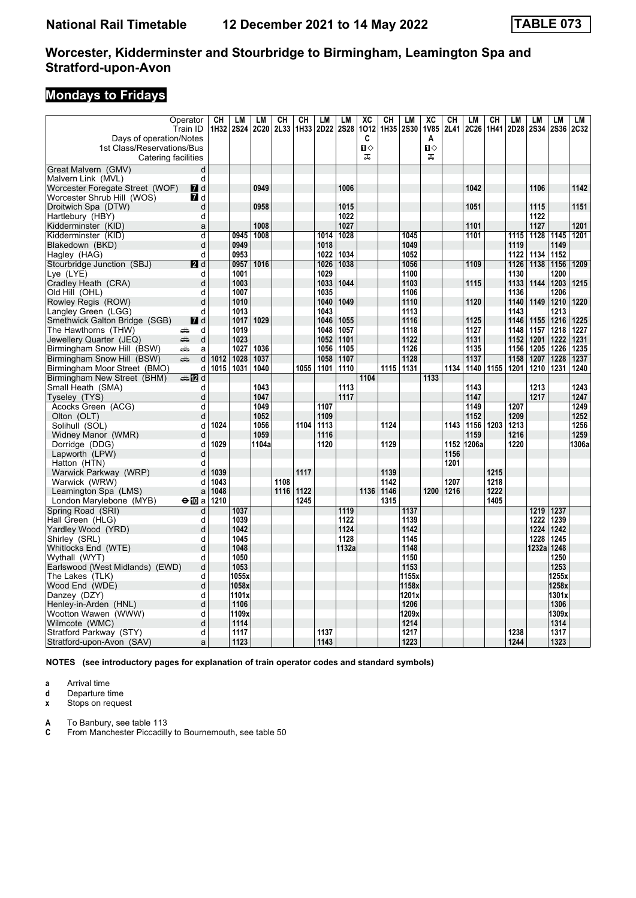# **Mondays to Fridays**

|                                                 | Operator         | CH   | LM          | LМ    | CH   | CH   | LМ        | LM          | $\overline{AC}$ | CH   | LM        | $\overline{AC}$ | $\overline{\text{CH}}$ | <b>LM</b> | CH   | LM   | LM          | <b>LM</b>   | <b>LM</b> |
|-------------------------------------------------|------------------|------|-------------|-------|------|------|-----------|-------------|-----------------|------|-----------|-----------------|------------------------|-----------|------|------|-------------|-------------|-----------|
|                                                 | Train ID         | 1H32 | <b>2S24</b> | 2C20  | 2L33 |      | 1H33 2D22 | <b>2S28</b> | 1012            |      | 1H35 2S30 | <b>1V85</b>     | 2L41                   | 2C26      | 1H41 | 2D28 | <b>2S34</b> | <b>2S36</b> | 2C32      |
| Days of operation/Notes                         |                  |      |             |       |      |      |           |             | C               |      |           | A               |                        |           |      |      |             |             |           |
| 1st Class/Reservations/Bus                      |                  |      |             |       |      |      |           |             | п⇔              |      |           | $\mathbf{u}$    |                        |           |      |      |             |             |           |
| Catering facilities                             |                  |      |             |       |      |      |           |             | ᠼ               |      |           | ᠼ               |                        |           |      |      |             |             |           |
| Great Malvern (GMV)                             | d                |      |             |       |      |      |           |             |                 |      |           |                 |                        |           |      |      |             |             |           |
| Malvern Link (MVL)                              | d                |      |             |       |      |      |           |             |                 |      |           |                 |                        |           |      |      |             |             |           |
| Worcester Foregate Street (WOF)                 | $\blacksquare$ d |      |             | 0949  |      |      |           | 1006        |                 |      |           |                 |                        | 1042      |      |      | 1106        |             | 1142      |
| Worcester Shrub Hill (WOS)                      | $\blacksquare$ d |      |             |       |      |      |           |             |                 |      |           |                 |                        |           |      |      |             |             |           |
| Droitwich Spa (DTW)                             | d                |      |             | 0958  |      |      |           | 1015        |                 |      |           |                 |                        | 1051      |      |      | 1115        |             | 1151      |
| Hartlebury (HBY)                                | d                |      |             |       |      |      |           | 1022        |                 |      |           |                 |                        |           |      |      | 1122        |             |           |
| Kidderminster (KID)                             | a                |      |             | 1008  |      |      |           | 1027        |                 |      |           |                 |                        | 1101      |      |      | 1127        |             | 1201      |
| Kidderminster (KID)                             | d                |      | 0945        | 1008  |      |      | 1014      | 1028        |                 |      | 1045      |                 |                        | 1101      |      | 1115 | 1128        | 1145        | 1201      |
| Blakedown (BKD)                                 | d                |      | 0949        |       |      |      | 1018      |             |                 |      | 1049      |                 |                        |           |      | 1119 |             | 1149        |           |
| Hagley (HAG)                                    | d                |      | 0953        |       |      |      | 1022      | 1034        |                 |      | 1052      |                 |                        |           |      | 1122 | 1134        | 1152        |           |
| Stourbridge Junction (SBJ)                      | 2d               |      | 0957        | 1016  |      |      | 1026      | 1038        |                 |      | 1056      |                 |                        | 1109      |      | 1126 | 1138        | 1156        | 1209      |
| Lye (LYE)                                       | d                |      | 1001        |       |      |      | 1029      |             |                 |      | 1100      |                 |                        |           |      | 1130 |             | 1200        |           |
| Cradley Heath (CRA)                             | d                |      | 1003        |       |      |      | 1033      | 1044        |                 |      | 1103      |                 |                        | 1115      |      | 1133 | 1144        | 1203        | 1215      |
| Old Hill (OHL)                                  | d                |      | 1007        |       |      |      | 1035      |             |                 |      | 1106      |                 |                        |           |      | 1136 |             | 1206        |           |
| Rowley Regis (ROW)                              | d                |      | 1010        |       |      |      | 1040      | 1049        |                 |      | 1110      |                 |                        | 1120      |      | 1140 | 1149        | 1210        | 1220      |
| Langley Green (LGG)                             | d                |      | 1013        |       |      |      | 1043      |             |                 |      | 1113      |                 |                        |           |      | 1143 |             | 1213        |           |
| Smethwick Galton Bridge (SGB)                   | <b>7</b> d       |      | 1017        | 1029  |      |      | 1046      | 1055        |                 |      | 1116      |                 |                        | 1125      |      | 1146 | 1155        | 1216        | 1225      |
| The Hawthorns (THW)                             | d<br>پېښته       |      | 1019        |       |      |      | 1048      | 1057        |                 |      | 1118      |                 |                        | 1127      |      | 1148 | 1157        | 1218        | 1227      |
| Jewellery Quarter (JEQ)                         | پیش<br>d         |      | 1023        |       |      |      | 1052      | 1101        |                 |      | 1122      |                 |                        | 1131      |      | 1152 | 1201        | 1222        | 1231      |
| Birmingham Snow Hill (BSW)                      | æ<br>a           |      | 1027        | 1036  |      |      | 1056      | 1105        |                 |      | 1126      |                 |                        | 1135      |      | 1156 | 1205        | 1226        | 1235      |
| Birmingham Snow Hill (BSW)                      | d<br>dia 1       | 1012 | 1028        | 1037  |      |      | 1058      | 1107        |                 |      | 1128      |                 |                        | 1137      |      | 1158 | 1207        | 1228        | 1237      |
| Birmingham Moor Street (BMO)                    | d                | 1015 | 1031        | 1040  |      | 1055 | 1101      | 1110        |                 |      | 1115 1131 |                 | 1134                   | 1140      | 1155 | 1201 | 1210        | 1231        | 1240      |
| Birmingham New Street (BHM)                     | ্ৰ⊯ 172 d        |      |             |       |      |      |           |             | 1104            |      |           | 1133            |                        |           |      |      |             |             |           |
| Small Heath (SMA)                               | d                |      |             | 1043  |      |      |           | 1113        |                 |      |           |                 |                        | 1143      |      |      | 1213        |             | 1243      |
| Tyseley (TYS)                                   | d                |      |             | 1047  |      |      |           | 1117        |                 |      |           |                 |                        | 1147      |      |      | 1217        |             | 1247      |
| Acocks Green (ACG)                              | d                |      |             | 1049  |      |      | 1107      |             |                 |      |           |                 |                        | 1149      |      | 1207 |             |             | 1249      |
| Olton (OLT)                                     | d                |      |             | 1052  |      |      | 1109      |             |                 |      |           |                 |                        | 1152      |      | 1209 |             |             | 1252      |
| Solihull (SOL)                                  | d                | 1024 |             | 1056  |      | 1104 | 1113      |             |                 | 1124 |           |                 | 1143                   | 1156      | 1203 | 1213 |             |             | 1256      |
| Widney Manor (WMR)                              | d                |      |             | 1059  |      |      | 1116      |             |                 |      |           |                 |                        | 1159      |      | 1216 |             |             | 1259      |
| Dorridge (DDG)                                  | d                | 1029 |             | 1104a |      |      | 1120      |             |                 | 1129 |           |                 | 1152                   | 1206a     |      | 1220 |             |             | 1306a     |
| Lapworth (LPW)                                  | d                |      |             |       |      |      |           |             |                 |      |           |                 | 1156                   |           |      |      |             |             |           |
| Hatton (HTN)                                    | d                | 1039 |             |       |      | 1117 |           |             |                 | 1139 |           |                 | 1201                   |           | 1215 |      |             |             |           |
| Warwick Parkway (WRP)                           | d<br>d           | 1043 |             |       | 1108 |      |           |             |                 | 1142 |           |                 | 1207                   |           | 1218 |      |             |             |           |
| Warwick (WRW)                                   |                  | 1048 |             |       | 1116 | 1122 |           |             | 1136            | 1146 |           | 1200            | 1216                   |           | 1222 |      |             |             |           |
| Leamington Spa (LMS)<br>London Marylebone (MYB) | a<br>⊖n∏a        | 1210 |             |       |      | 1245 |           |             |                 | 1315 |           |                 |                        |           | 1405 |      |             |             |           |
| Spring Road (SRI)                               | d                |      | 1037        |       |      |      |           | 1119        |                 |      | 1137      |                 |                        |           |      |      | 1219        | 1237        |           |
| Hall Green (HLG)                                | d                |      | 1039        |       |      |      |           | 1122        |                 |      | 1139      |                 |                        |           |      |      | 1222        | 1239        |           |
| Yardley Wood (YRD)                              | d                |      | 1042        |       |      |      |           | 1124        |                 |      | 1142      |                 |                        |           |      |      | 1224        | 1242        |           |
| Shirley (SRL)                                   | d                |      | 1045        |       |      |      |           | 1128        |                 |      | 1145      |                 |                        |           |      |      | 1228        | 1245        |           |
| Whitlocks End (WTE)                             | d                |      | 1048        |       |      |      |           | 1132a       |                 |      | 1148      |                 |                        |           |      |      | 1232a       | 1248        |           |
| Wythall (WYT)                                   | d                |      | 1050        |       |      |      |           |             |                 |      | 1150      |                 |                        |           |      |      |             | 1250        |           |
| Earlswood (West Midlands) (EWD)                 | d                |      | 1053        |       |      |      |           |             |                 |      | 1153      |                 |                        |           |      |      |             | 1253        |           |
| The Lakes (TLK)                                 | d                |      | 1055x       |       |      |      |           |             |                 |      | 1155x     |                 |                        |           |      |      |             | 1255x       |           |
| Wood End (WDE)                                  | d                |      | 1058x       |       |      |      |           |             |                 |      | 1158x     |                 |                        |           |      |      |             | 1258x       |           |
| Danzey (DZY)                                    | d                |      | 1101x       |       |      |      |           |             |                 |      | 1201x     |                 |                        |           |      |      |             | 1301x       |           |
| Henley-in-Arden (HNL)                           | d                |      | 1106        |       |      |      |           |             |                 |      | 1206      |                 |                        |           |      |      |             | 1306        |           |
| Wootton Wawen (WWW)                             | d                |      | 1109x       |       |      |      |           |             |                 |      | 1209x     |                 |                        |           |      |      |             | 1309x       |           |
| Wilmcote (WMC)                                  | d                |      | 1114        |       |      |      |           |             |                 |      | 1214      |                 |                        |           |      |      |             | 1314        |           |
| Stratford Parkway (STY)                         | d                |      | 1117        |       |      |      | 1137      |             |                 |      | 1217      |                 |                        |           |      | 1238 |             | 1317        |           |
| Stratford-upon-Avon (SAV)                       | a                |      | 1123        |       |      |      | 1143      |             |                 |      | 1223      |                 |                        |           |      | 1244 |             | 1323        |           |
|                                                 |                  |      |             |       |      |      |           |             |                 |      |           |                 |                        |           |      |      |             |             |           |

**NOTES (see introductory pages for explanation of train operator codes and standard symbols)**

**a** Arrival time<br>**d** Departure ti

**d** Departure time<br>**x** Stops on reque

**Stops on request** 

**A** To Banbury, see table 113<br>**C** From Manchester Piccadill

**C** From Manchester Piccadilly to Bournemouth, see table 50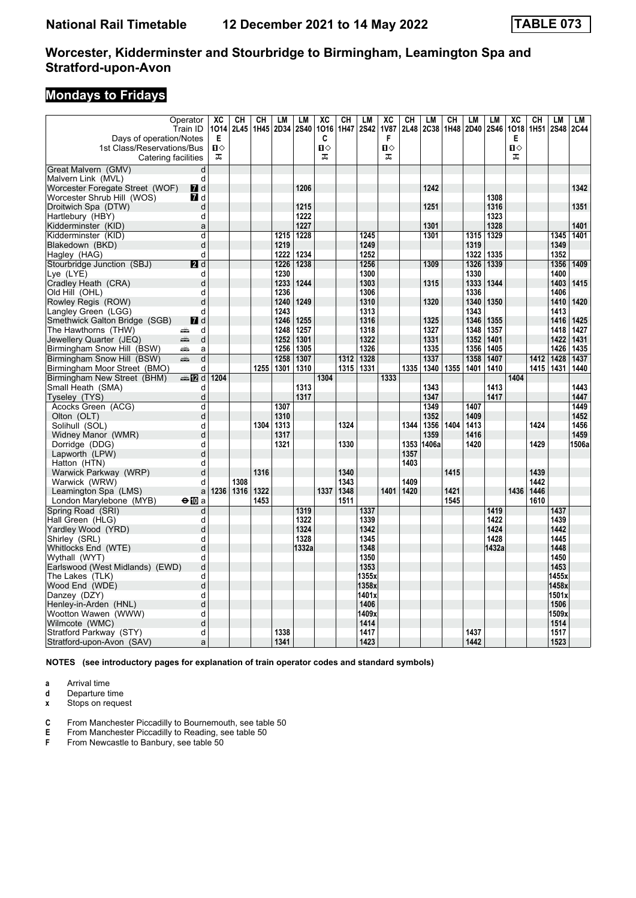# **Mondays to Fridays**

|                                      | Operator         | $\overline{\text{xc}}$ | CH   | CH   | <b>LM</b> | <b>LM</b>    | $\overline{AC}$ | $\overline{\text{CH}}$ | LM           | $\overline{\mathbf{X}}$ | CН   | LM    | CH   | <b>LM</b> | <b>LM</b>    | $\overline{AC}$ | CH        | <b>LM</b>    | LM    |
|--------------------------------------|------------------|------------------------|------|------|-----------|--------------|-----------------|------------------------|--------------|-------------------------|------|-------|------|-----------|--------------|-----------------|-----------|--------------|-------|
|                                      | Train ID         | 1014                   | 2L45 | 1H45 | 2D34 2S40 |              | 1016            | 1H47                   | <b>2S42</b>  | <b>1V87</b>             | 2L48 | 2C38  | 1H48 | 2D40      | <b>2S46</b>  |                 | 1018 1H51 | 2S48         | 2C44  |
| Days of operation/Notes              |                  | E<br>$\mathbf{u}$      |      |      |           |              | C               |                        |              | F<br>$\mathbf{u}$       |      |       |      |           |              | Е               |           |              |       |
| 1st Class/Reservations/Bus           |                  | ᠼ                      |      |      |           |              | п⇔<br>ᠼ         |                        |              | ᠼ                       |      |       |      |           |              | О<br>ᠼ          |           |              |       |
| Catering facilities                  |                  |                        |      |      |           |              |                 |                        |              |                         |      |       |      |           |              |                 |           |              |       |
| Great Malvern (GMV)                  | d                |                        |      |      |           |              |                 |                        |              |                         |      |       |      |           |              |                 |           |              |       |
| Malvern Link (MVL)                   | d                |                        |      |      |           |              |                 |                        |              |                         |      |       |      |           |              |                 |           |              |       |
| Worcester Foregate Street (WOF)      | 7d               |                        |      |      |           | 1206         |                 |                        |              |                         |      | 1242  |      |           |              |                 |           |              | 1342  |
| Worcester Shrub Hill (WOS)           | <b>7</b> d       |                        |      |      |           |              |                 |                        |              |                         |      |       |      |           | 1308         |                 |           |              |       |
| Droitwich Spa (DTW)                  | d                |                        |      |      |           | 1215         |                 |                        |              |                         |      | 1251  |      |           | 1316         |                 |           |              | 1351  |
| Hartlebury (HBY)                     | d                |                        |      |      |           | 1222         |                 |                        |              |                         |      |       |      |           | 1323         |                 |           |              |       |
| Kidderminster (KID)                  | a                |                        |      |      |           | 1227         |                 |                        |              |                         |      | 1301  |      |           | 1328         |                 |           |              | 1401  |
| Kidderminster (KID)                  | d                |                        |      |      | 1215      | 1228         |                 |                        | 1245         |                         |      | 1301  |      | 1315      | 1329         |                 |           | 1345         | 1401  |
| Blakedown (BKD)                      | d                |                        |      |      | 1219      |              |                 |                        | 1249         |                         |      |       |      | 1319      |              |                 |           | 1349         |       |
| Hagley (HAG)                         | d                |                        |      |      | 1222      | 1234         |                 |                        | 1252         |                         |      |       |      | 1322      | 1335         |                 |           | 1352         |       |
| Stourbridge Junction (SBJ)           | 2d               |                        |      |      | 1226      | 1238         |                 |                        | 1256         |                         |      | 1309  |      | 1326      | 1339         |                 |           | 1356         | 1409  |
| Lye (LYE)                            | d                |                        |      |      | 1230      |              |                 |                        | 1300         |                         |      |       |      | 1330      |              |                 |           | 1400         |       |
| Cradley Heath (CRA)                  | d                |                        |      |      | 1233      | 1244         |                 |                        | 1303         |                         |      | 1315  |      | 1333      | 1344         |                 |           | 1403         | 1415  |
| Old Hill (OHL)                       | d                |                        |      |      | 1236      |              |                 |                        | 1306         |                         |      |       |      | 1336      |              |                 |           | 1406         |       |
| Rowley Regis (ROW)                   | d                |                        |      |      | 1240      | 1249         |                 |                        | 1310         |                         |      | 1320  |      | 1340      | 1350         |                 |           | 1410         | 1420  |
| Langley Green (LGG)                  | d                |                        |      |      | 1243      |              |                 |                        | 1313         |                         |      |       |      | 1343      |              |                 |           | 1413         |       |
| Smethwick Galton Bridge (SGB)        | $\blacksquare$ d |                        |      |      | 1246      | 1255         |                 |                        | 1316         |                         |      | 1325  |      | 1346      | 1355         |                 |           | 1416         | 1425  |
| The Hawthorns (THW)                  | d<br>۵Ë          |                        |      |      | 1248      | 1257         |                 |                        | 1318         |                         |      | 1327  |      | 1348      | 1357         |                 |           | 1418         | 1427  |
| Jewellery Quarter (JEQ)              | æ<br>d           |                        |      |      | 1252      | 1301         |                 |                        | 1322         |                         |      | 1331  |      | 1352      | 1401         |                 |           | 1422         | 1431  |
| Birmingham Snow Hill (BSW)           | æ<br>a           |                        |      |      | 1256      | 1305         |                 |                        | 1326         |                         |      | 1335  |      | 1356      | 1405         |                 |           | 1426         | 1435  |
| Birmingham Snow Hill (BSW)           | d<br>dia 1       |                        |      |      | 1258      | 1307         |                 | 1312                   | 1328         |                         |      | 1337  |      | 1358      | 1407         |                 | 1412      | 1428         | 1437  |
| Birmingham Moor Street (BMO)         | d                |                        |      | 1255 | 1301      | 1310         |                 | 1315                   | 1331         |                         | 1335 | 1340  | 1355 | 1401      | 1410         |                 | 1415      | 1431         | 1440  |
| Birmingham New Street (BHM)          | d≣name.          | 1204                   |      |      |           |              | 1304            |                        |              | 1333                    |      |       |      |           |              | 1404            |           |              |       |
| Small Heath (SMA)                    | d                |                        |      |      |           | 1313         |                 |                        |              |                         |      | 1343  |      |           | 1413         |                 |           |              | 1443  |
| Tyseley (TYS)                        | d                |                        |      |      |           | 1317         |                 |                        |              |                         |      | 1347  |      |           | 1417         |                 |           |              | 1447  |
| Acocks Green (ACG)                   | d                |                        |      |      | 1307      |              |                 |                        |              |                         |      | 1349  |      | 1407      |              |                 |           |              | 1449  |
| Olton (OLT)                          | d                |                        |      |      | 1310      |              |                 |                        |              |                         |      | 1352  |      | 1409      |              |                 |           |              | 1452  |
| Solihull (SOL)                       | d                |                        |      | 1304 | 1313      |              |                 | 1324                   |              |                         | 1344 | 1356  | 1404 | 1413      |              |                 | 1424      |              | 1456  |
| Widney Manor (WMR)                   | d                |                        |      |      | 1317      |              |                 |                        |              |                         |      | 1359  |      | 1416      |              |                 |           |              | 1459  |
| Dorridge (DDG)                       | d                |                        |      |      | 1321      |              |                 | 1330                   |              |                         | 1353 | 1406a |      | 1420      |              |                 | 1429      |              | 1506a |
| Lapworth (LPW)                       | d                |                        |      |      |           |              |                 |                        |              |                         | 1357 |       |      |           |              |                 |           |              |       |
| Hatton (HTN)                         | d                |                        |      |      |           |              |                 |                        |              |                         | 1403 |       |      |           |              |                 |           |              |       |
| Warwick Parkway (WRP)                | d                |                        |      | 1316 |           |              |                 | 1340                   |              |                         |      |       | 1415 |           |              |                 | 1439      |              |       |
| Warwick (WRW)                        | d                |                        | 1308 |      |           |              |                 | 1343                   |              |                         | 1409 |       |      |           |              |                 | 1442      |              |       |
| Leamington Spa (LMS)                 | a                | 1236                   | 1316 | 1322 |           |              | 1337            | 1348                   |              | 1401                    | 1420 |       | 1421 |           |              | 1436            | 1446      |              |       |
| London Marylebone (MYB)              | $\bigoplus$ a    |                        |      | 1453 |           |              |                 | 1511                   |              |                         |      |       | 1545 |           |              |                 | 1610      |              |       |
| Spring Road (SRI)                    | d                |                        |      |      |           | 1319         |                 |                        | 1337         |                         |      |       |      |           | 1419<br>1422 |                 |           | 1437         |       |
| Hall Green (HLG)                     | d                |                        |      |      |           | 1322         |                 |                        | 1339         |                         |      |       |      |           |              |                 |           | 1439         |       |
| Yardley Wood (YRD)                   | d<br>d           |                        |      |      |           | 1324<br>1328 |                 |                        | 1342<br>1345 |                         |      |       |      |           | 1424<br>1428 |                 |           | 1442<br>1445 |       |
| Shirley (SRL)                        | d                |                        |      |      |           |              |                 |                        | 1348         |                         |      |       |      |           | 1432a        |                 |           | 1448         |       |
| Whitlocks End (WTE)<br>Wythall (WYT) | d                |                        |      |      |           | 1332a        |                 |                        | 1350         |                         |      |       |      |           |              |                 |           | 1450         |       |
| Earlswood (West Midlands) (EWD)      | d                |                        |      |      |           |              |                 |                        | 1353         |                         |      |       |      |           |              |                 |           | 1453         |       |
| The Lakes  (TLK)                     | d                |                        |      |      |           |              |                 |                        | 1355x        |                         |      |       |      |           |              |                 |           | 1455x        |       |
| Wood End (WDE)                       | d                |                        |      |      |           |              |                 |                        | 1358x        |                         |      |       |      |           |              |                 |           | 1458x        |       |
| Danzey (DZY)                         | d                |                        |      |      |           |              |                 |                        | 1401x        |                         |      |       |      |           |              |                 |           | 1501x        |       |
| Henley-in-Arden (HNL)                | d                |                        |      |      |           |              |                 |                        | 1406         |                         |      |       |      |           |              |                 |           | 1506         |       |
| Wootton Wawen (WWW)                  | d                |                        |      |      |           |              |                 |                        | 1409x        |                         |      |       |      |           |              |                 |           | 1509x        |       |
| Wilmcote (WMC)                       | d                |                        |      |      |           |              |                 |                        | 1414         |                         |      |       |      |           |              |                 |           | 1514         |       |
| Stratford Parkway (STY)              | d                |                        |      |      | 1338      |              |                 |                        | 1417         |                         |      |       |      | 1437      |              |                 |           | 1517         |       |
| Stratford-upon-Avon (SAV)            | a                |                        |      |      | 1341      |              |                 |                        | 1423         |                         |      |       |      | 1442      |              |                 |           | 1523         |       |
|                                      |                  |                        |      |      |           |              |                 |                        |              |                         |      |       |      |           |              |                 |           |              |       |

**NOTES (see introductory pages for explanation of train operator codes and standard symbols)**

**a** Arrival time<br>**d** Departure ti

**d** Departure time<br>**x** Stops on reque

**Stops on request** 

**C** From Manchester Piccadilly to Bournemouth, see table 50<br>**E** From Manchester Piccadilly to Reading, see table 50

**E** From Manchester Piccadilly to Reading, see table 50<br>**F** From Newcastle to Banbury, see table 50

From Newcastle to Banbury, see table 50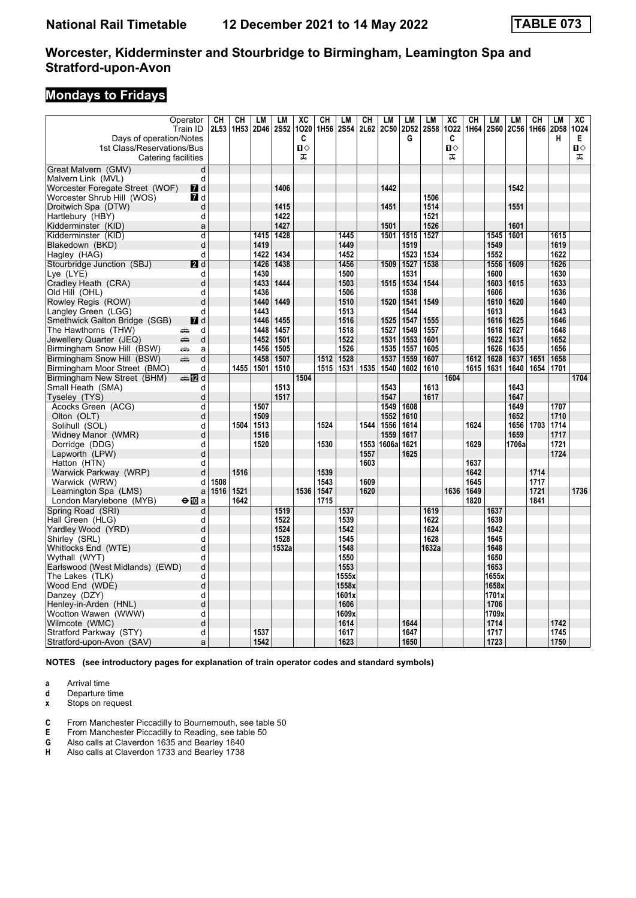# **Mondays to Fridays**

|                                                               | Operator                       | CН   | CH        | <b>LM</b>    | LM          | $\overline{AC}$   | CH        | LМ            | CН   | LM           | LM           | LM          | $\overline{AC}$   | $\overline{\text{CH}}$ | <b>LM</b>     | <b>LM</b>    | CH        | <b>LM</b>    | $\overline{AC}$   |
|---------------------------------------------------------------|--------------------------------|------|-----------|--------------|-------------|-------------------|-----------|---------------|------|--------------|--------------|-------------|-------------------|------------------------|---------------|--------------|-----------|--------------|-------------------|
|                                                               | Train ID                       |      | 2L53 1H53 | <b>2D46</b>  | <b>2S52</b> | 1020              | 1H56 2S54 |               |      | 2L62 2C50    | 2D52         | <b>2S58</b> | 1022              | 1H64                   | <b>2S60</b>   |              | 2C56 1H66 | 2D58         | 1024              |
| Days of operation/Notes                                       |                                |      |           |              |             | C                 |           |               |      |              | G            |             | C                 |                        |               |              |           | н            | Е.                |
| 1st Class/Reservations/Bus                                    |                                |      |           |              |             | $\mathbf{u}$<br>ᠼ |           |               |      |              |              |             | $\mathbf{u}$<br>ᠼ |                        |               |              |           |              | $\mathbf{u}$<br>ᠼ |
| Catering facilities                                           |                                |      |           |              |             |                   |           |               |      |              |              |             |                   |                        |               |              |           |              |                   |
| Great Malvern (GMV)                                           | d                              |      |           |              |             |                   |           |               |      |              |              |             |                   |                        |               |              |           |              |                   |
| Malvern Link (MVL)                                            | d                              |      |           |              | 1406        |                   |           |               |      | 1442         |              |             |                   |                        |               | 1542         |           |              |                   |
| Worcester Foregate Street (WOF)<br>Worcester Shrub Hill (WOS) | <b>7</b> d<br>$\blacksquare$ d |      |           |              |             |                   |           |               |      |              |              | 1506        |                   |                        |               |              |           |              |                   |
| Droitwich Spa (DTW)                                           | d                              |      |           |              | 1415        |                   |           |               |      | 1451         |              | 1514        |                   |                        |               | 1551         |           |              |                   |
| Hartlebury (HBY)                                              | d                              |      |           |              | 1422        |                   |           |               |      |              |              | 1521        |                   |                        |               |              |           |              |                   |
| Kidderminster (KID)                                           | a                              |      |           |              | 1427        |                   |           |               |      | 1501         |              | 1526        |                   |                        |               | 1601         |           |              |                   |
| Kidderminster (KID)                                           | d                              |      |           | 1415         | 1428        |                   |           | 1445          |      |              | 1501 1515    | 1527        |                   |                        | 1545          | 1601         |           | 1615         |                   |
| Blakedown (BKD)                                               | d                              |      |           | 1419         |             |                   |           | 1449          |      |              | 1519         |             |                   |                        | 1549          |              |           | 1619         |                   |
| Hagley (HAG)                                                  | d                              |      |           | 1422         | 1434        |                   |           | 1452          |      |              | 1523         | 1534        |                   |                        | 1552          |              |           | 1622         |                   |
| Stourbridge Junction (SBJ)                                    | 2d                             |      |           | 1426         | 1438        |                   |           | 1456          |      | 1509         | 1527         | 1538        |                   |                        | 1556          | 1609         |           | 1626         |                   |
| Lye (LYE)                                                     | d                              |      |           | 1430         |             |                   |           | 1500          |      |              | 1531         |             |                   |                        | 1600          |              |           | 1630         |                   |
| Cradley Heath (CRA)                                           | d                              |      |           | 1433         | 1444        |                   |           | 1503          |      | 1515         | 1534         | 1544        |                   |                        | 1603          | 1615         |           | 1633         |                   |
| Old Hill (OHL)                                                | d                              |      |           | 1436         |             |                   |           | 1506          |      |              | 1538         |             |                   |                        | 1606          |              |           | 1636         |                   |
| Rowley Regis (ROW)                                            | d                              |      |           | 1440         | 1449        |                   |           | 1510          |      | 1520         | 1541         | 1549        |                   |                        | 1610          | 1620         |           | 1640         |                   |
| Langley Green (LGG)                                           | d                              |      |           | 1443         |             |                   |           | 1513          |      |              | 1544         |             |                   |                        | 1613          |              |           | 1643         |                   |
| Smethwick Galton Bridge (SGB)                                 | $\blacksquare$ d               |      |           | 1446         | 1455        |                   |           | 1516          |      | 1525         | 1547         | 1555        |                   |                        | 1616          | 1625         |           | 1646         |                   |
| The Hawthorns (THW)                                           | d<br>æ                         |      |           | 1448         | 1457        |                   |           | 1518          |      | 1527         | 1549         | 1557        |                   |                        | 1618          | 1627         |           | 1648         |                   |
| Jewellery Quarter (JEQ)                                       | æ<br>$\mathsf{d}$              |      |           | 1452         | 1501        |                   |           | 1522          |      | 1531         | 1553         | 1601        |                   |                        | 1622          | 1631         |           | 1652         |                   |
| Birmingham Snow Hill (BSW)                                    | æ<br>a                         |      |           | 1456         | 1505        |                   |           | 1526          |      |              | 1535   1557  | 1605        |                   |                        | 1626          | 1635         |           | 1656         |                   |
| Birmingham Snow Hill (BSW)                                    | d<br>پیش                       |      |           | 1458         | 1507        |                   | 1512      | 1528          |      | 1537         | 1559         | 1607        |                   | 1612                   | 1628          | 1637         | 1651      | 1658         |                   |
| Birmingham Moor Street (BMO)                                  | d                              |      | 1455      | 1501         | 1510        |                   | 1515      | 1531          | 1535 | 1540         | 1602         | 1610        |                   | 1615                   | 1631          | 1640         | 1654      | 1701         |                   |
| Birmingham New Street (BHM)                                   | dan Dana d                     |      |           |              |             | 1504              |           |               |      |              |              |             | 1604              |                        |               |              |           |              | 1704              |
| Small Heath (SMA)                                             | d                              |      |           |              | 1513        |                   |           |               |      | 1543         |              | 1613        |                   |                        |               | 1643         |           |              |                   |
| Tyseley (TYS)                                                 | d                              |      |           |              | 1517        |                   |           |               |      | 1547         |              | 1617        |                   |                        |               | 1647         |           |              |                   |
| Acocks Green (ACG)                                            | d                              |      |           | 1507         |             |                   |           |               |      | 1549         | 1608         |             |                   |                        |               | 1649         |           | 1707         |                   |
| Olton (OLT)<br>Solihull (SOL)                                 | d                              |      | 1504      | 1509         |             |                   | 1524      |               | 1544 | 1552         | 1610<br>1614 |             |                   | 1624                   |               | 1652<br>1656 | 1703      | 1710<br>1714 |                   |
| Widney Manor (WMR)                                            | d<br>d                         |      |           | 1513<br>1516 |             |                   |           |               |      | 1556<br>1559 | 1617         |             |                   |                        |               | 1659         |           | 1717         |                   |
| Dorridge (DDG)                                                | d                              |      |           | 1520         |             |                   | 1530      |               | 1553 | 1606a        | 1621         |             |                   | 1629                   |               | 1706a        |           | 1721         |                   |
| Lapworth (LPW)                                                | d                              |      |           |              |             |                   |           |               | 1557 |              | 1625         |             |                   |                        |               |              |           | 1724         |                   |
| Hatton (HTN)                                                  | d                              |      |           |              |             |                   |           |               | 1603 |              |              |             |                   | 1637                   |               |              |           |              |                   |
| Warwick Parkway (WRP)                                         | d                              |      | 1516      |              |             |                   | 1539      |               |      |              |              |             |                   | 1642                   |               |              | 1714      |              |                   |
| Warwick (WRW)                                                 | d                              | 1508 |           |              |             |                   | 1543      |               | 1609 |              |              |             |                   | 1645                   |               |              | 1717      |              |                   |
| Leamington Spa (LMS)                                          | a                              | 1516 | 1521      |              |             | 1536              | 1547      |               | 1620 |              |              |             | 1636              | 1649                   |               |              | 1721      |              | 1736              |
| London Marylebone (MYB)                                       | $\Theta$ <b>ID</b> a           |      | 1642      |              |             |                   | 1715      |               |      |              |              |             |                   | 1820                   |               |              | 1841      |              |                   |
| Spring Road (SRI)                                             | d                              |      |           |              | 1519        |                   |           | 1537          |      |              |              | 1619        |                   |                        | 1637          |              |           |              |                   |
| Hall Green (HLG)                                              | d                              |      |           |              | 1522        |                   |           | 1539          |      |              |              | 1622        |                   |                        | 1639          |              |           |              |                   |
| Yardlev Wood (YRD)                                            | d                              |      |           |              | 1524        |                   |           | 1542          |      |              |              | 1624        |                   |                        | 1642          |              |           |              |                   |
| Shirley (SRL)                                                 | d                              |      |           |              | 1528        |                   |           | 1545          |      |              |              | 1628        |                   |                        | 1645          |              |           |              |                   |
| Whitlocks End (WTE)                                           | $\mathsf{d}$                   |      |           |              | 1532a       |                   |           | 1548          |      |              |              | 1632a       |                   |                        | 1648          |              |           |              |                   |
| Wythall (WYT)                                                 | d                              |      |           |              |             |                   |           | 1550          |      |              |              |             |                   |                        | 1650          |              |           |              |                   |
| Earlswood (West Midlands) (EWD)                               | d                              |      |           |              |             |                   |           | 1553<br>1555x |      |              |              |             |                   |                        | 1653<br>1655x |              |           |              |                   |
| The Lakes (TLK)<br>Wood End (WDE)                             | d<br>d                         |      |           |              |             |                   |           | 1558x         |      |              |              |             |                   |                        | 1658x         |              |           |              |                   |
| Danzey (DZY)                                                  | d                              |      |           |              |             |                   |           | 1601x         |      |              |              |             |                   |                        | 1701x         |              |           |              |                   |
| Henley-in-Arden (HNL)                                         | d                              |      |           |              |             |                   |           | 1606          |      |              |              |             |                   |                        | 1706          |              |           |              |                   |
| Wootton Wawen (WWW)                                           | d                              |      |           |              |             |                   |           | 1609x         |      |              |              |             |                   |                        | 1709x         |              |           |              |                   |
| Wilmcote (WMC)                                                | d                              |      |           |              |             |                   |           | 1614          |      |              | 1644         |             |                   |                        | 1714          |              |           | 1742         |                   |
| Stratford Parkway (STY)                                       | d                              |      |           | 1537         |             |                   |           | 1617          |      |              | 1647         |             |                   |                        | 1717          |              |           | 1745         |                   |
| Stratford-upon-Avon (SAV)                                     | a                              |      |           | 1542         |             |                   |           | 1623          |      |              | 1650         |             |                   |                        | 1723          |              |           | 1750         |                   |
|                                                               |                                |      |           |              |             |                   |           |               |      |              |              |             |                   |                        |               |              |           |              |                   |

**NOTES (see introductory pages for explanation of train operator codes and standard symbols)**

**a** Arrival time<br>**d** Departure ti

Departure time

**x** Stops on request

**C** From Manchester Piccadilly to Bournemouth, see table 50

**E** From Manchester Piccadilly to Reading, see table 50

**G** Also calls at Claverdon 1635 and Bearley 1640<br>**H** Also calls at Claverdon 1733 and Bearley 1738

**H** Also calls at Claverdon 1733 and Bearley 1738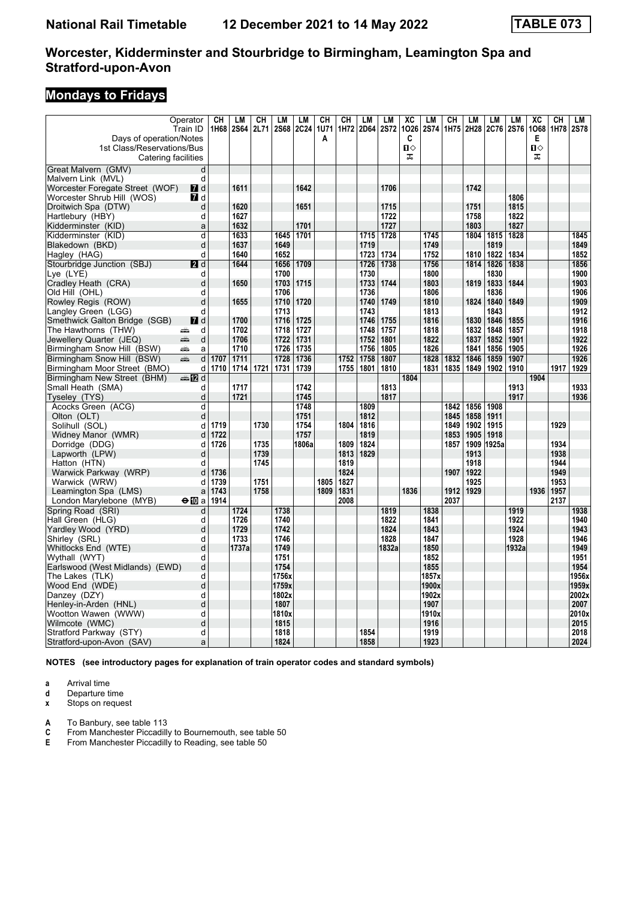# **Mondays to Fridays**

|                                                               | Operator           | CH           | LM          | CH           | LM          | LM          | CH           | CH           | <b>LM</b> | LM          | $\overline{X}C$   | LM          | $\overline{\text{CH}}$ | LM           | <b>LM</b> | LM          | $\overline{X}C$   | $\overline{CH}$ | LM          |
|---------------------------------------------------------------|--------------------|--------------|-------------|--------------|-------------|-------------|--------------|--------------|-----------|-------------|-------------------|-------------|------------------------|--------------|-----------|-------------|-------------------|-----------------|-------------|
|                                                               | Train ID           | 1H68         | <b>2S64</b> | 2L71         | <b>2S68</b> | <b>2C24</b> | 1U71         |              | 1H72 2D64 | <b>2S72</b> | 1026              | <b>2S74</b> | 1H75                   | 2H28         | 2C76      | <b>2S76</b> | 1068              | 1H78            | <b>2S78</b> |
| Days of operation/Notes                                       |                    |              |             |              |             |             | A            |              |           |             | C<br>$\mathbf{u}$ |             |                        |              |           |             | Е<br>$\mathbf{u}$ |                 |             |
| 1st Class/Reservations/Bus<br>Catering facilities             |                    |              |             |              |             |             |              |              |           |             | ᠼ                 |             |                        |              |           |             | ᠼ                 |                 |             |
|                                                               |                    |              |             |              |             |             |              |              |           |             |                   |             |                        |              |           |             |                   |                 |             |
| Great Malvern (GMV)                                           | d                  |              |             |              |             |             |              |              |           |             |                   |             |                        |              |           |             |                   |                 |             |
| Malvern Link (MVL)                                            | d                  |              | 1611        |              |             | 1642        |              |              |           | 1706        |                   |             |                        | 1742         |           |             |                   |                 |             |
| Worcester Foregate Street (WOF)<br>Worcester Shrub Hill (WOS) | $\blacksquare$ d   |              |             |              |             |             |              |              |           |             |                   |             |                        |              |           | 1806        |                   |                 |             |
| Droitwich Spa (DTW)                                           | <b>7</b> d<br>d    |              | 1620        |              |             | 1651        |              |              |           | 1715        |                   |             |                        | 1751         |           | 1815        |                   |                 |             |
| Hartlebury (HBY)                                              | d                  |              | 1627        |              |             |             |              |              |           | 1722        |                   |             |                        | 1758         |           | 1822        |                   |                 |             |
| Kidderminster (KID)                                           | a                  |              | 1632        |              |             | 1701        |              |              |           | 1727        |                   |             |                        | 1803         |           | 1827        |                   |                 |             |
| Kidderminster (KID)                                           | d                  |              | 1633        |              | 1645        | 1701        |              |              | 1715      | 1728        |                   | 1745        |                        | 1804         | 1815      | 1828        |                   |                 | 1845        |
| Blakedown (BKD)                                               | d                  |              | 1637        |              | 1649        |             |              |              | 1719      |             |                   | 1749        |                        |              | 1819      |             |                   |                 | 1849        |
| Hagley (HAG)                                                  | d                  |              | 1640        |              | 1652        |             |              |              | 1723      | 1734        |                   | 1752        |                        | 1810         | 1822      | 1834        |                   |                 | 1852        |
| Stourbridge Junction (SBJ)                                    | 2d                 |              | 1644        |              | 1656        | 1709        |              |              | 1726      | 1738        |                   | 1756        |                        | 1814         | 1826      | 1838        |                   |                 | 1856        |
| Lye (LYE)                                                     | d                  |              |             |              | 1700        |             |              |              | 1730      |             |                   | 1800        |                        |              | 1830      |             |                   |                 | 1900        |
| Cradley Heath (CRA)                                           | d                  |              | 1650        |              | 1703        | 1715        |              |              | 1733      | 1744        |                   | 1803        |                        | 1819         | 1833      | 1844        |                   |                 | 1903        |
| Old Hill (OHL)                                                | d                  |              |             |              | 1706        |             |              |              | 1736      |             |                   | 1806        |                        |              | 1836      |             |                   |                 | 1906        |
| Rowley Regis (ROW)                                            | d                  |              | 1655        |              | 1710        | 1720        |              |              | 1740      | 1749        |                   | 1810        |                        | 1824         | 1840      | 1849        |                   |                 | 1909        |
| Langley Green (LGG)                                           | d                  |              |             |              | 1713        |             |              |              | 1743      |             |                   | 1813        |                        |              | 1843      |             |                   |                 | 1912        |
| Smethwick Galton Bridge (SGB)                                 | $\blacksquare$ d   |              | 1700        |              | 1716        | 1725        |              |              | 1746      | 1755        |                   | 1816        |                        | 1830         | 1846      | 1855        |                   |                 | 1916        |
| The Hawthorns (THW)                                           | d<br>۵Ë            |              | 1702        |              | 1718        | 1727        |              |              | 1748      | 1757        |                   | 1818        |                        | 1832         | 1848      | 1857        |                   |                 | 1918        |
| Jewellery Quarter (JEQ)                                       | d<br>æ             |              | 1706        |              | 1722        | 1731        |              |              | 1752      | 1801        |                   | 1822        |                        | 1837         | 1852      | 1901        |                   |                 | 1922        |
| Birmingham Snow Hill (BSW)                                    | پیش<br>a           |              | 1710        |              | 1726        | 1735        |              |              | 1756      | 1805        |                   | 1826        |                        | 1841         | 1856      | 1905        |                   |                 | 1926        |
| Birmingham Snow Hill (BSW)                                    | d<br>œ             | 1707         | 1711        |              | 1728        | 1736        |              | 1752         | 1758      | 1807        |                   | 1828        | 1832                   | 1846         | 1859      | 1907        |                   |                 | 1926        |
| Birmingham Moor Street (BMO)                                  | d                  | 1710         | 1714        | 1721         | 1731        | 1739        |              | 1755         | 1801      | 1810        |                   | 1831        | 1835                   | 1849         | 1902      | 1910        |                   | 1917            | 1929        |
| Birmingham New Street (BHM)                                   | dan Dana d         |              |             |              |             |             |              |              |           |             | 1804              |             |                        |              |           |             | 1904              |                 |             |
| Small Heath (SMA)                                             | d                  |              | 1717        |              |             | 1742        |              |              |           | 1813        |                   |             |                        |              |           | 1913        |                   |                 | 1933        |
| Tyseley (TYS)                                                 | d                  |              | 1721        |              |             | 1745        |              |              |           | 1817        |                   |             |                        |              |           | 1917        |                   |                 | 1936        |
| Acocks Green (ACG)                                            | d                  |              |             |              |             | 1748        |              |              | 1809      |             |                   |             | 1842                   | 1856         | 1908      |             |                   |                 |             |
| Olton (OLT)                                                   | d                  |              |             |              |             | 1751        |              |              | 1812      |             |                   |             | 1845                   | 1858         | 1911      |             |                   |                 |             |
| Solihull (SOL)                                                | d                  | 1719         |             | 1730         |             | 1754        |              | 1804         | 1816      |             |                   |             | 1849                   | 1902         | 1915      |             |                   | 1929            |             |
| Widney Manor (WMR)                                            | d                  | 1722         |             |              |             | 1757        |              |              | 1819      |             |                   |             | 1853                   | 1905         | 1918      |             |                   |                 |             |
| Dorridge (DDG)                                                | d                  | 1726         |             | 1735         |             | 1806a       |              | 1809         | 1824      |             |                   |             | 1857                   | 1909         | 1925a     |             |                   | 1934            |             |
| Lapworth (LPW)                                                | d                  |              |             | 1739         |             |             |              | 1813         | 1829      |             |                   |             |                        | 1913         |           |             |                   | 1938            |             |
| Hatton (HTN)                                                  | d                  |              |             | 1745         |             |             |              | 1819         |           |             |                   |             |                        | 1918         |           |             |                   | 1944            |             |
| Warwick Parkway (WRP)                                         | d                  | 1736<br>1739 |             |              |             |             |              | 1824         |           |             |                   |             | 1907                   | 1922         |           |             |                   | 1949            |             |
| Warwick (WRW)<br>Leamington Spa (LMS)                         | d                  | 1743         |             | 1751<br>1758 |             |             | 1805<br>1809 | 1827<br>1831 |           |             | 1836              |             | 1912                   | 1925<br>1929 |           |             | 1936              | 1953<br>1957    |             |
| London Marylebone (MYB)                                       | a<br>$\Theta$ 10 a | 1914         |             |              |             |             |              | 2008         |           |             |                   |             | 2037                   |              |           |             |                   | 2137            |             |
| Spring Road (SRI)                                             | d                  |              | 1724        |              | 1738        |             |              |              |           | 1819        |                   | 1838        |                        |              |           | 1919        |                   |                 | 1938        |
| Hall Green (HLG)                                              | d                  |              | 1726        |              | 1740        |             |              |              |           | 1822        |                   | 1841        |                        |              |           | 1922        |                   |                 | 1940        |
| Yardley Wood (YRD)                                            | d                  |              | 1729        |              | 1742        |             |              |              |           | 1824        |                   | 1843        |                        |              |           | 1924        |                   |                 | 1943        |
| Shirley (SRL)                                                 | d                  |              | 1733        |              | 1746        |             |              |              |           | 1828        |                   | 1847        |                        |              |           | 1928        |                   |                 | 1946        |
| Whitlocks End (WTE)                                           | d                  |              | 1737a       |              | 1749        |             |              |              |           | 1832a       |                   | 1850        |                        |              |           | 1932a       |                   |                 | 1949        |
| Wythall (WYT)                                                 | d                  |              |             |              | 1751        |             |              |              |           |             |                   | 1852        |                        |              |           |             |                   |                 | 1951        |
| Earlswood (West Midlands) (EWD)                               | d                  |              |             |              | 1754        |             |              |              |           |             |                   | 1855        |                        |              |           |             |                   |                 | 1954        |
| The Lakes  (TLK)                                              | d                  |              |             |              | 1756x       |             |              |              |           |             |                   | 1857x       |                        |              |           |             |                   |                 | 1956x       |
| Wood End (WDE)                                                | d                  |              |             |              | 1759x       |             |              |              |           |             |                   | 1900x       |                        |              |           |             |                   |                 | 1959x       |
| Danzey (DZY)                                                  | d                  |              |             |              | 1802x       |             |              |              |           |             |                   | 1902x       |                        |              |           |             |                   |                 | 2002x       |
| Henley-in-Arden (HNL)                                         | d                  |              |             |              | 1807        |             |              |              |           |             |                   | 1907        |                        |              |           |             |                   |                 | 2007        |
| Wootton Wawen (WWW)                                           | d                  |              |             |              | 1810x       |             |              |              |           |             |                   | 1910x       |                        |              |           |             |                   |                 | 2010x       |
| Wilmcote (WMC)                                                | d                  |              |             |              | 1815        |             |              |              |           |             |                   | 1916        |                        |              |           |             |                   |                 | 2015        |
| Stratford Parkway (STY)                                       | d                  |              |             |              | 1818        |             |              |              | 1854      |             |                   | 1919        |                        |              |           |             |                   |                 | 2018        |
| Stratford-upon-Avon (SAV)                                     | a                  |              |             |              | 1824        |             |              |              | 1858      |             |                   | 1923        |                        |              |           |             |                   |                 | 2024        |

**NOTES (see introductory pages for explanation of train operator codes and standard symbols)**

**a** Arrival time<br>**d** Departure ti

**d** Departure time<br>**x** Stops on reque

**Stops on request** 

- **A** To Banbury, see table 113<br>**C** From Manchester Piccadilly **C** From Manchester Piccadilly to Bournemouth, see table 50<br>**E** From Manchester Piccadilly to Reading, see table 50
- **E** From Manchester Piccadilly to Reading, see table 50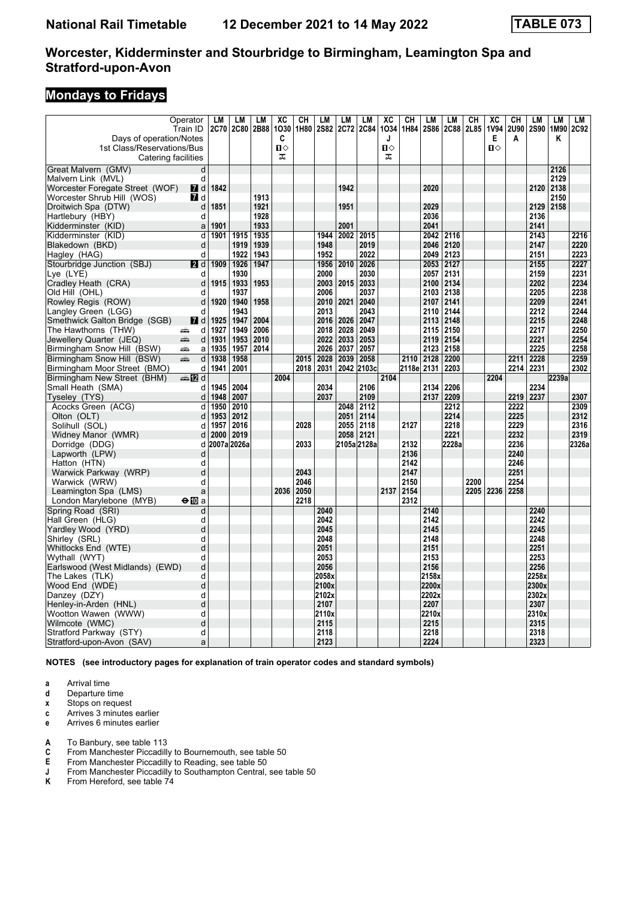### **Mondays to Fridays**

| <b>2C80</b><br>2B88<br>1H80<br><b>2S82</b><br>2C72<br><b>2C84</b><br>1034<br>1H84<br><b>2S86</b><br>2C88<br>2L85<br>Days of operation/Notes<br>C<br>Е<br>A<br>Κ<br>J<br>$\mathbf{u}$<br>$\mathbf{u}$<br>$\mathbf{u}$<br>1st Class/Reservations/Bus<br>ᠼ<br>Catering facilities<br>ᠼ<br>Great Malvern (GMV)<br>2126<br>d<br>2129<br>Malvern Link (MVL)<br>d<br>1842<br>1942<br>2138<br>Worcester Foregate Street (WOF)<br><b>7</b> d<br>2020<br>2120 |               |
|-----------------------------------------------------------------------------------------------------------------------------------------------------------------------------------------------------------------------------------------------------------------------------------------------------------------------------------------------------------------------------------------------------------------------------------------------------|---------------|
|                                                                                                                                                                                                                                                                                                                                                                                                                                                     |               |
|                                                                                                                                                                                                                                                                                                                                                                                                                                                     |               |
|                                                                                                                                                                                                                                                                                                                                                                                                                                                     |               |
|                                                                                                                                                                                                                                                                                                                                                                                                                                                     |               |
|                                                                                                                                                                                                                                                                                                                                                                                                                                                     |               |
|                                                                                                                                                                                                                                                                                                                                                                                                                                                     |               |
| Worcester Shrub Hill (WOS)<br>$I$ d<br>1913<br>2150                                                                                                                                                                                                                                                                                                                                                                                                 |               |
| 1921<br>1951<br>2029<br>2129<br>Droitwich Spa (DTW)<br>d<br>1851<br>2158                                                                                                                                                                                                                                                                                                                                                                            |               |
| 2036<br>2136<br>1928<br>Hartlebury (HBY)<br>d                                                                                                                                                                                                                                                                                                                                                                                                       |               |
| 1933<br>2001<br>2041<br>2141<br>Kidderminster (KID)<br>$\mathsf{a}$<br>1901                                                                                                                                                                                                                                                                                                                                                                         |               |
| 1901<br>1935<br>2002 2015<br>2116<br>2143<br>Kidderminster (KID)<br>d<br>1915<br>1944<br>2042                                                                                                                                                                                                                                                                                                                                                       | 2216          |
| 2019<br>2147<br>Blakedown (BKD)<br>1919<br>1939<br>1948<br>2046<br>2120<br>d                                                                                                                                                                                                                                                                                                                                                                        | 2220          |
| 1943<br>2022<br>2049<br>2123<br>2151<br>d<br>1922<br>1952<br>Hagley (HAG)                                                                                                                                                                                                                                                                                                                                                                           | 2223          |
| 1926<br>1947<br>2026<br>2053<br>2127<br>2155<br>Stourbridge Junction (SBJ)<br>2 d<br>1909<br>1956<br>2010<br>1930<br>2000<br>2030<br>2057<br>2131<br>2159                                                                                                                                                                                                                                                                                           | 2227          |
| Lye (LYE)<br>d<br>1933<br>1953<br>2015<br>2033<br>2134<br>2202<br>d<br>1915<br>2003<br>2100                                                                                                                                                                                                                                                                                                                                                         | 2231<br>2234  |
| Cradley Heath (CRA)<br>2205<br>1937<br>2006<br>2037<br>2138<br>Old Hill (OHL)<br>d<br>2103                                                                                                                                                                                                                                                                                                                                                          | 2238          |
| 2209<br>1920<br>1940<br>1958<br>2010<br>2021<br>2040<br>2141<br>Rowley Regis (ROW)<br>d<br>2107                                                                                                                                                                                                                                                                                                                                                     | 2241          |
| 2212<br>d<br>1943<br>2013<br>2043<br>2110<br>2144<br>Langley Green (LGG)                                                                                                                                                                                                                                                                                                                                                                            | 2244          |
| 2004<br>2215<br>Smethwick Galton Bridge (SGB)<br><b>7</b> d<br>1947<br>2016<br>2026<br>2047<br>2113<br>2148<br>1925                                                                                                                                                                                                                                                                                                                                 | 2248          |
| 2006<br>2217<br>d<br>1927<br>1949<br>2018<br>2028<br>2049<br>2115<br>2150<br>The Hawthorns (THW)<br>æ                                                                                                                                                                                                                                                                                                                                               | 2250          |
| 2221<br>1931<br>1953<br>2010<br>2022<br>2033<br>2053<br>2119<br>2154<br>Jewellery Quarter (JEQ)<br>پېښ<br>d                                                                                                                                                                                                                                                                                                                                         | 2254          |
| 1957<br>2014<br>2026<br>2037<br>2057<br>2123<br>2225<br>Birmingham Snow Hill (BSW)<br>1935<br>2158<br>پیش<br>a                                                                                                                                                                                                                                                                                                                                      | 2258          |
| 1958<br>2028<br>2039<br>2058<br>2128<br>2200<br>2228<br>Birmingham Snow Hill (BSW)<br>æ<br>d<br>1938<br>2015<br>2110<br>2211                                                                                                                                                                                                                                                                                                                        | 2259          |
| Birmingham Moor Street (BMO)<br>1941<br>2001<br>2018<br>2031<br>2042<br>2103c<br>2118e 2131<br>2203<br>2214<br>2231<br>d                                                                                                                                                                                                                                                                                                                            | 2302          |
| Birmingham New Street (BHM)<br>2004<br>2104<br>2204<br>2239a<br>dan Dana d                                                                                                                                                                                                                                                                                                                                                                          |               |
| 2206<br>Small Heath (SMA)<br>1945<br>2004<br>2034<br>2106<br>2134<br>2234<br>d                                                                                                                                                                                                                                                                                                                                                                      |               |
| 2137<br>2007<br>2037<br>2109<br>2209<br>2219<br>2237<br>Tyseley (TYS)<br>1948<br>d                                                                                                                                                                                                                                                                                                                                                                  | 2307          |
| Acocks Green (ACG)<br>2010<br>2048<br>2112<br>2212<br>2222<br>d<br>1950                                                                                                                                                                                                                                                                                                                                                                             | 2309          |
| 2214<br>Olton (OLT)<br>1953<br>2012<br>2051<br>2114<br>2225<br>d                                                                                                                                                                                                                                                                                                                                                                                    | 2312          |
| 2016<br>2055<br>2118<br>2218<br>2229<br>Solihull (SOL)<br>1957<br>2028<br>2127<br>d                                                                                                                                                                                                                                                                                                                                                                 | 2316          |
| 2019<br>2058<br>2121<br>2221<br>2232<br>Widney Manor (WMR)<br>d<br>2000<br>2007a 2026a<br>2033<br>2105a 2128a<br>2132<br>2228a<br>2236                                                                                                                                                                                                                                                                                                              | 2319<br>2326a |
| Dorridge (DDG)<br>d<br>2136<br>2240<br>Lapworth (LPW)<br>d                                                                                                                                                                                                                                                                                                                                                                                          |               |
| 2142<br>2246<br>Hatton (HTN)<br>d                                                                                                                                                                                                                                                                                                                                                                                                                   |               |
| 2147<br>2251<br>2043<br>d<br>Warwick Parkway (WRP)                                                                                                                                                                                                                                                                                                                                                                                                  |               |
| 2046<br>2150<br>2200<br>2254<br>Warwick (WRW)<br>d                                                                                                                                                                                                                                                                                                                                                                                                  |               |
| 2036<br>2050<br>2137<br>2154<br>2205<br>2236<br>2258<br>Leamington Spa (LMS)<br>a                                                                                                                                                                                                                                                                                                                                                                   |               |
| 2218<br>2312<br>London Marylebone (MYB)<br>$\bigoplus$ 10 a                                                                                                                                                                                                                                                                                                                                                                                         |               |
| Spring Road (SRI)<br>2040<br>2240<br>d<br>2140                                                                                                                                                                                                                                                                                                                                                                                                      |               |
| 2042<br>2142<br>2242<br>Hall Green (HLG)<br>d                                                                                                                                                                                                                                                                                                                                                                                                       |               |
| 2245<br>2045<br>2145<br>Yardley Wood (YRD)<br>d                                                                                                                                                                                                                                                                                                                                                                                                     |               |
| 2248<br>d<br>2048<br>2148<br>Shirley (SRL)                                                                                                                                                                                                                                                                                                                                                                                                          |               |
| 2251<br>d<br>2051<br>2151<br>Whitlocks End (WTE)                                                                                                                                                                                                                                                                                                                                                                                                    |               |
| 2253<br>Wythall (WYT)<br>d<br>2053<br>2153                                                                                                                                                                                                                                                                                                                                                                                                          |               |
| 2256<br>Earlswood (West Midlands) (EWD)<br>d<br>2056<br>2156                                                                                                                                                                                                                                                                                                                                                                                        |               |
| 2258x<br>2058x<br>2158x<br>The Lakes (TLK)<br>d<br>Wood End (WDE)<br>d<br>2100x<br>2200x<br>2300x                                                                                                                                                                                                                                                                                                                                                   |               |
| 2202x<br>2302x<br>d<br>2102x<br>Danzey (DZY)                                                                                                                                                                                                                                                                                                                                                                                                        |               |
| 2107<br>2207<br>2307<br>Henley-in-Arden (HNL)<br>d                                                                                                                                                                                                                                                                                                                                                                                                  |               |
| d<br>2110x<br>2210x<br>2310x<br>Wootton Wawen (WWW)                                                                                                                                                                                                                                                                                                                                                                                                 |               |
| 2315<br>2215<br>Wilmcote (WMC)<br>d<br>2115                                                                                                                                                                                                                                                                                                                                                                                                         |               |
| 2118<br>2218<br>2318<br>Stratford Parkway (STY)<br>d                                                                                                                                                                                                                                                                                                                                                                                                |               |
| 2323<br>2123<br>2224<br>Stratford-upon-Avon (SAV)<br>a                                                                                                                                                                                                                                                                                                                                                                                              |               |

**NOTES (see introductory pages for explanation of train operator codes and standard symbols)**

**a** Arrival time<br>**d** Departure ti

**d** Departure time

**x** Stops on request

**c** Arrives 3 minutes earlier

**e** Arrives 6 minutes earlier

**A** To Banbury, see table 113<br>**C** From Manchester Piccadill

**C** From Manchester Piccadilly to Bournemouth, see table 50

**E** From Manchester Piccadilly to Reading, see table 50<br>**J** From Manchester Piccadilly to Southampton Central,<br>**K** From Hereford, see table 74

**J** From Manchester Piccadilly to Southampton Central, see table 50

**.** From Hereford, see table 74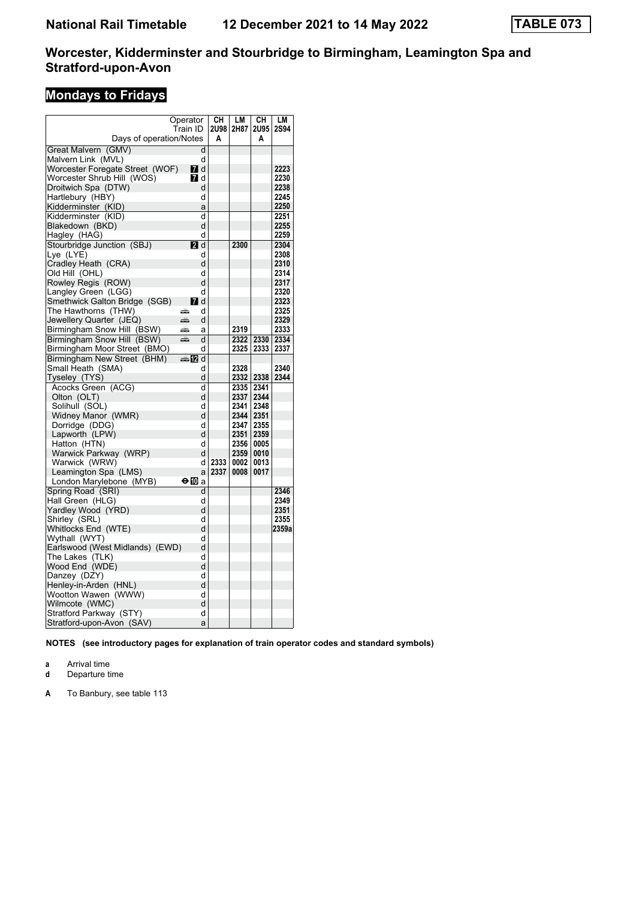# **Mondays to Fridays**

|                                 | Operator    | CН   | LM        | CН        | LM          |
|---------------------------------|-------------|------|-----------|-----------|-------------|
|                                 | Train ID    | 2U98 | 2H87      | 2U95      | <b>2S94</b> |
| Days of operation/Notes         |             | Α    |           | A         |             |
| Great Malvern (GMV)             | d           |      |           |           |             |
| Malvern Link (MVL)              | d           |      |           |           |             |
| Worcester Foregate Street (WOF) | <b>7</b> d  |      |           |           | 2223        |
| Worcester Shrub Hill (WOS)      | <b>7</b> d  |      |           |           | 2230        |
| Droitwich Spa (DTW)             | d           |      |           |           | 2238        |
| Hartlebury (HBY)                | d           |      |           |           | 2245        |
| Kidderminster (KID)             | a           |      |           |           | 2250        |
| Kidderminster (KID)             | d           |      |           |           | 2251        |
| Blakedown (BKD)                 | d           |      |           |           | 2255        |
| Hagley (HAG)                    | d           |      |           |           | 2259        |
| Stourbridge Junction (SBJ)      | <b>2</b> d  |      | 2300      |           | 2304        |
| Lye (LYE)                       | d           |      |           |           | 2308        |
| Cradley Heath (CRA)             | d           |      |           |           | 2310        |
| Old Hill(OHL)                   | d           |      |           |           | 2314        |
| Rowley Regis (ROW)              | d           |      |           |           | 2317        |
| Langley Green (LGG)             | d           |      |           |           | 2320        |
| Smethwick Galton Bridge (SGB)   | <b>7</b> d  |      |           |           | 2323        |
| The Hawthorns (THW)             | æ<br>d      |      |           |           | 2325        |
| Jewellery Quarter (JEQ)         | d<br>æ      |      |           |           | 2329        |
| Birmingham Snow Hill (BSW)      | پېښته<br>a  |      | 2319      |           | 2333        |
| Birmingham Snow Hill (BSW)      | پېښتنه<br>d |      | 2322      | 2330 2334 |             |
| Birmingham Moor Street (BMO)    | d           |      | 2325      | 2333      | 2337        |
| Birmingham New Street (BHM)     | - 12<br>d   |      |           |           |             |
| Small Heath  (SMA)              | d           |      | 2328      |           | 2340        |
| Tyseley (TYS)                   | d           |      | 2332 2338 |           | 2344        |
| Acocks Green (ACG)              | d           |      | 2335      | 2341      |             |
| Olton (OLT)                     | d           |      | 2337      | 2344      |             |
| Solihull (SOL)                  | d           |      | 2341      | 2348      |             |
| Widney Manor (WMR)              | d           |      | 2344 2351 |           |             |
| Dorridge (DDG)                  | d           |      | 2347      | 2355      |             |
| Lapworth (LPW)                  | d           |      | 2351      | 2359      |             |
| Hatton (HTN)                    | d           |      | 2356      | 0005      |             |
| Warwick Parkway (WRP)           | d           |      | 2359      | 0010      |             |
| Warwick (WRW)                   | d           | 2333 | 0002      | 0013      |             |
| Leamington Spa (LMS)            | a           | 2337 | 0008      | 0017      |             |
| London Marylebone (MYB)         | ⊖l a        |      |           |           |             |
| Spring Road (SRI)               | d           |      |           |           | 2346        |
| Hall Green (HLG)                | d           |      |           |           | 2349        |
| Yardley Wood  (YRD)             | d           |      |           |           | 2351        |
| Shirley (SRL)                   | d           |      |           |           | 2355        |
| Whitlocks End (WTE)             | d           |      |           |           | 2359a       |
| Wythall (WYT)                   | d           |      |           |           |             |
| Earlswood (West Midlands) (EWD) | d           |      |           |           |             |
| The Lakes  (TLK)                | d           |      |           |           |             |
| Wood End (WDE)                  | d           |      |           |           |             |
| Danzey (DZY)                    | d<br>d      |      |           |           |             |
| Henley-in-Arden (HNL)           |             |      |           |           |             |
| Wootton Wawen (WWW)             | d           |      |           |           |             |
| Wilmcote (WMC)                  | d           |      |           |           |             |
| Stratford Parkway (STY)         | d           |      |           |           |             |
| Stratford-upon-Avon (SAV)       | a           |      |           |           |             |

**NOTES (see introductory pages for explanation of train operator codes and standard symbols)**

**a** Arrival time<br>**d** Departure t

**d** Departure time

**A** To Banbury, see table 113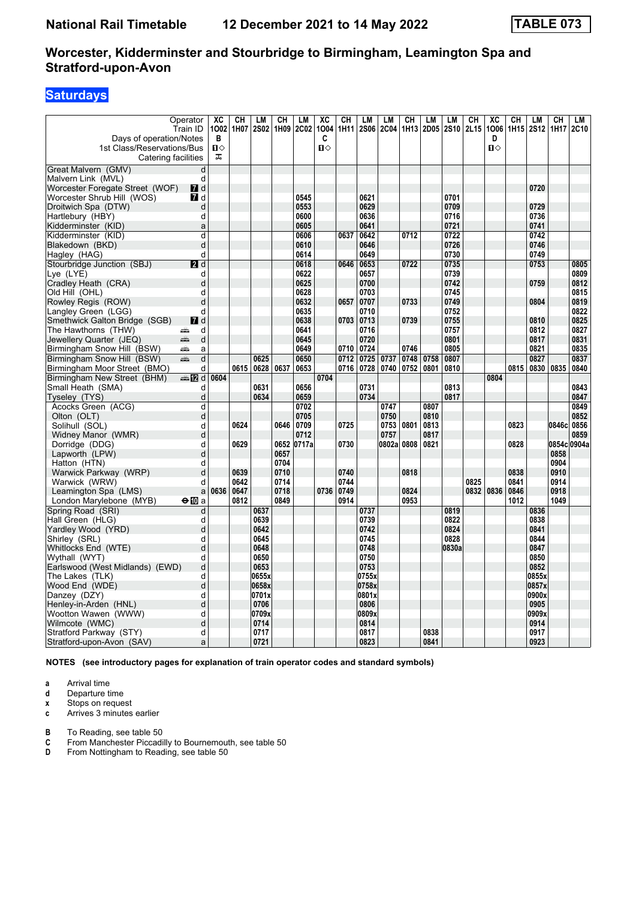# **Saturdays**

| Operator<br>Train ID<br>Days of operation/Notes<br>1st Class/Reservations/Bus | XC<br>1002<br>В<br>$\mathbf{u}$ | <b>CH</b><br>1H07 | LМ<br><b>2S02</b> | CH           | LM<br>1H09 2C02 | XC<br>1004<br>C<br>$\mathbf{u}$ | <b>CH</b><br>1H11 | LМ<br><b>2S06</b> | LM<br><b>2C04</b> | CН<br>1H <sub>13</sub> | LМ<br>2D05 | <b>LM</b><br><b>2S10</b> | CН<br>2L15 | $\overline{AC}$<br>1006<br>D<br>$\mathbf{u}$ | CН<br>1H15   | LM<br><b>2S12</b> | CH<br>1H17   | LM<br>2C10 |
|-------------------------------------------------------------------------------|---------------------------------|-------------------|-------------------|--------------|-----------------|---------------------------------|-------------------|-------------------|-------------------|------------------------|------------|--------------------------|------------|----------------------------------------------|--------------|-------------------|--------------|------------|
| Catering facilities                                                           | ᠼ                               |                   |                   |              |                 |                                 |                   |                   |                   |                        |            |                          |            |                                              |              |                   |              |            |
| Great Malvern (GMV)                                                           | d                               |                   |                   |              |                 |                                 |                   |                   |                   |                        |            |                          |            |                                              |              |                   |              |            |
| Malvern Link (MVL)                                                            | d                               |                   |                   |              |                 |                                 |                   |                   |                   |                        |            |                          |            |                                              |              |                   |              |            |
| Worcester Foregate Street (WOF)<br><b>7</b> d                                 |                                 |                   |                   |              |                 |                                 |                   |                   |                   |                        |            |                          |            |                                              |              | 0720              |              |            |
| Worcester Shrub Hill (WOS)<br><b>7</b> d                                      |                                 |                   |                   |              | 0545            |                                 |                   | 0621              |                   |                        |            | 0701                     |            |                                              |              |                   |              |            |
| Droitwich Spa (DTW)                                                           | d                               |                   |                   |              | 0553            |                                 |                   | 0629              |                   |                        |            | 0709                     |            |                                              |              | 0729              |              |            |
| Hartlebury (HBY)                                                              | d                               |                   |                   |              | 0600            |                                 |                   | 0636              |                   |                        |            | 0716                     |            |                                              |              | 0736              |              |            |
| Kidderminster (KID)                                                           | a                               |                   |                   |              | 0605            |                                 |                   | 0641              |                   |                        |            | 0721                     |            |                                              |              | 0741              |              |            |
| Kidderminster (KID)                                                           | d                               |                   |                   |              | 0606            |                                 | 0637              | 0642              |                   | 0712                   |            | 0722                     |            |                                              |              | 0742              |              |            |
| Blakedown (BKD)                                                               | d                               |                   |                   |              | 0610            |                                 |                   | 0646              |                   |                        |            | 0726                     |            |                                              |              | 0746              |              |            |
| Hagley (HAG)                                                                  | d                               |                   |                   |              | 0614            |                                 |                   | 0649              |                   |                        |            | 0730                     |            |                                              |              | 0749              |              |            |
| Stourbridge Junction (SBJ)<br>2d                                              |                                 |                   |                   |              | 0618            |                                 | 0646              | 0653              |                   | 0722                   |            | 0735                     |            |                                              |              | 0753              |              | 0805       |
| Lye (LYE)                                                                     | d                               |                   |                   |              | 0622            |                                 |                   | 0657              |                   |                        |            | 0739                     |            |                                              |              |                   |              | 0809       |
| Cradley Heath (CRA)                                                           | d                               |                   |                   |              | 0625            |                                 |                   | 0700              |                   |                        |            | 0742                     |            |                                              |              | 0759              |              | 0812       |
| Old Hill (OHL)                                                                | d                               |                   |                   |              | 0628            |                                 |                   | 0703              |                   |                        |            | 0745                     |            |                                              |              |                   |              | 0815       |
| Rowley Regis (ROW)                                                            | d                               |                   |                   |              | 0632            |                                 | 0657              | 0707              |                   | 0733                   |            | 0749                     |            |                                              |              | 0804              |              | 0819       |
| Langley Green (LGG)                                                           | d                               |                   |                   |              | 0635            |                                 |                   | 0710              |                   |                        |            | 0752                     |            |                                              |              |                   |              | 0822       |
| Smethwick Galton Bridge (SGB)<br><b>7</b> d                                   |                                 |                   |                   |              | 0638            |                                 | 0703              | 0713              |                   | 0739                   |            | 0755                     |            |                                              |              | 0810              |              | 0825       |
| The Hawthorns (THW)<br>æ                                                      | d                               |                   |                   |              | 0641            |                                 |                   | 0716              |                   |                        |            | 0757                     |            |                                              |              | 0812              |              | 0827       |
| Jewellery Quarter (JEQ)<br>æ                                                  | d                               |                   |                   |              | 0645            |                                 |                   | 0720              |                   |                        |            | 0801                     |            |                                              |              | 0817              |              | 0831       |
| Birmingham Snow Hill (BSW)<br>پیش                                             | a                               |                   |                   |              | 0649            |                                 | 0710              | 0724              |                   | 0746                   |            | 0805                     |            |                                              |              | 0821              |              | 0835       |
| Birmingham Snow Hill (BSW)<br>پېښ                                             | d                               |                   | 0625              |              | 0650            |                                 | 0712              | 0725              | 0737              | 0748                   | 0758       | 0807                     |            |                                              |              | 0827              |              | 0837       |
| Birmingham Moor Street (BMO)                                                  | d                               | 0615              | 0628              | 0637         | 0653            |                                 | 0716              | 0728              | 0740              | 0752                   | 0801       | 0810                     |            |                                              | 0815         | 0830              | 0835         | 0840       |
| Birmingham New Street (BHM)<br>den <b>in In</b>                               | 0604                            |                   |                   |              |                 | 0704                            |                   |                   |                   |                        |            |                          |            | 0804                                         |              |                   |              |            |
| Small Heath (SMA)                                                             | d                               |                   | 0631              |              | 0656            |                                 |                   | 0731              |                   |                        |            | 0813                     |            |                                              |              |                   |              | 0843       |
| Tyseley (TYS)                                                                 | d                               |                   | 0634              |              | 0659            |                                 |                   | 0734              |                   |                        |            | 0817                     |            |                                              |              |                   |              | 0847       |
| Acocks Green (ACG)                                                            | d                               |                   |                   |              | 0702            |                                 |                   |                   | 0747              |                        | 0807       |                          |            |                                              |              |                   |              | 0849       |
| Olton (OLT)                                                                   | d                               |                   |                   |              | 0705            |                                 |                   |                   | 0750              |                        | 0810       |                          |            |                                              |              |                   |              | 0852       |
| Solihull (SOL)                                                                | d                               | 0624              |                   | 0646         | 0709            |                                 | 0725              |                   | 0753              | 0801                   | 0813       |                          |            |                                              | 0823         |                   | 0846c        | 0856       |
| Widney Manor (WMR)                                                            | d                               |                   |                   |              | 0712            |                                 |                   |                   | 0757              |                        | 0817       |                          |            |                                              |              |                   |              | 0859       |
| Dorridge (DDG)                                                                | d                               | 0629              |                   |              | 0652 0717a      |                                 | 0730              |                   | 0802a 0808        |                        | 0821       |                          |            |                                              | 0828         |                   | 0854c 0904a  |            |
| Lapworth (LPW)                                                                | d                               |                   |                   | 0657         |                 |                                 |                   |                   |                   |                        |            |                          |            |                                              |              |                   | 0858         |            |
| Hatton (HTN)                                                                  | d                               |                   |                   | 0704         |                 |                                 |                   |                   |                   |                        |            |                          |            |                                              |              |                   | 0904         |            |
| Warwick Parkway (WRP)                                                         | d                               | 0639<br>0642      |                   | 0710<br>0714 |                 |                                 | 0740<br>0744      |                   |                   | 0818                   |            |                          | 0825       |                                              | 0838<br>0841 |                   | 0910<br>0914 |            |
| Warwick (WRW)                                                                 | d<br>0636                       | 0647              |                   | 0718         |                 | 0736                            | 0749              |                   |                   | 0824                   |            |                          | 0832       | 0836                                         | 0846         |                   | 0918         |            |
| Leamington Spa (LMS)<br>London Marylebone (MYB)<br>$\bigoplus$ a              | a                               | 0812              |                   | 0849         |                 |                                 | 0914              |                   |                   | 0953                   |            |                          |            |                                              | 1012         |                   | 1049         |            |
| Spring Road (SRI)                                                             | d                               |                   | 0637              |              |                 |                                 |                   | 0737              |                   |                        |            | 0819                     |            |                                              |              | 0836              |              |            |
| Hall Green (HLG)                                                              | d                               |                   | 0639              |              |                 |                                 |                   | 0739              |                   |                        |            | 0822                     |            |                                              |              | 0838              |              |            |
| Yardley Wood (YRD)                                                            | d                               |                   | 0642              |              |                 |                                 |                   | 0742              |                   |                        |            | 0824                     |            |                                              |              | 0841              |              |            |
| Shirley (SRL)                                                                 | d                               |                   | 0645              |              |                 |                                 |                   | 0745              |                   |                        |            | 0828                     |            |                                              |              | 0844              |              |            |
| Whitlocks End (WTE)                                                           | d                               |                   | 0648              |              |                 |                                 |                   | 0748              |                   |                        |            | 0830a                    |            |                                              |              | 0847              |              |            |
| Wythall (WYT)                                                                 | d                               |                   | 0650              |              |                 |                                 |                   | 0750              |                   |                        |            |                          |            |                                              |              | 0850              |              |            |
| Earlswood (West Midlands) (EWD)                                               | d                               |                   | 0653              |              |                 |                                 |                   | 0753              |                   |                        |            |                          |            |                                              |              | 0852              |              |            |
| The Lakes (TLK)                                                               | d                               |                   | 0655x             |              |                 |                                 |                   | 0755x             |                   |                        |            |                          |            |                                              |              | 0855x             |              |            |
| Wood End (WDE)                                                                | d                               |                   | 0658x             |              |                 |                                 |                   | 0758x             |                   |                        |            |                          |            |                                              |              | 0857x             |              |            |
| Danzey (DZY)                                                                  | d                               |                   | 0701x             |              |                 |                                 |                   | 0801x             |                   |                        |            |                          |            |                                              |              | 0900x             |              |            |
| Henley-in-Arden (HNL)                                                         | d                               |                   | 0706              |              |                 |                                 |                   | 0806              |                   |                        |            |                          |            |                                              |              | 0905              |              |            |
| Wootton Wawen (WWW)                                                           | d                               |                   | 0709x             |              |                 |                                 |                   | 0809x             |                   |                        |            |                          |            |                                              |              | 0909x             |              |            |
| Wilmcote (WMC)                                                                | d                               |                   | 0714              |              |                 |                                 |                   | 0814              |                   |                        |            |                          |            |                                              |              | 0914              |              |            |
| Stratford Parkway (STY)                                                       | d                               |                   | 0717              |              |                 |                                 |                   | 0817              |                   |                        | 0838       |                          |            |                                              |              | 0917              |              |            |
| Stratford-upon-Avon (SAV)                                                     | a                               |                   | 0721              |              |                 |                                 |                   | 0823              |                   |                        | 0841       |                          |            |                                              |              | 0923              |              |            |

**NOTES (see introductory pages for explanation of train operator codes and standard symbols)**

**a** Arrival time<br>**d** Departure ti

**d** Departure time

**x** Stops on request<br>**c** Arrives 3 minutes

**c** Arrives 3 minutes earlier

**B** To Reading, see table 50<br>**C** From Manchester Piccadi

**C** From Manchester Piccadilly to Bournemouth, see table 50<br> **D** From Nottingham to Reading, see table 50

From Nottingham to Reading, see table 50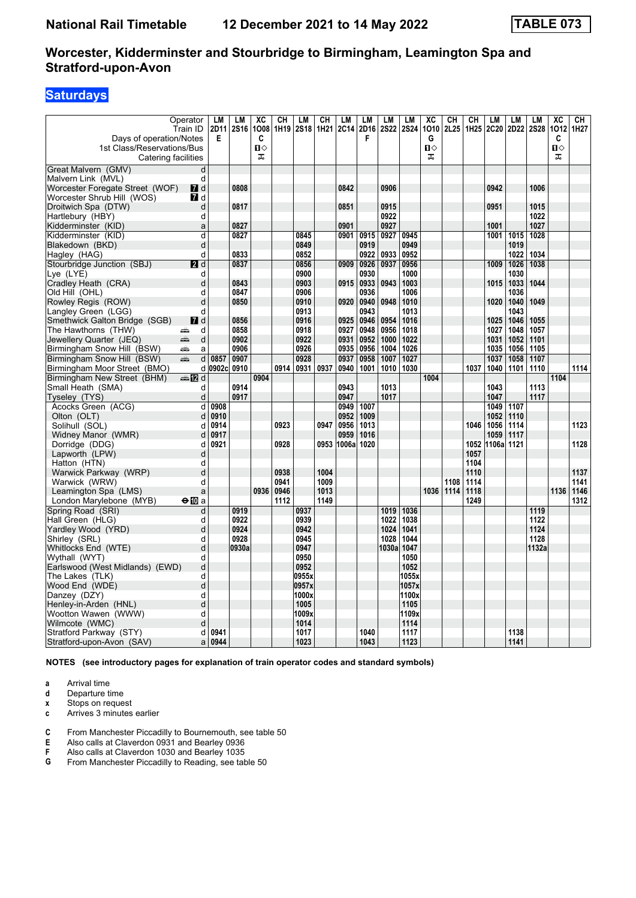# **Saturdays**

|                                                                                                                                                                                                                                                           | Operator<br>Train ID                                                                                                                                                                                                                | LM<br>2D11 | LM<br>2S16 | XC<br>1008 | CH   | LM<br>1H19 2S18 | CН   | LM<br>1H21 2C14 | LM<br>2D16   | LM<br>2S22 2S24 | LM           | XC<br>1010 | CН<br>2L25 | CH<br>1H <sub>25</sub> | LM<br>2C20 | <b>LM</b><br>2D22 | LM<br><b>2S28</b> | XC<br>1012 | CН<br>1H27 |
|-----------------------------------------------------------------------------------------------------------------------------------------------------------------------------------------------------------------------------------------------------------|-------------------------------------------------------------------------------------------------------------------------------------------------------------------------------------------------------------------------------------|------------|------------|------------|------|-----------------|------|-----------------|--------------|-----------------|--------------|------------|------------|------------------------|------------|-------------------|-------------------|------------|------------|
| Days of operation/Notes<br>1st Class/Reservations/Bus                                                                                                                                                                                                     |                                                                                                                                                                                                                                     | Е          |            | C<br>Ⅱ◇    |      |                 |      |                 | F            |                 |              | G<br>п⇔    |            |                        |            |                   |                   | C<br>П⇔    |            |
| Catering facilities                                                                                                                                                                                                                                       |                                                                                                                                                                                                                                     |            |            | ᠼ          |      |                 |      |                 |              |                 |              | ᠼ          |            |                        |            |                   |                   | ᠼ          |            |
| Great Malvern (GMV)                                                                                                                                                                                                                                       | d                                                                                                                                                                                                                                   |            |            |            |      |                 |      |                 |              |                 |              |            |            |                        |            |                   |                   |            |            |
| Malvern Link (MVL)                                                                                                                                                                                                                                        | d                                                                                                                                                                                                                                   |            |            |            |      |                 |      |                 |              |                 |              |            |            |                        |            |                   |                   |            |            |
| Worcester Foregate Street (WOF)                                                                                                                                                                                                                           | $\blacksquare$ d                                                                                                                                                                                                                    |            | 0808       |            |      |                 |      | 0842            |              | 0906            |              |            |            |                        | 0942       |                   | 1006              |            |            |
| Worcester Shrub Hill (WOS)                                                                                                                                                                                                                                | $\blacksquare$ d                                                                                                                                                                                                                    |            |            |            |      |                 |      |                 |              |                 |              |            |            |                        |            |                   |                   |            |            |
| Droitwich Spa (DTW)                                                                                                                                                                                                                                       | d                                                                                                                                                                                                                                   |            | 0817       |            |      |                 |      | 0851            |              | 0915            |              |            |            |                        | 0951       |                   | 1015              |            |            |
| Hartlebury (HBY)                                                                                                                                                                                                                                          | d                                                                                                                                                                                                                                   |            |            |            |      |                 |      |                 |              | 0922            |              |            |            |                        |            |                   | 1022              |            |            |
| Kidderminster (KID)                                                                                                                                                                                                                                       | a                                                                                                                                                                                                                                   |            | 0827       |            |      |                 |      | 0901            |              | 0927            |              |            |            |                        | 1001       |                   | 1027              |            |            |
| Kidderminster (KID)                                                                                                                                                                                                                                       | d                                                                                                                                                                                                                                   |            | 0827       |            |      | 0845            |      | 0901            | 0915         | 0927            | 0945         |            |            |                        | 1001       | 1015              | 1028              |            |            |
| Blakedown (BKD)                                                                                                                                                                                                                                           | d                                                                                                                                                                                                                                   |            |            |            |      | 0849            |      |                 | 0919         |                 | 0949         |            |            |                        |            | 1019              |                   |            |            |
| Hagley (HAG)                                                                                                                                                                                                                                              | d                                                                                                                                                                                                                                   |            | 0833       |            |      | 0852            |      |                 | 0922         | 0933            | 0952         |            |            |                        |            | 1022              | 1034              |            |            |
| Stourbridge Junction (SBJ)                                                                                                                                                                                                                                | $\blacksquare$                                                                                                                                                                                                                      |            | 0837       |            |      | 0856            |      | 0909            | 0926         | 0937            | 0956         |            |            |                        | 1009       | 1026              | 1038              |            |            |
| Lye (LYE)                                                                                                                                                                                                                                                 | d                                                                                                                                                                                                                                   |            | 0843       |            |      | 0900            |      |                 | 0930         |                 | 1000<br>1003 |            |            |                        |            | 1030              |                   |            |            |
| Cradley Heath (CRA)                                                                                                                                                                                                                                       | d<br>d                                                                                                                                                                                                                              |            | 0847       |            |      | 0903<br>0906    |      | 0915            | 0933<br>0936 | 0943            | 1006         |            |            |                        | 1015       | 1033<br>1036      | 1044              |            |            |
| Old Hill (OHL)                                                                                                                                                                                                                                            | d                                                                                                                                                                                                                                   |            |            |            |      | 0910            |      |                 |              | 0948            | 1010         |            |            |                        |            | 1040              | 1049              |            |            |
| Rowley Regis (ROW)                                                                                                                                                                                                                                        | d                                                                                                                                                                                                                                   |            | 0850       |            |      | 0913            |      | 0920            | 0940<br>0943 |                 | 1013         |            |            |                        | 1020       | 1043              |                   |            |            |
| Langley Green (LGG)<br>Smethwick Galton Bridge (SGB)                                                                                                                                                                                                      | $\blacksquare$ d                                                                                                                                                                                                                    |            | 0856       |            |      | 0916            |      | 0925            | 0946         | 0954            | 1016         |            |            |                        | 1025       | 1046              | 1055              |            |            |
| The Hawthorns (THW)                                                                                                                                                                                                                                       | d<br>æ                                                                                                                                                                                                                              |            | 0858       |            |      | 0918            |      | 0927            | 0948         | 0956            | 1018         |            |            |                        | 1027       | 1048              | 1057              |            |            |
| and the second second in the second second second in the second second in the second second second in the second second second second second second second second second second second second second second second second seco<br>Jewellery Quarter (JEQ) | d                                                                                                                                                                                                                                   |            | 0902       |            |      | 0922            |      | 0931            | 0952         | 1000            | 1022         |            |            |                        | 1031       | 1052              | 1101              |            |            |
| Birmingham Snow Hill (BSW)<br>æ                                                                                                                                                                                                                           | a                                                                                                                                                                                                                                   |            | 0906       |            |      | 0926            |      | 0935            | 0956         | 1004            | 1026         |            |            |                        | 1035       | 1056              | 1105              |            |            |
| Birmingham Snow Hill (BSW)                                                                                                                                                                                                                                | de la provincia de la provincia de la provincia de la provincia de la provincia de la provincia de la provincia de la provincia de la provincia de la provincia de la provincia de la provincia de la provincia de la provinci<br>d | 0857       | 0907       |            |      | 0928            |      | 0937            | 0958         | 1007            | 1027         |            |            |                        | 1037       | 1058              | 1107              |            |            |
| Birmingham Moor Street (BMO)                                                                                                                                                                                                                              | d                                                                                                                                                                                                                                   | 0902c      | 0910       |            | 0914 | 0931            | 0937 | 0940            | 1001         | 1010            | 1030         |            |            | 1037                   | 1040       | 1101              | 1110              |            | 1114       |
| Birmingham New Street (BHM)                                                                                                                                                                                                                               | ana MZ d                                                                                                                                                                                                                            |            |            | 0904       |      |                 |      |                 |              |                 |              | 1004       |            |                        |            |                   |                   | 1104       |            |
| Small Heath (SMA)                                                                                                                                                                                                                                         | d                                                                                                                                                                                                                                   |            | 0914       |            |      |                 |      | 0943            |              | 1013            |              |            |            |                        | 1043       |                   | 1113              |            |            |
| Tyseley (TYS)                                                                                                                                                                                                                                             | d                                                                                                                                                                                                                                   |            | 0917       |            |      |                 |      | 0947            |              | 1017            |              |            |            |                        | 1047       |                   | 1117              |            |            |
| Acocks Green (ACG)                                                                                                                                                                                                                                        | d                                                                                                                                                                                                                                   | 0908       |            |            |      |                 |      | 0949            | 1007         |                 |              |            |            |                        | 1049       | 1107              |                   |            |            |
| Olton (OLT)                                                                                                                                                                                                                                               | d                                                                                                                                                                                                                                   | 0910       |            |            |      |                 |      | 0952            | 1009         |                 |              |            |            |                        | 1052       | 1110              |                   |            |            |
| Solihull (SOL)                                                                                                                                                                                                                                            | d                                                                                                                                                                                                                                   | 0914       |            |            | 0923 |                 | 0947 | 0956            | 1013         |                 |              |            |            | 1046                   | 1056       | 1114              |                   |            | 1123       |
| Widney Manor (WMR)                                                                                                                                                                                                                                        | d                                                                                                                                                                                                                                   | 0917       |            |            |      |                 |      | 0959            | 1016         |                 |              |            |            |                        | 1059       | 1117              |                   |            |            |
| Dorridge (DDG)                                                                                                                                                                                                                                            | d                                                                                                                                                                                                                                   | 0921       |            |            | 0928 |                 | 0953 | 1006a           | 1020         |                 |              |            |            | 1052                   | 1106a 1121 |                   |                   |            | 1128       |
| Lapworth (LPW)                                                                                                                                                                                                                                            | d                                                                                                                                                                                                                                   |            |            |            |      |                 |      |                 |              |                 |              |            |            | 1057                   |            |                   |                   |            |            |
| Hatton (HTN)                                                                                                                                                                                                                                              | d                                                                                                                                                                                                                                   |            |            |            |      |                 |      |                 |              |                 |              |            |            | 1104                   |            |                   |                   |            |            |
| Warwick Parkway (WRP)                                                                                                                                                                                                                                     | d                                                                                                                                                                                                                                   |            |            |            | 0938 |                 | 1004 |                 |              |                 |              |            |            | 1110                   |            |                   |                   |            | 1137       |
| Warwick (WRW)                                                                                                                                                                                                                                             | d                                                                                                                                                                                                                                   |            |            |            | 0941 |                 | 1009 |                 |              |                 |              |            | 1108       | 1114                   |            |                   |                   |            | 1141       |
| Leamington Spa (LMS)                                                                                                                                                                                                                                      | a                                                                                                                                                                                                                                   |            |            | 0936       | 0946 |                 | 1013 |                 |              |                 |              | 1036       | 1114       | 1118                   |            |                   |                   | 1136       | 1146       |
| London Marylebone (MYB)                                                                                                                                                                                                                                   | $\Theta$ 10 a                                                                                                                                                                                                                       |            |            |            | 1112 |                 | 1149 |                 |              |                 |              |            |            | 1249                   |            |                   |                   |            | 1312       |
| Spring Road (SRI)                                                                                                                                                                                                                                         | d                                                                                                                                                                                                                                   |            | 0919       |            |      | 0937            |      |                 |              | 1019            | 1036         |            |            |                        |            |                   | 1119              |            |            |
| Hall Green (HLG)                                                                                                                                                                                                                                          | d                                                                                                                                                                                                                                   |            | 0922       |            |      | 0939            |      |                 |              | 1022            | 1038         |            |            |                        |            |                   | 1122              |            |            |
| Yardley Wood (YRD)                                                                                                                                                                                                                                        | d                                                                                                                                                                                                                                   |            | 0924       |            |      | 0942            |      |                 |              | 1024            | 1041         |            |            |                        |            |                   | 1124              |            |            |
| Shirley (SRL)                                                                                                                                                                                                                                             | d                                                                                                                                                                                                                                   |            | 0928       |            |      | 0945            |      |                 |              | 1028            | 1044         |            |            |                        |            |                   | 1128              |            |            |
| Whitlocks End (WTE)                                                                                                                                                                                                                                       | d                                                                                                                                                                                                                                   |            | 0930a      |            |      | 0947            |      |                 |              | 1030al          | 1047         |            |            |                        |            |                   | 1132a             |            |            |
| Wythall (WYT)                                                                                                                                                                                                                                             | d                                                                                                                                                                                                                                   |            |            |            |      | 0950            |      |                 |              |                 | 1050         |            |            |                        |            |                   |                   |            |            |
| Earlswood (West Midlands) (EWD)                                                                                                                                                                                                                           | d                                                                                                                                                                                                                                   |            |            |            |      | 0952            |      |                 |              |                 | 1052         |            |            |                        |            |                   |                   |            |            |
| The Lakes (TLK)                                                                                                                                                                                                                                           | d                                                                                                                                                                                                                                   |            |            |            |      | 0955x           |      |                 |              |                 | 1055x        |            |            |                        |            |                   |                   |            |            |
| Wood End (WDE)                                                                                                                                                                                                                                            | d                                                                                                                                                                                                                                   |            |            |            |      | 0957x           |      |                 |              |                 | 1057x        |            |            |                        |            |                   |                   |            |            |
| Danzey (DZY)                                                                                                                                                                                                                                              | d                                                                                                                                                                                                                                   |            |            |            |      | 1000x           |      |                 |              |                 | 1100x        |            |            |                        |            |                   |                   |            |            |
| Henley-in-Arden (HNL)                                                                                                                                                                                                                                     | d                                                                                                                                                                                                                                   |            |            |            |      | 1005            |      |                 |              |                 | 1105         |            |            |                        |            |                   |                   |            |            |
| Wootton Wawen (WWW)                                                                                                                                                                                                                                       | d                                                                                                                                                                                                                                   |            |            |            |      | 1009x           |      |                 |              |                 | 1109x        |            |            |                        |            |                   |                   |            |            |
| Wilmcote (WMC)                                                                                                                                                                                                                                            | d                                                                                                                                                                                                                                   |            |            |            |      | 1014            |      |                 |              |                 | 1114         |            |            |                        |            |                   |                   |            |            |
| Stratford Parkway (STY)                                                                                                                                                                                                                                   | d                                                                                                                                                                                                                                   | 0941       |            |            |      | 1017            |      |                 | 1040         |                 | 1117         |            |            |                        |            | 1138              |                   |            |            |
| Stratford-upon-Avon (SAV)                                                                                                                                                                                                                                 | a                                                                                                                                                                                                                                   | 0944       |            |            |      | 1023            |      |                 | 1043         |                 | 1123         |            |            |                        |            | 1141              |                   |            |            |

**NOTES (see introductory pages for explanation of train operator codes and standard symbols)**

**a** Arrival time<br>**d** Departure ti

Departure time

**x** Stops on request<br>**c** Arrives 3 minutes

**c** Arrives 3 minutes earlier

**C** From Manchester Piccadilly to Bournemouth, see table 50

**E** Also calls at Claverdon 0931 and Bearley 0936<br>**F** Also calls at Claverdon 1030 and Bearley 1035<br>**G** From Manchester Piccadilly to Reading, see table **F** Also calls at Claverdon 1030 and Bearley 1035

From Manchester Piccadilly to Reading, see table 50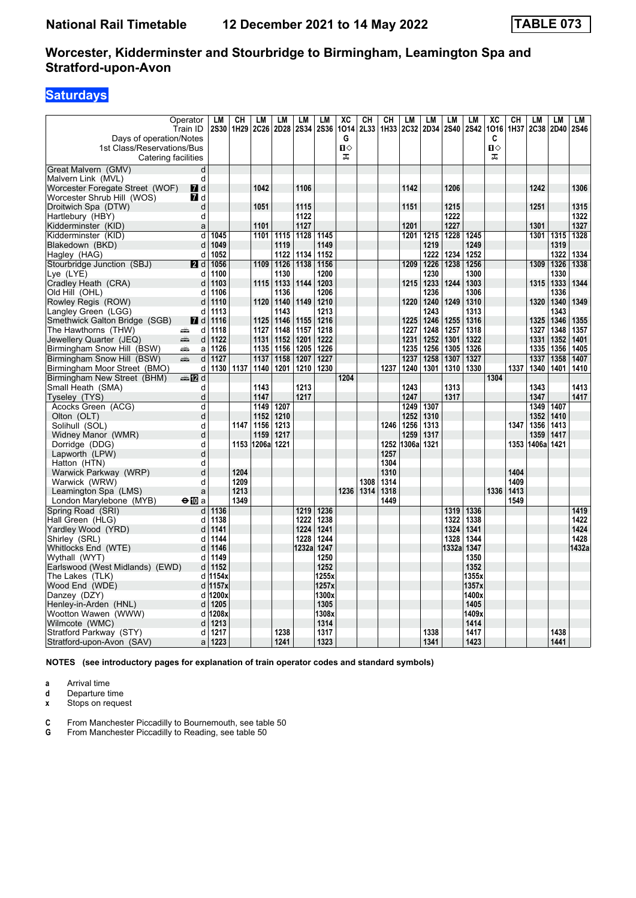# **Saturdays**

|                                                 | Operator<br>Train ID | LМ<br><b>2S30</b> | CН<br>1H29   | LМ<br>2C26 | LM<br>2D28   | LM<br>2S34 | LM<br><b>2S36</b> | XC<br>1014 | CН<br>2L33 | CН<br>1H33   | LM<br><b>2C32</b> | LM<br>2D34   | LM<br><b>2S40</b> | LM<br><b>2S42</b> | XC<br>1016 | CН<br>1H37   | LM<br><b>2C38</b> | LM<br>2D40   | LM<br>2S46 |
|-------------------------------------------------|----------------------|-------------------|--------------|------------|--------------|------------|-------------------|------------|------------|--------------|-------------------|--------------|-------------------|-------------------|------------|--------------|-------------------|--------------|------------|
| Days of operation/Notes                         |                      |                   |              |            |              |            |                   | G          |            |              |                   |              |                   |                   | C          |              |                   |              |            |
| 1st Class/Reservations/Bus                      |                      |                   |              |            |              |            |                   | п⇔         |            |              |                   |              |                   |                   | П⇔         |              |                   |              |            |
| Catering facilities                             |                      |                   |              |            |              |            |                   | ᠼ          |            |              |                   |              |                   |                   | ᠼ          |              |                   |              |            |
| Great Malvern (GMV)                             | d                    |                   |              |            |              |            |                   |            |            |              |                   |              |                   |                   |            |              |                   |              |            |
| Malvern Link (MVL)                              | d                    |                   |              |            |              |            |                   |            |            |              |                   |              |                   |                   |            |              |                   |              |            |
| Worcester Foregate Street (WOF)                 | <b>7</b> d           |                   |              | 1042       |              | 1106       |                   |            |            |              | 1142              |              | 1206              |                   |            |              | 1242              |              | 1306       |
| Worcester Shrub Hill (WOS)                      | <b>7</b> d           |                   |              |            |              |            |                   |            |            |              |                   |              |                   |                   |            |              |                   |              |            |
| Droitwich Spa (DTW)                             | d                    |                   |              | 1051       |              | 1115       |                   |            |            |              | 1151              |              | 1215              |                   |            |              | 1251              |              | 1315       |
| Hartlebury (HBY)                                | d                    |                   |              |            |              | 1122       |                   |            |            |              |                   |              | 1222              |                   |            |              |                   |              | 1322       |
| Kidderminster (KID)                             | a                    |                   |              | 1101       |              | 1127       |                   |            |            |              | 1201              |              | 1227              |                   |            |              | 1301              |              | 1327       |
| Kidderminster (KID)                             | d                    | 1045              |              | 1101       | 1115         | 1128       | 1145              |            |            |              | 1201              | 1215         | 1228              | 1245              |            |              | 1301              | 1315         | 1328       |
| Blakedown (BKD)                                 | d                    | 1049<br>1052      |              |            | 1119<br>1122 | 1134       | 1149<br>1152      |            |            |              |                   | 1219<br>1222 | 1234              | 1249<br>1252      |            |              |                   | 1319<br>1322 | 1334       |
| Hagley (HAG)                                    | d                    | 1056              |              | 1109       | 1126         | 1138       | 1156              |            |            |              | 1209              | 1226         | 1238              | 1256              |            |              | 1309              | 1326         | 1338       |
| Stourbridge Junction (SBJ)<br>Lye (LYE)         | 2d<br>d              | 1100              |              |            | 1130         |            | 1200              |            |            |              |                   | 1230         |                   | 1300              |            |              |                   | 1330         |            |
| Cradley Heath (CRA)                             | d                    | 1103              |              | 1115       | 1133         | 1144       | 1203              |            |            |              | 1215              | 1233         | 1244              | 1303              |            |              | 1315              | 1333         | 1344       |
| Old Hill (OHL)                                  | d                    | 1106              |              |            | 1136         |            | 1206              |            |            |              |                   | 1236         |                   | 1306              |            |              |                   | 1336         |            |
| Rowley Regis (ROW)                              | d                    | 1110              |              | 1120       | 1140         | 1149       | 1210              |            |            |              | 1220              | 1240         | 1249              | 1310              |            |              | 1320              | 1340         | 1349       |
| Langley Green (LGG)                             | d                    | 1113              |              |            | 1143         |            | 1213              |            |            |              |                   | 1243         |                   | 1313              |            |              |                   | 1343         |            |
| Smethwick Galton Bridge (SGB)                   | <b>7</b> d           | 1116              |              | 1125       | 1146         | 1155       | 1216              |            |            |              | 1225              | 1246         | 1255              | 1316              |            |              | 1325              | 1346         | 1355       |
| The Hawthorns (THW)                             | d<br>æ               | 1118              |              | 1127       | 1148         | 1157       | 1218              |            |            |              | 1227              | 1248         | 1257              | 1318              |            |              | 1327              | 1348         | 1357       |
| Jewellery Quarter (JEQ)                         | پېښتنه<br>d          | 1122              |              | 1131       | 1152         | 1201       | 1222              |            |            |              | 1231              | 1252         | 1301              | 1322              |            |              | 1331              | 1352         | 1401       |
| Birmingham Snow Hill (BSW)                      | پیش<br>a             | 1126              |              | 1135       | 1156         | 1205       | 1226              |            |            |              | 1235              | 1256         | 1305              | 1326              |            |              | 1335              | 1356         | 1405       |
| Birmingham Snow Hill (BSW)                      | æ<br>d               | 1127              |              | 1137       | 1158         | 1207       | 1227              |            |            |              | 1237              | 1258         | 1307              | 1327              |            |              | 1337              | 1358         | 1407       |
| Birmingham Moor Street (BMO)                    | d                    | 1130              | 1137         | 1140       | 1201         |            | 1210   1230       |            |            | 1237         | 1240              | 1301         | 1310              | 1330              |            | 1337         | 1340              | 1401         | 1410       |
| Birmingham New Street (BHM)                     | ana 1721 d           |                   |              |            |              |            |                   | 1204       |            |              |                   |              |                   |                   | 1304       |              |                   |              |            |
| Small Heath (SMA)                               | d                    |                   |              | 1143       |              | 1213       |                   |            |            |              | 1243              |              | 1313              |                   |            |              | 1343              |              | 1413       |
| Tyseley (TYS)                                   | d                    |                   |              | 1147       |              | 1217       |                   |            |            |              | 1247              |              | 1317              |                   |            |              | 1347              |              | 1417       |
| Acocks Green (ACG)                              | d                    |                   |              | 1149       | 1207         |            |                   |            |            |              | 1249              | 1307         |                   |                   |            |              | 1349              | 1407         |            |
| Olton (OLT)                                     | d                    |                   |              | 1152       | 1210         |            |                   |            |            |              | 1252              | 1310         |                   |                   |            |              | 1352              | 1410         |            |
| Solihull (SOL)                                  | d                    |                   | 1147         | 1156       | 1213         |            |                   |            |            | 1246         | 1256              | 1313         |                   |                   |            | 1347         | 1356              | 1413         |            |
| Widney Manor (WMR)                              | d                    |                   |              | 1159       | 1217         |            |                   |            |            |              | 1259              | 1317         |                   |                   |            |              | 1359              | 1417         |            |
| Dorridge (DDG)                                  | d                    |                   | 1153         | 1206al     | 1221         |            |                   |            |            | 1252         | 1306al            | 1321         |                   |                   |            | 1353         | 1406a             | 1421         |            |
| Lapworth (LPW)                                  | d                    |                   |              |            |              |            |                   |            |            | 1257         |                   |              |                   |                   |            |              |                   |              |            |
| Hatton (HTN)                                    | d                    |                   |              |            |              |            |                   |            |            | 1304         |                   |              |                   |                   |            |              |                   |              |            |
| Warwick Parkway (WRP)                           | d<br>d               |                   | 1204<br>1209 |            |              |            |                   |            | 1308       | 1310<br>1314 |                   |              |                   |                   |            | 1404<br>1409 |                   |              |            |
| Warwick (WRW)                                   | a                    |                   | 1213         |            |              |            |                   | 1236       | 1314       | 1318         |                   |              |                   |                   | 1336       | 1413         |                   |              |            |
| Leamington Spa (LMS)<br>London Marylebone (MYB) | $\bigoplus$ a        |                   | 1349         |            |              |            |                   |            |            | 1449         |                   |              |                   |                   |            | 1549         |                   |              |            |
| Spring Road (SRI)                               | d                    | 1136              |              |            |              | 1219       | 1236              |            |            |              |                   |              | 1319              | 1336              |            |              |                   |              | 1419       |
| Hall Green (HLG)                                | d                    | 1138              |              |            |              | 1222       | 1238              |            |            |              |                   |              | 1322              | 1338              |            |              |                   |              | 1422       |
| Yardley Wood (YRD)                              | d                    | 1141              |              |            |              | 1224       | 1241              |            |            |              |                   |              | 1324              | 1341              |            |              |                   |              | 1424       |
| Shirley (SRL)                                   | d                    | 1144              |              |            |              | 1228       | 1244              |            |            |              |                   |              | 1328              | 1344              |            |              |                   |              | 1428       |
| Whitlocks End (WTE)                             | d                    | 1146              |              |            |              | 1232a      | 1247              |            |            |              |                   |              | 1332a             | 1347              |            |              |                   |              | 1432a      |
| Wythall (WYT)                                   | d                    | 1149              |              |            |              |            | 1250              |            |            |              |                   |              |                   | 1350              |            |              |                   |              |            |
| Earlswood (West Midlands) (EWD)                 | d                    | 1152              |              |            |              |            | 1252              |            |            |              |                   |              |                   | 1352              |            |              |                   |              |            |
| The Lakes (TLK)                                 | d                    | 1154x             |              |            |              |            | 1255x             |            |            |              |                   |              |                   | 1355x             |            |              |                   |              |            |
| Wood End (WDE)                                  | d                    | 1157x             |              |            |              |            | 1257x             |            |            |              |                   |              |                   | 1357x             |            |              |                   |              |            |
| Danzey (DZY)                                    | d                    | 1200x             |              |            |              |            | 1300x             |            |            |              |                   |              |                   | 1400x             |            |              |                   |              |            |
| Henley-in-Arden (HNL)                           | d                    | 1205              |              |            |              |            | 1305              |            |            |              |                   |              |                   | 1405              |            |              |                   |              |            |
| Wootton Wawen (WWW)                             | d                    | 1208x             |              |            |              |            | 1308x             |            |            |              |                   |              |                   | 1409x             |            |              |                   |              |            |
| Wilmcote (WMC)                                  | d                    | 1213              |              |            |              |            | 1314              |            |            |              |                   |              |                   | 1414              |            |              |                   |              |            |
| Stratford Parkway (STY)                         | d                    | 1217              |              |            | 1238         |            | 1317              |            |            |              |                   | 1338         |                   | 1417              |            |              |                   | 1438         |            |
| Stratford-upon-Avon (SAV)                       | a                    | 1223              |              |            | 1241         |            | 1323              |            |            |              |                   | 1341         |                   | 1423              |            |              |                   | 1441         |            |

**NOTES (see introductory pages for explanation of train operator codes and standard symbols)**

**a** Arrival time<br>**d** Departure ti

**d** Departure time<br>**x** Stops on reque

**Stops on request** 

**C** From Manchester Piccadilly to Bournemouth, see table 50

**G** From Manchester Piccadilly to Reading, see table 50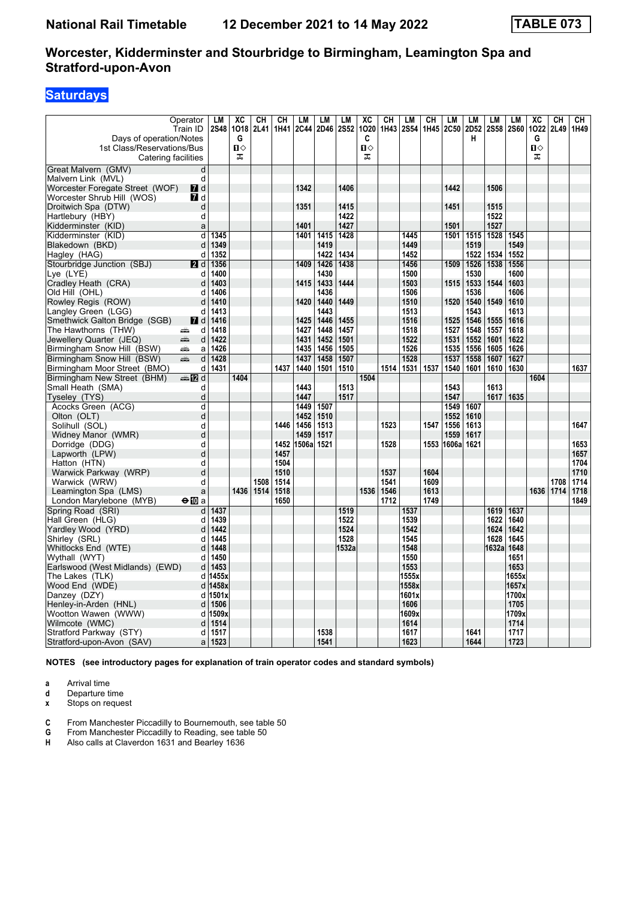# **Saturdays**

| Days of operation/Notes<br>1st Class/Reservations/Bus<br>Catering facilities | Operator<br>Train ID    | LМ<br><b>2S48</b> | XC<br>1018<br>G<br>П⇔<br>ᠼ | CН<br><b>2L41</b> | CН<br>1H41 | <b>LM</b><br>2C44 | LM           | LM<br>2D46 2S52 | XC<br>1020<br>C<br>п⇔<br>ᠼ | CН<br>1H43 | LM<br><b>2S54</b> | CН<br>1H45 | LM<br>2C50    | LM<br>2D52<br>н | LM<br><b>2S58</b> | LM<br><b>2S60</b> | XC<br>1022<br>G<br>Π<br>ᠼ | CН<br>2L49 | CН<br>1H49   |
|------------------------------------------------------------------------------|-------------------------|-------------------|----------------------------|-------------------|------------|-------------------|--------------|-----------------|----------------------------|------------|-------------------|------------|---------------|-----------------|-------------------|-------------------|---------------------------|------------|--------------|
|                                                                              |                         |                   |                            |                   |            |                   |              |                 |                            |            |                   |            |               |                 |                   |                   |                           |            |              |
| Great Malvern (GMV)                                                          | d                       |                   |                            |                   |            |                   |              |                 |                            |            |                   |            |               |                 |                   |                   |                           |            |              |
| Malvern Link (MVL)                                                           | d                       |                   |                            |                   |            |                   |              |                 |                            |            |                   |            |               |                 |                   |                   |                           |            |              |
| Worcester Foregate Street (WOF)                                              | <b>7</b> d              |                   |                            |                   |            | 1342              |              | 1406            |                            |            |                   |            | 1442          |                 | 1506              |                   |                           |            |              |
| Worcester Shrub Hill (WOS)<br>Droitwich Spa (DTW)                            | <b>7</b> d<br>d         |                   |                            |                   |            | 1351              |              | 1415            |                            |            |                   |            | 1451          |                 | 1515              |                   |                           |            |              |
| Hartlebury (HBY)                                                             | d                       |                   |                            |                   |            |                   |              | 1422            |                            |            |                   |            |               |                 | 1522              |                   |                           |            |              |
| Kidderminster (KID)                                                          | a                       |                   |                            |                   |            | 1401              |              | 1427            |                            |            |                   |            | 1501          |                 | 1527              |                   |                           |            |              |
| Kidderminster (KID)                                                          | $\overline{\mathsf{d}}$ | 1345              |                            |                   |            | 1401              | 1415         | 1428            |                            |            | 1445              |            | 1501          | 1515            | 1528              | 1545              |                           |            |              |
| Blakedown (BKD)                                                              | d                       | 1349              |                            |                   |            |                   | 1419         |                 |                            |            | 1449              |            |               | 1519            |                   | 1549              |                           |            |              |
| Hagley (HAG)                                                                 | d                       | 1352              |                            |                   |            |                   | 1422         | 1434            |                            |            | 1452              |            |               | 1522            | 1534              | 1552              |                           |            |              |
| Stourbridge Junction (SBJ)                                                   | <b>2</b> d              | 1356              |                            |                   |            | 1409              | 1426         | 1438            |                            |            | 1456              |            | 1509          | 1526            | 1538              | 1556              |                           |            |              |
| Lye (LYE)                                                                    | d                       | 1400              |                            |                   |            |                   | 1430         |                 |                            |            | 1500              |            |               | 1530            |                   | 1600              |                           |            |              |
| Cradley Heath (CRA)                                                          | d                       | 1403              |                            |                   |            | 1415              | 1433         | 1444            |                            |            | 1503              |            | 1515          | 1533            | 1544              | 1603              |                           |            |              |
| Old Hill (OHL)                                                               | d                       | 1406              |                            |                   |            |                   | 1436         |                 |                            |            | 1506              |            |               | 1536            |                   | 1606              |                           |            |              |
| Rowley Regis (ROW)                                                           | d                       | 1410              |                            |                   |            | 1420              | 1440         | 1449            |                            |            | 1510              |            | 1520          | 1540            | 1549              | 1610              |                           |            |              |
| Langley Green (LGG)                                                          | d                       | 1413              |                            |                   |            |                   | 1443         |                 |                            |            | 1513              |            |               | 1543            |                   | 1613              |                           |            |              |
| Smethwick Galton Bridge (SGB)                                                | <b>7</b> d              | 1416              |                            |                   |            | 1425              | 1446         | 1455            |                            |            | 1516              |            | 1525          | 1546            | 1555              | 1616              |                           |            |              |
| The Hawthorns (THW)                                                          | d<br>پیش                | 1418              |                            |                   |            | 1427              | 1448         | 1457            |                            |            | 1518              |            | 1527          | 1548            | 1557              | 1618              |                           |            |              |
| Jewellery Quarter (JEQ)                                                      | æ<br>d                  | 1422              |                            |                   |            | 1431              | 1452         | 1501            |                            |            | 1522              |            | 1531          | 1552            | 1601              | 1622              |                           |            |              |
| Birmingham Snow Hill (BSW)                                                   | æ<br>a                  | 1426              |                            |                   |            | 1435              | 1456         | 1505            |                            |            | 1526              |            | 1535          | 1556            | 1605              | 1626              |                           |            |              |
| Birmingham Snow Hill (BSW)                                                   | æ.<br>d                 | 1428              |                            |                   |            | 1437              | 1458         | 1507            |                            |            | 1528              |            | 1537          | 1558            | 1607              | 1627              |                           |            |              |
| Birmingham Moor Street (BMO)                                                 | d                       | 1431              |                            |                   | 1437       | 1440              | 1501         | 1510            |                            | 1514       | 1531 1537         |            | 1540          | 1601            | 1610              | 1630              |                           |            | 1637         |
| Birmingham New Street (BHM)                                                  |                         |                   | 1404                       |                   |            |                   |              |                 | 1504                       |            |                   |            |               |                 |                   |                   | 1604                      |            |              |
| Small Heath (SMA)                                                            | d                       |                   |                            |                   |            | 1443              |              | 1513            |                            |            |                   |            | 1543          |                 | 1613              |                   |                           |            |              |
| Tyseley (TYS)                                                                | d                       |                   |                            |                   |            | 1447              |              | 1517            |                            |            |                   |            | 1547          |                 | 1617              | 1635              |                           |            |              |
| Acocks Green (ACG)                                                           | d                       |                   |                            |                   |            | 1449              | 1507         |                 |                            |            |                   |            | 1549          | 1607            |                   |                   |                           |            |              |
| Olton (OLT)                                                                  | d                       |                   |                            |                   |            | 1452              | 1510         |                 |                            |            |                   |            | 1552          | 1610            |                   |                   |                           |            |              |
| Solihull (SOL)                                                               | d                       |                   |                            |                   | 1446       | 1456              | 1513         |                 |                            | 1523       |                   | 1547       | 1556          | 1613            |                   |                   |                           |            | 1647         |
| Widney Manor (WMR)                                                           | d                       |                   |                            |                   | 1452       | 1459              | 1517         |                 |                            | 1528       |                   |            | 1559<br>1606a | 1617<br>1621    |                   |                   |                           |            | 1653         |
| Dorridge (DDG)                                                               | d<br>d                  |                   |                            |                   | 1457       | 1506a 1521        |              |                 |                            |            |                   | 1553       |               |                 |                   |                   |                           |            |              |
| Lapworth (LPW)                                                               | d                       |                   |                            |                   | 1504       |                   |              |                 |                            |            |                   |            |               |                 |                   |                   |                           |            | 1657<br>1704 |
| Hatton (HTN)<br>Warwick Parkway (WRP)                                        | d                       |                   |                            |                   | 1510       |                   |              |                 |                            | 1537       |                   | 1604       |               |                 |                   |                   |                           |            | 1710         |
| Warwick (WRW)                                                                | d                       |                   |                            | 1508              | 1514       |                   |              |                 |                            | 1541       |                   | 1609       |               |                 |                   |                   |                           | 1708       | 1714         |
| Leamington Spa (LMS)                                                         | a                       |                   | 1436                       | 1514              | 1518       |                   |              |                 | 1536                       | 1546       |                   | 1613       |               |                 |                   |                   | 1636                      | 1714       | 1718         |
| London Marylebone (MYB)                                                      | $\Theta$ 10 a           |                   |                            |                   | 1650       |                   |              |                 |                            | 1712       |                   | 1749       |               |                 |                   |                   |                           |            | 1849         |
| Spring Road (SRI)                                                            | d                       | 1437              |                            |                   |            |                   |              | 1519            |                            |            | 1537              |            |               |                 | 1619              | 1637              |                           |            |              |
| Hall Green (HLG)                                                             | d                       | 1439              |                            |                   |            |                   |              | 1522            |                            |            | 1539              |            |               |                 | 1622              | 1640              |                           |            |              |
| Yardley Wood (YRD)                                                           | d                       | 1442              |                            |                   |            |                   |              | 1524            |                            |            | 1542              |            |               |                 | 1624              | 1642              |                           |            |              |
| Shirley (SRL)                                                                | d                       | 1445              |                            |                   |            |                   |              | 1528            |                            |            | 1545              |            |               |                 | 1628              | 1645              |                           |            |              |
| Whitlocks End (WTE)                                                          | d                       | 1448              |                            |                   |            |                   |              | 1532a           |                            |            | 1548              |            |               |                 | 1632a             | 1648              |                           |            |              |
| Wythall (WYT)                                                                | d                       | 1450              |                            |                   |            |                   |              |                 |                            |            | 1550              |            |               |                 |                   | 1651              |                           |            |              |
| Earlswood (West Midlands) (EWD)                                              | d                       | 1453              |                            |                   |            |                   |              |                 |                            |            | 1553              |            |               |                 |                   | 1653              |                           |            |              |
| The Lakes (TLK)                                                              | d                       | 1455x             |                            |                   |            |                   |              |                 |                            |            | 1555x             |            |               |                 |                   | 1655x             |                           |            |              |
| Wood End (WDE)                                                               | d                       | 1458x             |                            |                   |            |                   |              |                 |                            |            | 1558x             |            |               |                 |                   | 1657x             |                           |            |              |
| Danzey (DZY)                                                                 | d                       | 1501x             |                            |                   |            |                   |              |                 |                            |            | 1601x             |            |               |                 |                   | 1700x             |                           |            |              |
| Henley-in-Arden (HNL)                                                        | d                       | 1506              |                            |                   |            |                   |              |                 |                            |            | 1606              |            |               |                 |                   | 1705              |                           |            |              |
| Wootton Wawen (WWW)                                                          | d                       | 1509x             |                            |                   |            |                   |              |                 |                            |            | 1609x             |            |               |                 |                   | 1709x             |                           |            |              |
| Wilmcote (WMC)                                                               | d                       | 1514              |                            |                   |            |                   |              |                 |                            |            | 1614              |            |               |                 |                   | 1714              |                           |            |              |
| Stratford Parkway (STY)                                                      | d                       | 1517              |                            |                   |            |                   | 1538<br>1541 |                 |                            |            | 1617              |            |               | 1641<br>1644    |                   | 1717              |                           |            |              |
| Stratford-upon-Avon (SAV)                                                    | a                       | 1523              |                            |                   |            |                   |              |                 |                            |            | 1623              |            |               |                 |                   | 1723              |                           |            |              |

**NOTES (see introductory pages for explanation of train operator codes and standard symbols)**

**a** Arrival time<br>**d** Departure ti

**d** Departure time<br>**x** Stops on reque

**Stops on request** 

**C** From Manchester Piccadilly to Bournemouth, see table 50

**G** From Manchester Piccadilly to Reading, see table 50

**H** Also calls at Claverdon 1631 and Bearley 1636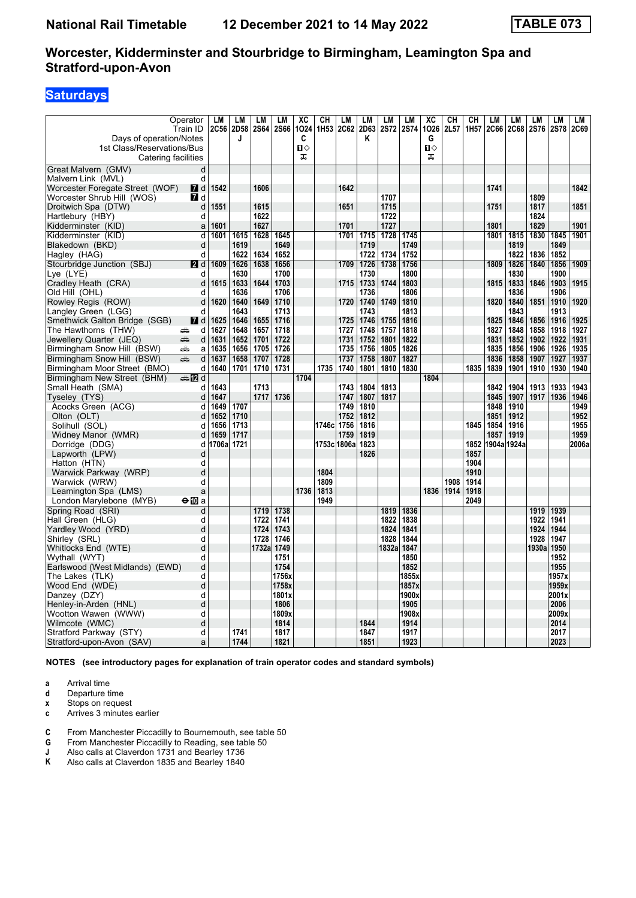# **Saturdays**

| Days of operation/Notes<br>1st Class/Reservations/Bus | Operator<br>Train ID  | LM<br>2C56 | LM<br>2D58<br>J | LМ<br><b>2S64</b> | LM<br>2S66   | XC<br>1024<br>C<br>п⇔ | CH<br>1H53 2C62 | LM                | LМ<br>2D63<br>Κ | LM<br><b>2S72</b> | LM<br><b>2S74</b> | $\overline{\text{xc}}$<br>1026<br>G<br>$\P$ | CН<br>2L57 | CН<br>1H <sub>57</sub> | LM<br><b>2C66</b> | LM<br>2C68   | LM<br>2S76   | <b>LM</b><br>2S78 | LM<br>2C69 |
|-------------------------------------------------------|-----------------------|------------|-----------------|-------------------|--------------|-----------------------|-----------------|-------------------|-----------------|-------------------|-------------------|---------------------------------------------|------------|------------------------|-------------------|--------------|--------------|-------------------|------------|
| Catering facilities                                   |                       |            |                 |                   |              | ᠼ                     |                 |                   |                 |                   |                   | ᠼ                                           |            |                        |                   |              |              |                   |            |
| Great Malvern (GMV)                                   | d                     |            |                 |                   |              |                       |                 |                   |                 |                   |                   |                                             |            |                        |                   |              |              |                   |            |
| Malvern Link (MVL)                                    | d                     |            |                 |                   |              |                       |                 |                   |                 |                   |                   |                                             |            |                        |                   |              |              |                   |            |
| Worcester Foregate Street (WOF)                       | <b>7</b> d            | 1542       |                 | 1606              |              |                       |                 | 1642              |                 |                   |                   |                                             |            |                        | 1741              |              |              |                   | 1842       |
| Worcester Shrub Hill (WOS)                            | <b>7</b> d            |            |                 |                   |              |                       |                 |                   |                 | 1707              |                   |                                             |            |                        |                   |              | 1809         |                   |            |
| Droitwich Spa (DTW)                                   | d                     | 1551       |                 | 1615              |              |                       |                 | 1651              |                 | 1715              |                   |                                             |            |                        | 1751              |              | 1817         |                   | 1851       |
| Hartlebury (HBY)                                      | d                     |            |                 | 1622              |              |                       |                 |                   |                 | 1722              |                   |                                             |            |                        |                   |              | 1824         |                   |            |
| Kidderminster (KID)                                   | a                     | 1601       |                 | 1627              |              |                       |                 | 1701              |                 | 1727              |                   |                                             |            |                        | 1801              |              | 1829         |                   | 1901       |
| Kidderminster (KID)                                   | d                     | 1601       | 1615            | 1628              | 1645         |                       |                 | 1701              | 1715            | 1728              | 1745              |                                             |            |                        | 1801              | 1815         | 1830         | 1845              | 1901       |
| Blakedown (BKD)                                       | d                     |            | 1619            |                   | 1649         |                       |                 |                   | 1719            |                   | 1749              |                                             |            |                        |                   | 1819         |              | 1849              |            |
| Hagley (HAG)                                          | d                     |            | 1622            | 1634              | 1652         |                       |                 |                   | 1722            | 1734              | 1752              |                                             |            |                        |                   | 1822         | 1836         | 1852              |            |
| Stourbridge Junction (SBJ)                            | <b>2</b> d            | 1609       | 1626            | 1638              | 1656         |                       |                 | 1709              | 1726            | 1738              | 1756              |                                             |            |                        | 1809              | 1826         | 1840         | 1856              | 1909       |
| Lye (LYE)                                             | d                     |            | 1630            |                   | 1700         |                       |                 |                   | 1730            |                   | 1800              |                                             |            |                        |                   | 1830         |              | 1900              |            |
| Cradley Heath (CRA)                                   | d                     | 1615       | 1633            | 1644              | 1703         |                       |                 | 1715              | 1733            | 1744              | 1803              |                                             |            |                        | 1815              | 1833         | 1846         | 1903              | 1915       |
| Old Hill (OHL)                                        | d                     |            | 1636            |                   | 1706         |                       |                 |                   | 1736            |                   | 1806              |                                             |            |                        |                   | 1836         |              | 1906              |            |
| Rowley Regis (ROW)                                    | d<br>d                | 1620       | 1640<br>1643    | 1649              | 1710<br>1713 |                       |                 | 1720              | 1740<br>1743    | 1749              | 1810<br>1813      |                                             |            |                        | 1820              | 1840<br>1843 | 1851         | 1910<br>1913      | 1920       |
| Langley Green (LGG)<br>Smethwick Galton Bridge (SGB)  | $I$ d                 | 1625       | 1646            | 1655              | 1716         |                       |                 | 1725              | 1746            | 1755              | 1816              |                                             |            |                        | 1825              | 1846         | 1856         | 1916              | 1925       |
| The Hawthorns (THW)                                   | d<br>æ                | 1627       | 1648            | 1657              | 1718         |                       |                 | 1727              | 1748            | 1757              | 1818              |                                             |            |                        | 1827              | 1848         | 1858         | 1918              | 1927       |
| Jewellery Quarter (JEQ)                               | يتنيه<br>d            | 1631       | 1652            | 1701              | 1722         |                       |                 | 1731              | 1752            | 1801              | 1822              |                                             |            |                        | 1831              | 1852         | 1902         | 1922              | 1931       |
| Birmingham Snow Hill (BSW)                            | æ<br>a                | 1635       | 1656            | 1705              | 1726         |                       |                 | 1735              | 1756            | 1805              | 1826              |                                             |            |                        | 1835              | 1856         | 1906         | 1926              | 1935       |
| Birmingham Snow Hill (BSW)                            | پېښ<br>d              | 1637       | 1658            | 1707              | 1728         |                       |                 | 1737              | 1758            | 1807              | 1827              |                                             |            |                        | 1836              | 1858         | 1907         | 1927              | 1937       |
| Birmingham Moor Street (BMO)                          | d                     | 1640       | 1701            | 1710              | 1731         |                       | 1735            | 1740              | 1801            |                   | 1810 1830         |                                             |            | 1835                   | 1839              | 1901         | 1910         | 1930              | 1940       |
| Birmingham New Street (BHM)                           | dan <mark>an</mark> d |            |                 |                   |              | 1704                  |                 |                   |                 |                   |                   | 1804                                        |            |                        |                   |              |              |                   |            |
| Small Heath (SMA)                                     | d                     | 1643       |                 | 1713              |              |                       |                 | 1743              | 1804            | 1813              |                   |                                             |            |                        | 1842              | 1904         | 1913         | 1933              | 1943       |
| Tyseley (TYS)                                         | d                     | 1647       |                 | 1717              | 1736         |                       |                 | 1747              | 1807            | 1817              |                   |                                             |            |                        | 1845              | 1907         | 1917         | 1936              | 1946       |
| Acocks Green (ACG)                                    | d                     | 1649       | 1707            |                   |              |                       |                 | 1749              | 1810            |                   |                   |                                             |            |                        | 1848              | 1910         |              |                   | 1949       |
| Olton (OLT)                                           | d                     | 1652       | 1710            |                   |              |                       |                 | 1752              | 1812            |                   |                   |                                             |            |                        | 1851              | 1912         |              |                   | 1952       |
| Solihull (SOL)                                        | d                     | 1656       | 1713            |                   |              |                       | 1746c 1756      |                   | 1816            |                   |                   |                                             |            | 1845                   | 1854              | 1916         |              |                   | 1955       |
| Widney Manor (WMR)                                    | d                     | 1659       | 1717            |                   |              |                       |                 | 1759              | 1819            |                   |                   |                                             |            |                        | 1857              | 1919         |              |                   | 1959       |
| Dorridge (DDG)                                        | d                     | 1706a      | 1721            |                   |              |                       |                 | 1753c 1806a  1823 |                 |                   |                   |                                             |            | 1852                   | 1904a 1924a       |              |              |                   | 2006a      |
| Lapworth (LPW)                                        | d                     |            |                 |                   |              |                       |                 |                   | 1826            |                   |                   |                                             |            | 1857                   |                   |              |              |                   |            |
| Hatton (HTN)                                          | d                     |            |                 |                   |              |                       |                 |                   |                 |                   |                   |                                             |            | 1904                   |                   |              |              |                   |            |
| Warwick Parkway (WRP)                                 | d                     |            |                 |                   |              |                       | 1804            |                   |                 |                   |                   |                                             |            | 1910                   |                   |              |              |                   |            |
| Warwick (WRW)                                         | d                     |            |                 |                   |              |                       | 1809            |                   |                 |                   |                   |                                             | 1908       | 1914                   |                   |              |              |                   |            |
| Leamington Spa (LMS)                                  | a                     |            |                 |                   |              | 1736                  | 1813            |                   |                 |                   |                   | 1836                                        | 1914       | 1918                   |                   |              |              |                   |            |
| London Marylebone (MYB)                               | $\Theta$ 10 a         |            |                 |                   |              |                       | 1949            |                   |                 |                   |                   |                                             |            | 2049                   |                   |              |              |                   |            |
| Spring Road (SRI)<br>Hall Green (HLG)                 | d<br>d                |            |                 | 1719<br>1722      | 1738<br>1741 |                       |                 |                   |                 | 1819<br>1822      | 1836<br>1838      |                                             |            |                        |                   |              | 1919<br>1922 | 1939<br>1941      |            |
| Yardley Wood (YRD)                                    | d                     |            |                 | 1724              | 1743         |                       |                 |                   |                 | 1824              | 1841              |                                             |            |                        |                   |              | 1924         | 1944              |            |
| Shirley (SRL)                                         | d                     |            |                 | 1728              | 1746         |                       |                 |                   |                 | 1828              | 1844              |                                             |            |                        |                   |              | 1928         | 1947              |            |
| Whitlocks End (WTE)                                   | d                     |            |                 | 1732a             | 1749         |                       |                 |                   |                 | 1832a             | 1847              |                                             |            |                        |                   |              | 1930a        | 1950              |            |
| Wythall (WYT)                                         | d                     |            |                 |                   | 1751         |                       |                 |                   |                 |                   | 1850              |                                             |            |                        |                   |              |              | 1952              |            |
| Earlswood (West Midlands) (EWD)                       | d                     |            |                 |                   | 1754         |                       |                 |                   |                 |                   | 1852              |                                             |            |                        |                   |              |              | 1955              |            |
| The Lakes (TLK)                                       | d                     |            |                 |                   | 1756x        |                       |                 |                   |                 |                   | 1855x             |                                             |            |                        |                   |              |              | 1957x             |            |
| Wood End (WDE)                                        | d                     |            |                 |                   | 1758x        |                       |                 |                   |                 |                   | 1857x             |                                             |            |                        |                   |              |              | 1959x             |            |
| Danzey (DZY)                                          | d                     |            |                 |                   | 1801x        |                       |                 |                   |                 |                   | 1900x             |                                             |            |                        |                   |              |              | 2001x             |            |
| Henley-in-Arden (HNL)                                 | d                     |            |                 |                   | 1806         |                       |                 |                   |                 |                   | 1905              |                                             |            |                        |                   |              |              | 2006              |            |
| Wootton Wawen (WWW)                                   | d                     |            |                 |                   | 1809x        |                       |                 |                   |                 |                   | 1908x             |                                             |            |                        |                   |              |              | 2009x             |            |
| Wilmcote (WMC)                                        | d                     |            |                 |                   | 1814         |                       |                 |                   | 1844            |                   | 1914              |                                             |            |                        |                   |              |              | 2014              |            |
| Stratford Parkway (STY)                               | d                     |            | 1741            |                   | 1817         |                       |                 |                   | 1847            |                   | 1917              |                                             |            |                        |                   |              |              | 2017              |            |
| Stratford-upon-Avon (SAV)                             | a                     |            | 1744            |                   | 1821         |                       |                 |                   | 1851            |                   | 1923              |                                             |            |                        |                   |              |              | 2023              |            |

**NOTES (see introductory pages for explanation of train operator codes and standard symbols)**

**a** Arrival time<br>**d** Departure ti

Departure time

**x** Stops on request<br>**c** Arrives 3 minutes

- **c** Arrives 3 minutes earlier
- **C** From Manchester Piccadilly to Bournemouth, see table 50
- **G** From Manchester Piccadilly to Reading, see table 50<br>**J** Also calls at Claverdon 1731 and Bearley 1736<br>**K** Also calls at Claverdon 1835 and Bearley 1840
- **J** Also calls at Claverdon 1731 and Bearley 1736
- **.** Also calls at Claverdon 1835 and Bearley 1840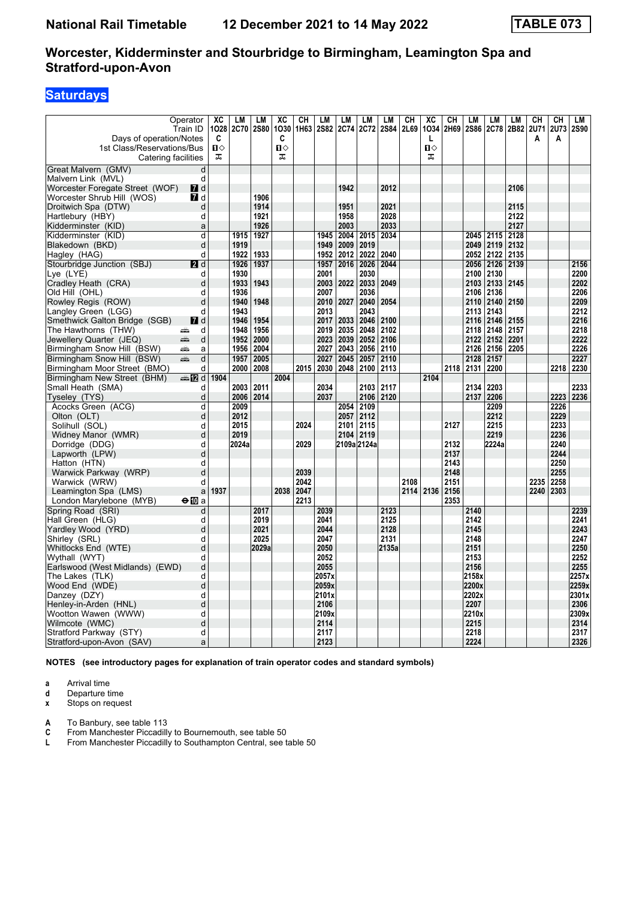# **Saturdays**

| Days of operation/Notes                           | Operator<br>Train ID | XC<br>1028<br>C   | LM<br>2C70   | LМ<br><b>2S80</b> | XC<br>1030<br>C   | <b>CH</b><br>1H63 | LM    | LM<br>2S82 2C74 | LМ<br>2C72   | LM<br>2S84 | CН<br>2L69 | XC<br>1034<br>L   | CН<br>2H69 | LМ<br><b>2S86</b> | LM<br>2C78   | LM<br>2B82 | CН<br>2U71<br>A | CН<br><b>2U73</b><br>A | LM<br><b>2S90</b> |
|---------------------------------------------------|----------------------|-------------------|--------------|-------------------|-------------------|-------------------|-------|-----------------|--------------|------------|------------|-------------------|------------|-------------------|--------------|------------|-----------------|------------------------|-------------------|
| 1st Class/Reservations/Bus<br>Catering facilities |                      | $\mathbf{u}$<br>ᠼ |              |                   | $\mathbf{u}$<br>ᠼ |                   |       |                 |              |            |            | $\mathbf{u}$<br>ᠼ |            |                   |              |            |                 |                        |                   |
| Great Malvern (GMV)                               | d                    |                   |              |                   |                   |                   |       |                 |              |            |            |                   |            |                   |              |            |                 |                        |                   |
| Malvern Link (MVL)                                | d                    |                   |              |                   |                   |                   |       |                 |              |            |            |                   |            |                   |              |            |                 |                        |                   |
| Worcester Foregate Street (WOF)                   | <b>7</b> d           |                   |              |                   |                   |                   |       | 1942            |              | 2012       |            |                   |            |                   |              | 2106       |                 |                        |                   |
| Worcester Shrub Hill (WOS)                        | <b>7</b> d           |                   |              | 1906              |                   |                   |       |                 |              |            |            |                   |            |                   |              |            |                 |                        |                   |
| Droitwich Spa (DTW)                               | d                    |                   |              | 1914              |                   |                   |       | 1951            |              | 2021       |            |                   |            |                   |              | 2115       |                 |                        |                   |
| Hartlebury (HBY)                                  | d                    |                   |              | 1921              |                   |                   |       | 1958            |              | 2028       |            |                   |            |                   |              | 2122       |                 |                        |                   |
| Kidderminster (KID)                               | a                    |                   |              | 1926              |                   |                   |       | 2003            |              | 2033       |            |                   |            |                   |              | 2127       |                 |                        |                   |
| Kidderminster (KID)                               | d                    |                   | 1915         | 1927              |                   |                   | 1945  | 2004            | 2015         | 2034       |            |                   |            | 2045              | 2115         | 2128       |                 |                        |                   |
| Blakedown (BKD)                                   | d                    |                   | 1919         |                   |                   |                   | 1949  | 2009            | 2019         |            |            |                   |            | 2049              | 2119         | 2132       |                 |                        |                   |
| Hagley (HAG)                                      | d                    |                   | 1922         | 1933              |                   |                   | 1952  | 2012            | 2022         | 2040       |            |                   |            | 2052              | 2122         | 2135       |                 |                        |                   |
| Stourbridge Junction (SBJ)                        | 2d                   |                   | 1926         | 1937              |                   |                   | 1957  | 2016            | 2026         | 2044       |            |                   |            | 2056              | 2126 2139    |            |                 |                        | 2156              |
| Lye (LYE)                                         | d                    |                   | 1930         |                   |                   |                   | 2001  |                 | 2030         |            |            |                   |            | 2100              | 2130         |            |                 |                        | 2200              |
| Cradley Heath (CRA)                               | d                    |                   | 1933         | 1943              |                   |                   |       | 2003 2022       | 2033         | 2049       |            |                   |            | 2103              | 2133         | 2145       |                 |                        | 2202              |
| Old Hill (OHL)                                    | d                    |                   | 1936         |                   |                   |                   | 2007  |                 | 2036         |            |            |                   |            | 2106              | 2136         |            |                 |                        | 2206              |
| Rowley Regis (ROW)                                | d                    |                   | 1940         | 1948              |                   |                   | 2010  | 2027            | 2040         | 2054       |            |                   |            | 2110              | 2140         | 2150       |                 |                        | 2209              |
| Langley Green (LGG)                               | d                    |                   | 1943         |                   |                   |                   | 2013  |                 | 2043         |            |            |                   |            | 2113              | 2143         |            |                 |                        | 2212              |
| Smethwick Galton Bridge (SGB)                     | $\blacksquare$ d     |                   | 1946         | 1954              |                   |                   | 2017  | 2033            | 2046         | 2100       |            |                   |            | 2116              | 2146         | 2155       |                 |                        | 2216              |
| The Hawthorns (THW)                               | d<br>پیشت            |                   | 1948         | 1956              |                   |                   | 2019  | 2035            | 2048         | 2102       |            |                   |            | 2118              | 2148         | 2157       |                 |                        | 2218              |
| Jewellery Quarter (JEQ)                           | d<br>æ               |                   | 1952         | 2000              |                   |                   | 2023  | 2039            | 2052         | 2106       |            |                   |            | 2122              | 2152         | 2201       |                 |                        | 2222              |
| Birmingham Snow Hill (BSW)                        | پیش<br>a             |                   | 1956         | 2004              |                   |                   | 2027  | 2043            | 2056         | 2110       |            |                   |            | 2126              | 2156         | 2205       |                 |                        | 2226              |
| Birmingham Snow Hill (BSW)                        | d<br>æ               |                   | 1957         | 2005              |                   |                   | 2027  | 2045            | 2057         | 2110       |            |                   |            | 2128              | 2157         |            |                 |                        | 2227              |
| Birmingham Moor Street (BMO)                      | d                    |                   | 2000         | 2008              |                   | 2015              | 2030  | 2048            | 2100         | 2113       |            |                   | 2118       | 2131              | 2200         |            |                 | 2218                   | 2230              |
| Birmingham New Street (BHM)                       | ana 1721 d           | 1904              |              |                   | 2004              |                   |       |                 |              |            |            | 2104              |            |                   |              |            |                 |                        |                   |
| Small Heath (SMA)                                 | d                    |                   | 2003         | 2011              |                   |                   | 2034  |                 | 2103         | 2117       |            |                   |            | 2134              | 2203         |            |                 |                        | 2233              |
| Tyseley (TYS)                                     | d                    |                   | 2006         | 2014              |                   |                   | 2037  |                 | 2106         | 2120       |            |                   |            | 2137              | 2206         |            |                 | 2223                   | 2236              |
| Acocks Green (ACG)                                | d                    |                   | 2009         |                   |                   |                   |       | 2054            | 2109         |            |            |                   |            |                   | 2209         |            |                 | 2226                   |                   |
| Olton (OLT)                                       | d                    |                   | 2012<br>2015 |                   |                   |                   |       | 2057            | 2112         |            |            |                   |            |                   | 2212<br>2215 |            |                 | 2229                   |                   |
| Solihull (SOL)                                    | d<br>d               |                   | 2019         |                   |                   | 2024              |       | 2101<br>2104    | 2115<br>2119 |            |            |                   | 2127       |                   | 2219         |            |                 | 2233<br>2236           |                   |
| Widney Manor (WMR)                                | d                    |                   | 2024a        |                   |                   | 2029              |       |                 | 2109a 2124a  |            |            |                   | 2132       |                   | 2224a        |            |                 | 2240                   |                   |
| Dorridge (DDG)<br>Lapworth (LPW)                  | d                    |                   |              |                   |                   |                   |       |                 |              |            |            |                   | 2137       |                   |              |            |                 | 2244                   |                   |
| Hatton (HTN)                                      | d                    |                   |              |                   |                   |                   |       |                 |              |            |            |                   | 2143       |                   |              |            |                 | 2250                   |                   |
| Warwick Parkway (WRP)                             | d                    |                   |              |                   |                   | 2039              |       |                 |              |            |            |                   | 2148       |                   |              |            |                 | 2255                   |                   |
| Warwick (WRW)                                     | d                    |                   |              |                   |                   | 2042              |       |                 |              |            | 2108       |                   | 2151       |                   |              |            | 2235            | 2258                   |                   |
| Leamington Spa (LMS)                              | a                    | 1937              |              |                   | 2038              | 2047              |       |                 |              |            |            | 2114 2136         | 2156       |                   |              |            | 2240            | 2303                   |                   |
| London Marylebone (MYB)                           | $\bigoplus$ a        |                   |              |                   |                   | 2213              |       |                 |              |            |            |                   | 2353       |                   |              |            |                 |                        |                   |
| Spring Road (SRI)                                 | d                    |                   |              | 2017              |                   |                   | 2039  |                 |              | 2123       |            |                   |            | 2140              |              |            |                 |                        | 2239              |
| Hall Green (HLG)                                  | d                    |                   |              | 2019              |                   |                   | 2041  |                 |              | 2125       |            |                   |            | 2142              |              |            |                 |                        | 2241              |
| Yardley Wood (YRD)                                | d                    |                   |              | 2021              |                   |                   | 2044  |                 |              | 2128       |            |                   |            | 2145              |              |            |                 |                        | 2243              |
| Shirley (SRL)                                     | d                    |                   |              | 2025              |                   |                   | 2047  |                 |              | 2131       |            |                   |            | 2148              |              |            |                 |                        | 2247              |
| Whitlocks End (WTE)                               | d                    |                   |              | 2029a             |                   |                   | 2050  |                 |              | 2135a      |            |                   |            | 2151              |              |            |                 |                        | 2250              |
| Wythall (WYT)                                     | d                    |                   |              |                   |                   |                   | 2052  |                 |              |            |            |                   |            | 2153              |              |            |                 |                        | 2252              |
| Earlswood (West Midlands) (EWD)                   | d                    |                   |              |                   |                   |                   | 2055  |                 |              |            |            |                   |            | 2156              |              |            |                 |                        | 2255              |
| The Lakes (TLK)                                   | d                    |                   |              |                   |                   |                   | 2057x |                 |              |            |            |                   |            | 2158x             |              |            |                 |                        | 2257x             |
| Wood End (WDE)                                    | d                    |                   |              |                   |                   |                   | 2059x |                 |              |            |            |                   |            | 2200x             |              |            |                 |                        | 2259x             |
| Danzey (DZY)                                      | d                    |                   |              |                   |                   |                   | 2101x |                 |              |            |            |                   |            | 2202x             |              |            |                 |                        | 2301x             |
| Henley-in-Arden (HNL)                             | d                    |                   |              |                   |                   |                   | 2106  |                 |              |            |            |                   |            | 2207              |              |            |                 |                        | 2306              |
| Wootton Wawen (WWW)                               | d                    |                   |              |                   |                   |                   | 2109x |                 |              |            |            |                   |            | 2210x             |              |            |                 |                        | 2309x             |
| Wilmcote (WMC)                                    | d                    |                   |              |                   |                   |                   | 2114  |                 |              |            |            |                   |            | 2215              |              |            |                 |                        | 2314              |
| Stratford Parkway (STY)                           | d                    |                   |              |                   |                   |                   | 2117  |                 |              |            |            |                   |            | 2218              |              |            |                 |                        | 2317              |
| Stratford-upon-Avon (SAV)                         | a                    |                   |              |                   |                   |                   | 2123  |                 |              |            |            |                   |            | 2224              |              |            |                 |                        | 2326              |

**NOTES (see introductory pages for explanation of train operator codes and standard symbols)**

**a** Arrival time<br>**d** Departure ti

**d** Departure time<br>**x** Stops on reque

**Stops on request** 

**A** To Banbury, see table 113<br>**C** From Manchester Piccadilly **C** From Manchester Piccadilly to Bournemouth, see table 50<br>**L** From Manchester Piccadilly to Southampton Central, see t

**/** From Manchester Piccadilly to Southampton Central, see table 50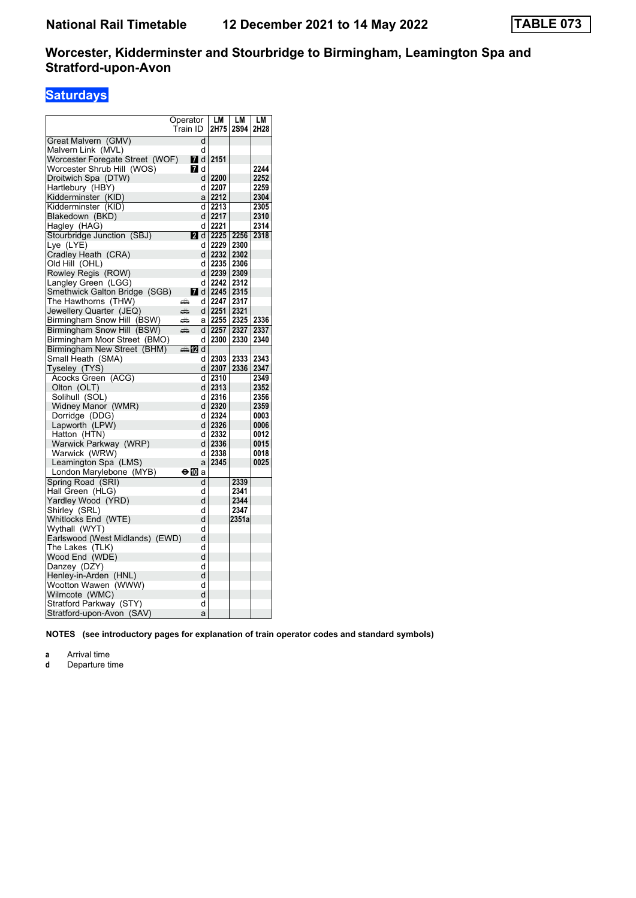# **Saturdays**

|                                 | Operator                  |    | LМ                      | LМ    | LМ   |
|---------------------------------|---------------------------|----|-------------------------|-------|------|
|                                 | Train ID                  |    | 2H75                    | 2S94  | 2H28 |
| Great Malvern (GMV)             |                           | d  |                         |       |      |
| Malvern Link (MVL)              |                           | d  |                         |       |      |
| Worcester Foregate Street (WOF) | 7 d                       |    | 2151                    |       |      |
| Worcester Shrub Hill (WOS)      | 7 d                       |    |                         |       | 2244 |
| Droitwich Spa (DTW)             |                           | d  | 2200                    |       | 2252 |
| Hartlebury (HBY)                |                           | d  | 2207                    |       | 2259 |
| Kidderminster (KID)             |                           | a  | 2212                    |       | 2304 |
| Kidderminster (KID)             |                           | d  | 2213                    |       | 2305 |
| Blakedown (BKD)                 |                           |    | d 2217                  |       | 2310 |
| Hagley (HAG)                    |                           | d  | 2221                    |       | 2314 |
| Stourbridge Junction (SBJ)      |                           |    | 2 d $2225$              | 2256  | 2318 |
| Lye (LYE)                       |                           | d  | 2229                    | 2300  |      |
|                                 |                           | dl | 2232                    | 2302  |      |
| Cradley Heath (CRA)             |                           |    |                         |       |      |
| Old Hill (OHL)                  |                           | d  | 2235                    | 2306  |      |
| Rowley Regis (ROW)              |                           |    | d   2239                | 2309  |      |
| Langley Green (LGG)             |                           | d  | 2242                    | 2312  |      |
| Smethwick Galton Bridge (SGB)   |                           |    | $\blacksquare$ d   2245 | 2315  |      |
| The Hawthorns (THW)             | æ                         | d  | 2247                    | 2317  |      |
| Jewellery Quarter (JEQ)         | پېښتنه                    |    | d 2251                  | 2321  |      |
| Birmingham Snow Hill (BSW)      | æ                         | а  | 2255                    | 2325  | 2336 |
| Birmingham Snow Hill (BSW)      | پېښ                       |    | d 2257                  | 2327  | 2337 |
| Birmingham Moor Street (BMO)    |                           | d  | 2300                    | 2330  | 2340 |
| Birmingham New Street (BHM)     | d Manamarkan Dania dan ya |    |                         |       |      |
| Small Heath  (SMA)              |                           | d  | 2303                    | 2333  | 2343 |
| Tyseley (TYS)                   |                           |    | $d$   2307              | 2336  | 2347 |
| Acocks Green (ACG)              |                           | d  | 2310                    |       | 2349 |
| Olton (OLT)                     |                           |    | $d$ 2313                |       | 2352 |
| Solihull (SOL)                  |                           | d  | 2316                    |       | 2356 |
| Widney Manor (WMR)              |                           |    | $d$   2320              |       | 2359 |
| Dorridge (DDG)                  |                           | d  | 2324                    |       | 0003 |
| Lapworth (LPW)                  |                           |    | $d$   2326              |       | 0006 |
| Hatton (HTN)                    |                           | d  | 2332                    |       | 0012 |
| Warwick Parkway (WRP)           |                           |    | $d$ 2336                |       | 0015 |
| Warwick (WRW)                   |                           | d  | 2338                    |       | 0018 |
| Leamington Spa (LMS)            |                           | a  | 2345                    |       | 0025 |
| London Marylebone (MYB)         | ⊖Μ                        | a  |                         |       |      |
| Spring Road (SRI)               |                           | d  |                         | 2339  |      |
| Hall Green (HLG)                |                           | d  |                         | 2341  |      |
| Yardley Wood (YRD)              |                           | d  |                         | 2344  |      |
| Shirley (SRL)                   |                           | d  |                         | 2347  |      |
| Whitlocks End (WTE)             |                           | d  |                         | 2351a |      |
| Wythall (WYT)                   |                           | d  |                         |       |      |
| Earlswood (West Midlands) (EWD) |                           | d  |                         |       |      |
| The Lakes (TLK)                 |                           | d  |                         |       |      |
| Wood End (WDE)                  |                           | d  |                         |       |      |
| Danzey (DZY)                    |                           | d  |                         |       |      |
| Henley-in-Arden (HNL)           |                           | d  |                         |       |      |
| Wootton Wawen (WWW)             |                           | d  |                         |       |      |
| Wilmcote (WMC)                  |                           | d  |                         |       |      |
| Stratford Parkway (STY)         |                           | d  |                         |       |      |
|                                 |                           | a  |                         |       |      |
| Stratford-upon-Avon (SAV)       |                           |    |                         |       |      |

**NOTES (see introductory pages for explanation of train operator codes and standard symbols)**

**a** Arrival time<br>**d** Departure t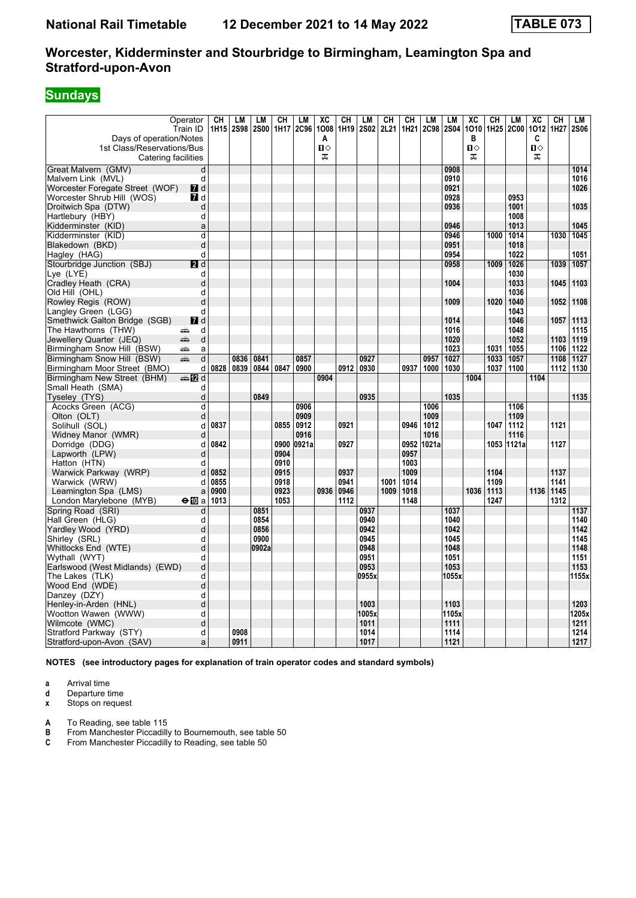# **Sundays**

| Days of operation/Notes<br>1st Class/Reservations/Bus | Operator<br>Train ID | CН<br>1H15 | LМ<br><b>2S98</b> | LM<br><b>2S00</b> | СH   | LM<br>1H17 2C96 | XC<br>1008<br>A<br>п⇔ | CH<br>1H <sub>19</sub> | LM<br><b>2S02</b> | CН<br>2L21 | CH<br>1H21 | LM<br><b>2C98</b> | LM<br><b>2S04</b> | $\overline{\text{xc}}$<br>1010<br>в<br>$\mathbf{u}$ | $\overline{c}$ H<br>1H <sub>25</sub> | LM<br><b>2C00</b> | $\overline{AC}$<br>1012<br>C<br>$\mathbf{u}$ | CH<br>1H27 | LM<br><b>2S06</b> |
|-------------------------------------------------------|----------------------|------------|-------------------|-------------------|------|-----------------|-----------------------|------------------------|-------------------|------------|------------|-------------------|-------------------|-----------------------------------------------------|--------------------------------------|-------------------|----------------------------------------------|------------|-------------------|
| Catering facilities                                   |                      |            |                   |                   |      |                 | ᠼ                     |                        |                   |            |            |                   |                   | ᠼ                                                   |                                      |                   | ᠼ                                            |            |                   |
| Great Malvern (GMV)                                   | d                    |            |                   |                   |      |                 |                       |                        |                   |            |            |                   | 0908              |                                                     |                                      |                   |                                              |            | 1014              |
| Malvern Link (MVL)                                    | d                    |            |                   |                   |      |                 |                       |                        |                   |            |            |                   | 0910              |                                                     |                                      |                   |                                              |            | 1016              |
| Worcester Foregate Street (WOF)                       | <b>7</b> d           |            |                   |                   |      |                 |                       |                        |                   |            |            |                   | 0921              |                                                     |                                      |                   |                                              |            | 1026              |
| Worcester Shrub Hill (WOS)                            | <b>7</b> d           |            |                   |                   |      |                 |                       |                        |                   |            |            |                   | 0928              |                                                     |                                      | 0953              |                                              |            |                   |
| Droitwich Spa (DTW)                                   | d                    |            |                   |                   |      |                 |                       |                        |                   |            |            |                   | 0936              |                                                     |                                      | 1001              |                                              |            | 1035              |
| Hartlebury (HBY)                                      | d                    |            |                   |                   |      |                 |                       |                        |                   |            |            |                   |                   |                                                     |                                      | 1008              |                                              |            |                   |
| Kidderminster (KID)                                   | a                    |            |                   |                   |      |                 |                       |                        |                   |            |            |                   | 0946              |                                                     |                                      | 1013              |                                              |            | 1045              |
| Kidderminster (KID)                                   | d                    |            |                   |                   |      |                 |                       |                        |                   |            |            |                   | 0946              |                                                     | 1000                                 | 1014              |                                              | 1030       | 1045              |
| Blakedown (BKD)                                       | d                    |            |                   |                   |      |                 |                       |                        |                   |            |            |                   | 0951              |                                                     |                                      | 1018              |                                              |            |                   |
| Hagley (HAG)                                          | d                    |            |                   |                   |      |                 |                       |                        |                   |            |            |                   | 0954              |                                                     |                                      | 1022              |                                              |            | 1051              |
| Stourbridge Junction (SBJ)                            | $\blacksquare$ d     |            |                   |                   |      |                 |                       |                        |                   |            |            |                   | 0958              |                                                     | 1009                                 | 1026              |                                              | 1039       | 1057              |
| Lye (LYE)                                             | d                    |            |                   |                   |      |                 |                       |                        |                   |            |            |                   |                   |                                                     |                                      | 1030              |                                              |            |                   |
| Cradley Heath (CRA)                                   | d                    |            |                   |                   |      |                 |                       |                        |                   |            |            |                   | 1004              |                                                     |                                      | 1033              |                                              | 1045       | 1103              |
| Old Hill (OHL)                                        | d                    |            |                   |                   |      |                 |                       |                        |                   |            |            |                   |                   |                                                     |                                      | 1036              |                                              |            |                   |
| Rowley Regis (ROW)                                    | d                    |            |                   |                   |      |                 |                       |                        |                   |            |            |                   | 1009              |                                                     | 1020                                 | 1040              |                                              | 1052       | 1108              |
| Langley Green (LGG)                                   | d                    |            |                   |                   |      |                 |                       |                        |                   |            |            |                   |                   |                                                     |                                      | 1043              |                                              |            |                   |
| Smethwick Galton Bridge (SGB)                         | <b>7</b> d           |            |                   |                   |      |                 |                       |                        |                   |            |            |                   | 1014              |                                                     |                                      | 1046              |                                              | 1057       | 1113              |
| The Hawthorns (THW)                                   | d<br>æ               |            |                   |                   |      |                 |                       |                        |                   |            |            |                   | 1016              |                                                     |                                      | 1048              |                                              |            | 1115              |
| Jewellery Quarter (JEQ)                               | d<br>æ               |            |                   |                   |      |                 |                       |                        |                   |            |            |                   | 1020              |                                                     |                                      | 1052              |                                              | 1103       | 1119              |
| Birmingham Snow Hill (BSW)                            | پیش<br>a             |            |                   |                   |      |                 |                       |                        |                   |            |            |                   | 1023              |                                                     | 1031                                 | 1055              |                                              | 1106       | 1122              |
| Birmingham Snow Hill (BSW)                            | d<br>پېښته           |            | 0836              | 0841              |      | 0857            |                       |                        | 0927              |            |            | 0957              | 1027              |                                                     | 1033                                 | 1057              |                                              | 1108       | 1127              |
| Birmingham Moor Street (BMO)                          | d                    | 0828       | 0839              | 0844              | 0847 | 0900            |                       | 0912                   | 0930              |            | 0937       | 1000              | 1030              |                                                     | 1037                                 | 1100              |                                              | 1112       | 1130              |
| Birmingham New Street (BHM)                           | ana MZ d             |            |                   |                   |      |                 | 0904                  |                        |                   |            |            |                   |                   | 1004                                                |                                      |                   | 1104                                         |            |                   |
| Small Heath (SMA)                                     | d                    |            |                   |                   |      |                 |                       |                        |                   |            |            |                   |                   |                                                     |                                      |                   |                                              |            |                   |
| Tyseley (TYS)                                         | d                    |            |                   | 0849              |      |                 |                       |                        | 0935              |            |            |                   | 1035              |                                                     |                                      |                   |                                              |            | 1135              |
| Acocks Green (ACG)                                    | d                    |            |                   |                   |      | 0906            |                       |                        |                   |            |            | 1006              |                   |                                                     |                                      | 1106              |                                              |            |                   |
| Olton (OLT)                                           | d                    |            |                   |                   |      | 0909            |                       |                        |                   |            |            | 1009              |                   |                                                     |                                      | 1109              |                                              |            |                   |
| Solihull (SOL)                                        | d                    | 0837       |                   |                   | 0855 | 0912            |                       | 0921                   |                   |            | 0946       | 1012              |                   |                                                     | 1047                                 | 1112              |                                              | 1121       |                   |
| Widney Manor (WMR)                                    | d                    |            |                   |                   |      | 0916            |                       |                        |                   |            |            | 1016              |                   |                                                     |                                      | 1116              |                                              |            |                   |
| Dorridge (DDG)                                        | d                    | 0842       |                   |                   |      | 0900 0921a      |                       | 0927                   |                   |            | 0952       | 1021a             |                   |                                                     |                                      | 1053 1121a        |                                              | 1127       |                   |
| Lapworth (LPW)                                        | d                    |            |                   |                   | 0904 |                 |                       |                        |                   |            | 0957       |                   |                   |                                                     |                                      |                   |                                              |            |                   |
| Hatton (HTN)                                          | d                    |            |                   |                   | 0910 |                 |                       |                        |                   |            | 1003       |                   |                   |                                                     |                                      |                   |                                              |            |                   |
| Warwick Parkway (WRP)                                 | d                    | 0852       |                   |                   | 0915 |                 |                       | 0937                   |                   |            | 1009       |                   |                   |                                                     | 1104                                 |                   |                                              | 1137       |                   |
| Warwick (WRW)                                         | d                    | 0855       |                   |                   | 0918 |                 |                       | 0941                   |                   | 1001       | 1014       |                   |                   |                                                     | 1109                                 |                   |                                              | 1141       |                   |
| Leamington Spa (LMS)                                  | a                    | 0900       |                   |                   | 0923 |                 | 0936                  | 0946                   |                   | 1009       | 1018       |                   |                   | 1036                                                | 1113                                 |                   | 1136                                         | 1145       |                   |
| London Marylebone (MYB)                               | $\Theta$ 10 a        | 1013       |                   |                   | 1053 |                 |                       | 1112                   |                   |            | 1148       |                   |                   |                                                     | 1247                                 |                   |                                              | 1312       |                   |
| Spring Road (SRI)                                     | d                    |            |                   | 0851              |      |                 |                       |                        | 0937              |            |            |                   | 1037              |                                                     |                                      |                   |                                              |            | 1137              |
| Hall Green (HLG)                                      | d                    |            |                   | 0854              |      |                 |                       |                        | 0940              |            |            |                   | 1040              |                                                     |                                      |                   |                                              |            | 1140              |
| Yardley Wood (YRD)                                    | d                    |            |                   | 0856              |      |                 |                       |                        | 0942              |            |            |                   | 1042              |                                                     |                                      |                   |                                              |            | 1142              |
| Shirley (SRL)                                         | d                    |            |                   | 0900              |      |                 |                       |                        | 0945              |            |            |                   | 1045              |                                                     |                                      |                   |                                              |            | 1145              |
| Whitlocks End (WTE)                                   | d                    |            |                   | 0902a             |      |                 |                       |                        | 0948              |            |            |                   | 1048              |                                                     |                                      |                   |                                              |            | 1148              |
| Wythall (WYT)                                         | d                    |            |                   |                   |      |                 |                       |                        | 0951              |            |            |                   | 1051              |                                                     |                                      |                   |                                              |            | 1151              |
| Earlswood (West Midlands) (EWD)                       | d<br>d               |            |                   |                   |      |                 |                       |                        | 0953<br>0955x     |            |            |                   | 1053<br>1055x     |                                                     |                                      |                   |                                              |            | 1153              |
| The Lakes (TLK)<br>Wood End (WDE)                     | d                    |            |                   |                   |      |                 |                       |                        |                   |            |            |                   |                   |                                                     |                                      |                   |                                              |            | 1155x             |
| Danzey (DZY)                                          | d                    |            |                   |                   |      |                 |                       |                        |                   |            |            |                   |                   |                                                     |                                      |                   |                                              |            |                   |
| Henley-in-Arden (HNL)                                 | d                    |            |                   |                   |      |                 |                       |                        | 1003              |            |            |                   | 1103              |                                                     |                                      |                   |                                              |            | 1203              |
| Wootton Wawen (WWW)                                   | d                    |            |                   |                   |      |                 |                       |                        | 1005x             |            |            |                   | 1105x             |                                                     |                                      |                   |                                              |            | 1205x             |
| Wilmcote (WMC)                                        | d                    |            |                   |                   |      |                 |                       |                        | 1011              |            |            |                   | 1111              |                                                     |                                      |                   |                                              |            | 1211              |
| Stratford Parkway (STY)                               | d                    |            | 0908              |                   |      |                 |                       |                        | 1014              |            |            |                   | 1114              |                                                     |                                      |                   |                                              |            | 1214              |
| Stratford-upon-Avon (SAV)                             | a                    |            | 0911              |                   |      |                 |                       |                        | 1017              |            |            |                   | 1121              |                                                     |                                      |                   |                                              |            | 1217              |
|                                                       |                      |            |                   |                   |      |                 |                       |                        |                   |            |            |                   |                   |                                                     |                                      |                   |                                              |            |                   |

**NOTES (see introductory pages for explanation of train operator codes and standard symbols)**

**a** Arrival time<br>**d** Departure ti

**d** Departure time<br>**x** Stops on reque **Stops on request** 

- **A** To Reading, see table 115<br>**B** From Manchester Piccadilly **B** From Manchester Piccadilly to Bournemouth, see table 50<br>**C** From Manchester Piccadilly to Reading, see table 50
- **C** From Manchester Piccadilly to Reading, see table 50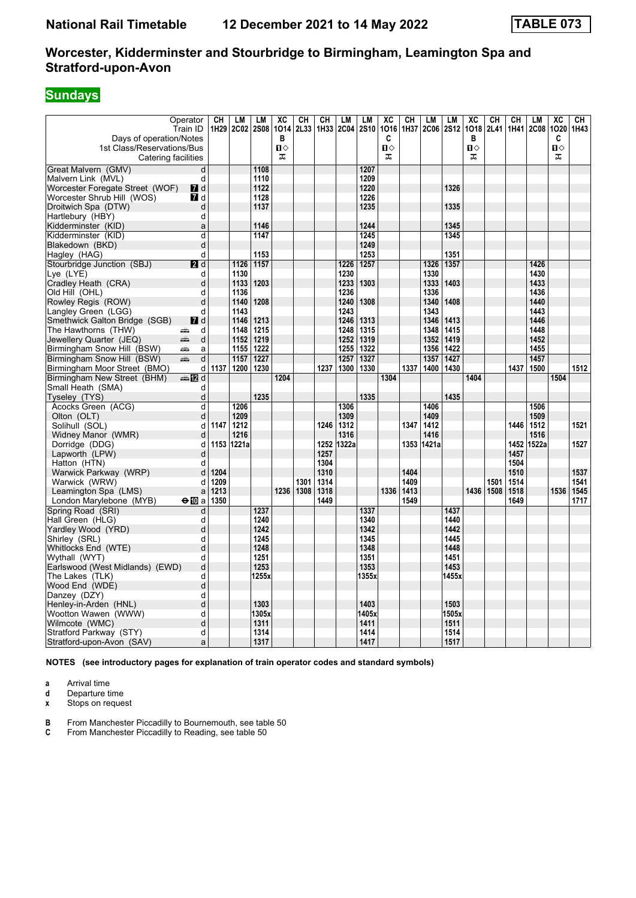# **Sundays**

| Days of operation/Notes<br>1st Class/Reservations/Bus | Operator<br>Train ID | CН   | <b>LM</b><br>1H29 2C02 | LМ<br><b>2S08</b> | хc<br>1014<br>в<br>п⇔ | CН<br>2L33 | CН   | LM<br>1H33 2C04 2S10 | LM           | XC<br>1016<br>C<br>п⇔ | CН<br>1H37 | LM<br><b>2C06</b> | LM<br><b>2S12</b> | XC<br>1018<br>в<br>п⇔ | CН<br>2L41 | CН<br>1H41 | LM<br><b>2C08</b> | XC<br>1020<br>C<br>п⇔ | CН<br>1H43 |
|-------------------------------------------------------|----------------------|------|------------------------|-------------------|-----------------------|------------|------|----------------------|--------------|-----------------------|------------|-------------------|-------------------|-----------------------|------------|------------|-------------------|-----------------------|------------|
| Catering facilities                                   |                      |      |                        |                   | ᠼ                     |            |      |                      |              | ᅚ                     |            |                   |                   | ᠼ                     |            |            |                   | ᅚ                     |            |
| Great Malvern (GMV)                                   | d                    |      |                        | 1108              |                       |            |      |                      | 1207         |                       |            |                   |                   |                       |            |            |                   |                       |            |
| Malvern Link (MVL)                                    | d                    |      |                        | 1110              |                       |            |      |                      | 1209         |                       |            |                   |                   |                       |            |            |                   |                       |            |
| Worcester Foregate Street (WOF)                       | <b>7</b> d           |      |                        | 1122              |                       |            |      |                      | 1220         |                       |            |                   | 1326              |                       |            |            |                   |                       |            |
| Worcester Shrub Hill (WOS)                            | <b>7</b> d           |      |                        | 1128              |                       |            |      |                      | 1226         |                       |            |                   |                   |                       |            |            |                   |                       |            |
| Droitwich Spa (DTW)                                   | d                    |      |                        | 1137              |                       |            |      |                      | 1235         |                       |            |                   | 1335              |                       |            |            |                   |                       |            |
| Hartlebury (HBY)                                      | d                    |      |                        |                   |                       |            |      |                      |              |                       |            |                   |                   |                       |            |            |                   |                       |            |
| Kidderminster (KID)                                   | a                    |      |                        | 1146              |                       |            |      |                      | 1244         |                       |            |                   | 1345              |                       |            |            |                   |                       |            |
| Kidderminster (KID)                                   | d                    |      |                        | 1147              |                       |            |      |                      | 1245         |                       |            |                   | 1345              |                       |            |            |                   |                       |            |
| Blakedown (BKD)                                       | d                    |      |                        |                   |                       |            |      |                      | 1249         |                       |            |                   |                   |                       |            |            |                   |                       |            |
| Hagley (HAG)                                          | d                    |      |                        | 1153              |                       |            |      |                      | 1253         |                       |            |                   | 1351              |                       |            |            |                   |                       |            |
| Stourbridge Junction (SBJ)                            | 2d                   |      | 1126                   | 1157              |                       |            |      | 1226                 | 1257         |                       |            | 1326              | 1357              |                       |            |            | 1426              |                       |            |
| Lye (LYE)                                             | d                    |      | 1130                   |                   |                       |            |      | 1230                 |              |                       |            | 1330              |                   |                       |            |            | 1430              |                       |            |
| Cradley Heath (CRA)                                   | d                    |      | 1133                   | 1203              |                       |            |      | 1233                 | 1303         |                       |            | 1333              | 1403              |                       |            |            | 1433              |                       |            |
| Old Hill (OHL)                                        | d                    |      | 1136                   |                   |                       |            |      | 1236                 |              |                       |            | 1336              |                   |                       |            |            | 1436              |                       |            |
| Rowley Regis (ROW)                                    | d                    |      | 1140                   | 1208              |                       |            |      | 1240                 | 1308         |                       |            | 1340              | 1408              |                       |            |            | 1440              |                       |            |
| Langley Green (LGG)                                   | d                    |      | 1143                   |                   |                       |            |      | 1243                 |              |                       |            | 1343              |                   |                       |            |            | 1443              |                       |            |
| Smethwick Galton Bridge (SGB)                         | $\blacksquare$ d     |      | 1146                   | 1213              |                       |            |      | 1246                 | 1313         |                       |            | 1346              | 1413              |                       |            |            | 1446              |                       |            |
| The Hawthorns (THW)                                   | d<br>æ               |      | 1148                   | 1215              |                       |            |      | 1248                 | 1315         |                       |            | 1348              | 1415              |                       |            |            | 1448              |                       |            |
| Jewellery Quarter (JEQ)                               | d<br>æ               |      | 1152                   | 1219              |                       |            |      | 1252                 | 1319         |                       |            | 1352              | 1419              |                       |            |            | 1452              |                       |            |
| Birmingham Snow Hill (BSW)                            | æ<br>a               |      | 1155                   | 1222              |                       |            |      | 1255                 | 1322         |                       |            | 1356              | 1422              |                       |            |            | 1455              |                       |            |
| Birmingham Snow Hill (BSW)                            | d<br>æ               |      | 1157                   | 1227              |                       |            |      | 1257                 | 1327         |                       |            | 1357              | 1427              |                       |            |            | 1457              |                       |            |
| Birmingham Moor Street (BMO)                          | d                    | 1137 | 1200                   | 1230              |                       |            | 1237 | 1300                 | 1330         |                       | 1337       | 1400              | 1430              |                       |            | 1437       | 1500              |                       | 1512       |
| Birmingham New Street (BHM)                           | ana 1721 d           |      |                        |                   | 1204                  |            |      |                      |              | 1304                  |            |                   |                   | 1404                  |            |            |                   | 1504                  |            |
| Small Heath (SMA)                                     | d                    |      |                        |                   |                       |            |      |                      |              |                       |            |                   |                   |                       |            |            |                   |                       |            |
| Tyseley (TYS)                                         | d                    |      |                        | 1235              |                       |            |      |                      | 1335         |                       |            |                   | 1435              |                       |            |            |                   |                       |            |
| Acocks Green (ACG)                                    | d                    |      | 1206                   |                   |                       |            |      | 1306                 |              |                       |            | 1406              |                   |                       |            |            | 1506              |                       |            |
| Olton (OLT)                                           | d                    |      | 1209                   |                   |                       |            |      | 1309                 |              |                       |            | 1409              |                   |                       |            |            | 1509              |                       |            |
| Solihull (SOL)                                        | d                    | 1147 | 1212                   |                   |                       |            | 1246 | 1312                 |              |                       | 1347       | 1412              |                   |                       |            | 1446       | 1512              |                       | 1521       |
| Widney Manor (WMR)                                    | d                    |      | 1216                   |                   |                       |            |      | 1316                 |              |                       |            | 1416              |                   |                       |            |            | 1516              |                       |            |
| Dorridge (DDG)                                        | d                    |      | 1153 1221a             |                   |                       |            | 1252 | 1322a                |              |                       |            | 1353 1421a        |                   |                       |            |            | 1452 1522a        |                       | 1527       |
| Lapworth (LPW)                                        | d                    |      |                        |                   |                       |            | 1257 |                      |              |                       |            |                   |                   |                       |            | 1457       |                   |                       |            |
| Hatton (HTN)                                          | d                    |      |                        |                   |                       |            | 1304 |                      |              |                       |            |                   |                   |                       |            | 1504       |                   |                       |            |
| Warwick Parkway (WRP)                                 | d                    | 1204 |                        |                   |                       |            | 1310 |                      |              |                       | 1404       |                   |                   |                       |            | 1510       |                   |                       | 1537       |
| Warwick (WRW)                                         | d                    | 1209 |                        |                   |                       | 1301       | 1314 |                      |              |                       | 1409       |                   |                   |                       | 1501       | 1514       |                   |                       | 1541       |
| Leamington Spa (LMS)                                  | a                    | 1213 |                        |                   | 1236                  | 1308       | 1318 |                      |              | 1336                  | 1413       |                   |                   | 1436                  | 1508       | 1518       |                   | 1536                  | 1545       |
| London Marylebone (MYB)                               | $\Theta$ 10 a        | 1350 |                        |                   |                       |            | 1449 |                      |              |                       | 1549       |                   |                   |                       |            | 1649       |                   |                       | 1717       |
| Spring Road (SRI)                                     | d                    |      |                        | 1237              |                       |            |      |                      | 1337         |                       |            |                   | 1437              |                       |            |            |                   |                       |            |
| Hall Green (HLG)                                      | d                    |      |                        | 1240              |                       |            |      |                      | 1340         |                       |            |                   | 1440              |                       |            |            |                   |                       |            |
| Yardley Wood (YRD)                                    | d                    |      |                        | 1242<br>1245      |                       |            |      |                      | 1342         |                       |            |                   | 1442<br>1445      |                       |            |            |                   |                       |            |
| Shirley (SRL)                                         | d<br>d               |      |                        | 1248              |                       |            |      |                      | 1345<br>1348 |                       |            |                   | 1448              |                       |            |            |                   |                       |            |
| Whitlocks End (WTE)<br>Wythall (WYT)                  | d                    |      |                        | 1251              |                       |            |      |                      | 1351         |                       |            |                   | 1451              |                       |            |            |                   |                       |            |
| Earlswood (West Midlands) (EWD)                       | d                    |      |                        | 1253              |                       |            |      |                      | 1353         |                       |            |                   | 1453              |                       |            |            |                   |                       |            |
| The Lakes (TLK)                                       | d                    |      |                        | 1255x             |                       |            |      |                      | 1355x        |                       |            |                   | 1455x             |                       |            |            |                   |                       |            |
| Wood End (WDE)                                        | d                    |      |                        |                   |                       |            |      |                      |              |                       |            |                   |                   |                       |            |            |                   |                       |            |
| Danzey (DZY)                                          | d                    |      |                        |                   |                       |            |      |                      |              |                       |            |                   |                   |                       |            |            |                   |                       |            |
| Henley-in-Arden (HNL)                                 | d                    |      |                        | 1303              |                       |            |      |                      | 1403         |                       |            |                   | 1503              |                       |            |            |                   |                       |            |
| Wootton Wawen (WWW)                                   | d                    |      |                        | 1305x             |                       |            |      |                      | 1405x        |                       |            |                   | 1505x             |                       |            |            |                   |                       |            |
| Wilmcote (WMC)                                        | d                    |      |                        | 1311              |                       |            |      |                      | 1411         |                       |            |                   | 1511              |                       |            |            |                   |                       |            |
| Stratford Parkway (STY)                               | d                    |      |                        | 1314              |                       |            |      |                      | 1414         |                       |            |                   | 1514              |                       |            |            |                   |                       |            |
| Stratford-upon-Avon (SAV)                             | a                    |      |                        | 1317              |                       |            |      |                      | 1417         |                       |            |                   | 1517              |                       |            |            |                   |                       |            |
|                                                       |                      |      |                        |                   |                       |            |      |                      |              |                       |            |                   |                   |                       |            |            |                   |                       |            |

**NOTES (see introductory pages for explanation of train operator codes and standard symbols)**

**a** Arrival time<br>**d** Departure ti

**d** Departure time<br>**x** Stops on reque

**Stops on request** 

**B** From Manchester Piccadilly to Bournemouth, see table 50

**C** From Manchester Piccadilly to Reading, see table 50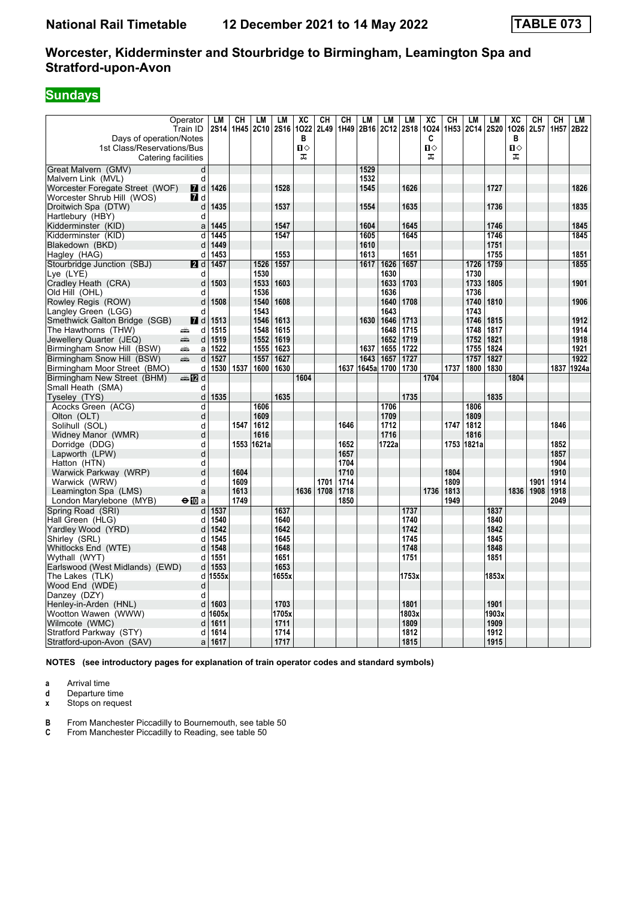# **Sundays**

| Days of operation/Notes                           | Operator<br>Train ID    | LM<br><b>2S14</b>       | <b>CH</b><br>1H45 | LМ<br>2C10   | LM<br><b>2S16</b> | XC<br>1022<br>в | <b>CH</b><br>2L49 | CН<br>1H49   | LМ<br>2B16 | LM<br>2C12 2S18 | LM    | $\overline{\text{xc}}$<br>1024<br>C | CН<br>1H <sub>53</sub> | LМ<br>2C14 2S20 | LM           | XC<br>1026<br>в | CН<br>2L57 | CH<br>1H <sub>57</sub> | LM<br>2B22 |
|---------------------------------------------------|-------------------------|-------------------------|-------------------|--------------|-------------------|-----------------|-------------------|--------------|------------|-----------------|-------|-------------------------------------|------------------------|-----------------|--------------|-----------------|------------|------------------------|------------|
| 1st Class/Reservations/Bus<br>Catering facilities |                         |                         |                   |              |                   | ்ப<br>ᠼ         |                   |              |            |                 |       | $\Pi$<br>ᠼ                          |                        |                 |              | п⇔<br>ᠼ         |            |                        |            |
| Great Malvern (GMV)                               | $\overline{d}$          |                         |                   |              |                   |                 |                   |              | 1529       |                 |       |                                     |                        |                 |              |                 |            |                        |            |
| Malvern Link (MVL)                                | d                       |                         |                   |              |                   |                 |                   |              | 1532       |                 |       |                                     |                        |                 |              |                 |            |                        |            |
| Worcester Foregate Street (WOF)                   | <b>7</b> d              | 1426                    |                   |              | 1528              |                 |                   |              | 1545       |                 | 1626  |                                     |                        |                 | 1727         |                 |            |                        | 1826       |
| Worcester Shrub Hill (WOS)                        | <b>7</b> d              |                         |                   |              |                   |                 |                   |              |            |                 |       |                                     |                        |                 |              |                 |            |                        |            |
| Droitwich Spa (DTW)                               | d                       | 1435                    |                   |              | 1537              |                 |                   |              | 1554       |                 | 1635  |                                     |                        |                 | 1736         |                 |            |                        | 1835       |
| Hartlebury (HBY)                                  | d                       |                         |                   |              |                   |                 |                   |              |            |                 |       |                                     |                        |                 |              |                 |            |                        |            |
| Kidderminster (KID)                               | a                       | 1445                    |                   |              | 1547              |                 |                   |              | 1604       |                 | 1645  |                                     |                        |                 | 1746         |                 |            |                        | 1845       |
| Kidderminster (KID)                               | d                       | 1445                    |                   |              | 1547              |                 |                   |              | 1605       |                 | 1645  |                                     |                        |                 | 1746         |                 |            |                        | 1845       |
| Blakedown (BKD)                                   | d                       | 1449                    |                   |              |                   |                 |                   |              | 1610       |                 |       |                                     |                        |                 | 1751         |                 |            |                        |            |
| Hagley (HAG)                                      | d                       | 1453                    |                   |              | 1553              |                 |                   |              | 1613       |                 | 1651  |                                     |                        |                 | 1755         |                 |            |                        | 1851       |
| Stourbridge Junction (SBJ)                        | <b>2</b> d              | 1457                    |                   | 1526         | 1557              |                 |                   |              | 1617       | 1626            | 1657  |                                     |                        | 1726            | 1759         |                 |            |                        | 1855       |
| Lye (LYE)                                         | d<br>d                  | 1503                    |                   | 1530<br>1533 | 1603              |                 |                   |              |            | 1630<br>1633    | 1703  |                                     |                        | 1730            | 1805         |                 |            |                        | 1901       |
| Cradley Heath (CRA)<br>Old Hill (OHL)             | d                       |                         |                   | 1536         |                   |                 |                   |              |            | 1636            |       |                                     |                        | 1733<br>1736    |              |                 |            |                        |            |
| Rowley Regis (ROW)                                | d                       | 1508                    |                   | 1540         | 1608              |                 |                   |              |            | 1640            | 1708  |                                     |                        | 1740            | 1810         |                 |            |                        | 1906       |
| Langley Green (LGG)                               | d                       |                         |                   | 1543         |                   |                 |                   |              |            | 1643            |       |                                     |                        | 1743            |              |                 |            |                        |            |
| Smethwick Galton Bridge (SGB)                     |                         | $\overline{a}$ d   1513 |                   | 1546         | 1613              |                 |                   |              | 1630       | 1646            | 1713  |                                     |                        | 1746            | 1815         |                 |            |                        | 1912       |
| The Hawthorns (THW)                               | d<br>پیش                | 1515                    |                   | 1548         | 1615              |                 |                   |              |            | 1648            | 1715  |                                     |                        | 1748            | 1817         |                 |            |                        | 1914       |
| Jewellery Quarter (JEQ)                           | پیش<br>d                | 1519                    |                   | 1552         | 1619              |                 |                   |              |            | 1652            | 1719  |                                     |                        | 1752            | 1821         |                 |            |                        | 1918       |
| Birmingham Snow Hill (BSW)                        | æ<br>a                  | 1522                    |                   | 1555         | 1623              |                 |                   |              | 1637       | 1655            | 1722  |                                     |                        | 1755            | 1824         |                 |            |                        | 1921       |
| Birmingham Snow Hill (BSW)                        | æ.<br>d                 | 1527                    |                   | 1557         | 1627              |                 |                   |              | 1643       | 1657            | 1727  |                                     |                        | 1757            | 1827         |                 |            |                        | 1922       |
| Birmingham Moor Street (BMO)                      | d                       | 1530                    | 1537              | 1600         | 1630              |                 |                   | 1637         |            | 1645a 1700      | 1730  |                                     | 1737                   | 1800            | 1830         |                 |            | 1837                   | 1924a      |
| Birmingham New Street (BHM)                       | ana Mad                 |                         |                   |              |                   | 1604            |                   |              |            |                 |       | 1704                                |                        |                 |              | 1804            |            |                        |            |
| Small Heath (SMA)                                 | d                       |                         |                   |              |                   |                 |                   |              |            |                 |       |                                     |                        |                 |              |                 |            |                        |            |
| Tyseley (TYS)                                     | d                       | 1535                    |                   |              | 1635              |                 |                   |              |            |                 | 1735  |                                     |                        |                 | 1835         |                 |            |                        |            |
| Acocks Green (ACG)                                | $\overline{\mathsf{d}}$ |                         |                   | 1606         |                   |                 |                   |              |            | 1706            |       |                                     |                        | 1806            |              |                 |            |                        |            |
| Olton (OLT)                                       | d                       |                         |                   | 1609         |                   |                 |                   |              |            | 1709            |       |                                     |                        | 1809            |              |                 |            |                        |            |
| Solihull (SOL)                                    | d                       |                         | 1547              | 1612         |                   |                 |                   | 1646         |            | 1712            |       |                                     | 1747                   | 1812            |              |                 |            | 1846                   |            |
| Widney Manor (WMR)                                | d                       |                         |                   | 1616         |                   |                 |                   |              |            | 1716            |       |                                     |                        | 1816            |              |                 |            |                        |            |
| Dorridge (DDG)                                    | d                       |                         | 1553              | 1621a        |                   |                 |                   | 1652         |            | 1722a           |       |                                     | 1753                   | 1821a           |              |                 |            | 1852                   |            |
| Lapworth (LPW)                                    | d                       |                         |                   |              |                   |                 |                   | 1657         |            |                 |       |                                     |                        |                 |              |                 |            | 1857                   |            |
| Hatton (HTN)                                      | d                       |                         |                   |              |                   |                 |                   | 1704         |            |                 |       |                                     |                        |                 |              |                 |            | 1904                   |            |
| Warwick Parkway (WRP)                             | d<br>d                  |                         | 1604<br>1609      |              |                   |                 | 1701              | 1710<br>1714 |            |                 |       |                                     | 1804<br>1809           |                 |              |                 | 1901       | 1910<br>1914           |            |
| Warwick (WRW)<br>Leamington Spa (LMS)             | a                       |                         | 1613              |              |                   |                 | 1636 1708         | 1718         |            |                 |       | 1736                                | 1813                   |                 |              | 1836            | 1908       | 1918                   |            |
| London Marylebone (MYB)                           | $\bigoplus$ a           |                         | 1749              |              |                   |                 |                   | 1850         |            |                 |       |                                     | 1949                   |                 |              |                 |            | 2049                   |            |
| Spring Road (SRI)                                 | d                       | 1537                    |                   |              | 1637              |                 |                   |              |            |                 | 1737  |                                     |                        |                 | 1837         |                 |            |                        |            |
| Hall Green (HLG)                                  | d                       | 1540                    |                   |              | 1640              |                 |                   |              |            |                 | 1740  |                                     |                        |                 | 1840         |                 |            |                        |            |
| Yardley Wood (YRD)                                | d                       | 1542                    |                   |              | 1642              |                 |                   |              |            |                 | 1742  |                                     |                        |                 | 1842         |                 |            |                        |            |
| Shirley (SRL)                                     | d                       | 1545                    |                   |              | 1645              |                 |                   |              |            |                 | 1745  |                                     |                        |                 | 1845         |                 |            |                        |            |
| Whitlocks End (WTE)                               | d                       | 1548                    |                   |              | 1648              |                 |                   |              |            |                 | 1748  |                                     |                        |                 | 1848         |                 |            |                        |            |
| Wythall (WYT)                                     | d                       | 1551                    |                   |              | 1651              |                 |                   |              |            |                 | 1751  |                                     |                        |                 | 1851         |                 |            |                        |            |
| Earlswood (West Midlands) (EWD)                   | d                       | 1553                    |                   |              | 1653              |                 |                   |              |            |                 |       |                                     |                        |                 |              |                 |            |                        |            |
| The Lakes (TLK)                                   | d                       | 1555x                   |                   |              | 1655x             |                 |                   |              |            |                 | 1753x |                                     |                        |                 | 1853x        |                 |            |                        |            |
| Wood End (WDE)                                    | d                       |                         |                   |              |                   |                 |                   |              |            |                 |       |                                     |                        |                 |              |                 |            |                        |            |
| Danzey (DZY)                                      | d                       |                         |                   |              |                   |                 |                   |              |            |                 |       |                                     |                        |                 |              |                 |            |                        |            |
| Henley-in-Arden (HNL)                             | d                       | 1603                    |                   |              | 1703              |                 |                   |              |            |                 | 1801  |                                     |                        |                 | 1901         |                 |            |                        |            |
| Wootton Wawen (WWW)                               | d                       | 1605x                   |                   |              | 1705x             |                 |                   |              |            |                 | 1803x |                                     |                        |                 | 1903x        |                 |            |                        |            |
| Wilmcote (WMC)                                    | d                       | 1611                    |                   |              | 1711              |                 |                   |              |            |                 | 1809  |                                     |                        |                 | 1909         |                 |            |                        |            |
| Stratford Parkway (STY)                           | d                       | 1614                    |                   |              | 1714              |                 |                   |              |            |                 | 1812  |                                     |                        |                 | 1912<br>1915 |                 |            |                        |            |
| Stratford-upon-Avon (SAV)                         | a                       | 1617                    |                   |              | 1717              |                 |                   |              |            |                 | 1815  |                                     |                        |                 |              |                 |            |                        |            |

**NOTES (see introductory pages for explanation of train operator codes and standard symbols)**

**a** Arrival time<br>**d** Departure ti

**d** Departure time<br>**x** Stops on reque

**Stops on request** 

**B** From Manchester Piccadilly to Bournemouth, see table 50

**C** From Manchester Piccadilly to Reading, see table 50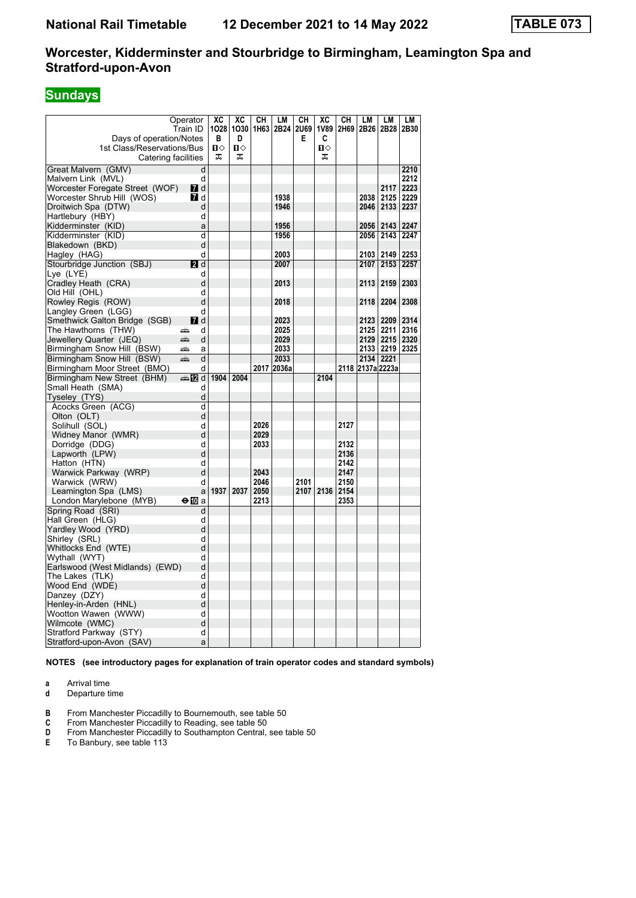# **Sundays**

| Operator<br>Train ID                                  | ХC<br>1028        | ХC                | CH   | LM<br>1030 1H63 2B24 2U69 | CН   | ХC<br><b>1V89</b>  | CН<br>2H69 2B26 2B28 | LM               | LM                 | LM<br>2B30 |
|-------------------------------------------------------|-------------------|-------------------|------|---------------------------|------|--------------------|----------------------|------------------|--------------------|------------|
| Days of operation/Notes<br>1st Class/Reservations/Bus | в<br>$\mathbf{u}$ | D<br>$\mathbf{u}$ |      |                           | E.   | C<br>п⇔            |                      |                  |                    |            |
| Catering facilities                                   | ᠼ                 | ᠼ                 |      |                           |      | ᠼ                  |                      |                  |                    |            |
| Great Malvern (GMV)                                   | d                 |                   |      |                           |      |                    |                      |                  |                    | 2210       |
| Malvern Link (MVL)                                    | d                 |                   |      |                           |      |                    |                      |                  |                    | 2212       |
| $I$ d<br>Worcester Foregate Street (WOF)              |                   |                   |      |                           |      |                    |                      |                  | 2117               | 2223       |
| Worcester Shrub Hill (WOS)<br>M7 d                    |                   |                   |      | 1938                      |      |                    |                      | 2038             | 2125               | 2229       |
| Droitwich Spa (DTW)                                   | d                 |                   |      | 1946                      |      |                    |                      |                  | 2046   2133        | 2237       |
| Hartlebury (HBY)                                      | d                 |                   |      |                           |      |                    |                      |                  |                    |            |
| Kidderminster (KID)                                   | a                 |                   |      | 1956                      |      |                    |                      |                  | 2056   2143        | 2247       |
| Kidderminster (KID)                                   | d                 |                   |      | 1956                      |      |                    |                      |                  | 2056   2143        | 2247       |
| Blakedown (BKD)                                       | d                 |                   |      |                           |      |                    |                      |                  |                    |            |
| Hagley (HAG)                                          | d                 |                   |      | 2003                      |      |                    |                      |                  | 2103   2149        | 2253       |
| 2d<br>Stourbridge Junction (SBJ)                      |                   |                   |      | 2007                      |      |                    |                      |                  | 2107   2153   2257 |            |
| Lye (LYE)                                             | d                 |                   |      |                           |      |                    |                      |                  |                    |            |
| Cradley Heath (CRA)                                   | d                 |                   |      | 2013                      |      |                    |                      |                  | 2113 2159 2303     |            |
| Old Hill(OHL)                                         | d                 |                   |      |                           |      |                    |                      |                  |                    |            |
| Rowley Regis (ROW)                                    | d                 |                   |      | 2018                      |      |                    |                      | 2118             | 2204               | 2308       |
| Langley Green (LGG)                                   | d                 |                   |      |                           |      |                    |                      |                  |                    |            |
| $I$ d<br>Smethwick Galton Bridge (SGB)                |                   |                   |      | 2023                      |      |                    |                      |                  | 2123   2209        | 2314       |
| The Hawthorns (THW)<br>æ                              | d                 |                   |      | 2025                      |      |                    |                      |                  | 2125   2211        | 2316       |
| Jewellery Quarter (JEQ)<br>پېښتنه                     | d                 |                   |      | 2029                      |      |                    |                      |                  | 2129 2215 2320     |            |
| Birmingham Snow Hill (BSW)<br>æ                       | a                 |                   |      | 2033                      |      |                    |                      |                  | 2133   2219        | 2325       |
| Birmingham Snow Hill (BSW)<br>æ                       | d                 |                   |      | 2033                      |      |                    |                      |                  | 2134 2221          |            |
| Birmingham Moor Street (BMO)                          | d                 |                   |      | 2017 2036a                |      |                    |                      | 2118 2137a 2223a |                    |            |
| ্⊯া7থ d<br>Birmingham New Street (BHM)                | 1904              | 2004              |      |                           |      | 2104               |                      |                  |                    |            |
| Small Heath (SMA)                                     | d                 |                   |      |                           |      |                    |                      |                  |                    |            |
| Tyseley (TYS)                                         | d                 |                   |      |                           |      |                    |                      |                  |                    |            |
| Acocks Green (ACG)                                    | d                 |                   |      |                           |      |                    |                      |                  |                    |            |
| Olton (OLT)                                           | d                 |                   |      |                           |      |                    |                      |                  |                    |            |
| Solihull (SOL)                                        | d                 |                   | 2026 |                           |      |                    | 2127                 |                  |                    |            |
| Widney Manor (WMR)                                    | d                 |                   | 2029 |                           |      |                    |                      |                  |                    |            |
| Dorridge (DDG)                                        | d                 |                   | 2033 |                           |      |                    | 2132                 |                  |                    |            |
| Lapworth (LPW)                                        | d                 |                   |      |                           |      |                    | 2136                 |                  |                    |            |
| Hatton (HTN)                                          | d                 |                   | 2043 |                           |      |                    | 2142                 |                  |                    |            |
| Warwick Parkway (WRP)                                 | d<br>d            |                   | 2046 |                           | 2101 |                    | 2147<br>2150         |                  |                    |            |
| Warwick (WRW)<br>Leamington Spa (LMS)                 | a                 | 1937   2037       | 2050 |                           |      | 2107   2136   2154 |                      |                  |                    |            |
| London Marylebone (MYB)<br>$\bigoplus$ a              |                   |                   | 2213 |                           |      |                    | 2353                 |                  |                    |            |
| Spring Road (SRI)                                     | d                 |                   |      |                           |      |                    |                      |                  |                    |            |
| Hall Green (HLG)                                      | d                 |                   |      |                           |      |                    |                      |                  |                    |            |
| Yardley Wood (YRD)                                    | d                 |                   |      |                           |      |                    |                      |                  |                    |            |
| Shirley (SRL)                                         | d                 |                   |      |                           |      |                    |                      |                  |                    |            |
| Whitlocks End (WTE)                                   | d                 |                   |      |                           |      |                    |                      |                  |                    |            |
| Wythall (WYT)                                         | d                 |                   |      |                           |      |                    |                      |                  |                    |            |
| Earlswood (West Midlands) (EWD)                       | d                 |                   |      |                           |      |                    |                      |                  |                    |            |
| The Lakes  (TLK)                                      | d                 |                   |      |                           |      |                    |                      |                  |                    |            |
| Wood End (WDE)                                        | d                 |                   |      |                           |      |                    |                      |                  |                    |            |
| Danzey (DZY)                                          | d                 |                   |      |                           |      |                    |                      |                  |                    |            |
| Henley-in-Arden (HNL)                                 | d                 |                   |      |                           |      |                    |                      |                  |                    |            |
| Wootton Wawen (WWW)                                   | d                 |                   |      |                           |      |                    |                      |                  |                    |            |
| Wilmcote (WMC)                                        | d                 |                   |      |                           |      |                    |                      |                  |                    |            |
| Stratford Parkway (STY)                               | d                 |                   |      |                           |      |                    |                      |                  |                    |            |
| Stratford-upon-Avon (SAV)                             | a                 |                   |      |                           |      |                    |                      |                  |                    |            |

**NOTES (see introductory pages for explanation of train operator codes and standard symbols)**

**a** Arrival time<br>**d** Departure time

- **d** Departure time
- **B** From Manchester Piccadilly to Bournemouth, see table 50
- **C** From Manchester Piccadilly to Reading, see table 50
- **D** From Manchester Piccadilly to Southampton Central, see table 50
- **E** To Banbury, see table 113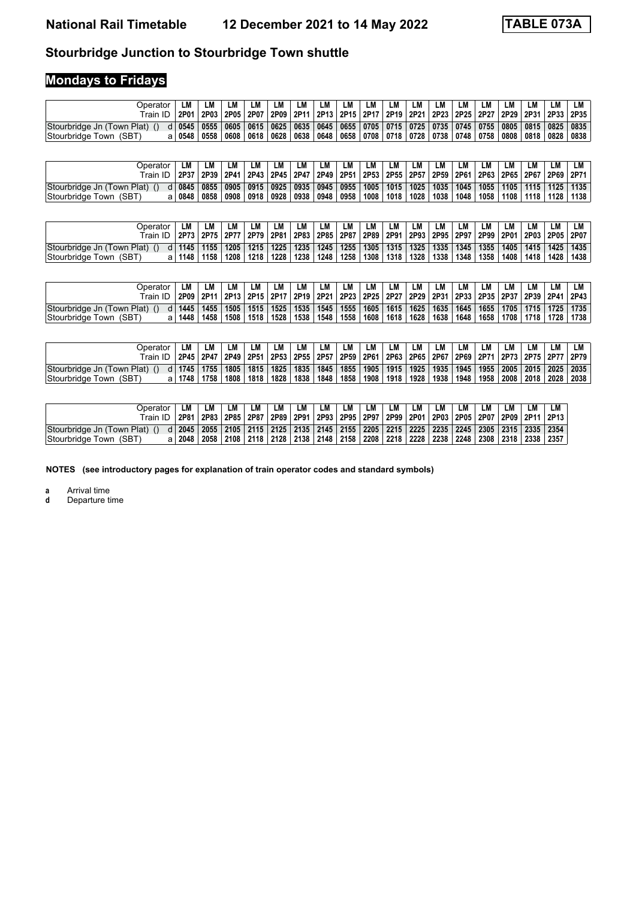# **Stourbridge Junction to Stourbridge Town shuttle**

# **Mondays to Fridays**

| Operator .                    | LM       | LM                                                                                                                           | LM   | LM          | LМ | LM | LM        | LM | LM | LM | <b>LM</b> | LM | LM | LM                                                                         | LM | LM | LM |  |
|-------------------------------|----------|------------------------------------------------------------------------------------------------------------------------------|------|-------------|----|----|-----------|----|----|----|-----------|----|----|----------------------------------------------------------------------------|----|----|----|--|
|                               |          | 12P01   2P03   2P05   2P07   2P09   2P11   2P13   2P15   2P17   2P19   2P21   2P23   2P25   2P27   2P29   2P31   2P33   2P35 |      |             |    |    |           |    |    |    |           |    |    |                                                                            |    |    |    |  |
| Stourbridge Jn (Town Plat) () |          | d 0545 0555 0605 0615 0625 0635 0645 0655 0705 0715 0725 0735 0745 0755 0805 0815 0825 0835                                  |      |             |    |    |           |    |    |    |           |    |    |                                                                            |    |    |    |  |
| Stourbridge Town (SBT)        | a   0548 | 0558                                                                                                                         | 0608 | 0618   0628 |    |    | 0638 0648 |    |    |    |           |    |    | 0658   0708   0718   0728   0738   0748   0758   0808   0818   0828   0838 |    |    |    |  |

| Dperator<br>Train ID       | LМ<br>  2P37   2P39   2P41   2P43   2P45   2P47   2P49   2P51   2P53   2P55   2P57   2P59   2P61   2P63   2P65   2P67   2P69   2P71 | LM   | LM   | LМ | LM                               | LМ   | LM        | LM | LM   | LM   | LM                     | LМ              | LМ   | LM   | LM   | LM        | LM   | LМ   |
|----------------------------|-------------------------------------------------------------------------------------------------------------------------------------|------|------|----|----------------------------------|------|-----------|----|------|------|------------------------|-----------------|------|------|------|-----------|------|------|
|                            |                                                                                                                                     |      |      |    |                                  |      |           |    |      |      |                        |                 |      |      |      |           |      |      |
| Stourbridge Jn (Town Plat) | d 0845 0855                                                                                                                         |      | 0905 |    | 0915   0925   0935   0945   0955 |      |           |    | 1005 |      | │ 1015 │ 1025 │ 1035 │ |                 | 1045 | 1055 | 1105 | 1115 1125 |      | 1135 |
| Stourbridge Town (SBT)     | a   0848                                                                                                                            | 0858 | 0908 |    | 0918 0928                        | 0938 | 0948 0958 |    | 1008 | 1018 | 1028                   | $^{\circ}$ 1038 | 1048 | 1058 | 1108 | 1118      | 1128 | 1138 |

| <b>Jperator</b><br>Train ID | LМ<br>  2P73   2P75 | LM   | LM   | LМ   | LM          |      | LM   | LM                   | LM   | LM   | LM<br>  2P77   2P79   2P81   2P83   2P85   2P87   2P89   2P91   2P93   2P95   2P97   2P99   2P01 | LM   | LМ   | LM   | LM   | LM<br>2P03 2P05 2P07 | LM          |      |
|-----------------------------|---------------------|------|------|------|-------------|------|------|----------------------|------|------|--------------------------------------------------------------------------------------------------|------|------|------|------|----------------------|-------------|------|
| Stourbridge Jn (Town Plat)  | $d$ 1145            | 1155 | 1205 |      | 1215   1225 |      |      | $1235$   1245   1255 |      |      | $1305$   1315   1325   1335                                                                      |      | 1345 | 1355 | 1405 |                      | $1415$ 1425 | 1435 |
| Stourbridge Town (SBT)      | 1148                | 1158 | 1208 | 1218 | 1228        | 1238 | 1248 | 1258                 | 1308 | 1318 | 1328                                                                                             | 1338 | 1348 | 1358 | 1408 | 1418                 | 1428        | 1438 |

| <b>Operator</b>            | LМ       | <b>LM</b> | LМ   | LM | LM          | LМ          | LM. | LM                                                                                                                          | LM   | LM | LМ          | LМ   | LM                       | LM   | LM   | LM | LM                            | ∟M   |
|----------------------------|----------|-----------|------|----|-------------|-------------|-----|-----------------------------------------------------------------------------------------------------------------------------|------|----|-------------|------|--------------------------|------|------|----|-------------------------------|------|
| $TrainID$ .                |          |           |      |    |             |             |     | 2P09   2P11   2P13   2P15   2P17   2P19   2P21   2P23   2P25   2P27   2P29   2P31   2P33   2P33   2P37   2P39   2P41   2P43 |      |    |             |      |                          |      |      |    |                               |      |
| Stourbridge Jn (Town Plat) | $d$ 1445 | 1455      | 1505 |    |             |             |     | 1515   1525   1535   1545   1555                                                                                            | 1605 |    |             |      | 1615 1625 1635 1645 1655 |      |      |    | │ 1705 │ 1715 │ 1725 │ 1735 │ |      |
| Stourbridge Town (SBT)     | 1448     | 1458      | 1508 |    | 1518   1528 | 1538   1548 |     | 1558                                                                                                                        | 1608 |    | 1618   1628 | 1638 | 1648                     | 1658 | 1708 |    | 1718   1728                   | 1738 |

| Jperator<br>$\tau$ rain ID . | LM              | LM<br>2P45 2P47 | LМ   | LM   | <b>LM</b>   | LМ          | LM   | LM   | LM   | LM | LM                 | LМ | LM<br>  2P49   2P51   2P53   2P55   2P57   2P59   2P61   2P63   2P65   2P67   2P69   2P71   2P73   2P75   2P77   2P79 | LM   | LM   | LM   | LМ   | LM                        |
|------------------------------|-----------------|-----------------|------|------|-------------|-------------|------|------|------|----|--------------------|----|-----------------------------------------------------------------------------------------------------------------------|------|------|------|------|---------------------------|
| Stourbridge Jn (Town Plat)   | d   1745   1755 |                 | 1805 |      | 1815   1825 | $1835$ 1845 |      | 1855 | 1905 |    |                    |    | 1915   1925   1935   1945   1955                                                                                      |      |      |      |      | 2005   2015   2025   2035 |
| Stourbridge Town (SBT)       | 1748            | 1758            | 1808 | 1818 | 1828        | 1838        | 1848 | 1858 | 1908 |    | 1918   1928   1938 |    | 1948                                                                                                                  | 1958 | 2008 | 2018 | 2028 | 2038                      |

| Operator                                                                                                                        | LM | LM | LM                                                                                          | LM | <b>LM</b> | LM | LM | LM | LM | LM | LM | LM | LM | LM | LM | LM |                                                                                             |
|---------------------------------------------------------------------------------------------------------------------------------|----|----|---------------------------------------------------------------------------------------------|----|-----------|----|----|----|----|----|----|----|----|----|----|----|---------------------------------------------------------------------------------------------|
| Train ID   2P81   2P83   2P85   2P87   2P89   2P91   2P93   2P95   2P99   2P99   2P01   2P03   2P05   2P07   2P09   2P11   2P13 |    |    |                                                                                             |    |           |    |    |    |    |    |    |    |    |    |    |    |                                                                                             |
| Stourbridge Jn (Town Plat) ()                                                                                                   |    |    | d 2045 2305 2105 2105 2115 2125 2135 2145 2155 2205 2215 2225 2235 2245 2305 2315 2335 2354 |    |           |    |    |    |    |    |    |    |    |    |    |    |                                                                                             |
| Stourbridge Town (SBT)                                                                                                          |    |    |                                                                                             |    |           |    |    |    |    |    |    |    |    |    |    |    | a 2048 2058 2108 2108 2128 2138 2148 2158 2159 2208 2218 2228 2238 2248 2308 2318 2338 2357 |

**NOTES (see introductory pages for explanation of train operator codes and standard symbols)**

**a** Arrival time<br>**d** Departure t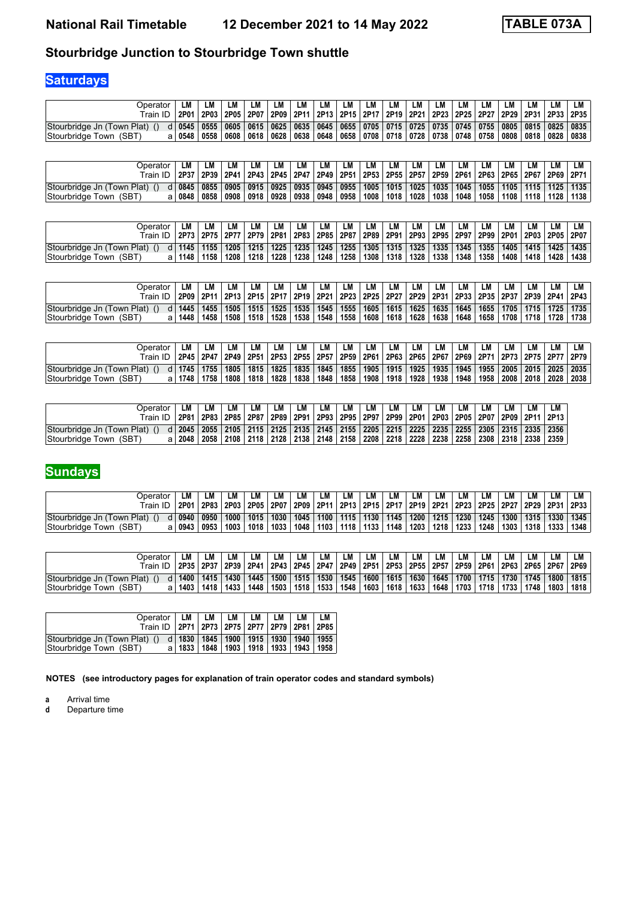# **Stourbridge Junction to Stourbridge Town shuttle**

# **Saturdays**

| Operator                      | LМ      | LM   | LM                                                                                                                          | LM | LM | LM | LM | LM                                                                                | LM | LM | LM | LM | LM | LM | LM | LМ | LM                 |  |
|-------------------------------|---------|------|-----------------------------------------------------------------------------------------------------------------------------|----|----|----|----|-----------------------------------------------------------------------------------|----|----|----|----|----|----|----|----|--------------------|--|
| ™rain ID                      |         |      | 2P01   2P03   2P05   2P07   2P09   2P11   2P13   2P15   2P17   2P19   2P21   2P23   2P25   2P27   2P29   2P31   2P33   2P35 |    |    |    |    |                                                                                   |    |    |    |    |    |    |    |    |                    |  |
| Stourbridge Jn (Town Plat) () |         |      | d 0545 0555 0605 0615 0625 0635 0645 0655 0705 0715 0725 0735 0745 0755 0805 0815 0825 0835                                 |    |    |    |    |                                                                                   |    |    |    |    |    |    |    |    |                    |  |
| Stourbridge Town (SBT)        | ⊢0548 ∣ | 0558 | 0608                                                                                                                        |    |    |    |    | 0618   0628   0638   0648   0658   0708   0718   0728   0738   0748   0758   0808 |    |    |    |    |    |    |    |    | 0818   0828   0838 |  |

| Dperator                   | LМ       | <b>LM</b>   | LM   | LM | LM                               | LМ   | LM        | LM | LM   | LM   | LM   | LМ<br>  2P37   2P39   2P41   2P43   2P45   2P47   2P49   2P51   2P53   2P55   2P57   2P59   2P61   2P63   2P65   2P67   2P69   2P71 | LМ   | LM   | LM   | LM        | LM          |      |
|----------------------------|----------|-------------|------|----|----------------------------------|------|-----------|----|------|------|------|-------------------------------------------------------------------------------------------------------------------------------------|------|------|------|-----------|-------------|------|
| Stourbridge Jn (Town Plat) |          | d 0845 0855 | 0905 |    | 0915   0925   0935   0945   0955 |      |           |    | 1005 |      |      | │ 1015 │ 1025 │ 1035 │                                                                                                              | 1045 | 1055 | 1105 | 1115 1125 |             | 1135 |
| Stourbridge Town (SBT)     | a   0848 | 0858        | 0908 |    | 0918 0928                        | 0938 | 0948 0958 |    | 1008 | 1018 | 1028 | $^{\prime}$ 1038                                                                                                                    | 1048 | 1058 | 1108 |           | 1118   1128 | 1138 |

| <b>Jperator</b><br>Train ID | LМ<br>  2P73   2P75 | LM   | LM   | LМ   | LM          |      | LM   | LM                   | LM   | LM   | LM<br>  2P77   2P79   2P81   2P83   2P85   2P87   2P89   2P91   2P93   2P95   2P97   2P99   2P01 | LM   | LМ   | LM   | LM   | LM<br>2P03 2P05 2P07 | LM          |      |
|-----------------------------|---------------------|------|------|------|-------------|------|------|----------------------|------|------|--------------------------------------------------------------------------------------------------|------|------|------|------|----------------------|-------------|------|
| Stourbridge Jn (Town Plat)  | $d$ 1145            | 1155 | 1205 |      | 1215   1225 |      |      | $1235$   1245   1255 |      |      | $1305$   1315   1325   1335                                                                      |      | 1345 | 1355 | 1405 |                      | $1415$ 1425 | 1435 |
| Stourbridge Town (SBT)      | 1148                | 1158 | 1208 | 1218 | 1228        | 1238 | 1248 | 1258                 | 1308 | 1318 | 1328                                                                                             | 1338 | 1348 | 1358 | 1408 | 1418                 | 1428        | 1438 |

| <b>Operator</b>            |      | LМ   | LМ          |      | LМ | ∟M              | LM   | LМ                               | LM   | LM   | LM   | LM   | LM | LM                               | LM   | LM   | LМ   | LM                                                                                                                          |
|----------------------------|------|------|-------------|------|----|-----------------|------|----------------------------------|------|------|------|------|----|----------------------------------|------|------|------|-----------------------------------------------------------------------------------------------------------------------------|
| Train ID.                  |      |      |             |      |    |                 |      |                                  |      |      |      |      |    |                                  |      |      |      | 2P09   2P11   2P13   2P15   2P17   2P19   2P21   2P23   2P25   2P27   2P29   2P31   2P33   2P37   2P37   2P39   2P41   2P43 |
| Stourbridge Jn (Town Plat) | 1445 |      | 1455   1505 |      |    |                 |      | 1515   1525   1535   1545   1555 | 1605 |      |      |      |    | 1615   1625   1635   1645   1655 |      |      |      | │ 1705 │ 1715 │ 1725 │ 1735 │                                                                                               |
| Stourbridge Town (SBT)     | 1448 | 1458 | 1508        | 1518 |    | ∣ 1528 ∣ 1538 ′ | 1548 | 1558                             | 1608 | 1618 | 1628 | 1638 |    | 1648   1658                      | 1708 | 1718 | 1728 | 1738                                                                                                                        |

| Jperator<br>™rain ID       | LМ              | LM<br>2P45 2P47 | LМ   | LМ   | LM   | LM   | LM          | LM   | LM   | LM | LМ          | ∟M   | LM<br>  2P49   2P51   2P53   2P55   2P57   2P59   2P61   2P63   2P65   2P67   2P69   2P71   2P73   2P75   2P77   2P79 | LM   | LM   | LM   | LМ   | LM             |
|----------------------------|-----------------|-----------------|------|------|------|------|-------------|------|------|----|-------------|------|-----------------------------------------------------------------------------------------------------------------------|------|------|------|------|----------------|
| Stourbridge Jn (Town Plat) | d   1745   1755 |                 | 1805 | 1815 | 1825 |      | 1835   1845 | 1855 | 1905 |    |             |      | 1915   1925   1935   1945   1955                                                                                      |      | 2005 |      |      | 2015 2025 2035 |
| Stourbridge Town (SBT)     | 1748            | 1758            | 1808 | 1818 | 1828 | 1838 | 1848        | 1858 | 1908 |    | 1918   1928 | 1938 | 1948                                                                                                                  | 1958 | 2008 | 2018 | 2028 | 2038           |

| Operator                   | LM                                                                                                                      | LM | LM                                                                                                                   | LМ | LM | LM | LM | LM | LM | LM | <b>LM</b> | LM | LM –                                                                | LM | LM | LM | LM        |
|----------------------------|-------------------------------------------------------------------------------------------------------------------------|----|----------------------------------------------------------------------------------------------------------------------|----|----|----|----|----|----|----|-----------|----|---------------------------------------------------------------------|----|----|----|-----------|
| Train ID .                 |                                                                                                                         |    | 2P81   2P83   2P85   2P87   2P89   2P91   2P93   2P95   2P97   2P99   2P01   2P03   2P05   2P07   2P09   2P11   2P13 |    |    |    |    |    |    |    |           |    |                                                                     |    |    |    |           |
| Stourbridge Jn (Town Plat) | d  2045   2055   2105   2115   2125   2135   2145   2155   2205   2215   2225   2235   2255   2305   2315   2335   2356 |    |                                                                                                                      |    |    |    |    |    |    |    |           |    |                                                                     |    |    |    |           |
| Stourbridge Town (SBT)     | a   2048                                                                                                                |    | 2058 2108 2118 2128                                                                                                  |    |    |    |    |    |    |    |           |    | 2138   2148   2158   2208   2218   2228   2238   2258   2308   2318 |    |    |    | 2338 2359 |

# **Sundays**

| <b>Operator</b><br>$\tau$ rain ID. | LМ            | LM   | LM   | LM   | LM          | LМ   | LM   | LM             | LM   | LM   | LM   | LM   | LM<br>  2P01   2P83   2P03   2P05   2P07   2P09   2P11   2P13   2P15   2P17   2P19   2P21   2P23   2P25   2P27   2P29   2P31   2P33 | LM   | LM   | LM   | LM          |      |
|------------------------------------|---------------|------|------|------|-------------|------|------|----------------|------|------|------|------|-------------------------------------------------------------------------------------------------------------------------------------|------|------|------|-------------|------|
| Stourbridge Jn (Town Plat)         | $d \mid 0940$ | 0950 | 1000 |      | 1015   1030 |      |      | 1045 1100 1115 | 1130 | 1145 |      |      | $1200$   1215   1230                                                                                                                | 1245 | 1300 |      | 1315   1330 | 1345 |
| Stourbridge Town (SBT)             | a   0943      | 0953 | 1003 | 1018 | 1033        | 1048 | 1103 | 1118           | 1133 | 1148 | 1203 | 1218 | 1233                                                                                                                                | 1248 | 1303 | 1318 | 1333        | 1348 |

| Dperator.                  | LМ       | LM          | LM   | LM   | LM                 | LМ      | LM   | LM     | LM   | LM                                                                                                            | LM          | LM   | LM                     | LM   | LM            | LM   | LM   |      |
|----------------------------|----------|-------------|------|------|--------------------|---------|------|--------|------|---------------------------------------------------------------------------------------------------------------|-------------|------|------------------------|------|---------------|------|------|------|
| $TrainID$ .                |          | 2P35   2P37 |      |      |                    |         |      |        |      | 2P39   2P41   2P43   2P45   2P47   2P49   2P51   2P53   2P55   2P57   2P59   2P61   2P63   2P65   2P67   2P69 |             |      |                        |      |               |      |      |      |
| Stourbridge Jn (Town Plat) | d   1400 | 1415        | 1430 | 1445 | 1500   1515   1530 |         |      | 1545   | 1600 | 1615                                                                                                          |             |      | │ 1630 │ 1645 │ 1700 │ | 1715 | $1730$   1745 |      | 1800 | 1815 |
| Stourbridge Town (SBT)     | 1403     | 1418        | 1433 | 1448 | 1503               | ⊢1518 I | 1533 | 1548 ⊧ | 1603 |                                                                                                               | 1618   1633 | 1648 | 1703                   | 1718 |               | 1748 | 1803 | 1818 |

| Operator $ LM $<br>Train ID   2P71   2P73   2P75   2P77   2P79   2P81   2P85 | LM I                                               | LM LM L | LM   LM | LM |
|------------------------------------------------------------------------------|----------------------------------------------------|---------|---------|----|
| Stourbridge Jn (Town Plat) ()                                                | d   1830   1845   1900   1915   1930   1940   1955 |         |         |    |
| Stourbridge Town (SBT)                                                       | a   1833   1848   1903   1918   1933   1943   1958 |         |         |    |

**NOTES (see introductory pages for explanation of train operator codes and standard symbols)**

**a** Arrival time<br>**d** Departure t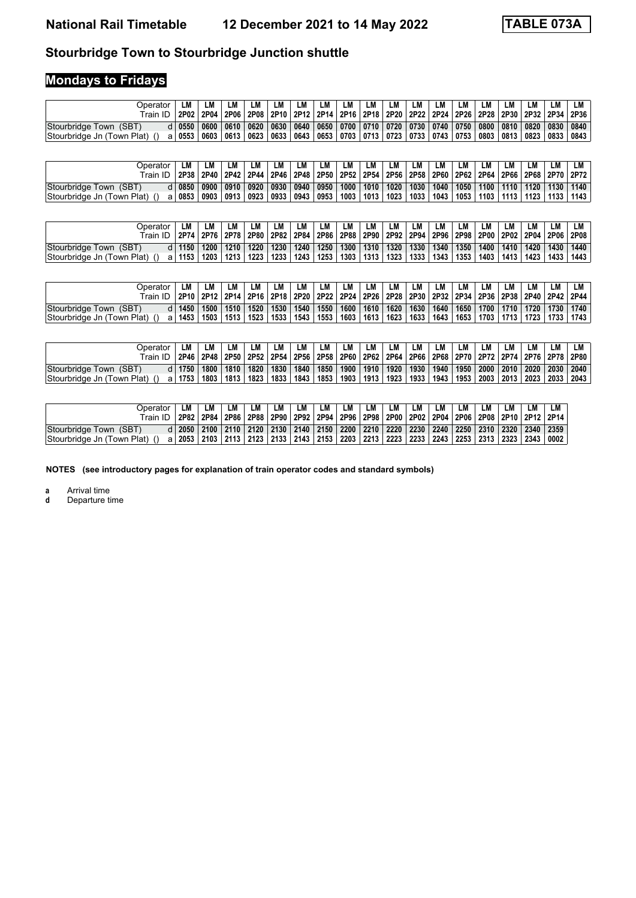# **Stourbridge Town to Stourbridge Junction shuttle**

# **Mondays to Fridays**

| Operator                      | LM              | LM | LM | LM | LM | LM | LM | LM                                                                                                                              | LM | LM | LM | LM | LM | LM | LM | LM | LM | LM |
|-------------------------------|-----------------|----|----|----|----|----|----|---------------------------------------------------------------------------------------------------------------------------------|----|----|----|----|----|----|----|----|----|----|
|                               |                 |    |    |    |    |    |    | 2P02   2P04   2P06   2P08   2P10   2P12   2P14   2P16   2P18   2P20   2P22   2P24   2P26   2P28   2P30   2P32   2P34   2P36     |    |    |    |    |    |    |    |    |    |    |
| Stourbridge Town (SBT)        | d   0550   0600 |    |    |    |    |    |    | 0610 0620 0630 0640 0650 0700 0710 0720 0730 0740 0750 0800 0810 0820 0830 0840                                                 |    |    |    |    |    |    |    |    |    |    |
| Stourbridge Jn (Town Plat) () |                 |    |    |    |    |    |    | a   0553   0603   0613   0623   0633   0643   0653   0703   0713   0723   0733   0743   0753   0803   0813   0823   0833   0843 |    |    |    |    |    |    |    |    |    |    |

| Dperator                   | LM              | LM | LM   | LM | <b>LM</b>                        | LМ | LM   | LM   | LM   | LM | LM                                                                                             | LM | LM   | LM   | LM   | LM          | LM          |      |
|----------------------------|-----------------|----|------|----|----------------------------------|----|------|------|------|----|------------------------------------------------------------------------------------------------|----|------|------|------|-------------|-------------|------|
| Train ID                   |                 |    |      |    |                                  |    |      |      |      |    | 2P38 2P40 2P42 2P44 2P46 2P46 2P48 2P50 2P52 2P54 2P56 2P58 2P60 2P62 2P64 2P66 2P68 2P70 2P72 |    |      |      |      |             |             |      |
| Stourbridge Town (SBT)     | d 0850 0900     |    | 0910 |    | 0920   0930   0940   0950   1000 |    |      |      | 1010 |    | │ 1020 │ 1030 │ 1040 │                                                                         |    | 1050 | 1100 | 1110 |             | 1120   1130 | 1140 |
| Stourbridge Jn (Town Plat) | a   0853   0903 |    | 0913 |    | 0923   0933   0943               |    | 0953 | 1003 | 1013 |    | 1023   1033   1043                                                                             |    | 1053 | 1103 | 1113 | 1123 1133 1 |             | 1143 |

| )perator<br>Train ID       | LМ       | LM   | LМ   | LM | LM          | LМ | LM          | LM                   | LM   | LM | LМ                 | LM                 | LМ<br>  2P74   2P76   2P78   2P80   2P82   2P84   2P86   2P88   2P90   2P92   2P94   2P96   2P98   2P00   2P02   2P04   2P06   2P08 | LM   | LM   | LM        | LM   | LМ   |
|----------------------------|----------|------|------|----|-------------|----|-------------|----------------------|------|----|--------------------|--------------------|-------------------------------------------------------------------------------------------------------------------------------------|------|------|-----------|------|------|
| Stourbridge Town (SBT)     | d   1150 | 1200 | 1210 |    | 1220 1230   |    |             | $1240$   1250   1300 | 1310 |    |                    | 1320   1330   1340 | 1350                                                                                                                                | 1400 | 1410 | 1420 1430 |      | 1440 |
| Stourbridge Jn (Town Plat) | a   1153 | 1203 | 1213 |    | 1223   1233 |    | 1243   1253 | 1303                 | 1313 |    | 1323   1333   1343 |                    | 1353                                                                                                                                | 1403 | 1413 | 1423      | 1433 | 1443 |

| Operator<br>$\tau$ rain ID. | LM   | LМ   | LM.  | LM   | LМ   | ∟M                        | LM   | LМ   | LM   | LM   | LМ   | LM   | LM                     | LM          | LM          | LM | LМ       | LM<br>  2P10   2P12   2P14   2P16   2P18   2P20   2P22   2P24   2P26   2P28   2P30   2P32   2P34   2P38   2P38   2P40   2P42   2P44 |
|-----------------------------|------|------|------|------|------|---------------------------|------|------|------|------|------|------|------------------------|-------------|-------------|----|----------|-------------------------------------------------------------------------------------------------------------------------------------|
| Stourbridge Town (SBT)      | 1450 | 1500 | 1510 |      |      | 1520   1530   1540   1550 |      | 1600 | 1610 | 1620 | 1630 |      | │ 1640 │ 1650 │ 1700 │ |             | 1710   1720 |    | 1730     | 1740                                                                                                                                |
| Stourbridge Jn (Town Plat)  | 1453 | 1503 | 1513 | 1523 | 1533 | ່ 1543                    | 1553 | 1603 | 1613 | 1623 | 1633 | 1643 |                        | 1653   1703 | 1713   1723 |    | ∣ 1733 ∣ | 1743                                                                                                                                |

| <b>Operator</b>                  | LМ   | LM   | LM   | LM   | LM                 | LМ   | LM                   | LM   | LM   | LM | <b>LM</b>          | <b>LM</b> | LM<br>  2P46   2P48   2P50   2P52   2P54   2P56   2P58   2P60   2P62   2P64   2P66   2P68   2P70   2P72   2P74   2P76   2P78   2P80 | LM          | LM   | LM | LM          | LM          |
|----------------------------------|------|------|------|------|--------------------|------|----------------------|------|------|----|--------------------|-----------|-------------------------------------------------------------------------------------------------------------------------------------|-------------|------|----|-------------|-------------|
| Stourbridge Town (SBT)<br>dl     | 1750 | 1800 | 1810 |      | 1820   1830        |      | 1840   1850          | 1900 | 1910 |    |                    |           | 1920   1930   1940   1950   2000   2010   2020                                                                                      |             |      |    |             | 2030   2040 |
| Stourbridge Jn (Town Plat)<br>al | 1753 | 1803 | 1813 | 1823 | $^{\prime}$ 1833 i | 1843 | $\vert$ 1853 $\vert$ | 1903 | 1913 |    | 1923   1933   1943 |           |                                                                                                                                     | 1953   2003 | 2013 |    | 2023   2033 | 2043        |

| Operator                   | ∟M | LМ                | LM | LM                                                                                     | <b>LM</b> | LM | LM | LM | LM | LM | LМ | LM | LM | LM | LM | LM |                                                                                                                      |
|----------------------------|----|-------------------|----|----------------------------------------------------------------------------------------|-----------|----|----|----|----|----|----|----|----|----|----|----|----------------------------------------------------------------------------------------------------------------------|
|                            |    |                   |    |                                                                                        |           |    |    |    |    |    |    |    |    |    |    |    | 2P82   2P84   2P86   2P88   2P90   2P92   2P94   2P96   2P98   2P00   2P02   2P04   2P06   2P08   2P10   2P12   2P14 |
| Stourbridge Town (SBT)     |    | $d$   2050   2100 |    |                                                                                        |           |    |    |    |    |    |    |    |    |    |    |    | 2110   2120   2130   2140   2150   2200   2210   2220   2230   2240   2250   2310   2320   2340   2359               |
| Stourbridge Jn (Town Plat) |    |                   |    | a 2053 2103 2113 2123 2133 2143 2153 2203 2213 2223 2233 2243 2253 2313 2323 2343 2343 |           |    |    |    |    |    |    |    |    |    |    |    | 0002                                                                                                                 |

**NOTES (see introductory pages for explanation of train operator codes and standard symbols)**

**a** Arrival time<br>**d** Departure t